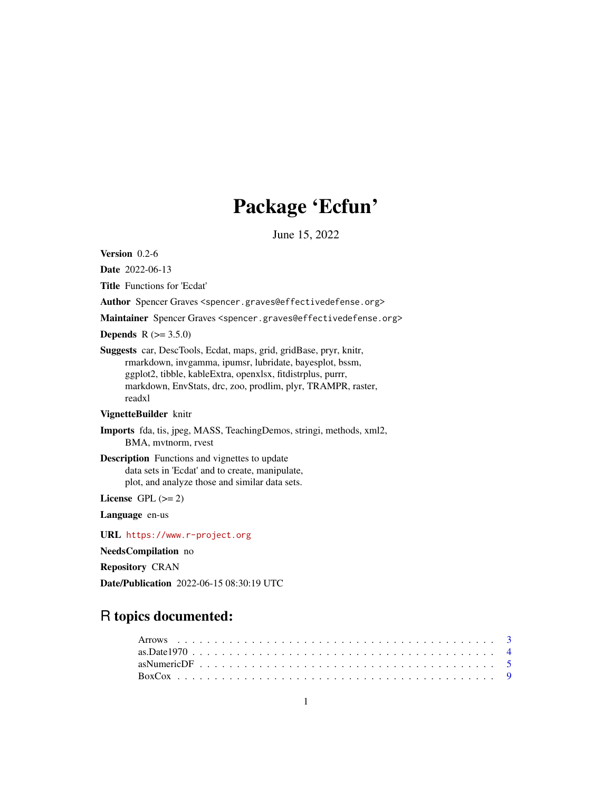# Package 'Ecfun'

June 15, 2022

<span id="page-0-0"></span>Version 0.2-6

Date 2022-06-13

Title Functions for 'Ecdat'

Author Spencer Graves <spencer.graves@effectivedefense.org>

Maintainer Spencer Graves <spencer.graves@effectivedefense.org>

**Depends** R  $(>= 3.5.0)$ 

Suggests car, DescTools, Ecdat, maps, grid, gridBase, pryr, knitr, rmarkdown, invgamma, ipumsr, lubridate, bayesplot, bssm, ggplot2, tibble, kableExtra, openxlsx, fitdistrplus, purrr, markdown, EnvStats, drc, zoo, prodlim, plyr, TRAMPR, raster, readxl

#### VignetteBuilder knitr

Imports fda, tis, jpeg, MASS, TeachingDemos, stringi, methods, xml2, BMA, mvtnorm, rvest

Description Functions and vignettes to update data sets in 'Ecdat' and to create, manipulate, plot, and analyze those and similar data sets.

License GPL  $(>= 2)$ 

Language en-us

URL <https://www.r-project.org>

NeedsCompilation no

Repository CRAN

Date/Publication 2022-06-15 08:30:19 UTC

## R topics documented: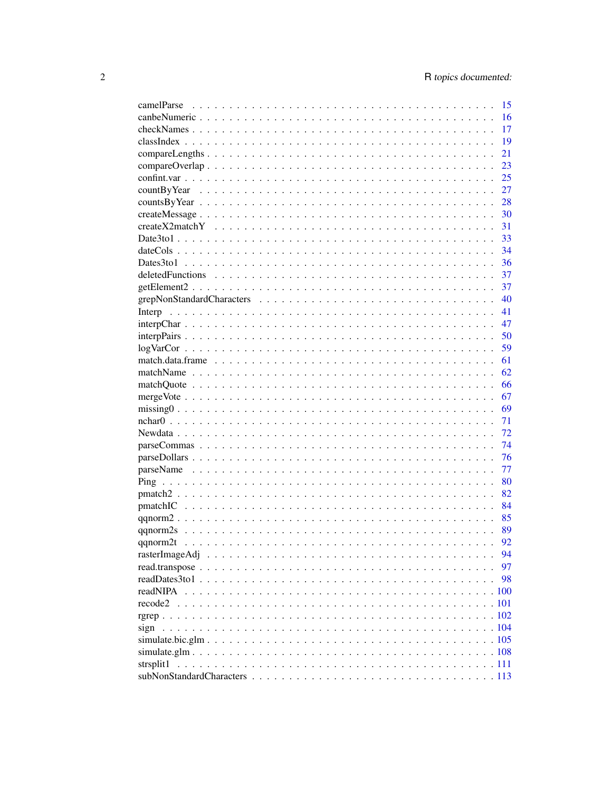|                | 15 |
|----------------|----|
|                | 16 |
|                | 17 |
|                | 19 |
|                | 21 |
|                | 23 |
|                | 25 |
|                | 27 |
|                | 28 |
|                | 30 |
|                | 31 |
|                | 33 |
|                | 34 |
|                | 36 |
|                | 37 |
|                | 37 |
|                | 40 |
|                | 41 |
|                | 47 |
|                | 50 |
|                | 59 |
|                | 61 |
|                |    |
|                | 62 |
|                | 66 |
|                | 67 |
|                | 69 |
|                | 71 |
|                | 72 |
|                | 74 |
|                | 76 |
|                | 77 |
|                | 80 |
|                | 82 |
|                | 84 |
|                | 85 |
|                | 89 |
|                | 92 |
| rasterImageAdj | 94 |
|                | 97 |
|                | 98 |
| readNIPA       |    |
| recode2        |    |
|                |    |
| sign           |    |
|                |    |
|                |    |
| strsplit1      |    |
|                |    |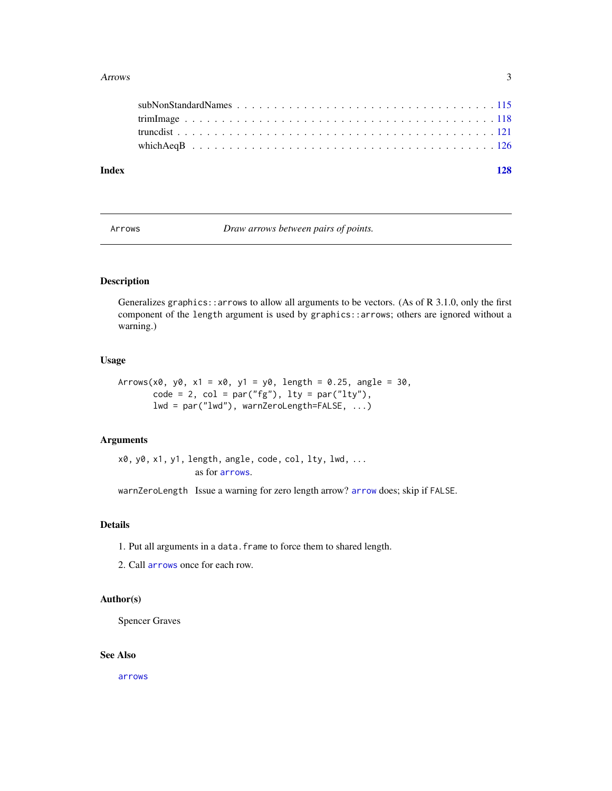#### <span id="page-2-0"></span>Arrows 3

| Index |  |  |  |  |  |  |  |  |  |  |  |  |  |  |  |
|-------|--|--|--|--|--|--|--|--|--|--|--|--|--|--|--|

Arrows *Draw arrows between pairs of points.*

## Description

Generalizes graphics::arrows to allow all arguments to be vectors. (As of R 3.1.0, only the first component of the length argument is used by graphics::arrows; others are ignored without a warning.)

## Usage

```
Arrows(x0, y0, x1 = x0, y1 = y0, length = 0.25, angle = 30,code = 2, col = par("fg"), lty = par("lty"),lwd = par("lwd"), warnZeroLength=FALSE, ...)
```
#### Arguments

x0, y0, x1, y1, length[, angle,](#page-0-0) code, col, lty, lwd, ... as for arrows.

warnZeroLength Issue a warning for zero length [arrow](#page-0-0)? arrow does; skip if FALSE.

## Details

- 1. Put all arguments in a data.frame to force them to shared length.
- 2. Call [arrows](#page-0-0) once for each row.

## Author(s)

Spencer Graves

## See Also

[arrows](#page-0-0)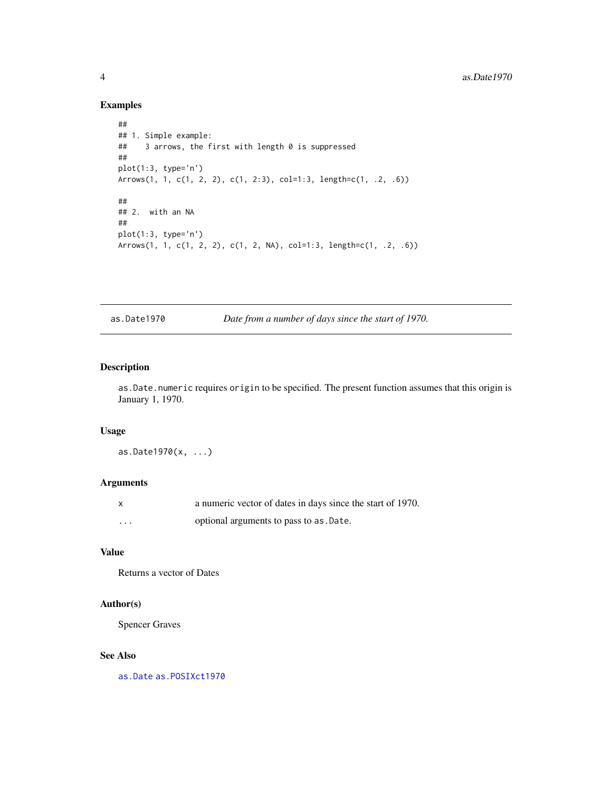## Examples

```
##
## 1. Simple example:
## 3 arrows, the first with length 0 is suppressed
##
plot(1:3, type='n')
Arrows(1, 1, c(1, 2, 2), c(1, 2:3), col=1:3, length=c(1, .2, .6))
##
## 2. with an NA
##
plot(1:3, type='n')
Arrows(1, 1, c(1, 2, 2), c(1, 2, NA), col=1:3, length=c(1, .2, .6))
```
as.Date1970 *Date from a number of days since the start of 1970.*

## Description

as.Date.numeric requires origin to be specified. The present function assumes that this origin is January 1, 1970.

#### Usage

as.Date1970(x, ...)

## Arguments

| $\mathsf{x}$ | a numeric vector of dates in days since the start of 1970. |
|--------------|------------------------------------------------------------|
| $\cdots$     | optional arguments to pass to as . Date.                   |

## Value

Returns a vector of Dates

## Author(s)

Spencer Graves

#### See Also

[as.Date](#page-0-0) [as.POSIXct1970](#page-0-0)

<span id="page-3-0"></span>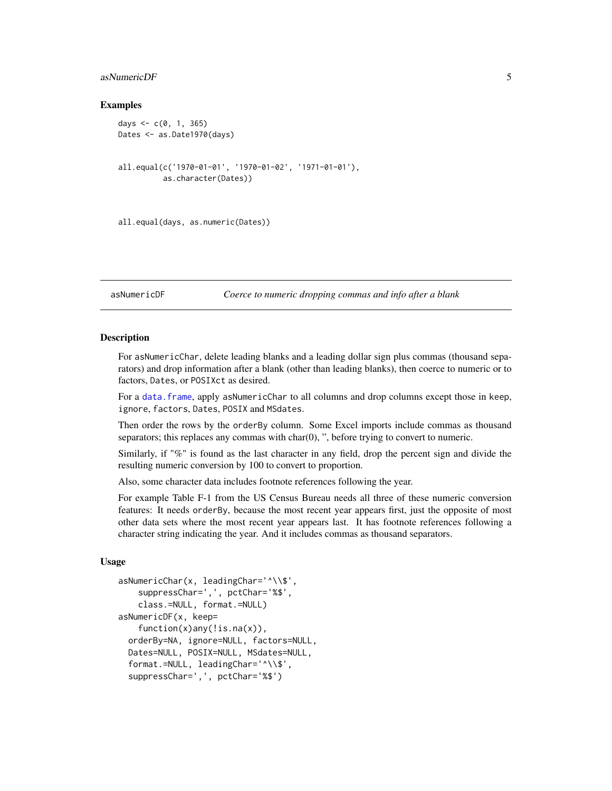## <span id="page-4-0"></span>asNumericDF 5

#### Examples

```
days \leq -c(0, 1, 365)Dates <- as.Date1970(days)
all.equal(c('1970-01-01', '1970-01-02', '1971-01-01'),
          as.character(Dates))
```

```
all.equal(days, as.numeric(Dates))
```
asNumericDF *Coerce to numeric dropping commas and info after a blank*

#### **Description**

For asNumericChar, delete leading blanks and a leading dollar sign plus commas (thousand separators) and drop information after a blank (other than leading blanks), then coerce to numeric or to factors, Dates, or POSIXct as desired.

For a data. frame, apply asNumericChar to all columns and drop columns except those in keep, ignore, factors, Dates, POSIX and MSdates.

Then order the rows by the orderBy column. Some Excel imports include commas as thousand separators; this replaces any commas with char(0), ", before trying to convert to numeric.

Similarly, if "%" is found as the last character in any field, drop the percent sign and divide the resulting numeric conversion by 100 to convert to proportion.

Also, some character data includes footnote references following the year.

For example Table F-1 from the US Census Bureau needs all three of these numeric conversion features: It needs orderBy, because the most recent year appears first, just the opposite of most other data sets where the most recent year appears last. It has footnote references following a character string indicating the year. And it includes commas as thousand separators.

#### Usage

```
asNumericChar(x, leadingChar='^\\$',
    suppressChar=',', pctChar='%$',
   class.=NULL, format.=NULL)
asNumericDF(x, keep=
    function(x)any(!is.na(x)),
  orderBy=NA, ignore=NULL, factors=NULL,
 Dates=NULL, POSIX=NULL, MSdates=NULL,
  format.=NULL, leadingChar='^\\$',
  suppressChar=',', pctChar='%$')
```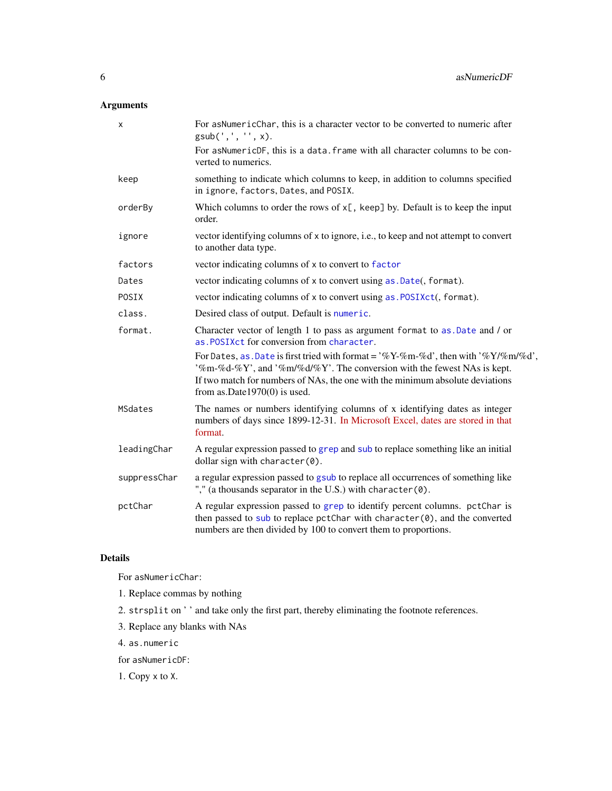## Arguments

| $\pmb{\times}$ | For asNumericChar, this is a character vector to be converted to numeric after<br>gsub(', ', ''', x).                                                                                                                                                                                       |
|----------------|---------------------------------------------------------------------------------------------------------------------------------------------------------------------------------------------------------------------------------------------------------------------------------------------|
|                | For asNumericDF, this is a data. frame with all character columns to be con-<br>verted to numerics.                                                                                                                                                                                         |
| keep           | something to indicate which columns to keep, in addition to columns specified<br>in ignore, factors, Dates, and POSIX.                                                                                                                                                                      |
| orderBy        | Which columns to order the rows of $x$ [, keep] by. Default is to keep the input<br>order.                                                                                                                                                                                                  |
| ignore         | vector identifying columns of x to ignore, i.e., to keep and not attempt to convert<br>to another data type.                                                                                                                                                                                |
| factors        | vector indicating columns of x to convert to factor                                                                                                                                                                                                                                         |
| Dates          | vector indicating columns of x to convert using as . Date(, format).                                                                                                                                                                                                                        |
| POSIX          | vector indicating columns of x to convert using as . POSIXct(, format).                                                                                                                                                                                                                     |
| class.         | Desired class of output. Default is numeric.                                                                                                                                                                                                                                                |
| format.        | Character vector of length 1 to pass as argument format to as. Date and / or<br>as. POSIXct for conversion from character.                                                                                                                                                                  |
|                | For Dates, as . Date is first tried with format = $\%Y-\%$ m-%d', then with $\%Y/\%$ m/%d',<br>'%m-%d-%Y', and '%m/%d/%Y'. The conversion with the fewest NAs is kept.<br>If two match for numbers of NAs, the one with the minimum absolute deviations<br>from as. Date $1970(0)$ is used. |
| MSdates        | The names or numbers identifying columns of x identifying dates as integer<br>numbers of days since 1899-12-31. In Microsoft Excel, dates are stored in that<br>format.                                                                                                                     |
| leadingChar    | A regular expression passed to grep and sub to replace something like an initial<br>dollar sign with character(0).                                                                                                                                                                          |
| suppressChar   | a regular expression passed to gsub to replace all occurrences of something like<br>"," (a thousands separator in the U.S.) with character (0).                                                                                                                                             |
| pctChar        | A regular expression passed to grep to identify percent columns. pctChar is<br>then passed to sub to replace pctChar with character(0), and the converted<br>numbers are then divided by 100 to convert them to proportions.                                                                |
|                |                                                                                                                                                                                                                                                                                             |

## Details

For asNumericChar:

- 1. Replace commas by nothing
- 2. strsplit on ' ' and take only the first part, thereby eliminating the footnote references.
- 3. Replace any blanks with NAs
- 4. as.numeric

for asNumericDF:

1. Copy x to X.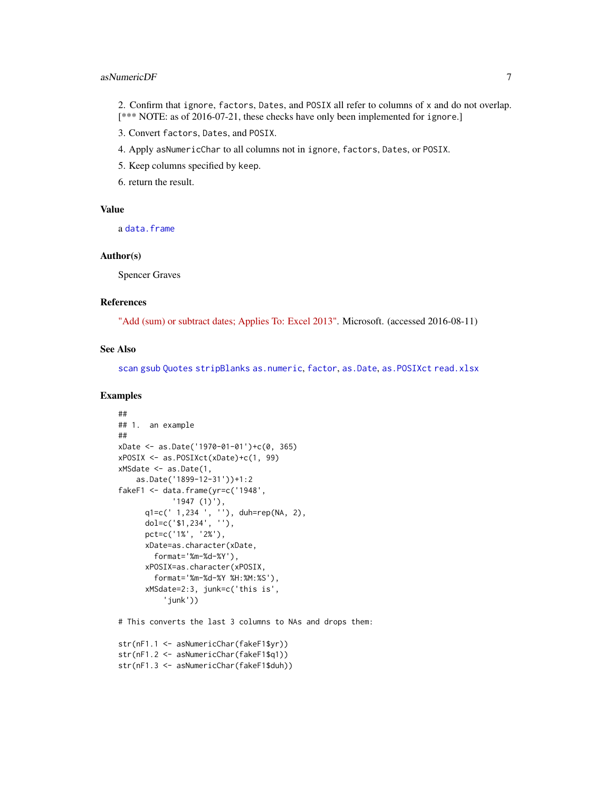## asNumericDF 7

2. Confirm that ignore, factors, Dates, and POSIX all refer to columns of x and do not overlap. [\*\*\* NOTE: as of 2016-07-21, these checks have only been implemented for ignore.]

3. Convert factors, Dates, and POSIX.

- 4. Apply asNumericChar to all columns not in ignore, factors, Dates, or POSIX.
- 5. Keep columns specified by keep.
- 6. return the result.

## Value

a [data.frame](#page-0-0)

#### Author(s)

Spencer Graves

## References

["Add \(sum\) or subtract dates; Applies To: Excel 2013".](https://support.office.com/en-us/article/Add-sum-or-subtract-dates-9818b3f7-aa67-4008-8dff-3c3b503886af?ui=en-US&rs=en-US&ad=US) Microsoft. (accessed 2016-08-11)

#### See Also

[scan](#page-0-0) [gsub](#page-0-0) [Quotes](#page-0-0) [stripBlanks](#page-0-0) [as.numeric](#page-0-0), [factor](#page-0-0), [as.Date](#page-0-0), [as.POSIXct](#page-0-0) [read.xlsx](#page-0-0)

```
##
## 1. an example
##
xDate <- as.Date('1970-01-01')+c(0, 365)
xPOSIX <- as.POSIXct(xDate)+c(1, 99)
xMSdate <- as.Date(1,
    as.Date('1899-12-31'))+1:2
fakeF1 <- data.frame(yr=c('1948',
            '1947 (1)'),
      q1=c(' 1,234 ', ''), duh=rep(NA, 2),
      dol=c('$1,234', ''),
      pct=c('1%', '2%'),
      xDate=as.character(xDate,
        format='%m-%d-%Y'),
      xPOSIX=as.character(xPOSIX,
        format='%m-%d-%Y %H:%M:%S'),
      xMSdate=2:3, junk=c('this is',
          'junk'))
# This converts the last 3 columns to NAs and drops them:
```

```
str(nF1.1 <- asNumericChar(fakeF1$yr))
str(nF1.2 <- asNumericChar(fakeF1$q1))
str(nF1.3 <- asNumericChar(fakeF1$duh))
```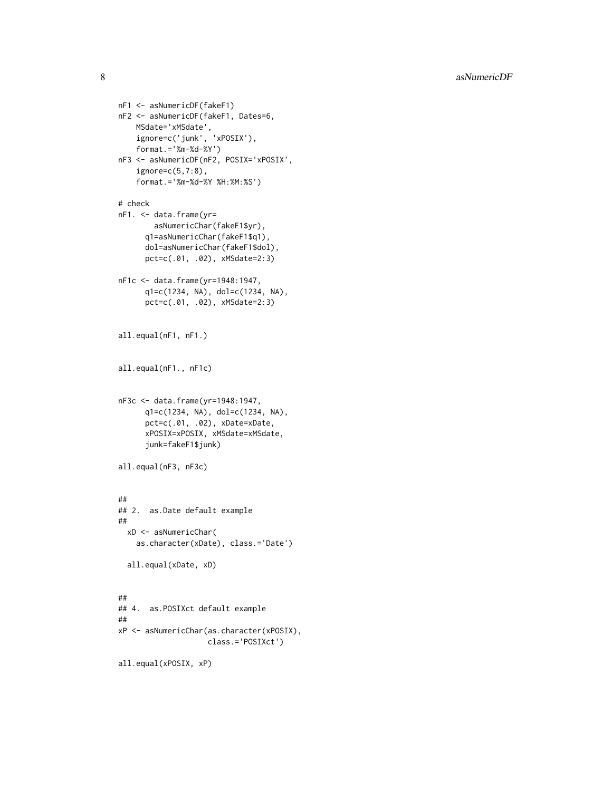8 as  $\alpha$  as  $\beta$  as  $\beta$  as  $\beta$  as  $\beta$  as  $\beta$  as  $\beta$  as  $\beta$  as  $\beta$  as  $\beta$  as  $\beta$  as  $\beta$  as  $\beta$  as  $\beta$  as  $\beta$  as  $\beta$  as  $\beta$  as  $\beta$  as  $\beta$  as  $\beta$  as  $\beta$  as  $\beta$  as  $\beta$  as  $\beta$  as  $\beta$  as  $\beta$  as  $\beta$  as

```
nF1 <- asNumericDF(fakeF1)
nF2 <- asNumericDF(fakeF1, Dates=6,
   MSdate='xMSdate',
   ignore=c('junk', 'xPOSIX'),
    format.='%m-%d-%Y')
nF3 <- asNumericDF(nF2, POSIX='xPOSIX',
    ignore=c(5,7:8),
    format.='%m-%d-%Y %H:%M:%S')
# check
nF1. <- data.frame(yr=
        asNumericChar(fakeF1$yr),
      q1=asNumericChar(fakeF1$q1),
      dol=asNumericChar(fakeF1$dol),
      pct=c(.01, .02), xMSdate=2:3)
nF1c <- data.frame(yr=1948:1947,
      q1=c(1234, NA), dol=c(1234, NA),
      pct=c(.01, .02), xMSdate=2:3)
all.equal(nF1, nF1.)
all.equal(nF1., nF1c)
nF3c <- data.frame(yr=1948:1947,
      q1=c(1234, NA), dol=c(1234, NA),
      pct=c(.01, .02), xDate=xDate,
      xPOSIX=xPOSIX, xMSdate=xMSdate,
      junk=fakeF1$junk)
all.equal(nF3, nF3c)
##
## 2. as.Date default example
##
  xD <- asNumericChar(
   as.character(xDate), class.='Date')
  all.equal(xDate, xD)
##
## 4. as.POSIXct default example
##
xP <- asNumericChar(as.character(xPOSIX),
                    class.='POSIXct')
```

```
all.equal(xPOSIX, xP)
```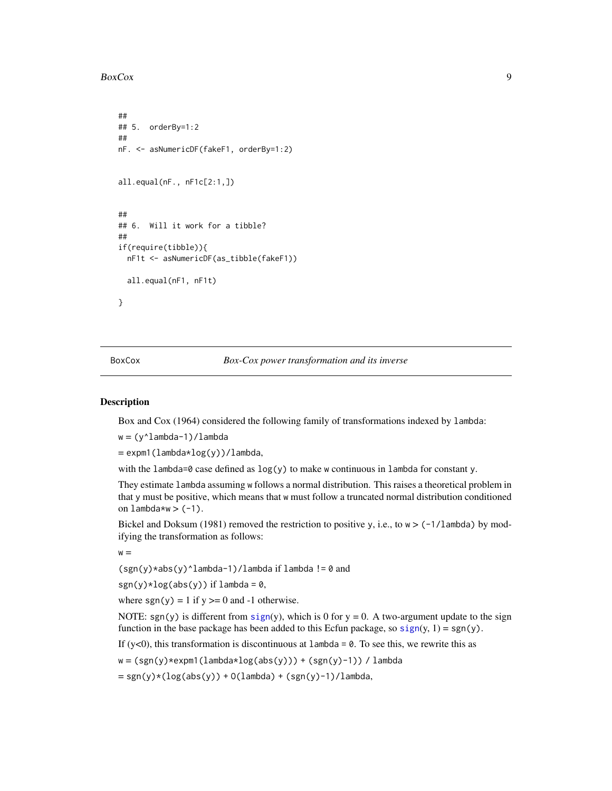#### <span id="page-8-0"></span>BoxCox 9

```
##
## 5. orderBy=1:2
##
nF. <- asNumericDF(fakeF1, orderBy=1:2)
all.equal(nF., nF1c[2:1,])
##
## 6. Will it work for a tibble?
##
if(require(tibble)){
 nF1t <- asNumericDF(as_tibble(fakeF1))
 all.equal(nF1, nF1t)
}
```
BoxCox *Box-Cox power transformation and its inverse*

#### Description

Box and Cox (1964) considered the following family of transformations indexed by lambda:

w = (y^lambda-1)/lambda

 $=$  expm1(lambda\*log(y))/lambda,

with the lambda=0 case defined as  $log(y)$  to make w continuous in lambda for constant y.

They estimate lambda assuming w follows a normal distribution. This raises a theoretical problem in that y must be positive, which means that w must follow a truncated normal distribution conditioned on lambda\*w  $>$  (-1).

Bickel and Doksum (1981) removed the restriction to positive y, i.e., to  $w > (-1/1)$ ambda) by modifying the transformation as follows:

 $w =$ 

 $(sgn(y)*abs(y)*lambda-1)/lambda$  if lambda != 0 and

sgn(y)\*log(abs(y)) if lambda =  $0$ ,

where  $sgn(y) = 1$  if  $y \ge 0$  and -1 otherwise.

NOTE: sgn(y) is different from [sign](#page-103-1)(y), which is 0 for  $y = 0$ . A two-argument update to the sign function in the base package has been added to this Ecfun package, so  $sign(y, 1) = sgn(y)$  $sign(y, 1) = sgn(y)$ .

If (y<0), this transformation is discontinuous at  $l$  ambda = 0. To see this, we rewrite this as

 $w = (sgn(y) * expm1(lambda * log(abs(y))) + (sgn(y)-1)) / lambda$ 

 $= sgn(y)*(log(abs(y)) + O(lambda) + (sgn(y)-1)/lambda,$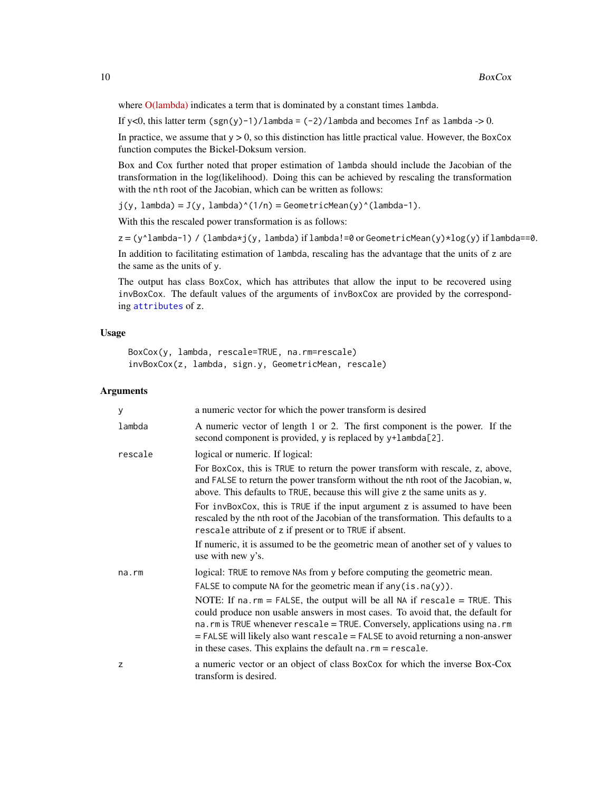where [O\(lambda\)](https://en.wikipedia.org/wiki/Big_O_notation) indicates a term that is dominated by a constant times lambda.

If y<0, this latter term  $(sgn(y)-1)/l$ ambda =  $(-2)/l$ ambda and becomes Inf as lambda -> 0.

In practice, we assume that  $y > 0$ , so this distinction has little practical value. However, the BoxCox function computes the Bickel-Doksum version.

Box and Cox further noted that proper estimation of lambda should include the Jacobian of the transformation in the log(likelihood). Doing this can be achieved by rescaling the transformation with the nth root of the Jacobian, which can be written as follows:

 $j(y, \text{lambda}) = J(y, \text{lambda})^{\wedge}(1/n) = \text{GeometricMean}(y)^{\wedge}(\text{lambda-1}).$ 

With this the rescaled power transformation is as follows:

 $z = (y^{\wedge}$ lambda-1) / (lambda\*j(y, lambda) if lambda!=0 or GeometricMean(y)\*log(y) if lambda==0.

In addition to facilitating estimation of lambda, rescaling has the advantage that the units of z are the same as the units of y.

The output has class BoxCox, which has attributes that allow the input to be recovered using invBoxCox. The default values of the arguments of invBoxCox are provided by the corresponding [attributes](#page-0-0) of z.

#### Usage

```
BoxCox(y, lambda, rescale=TRUE, na.rm=rescale)
invBoxCox(z, lambda, sign.y, GeometricMean, rescale)
```
## Arguments

| у       | a numeric vector for which the power transform is desired                                                                                                                                                                                                                                                                                                                                                        |
|---------|------------------------------------------------------------------------------------------------------------------------------------------------------------------------------------------------------------------------------------------------------------------------------------------------------------------------------------------------------------------------------------------------------------------|
| lambda  | A numeric vector of length 1 or 2. The first component is the power. If the<br>second component is provided, y is replaced by y+lambda[2].                                                                                                                                                                                                                                                                       |
| rescale | logical or numeric. If logical:                                                                                                                                                                                                                                                                                                                                                                                  |
|         | For BoxCox, this is TRUE to return the power transform with rescale, z, above,<br>and FALSE to return the power transform without the nth root of the Jacobian, w,<br>above. This defaults to TRUE, because this will give z the same units as y.                                                                                                                                                                |
|         | For invBoxCox, this is TRUE if the input argument z is assumed to have been<br>rescaled by the nth root of the Jacobian of the transformation. This defaults to a<br>rescale attribute of z if present or to TRUE if absent.                                                                                                                                                                                     |
|         | If numeric, it is assumed to be the geometric mean of another set of y values to<br>use with new y's.                                                                                                                                                                                                                                                                                                            |
| na.rm   | logical: TRUE to remove NAs from y before computing the geometric mean.                                                                                                                                                                                                                                                                                                                                          |
|         | FALSE to compute NA for the geometric mean if $any(is.na(y))$ .                                                                                                                                                                                                                                                                                                                                                  |
|         | NOTE: If $na$ . $rm = FALSE$ , the output will be all NA if $rescale = TRUE$ . This<br>could produce non usable answers in most cases. To avoid that, the default for<br>na. rm is TRUE whenever rescale = TRUE. Conversely, applications using na. rm<br>$=$ FALSE will likely also want rescale $=$ FALSE to avoid returning a non-answer<br>in these cases. This explains the default $na$ . $rm = rescale$ . |
| z       | a numeric vector or an object of class BoxCox for which the inverse Box-Cox<br>transform is desired.                                                                                                                                                                                                                                                                                                             |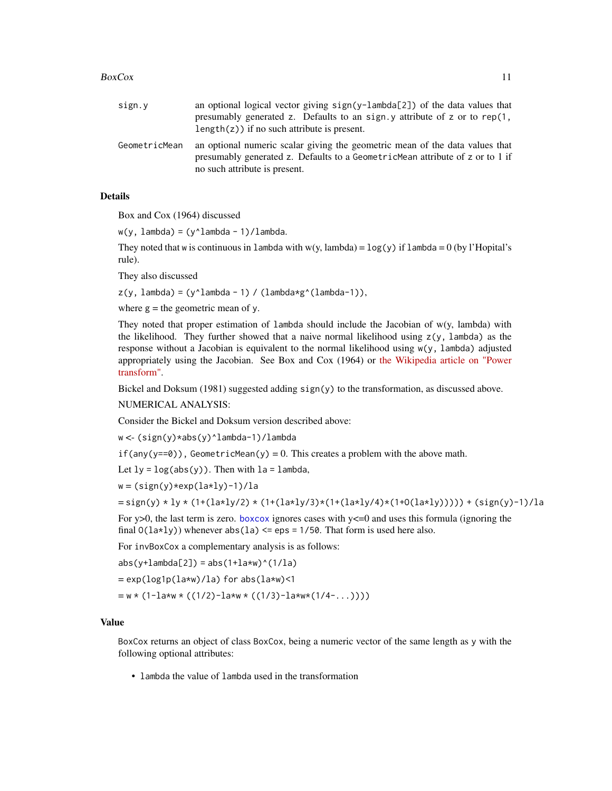#### $BoxCox$  11

| sign.y        | an optional logical vector giving sign(y-lambda[2]) of the data values that<br>presumably generated z. Defaults to an sign y attribute of z or to rep(1,<br>length $(z)$ ) if no such attribute is present. |
|---------------|-------------------------------------------------------------------------------------------------------------------------------------------------------------------------------------------------------------|
| GeometricMean | an optional numeric scalar giving the geometric mean of the data values that<br>presumably generated z. Defaults to a GeometricMean attribute of z or to 1 if<br>no such attribute is present.              |

## **Details**

Box and Cox (1964) discussed

 $w(y, \text{lambda}) = (y^{\text{lambda}} - 1)/\text{lambda}.$ 

They noted that w is continuous in lambda with  $w(y, \text{lambda}) = \log(y)$  if lambda = 0 (by l'Hopital's rule).

They also discussed

 $z(y, \text{lambda}) = (y^{\text{lambda}} - 1) / (\text{lambda} \cdot g^{\text{lambda}}(\text{lambda}-1)),$ 

where  $g =$  the geometric mean of y.

They noted that proper estimation of lambda should include the Jacobian of w(y, lambda) with the likelihood. They further showed that a naive normal likelihood using  $z(y, \lambda)$  lambda) as the response without a Jacobian is equivalent to the normal likelihood using w(y, lambda) adjusted appropriately using the Jacobian. See Box and Cox (1964) or [the Wikipedia article on "Power](https://en.wikipedia.org/wiki/Power_transform) [transform".](https://en.wikipedia.org/wiki/Power_transform)

Bickel and Doksum (1981) suggested adding sign(y) to the transformation, as discussed above.

NUMERICAL ANALYSIS:

Consider the Bickel and Doksum version described above:

w <- (sign(y)\*abs(y)^lambda-1)/lambda

 $if(any(y==0))$ , GeometricMean(y) = 0. This creates a problem with the above math.

Let  $1y = log(abs(y))$ . Then with  $1a = 1$ ambda,

 $w = (sign(y) * exp(la * ly) - 1)/la$ 

$$
= sign(y) * ly * (1+(1a*ly/2) * (1+(1a*ly/3)*(1+(1a*ly/4)*(1+0(1a*ly))))) + (sign(y)-1)/la
$$

For y>0, the last term is zero. [boxcox](#page-0-0) ignores cases with  $y \le 0$  and uses this formula (ignoring the final  $O(1a \star 1y)$ ) whenever abs(1a)  $\le$  eps = 1/50. That form is used here also.

For invBoxCox a complementary analysis is as follows:

 $abs(y+1ambda[2]) = abs(1+1a*w)^(1/la)$ 

 $= exp(log1p(la*w)/la)$  for abs( $laxw$ )<1

 $= w * (1-1a*w * ((1/2)-1a*w * ((1/3)-1a*w * (1/4-...))))$ 

#### Value

BoxCox returns an object of class BoxCox, being a numeric vector of the same length as y with the following optional attributes:

• lambda the value of lambda used in the transformation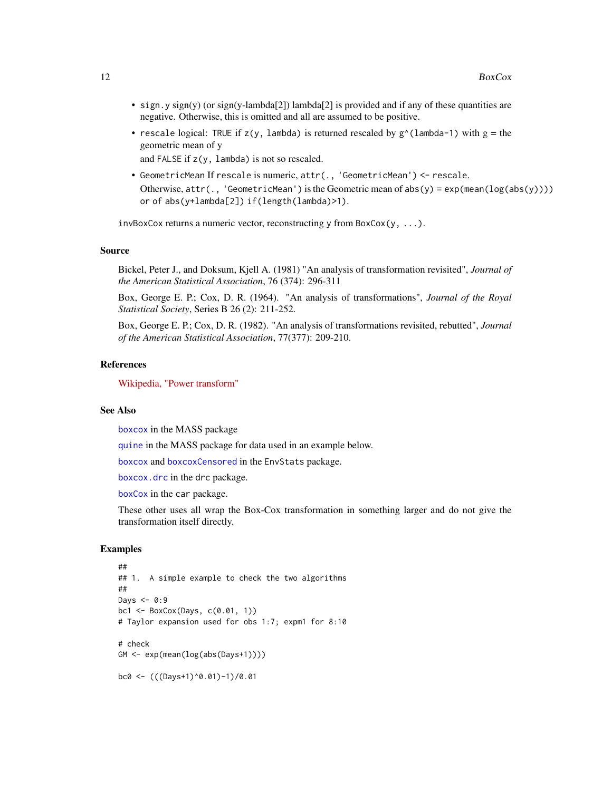- sign.y sign(y) (or sign(y-lambda[2]) lambda[2] is provided and if any of these quantities are negative. Otherwise, this is omitted and all are assumed to be positive.
- rescale logical: TRUE if  $z(y)$ , lambda) is returned rescaled by  $g^{\wedge}$ (lambda-1) with  $g =$  the geometric mean of y

and FALSE if z(y, lambda) is not so rescaled.

• GeometricMean If rescale is numeric, attr(., 'GeometricMean') <- rescale. Otherwise, attr(., 'GeometricMean') is the Geometric mean of abs(y) = exp(mean(log(abs(y)))) or of abs(y+lambda[2]) if(length(lambda)>1).

invBoxCox returns a numeric vector, reconstructing y from BoxCox(y, ...).

#### Source

Bickel, Peter J., and Doksum, Kjell A. (1981) "An analysis of transformation revisited", *Journal of the American Statistical Association*, 76 (374): 296-311

Box, George E. P.; Cox, D. R. (1964). "An analysis of transformations", *Journal of the Royal Statistical Society*, Series B 26 (2): 211-252.

Box, George E. P.; Cox, D. R. (1982). "An analysis of transformations revisited, rebutted", *Journal of the American Statistical Association*, 77(377): 209-210.

#### References

[Wikipedia, "Power transform"](https://en.wikipedia.org/wiki/Power_transform)

#### See Also

[boxcox](#page-0-0) in the MASS package

[quine](#page-0-0) in the MASS package for data used in an example below.

[boxcox](#page-0-0) and [boxcoxCensored](#page-0-0) in the EnvStats package.

[boxcox.drc](#page-0-0) in the drc package.

[boxCox](#page-0-0) in the car package.

These other uses all wrap the Box-Cox transformation in something larger and do not give the transformation itself directly.

```
##
## 1. A simple example to check the two algorithms
##
Days <-0:9bc1 <- BoxCox(Days, c(0.01, 1))
# Taylor expansion used for obs 1:7; expm1 for 8:10
# check
GM <- exp(mean(log(abs(Days+1))))
bc0 <- (((Days+1)^0.01)-1)/0.01
```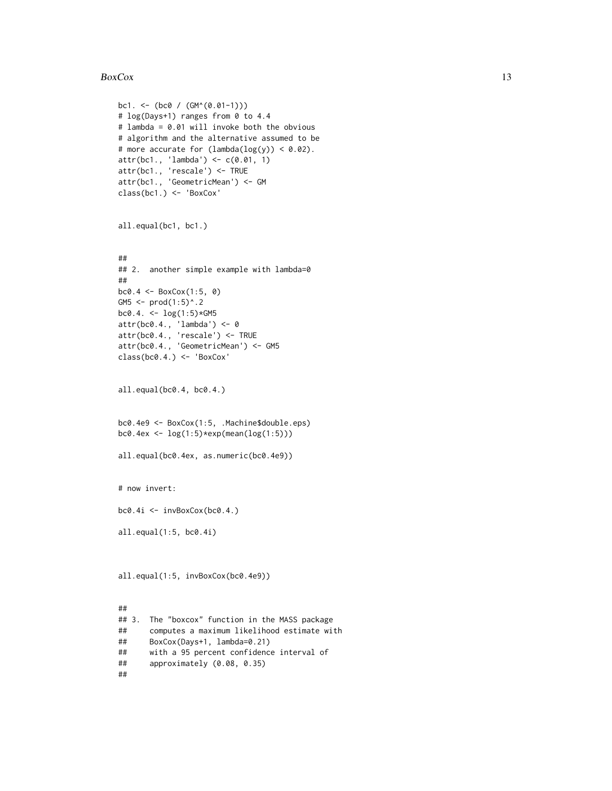#### $BoxCox$  13

```
bc1. <- (bc0 / (GM^(0.01-1)))
# log(Days+1) ranges from 0 to 4.4
# lambda = 0.01 will invoke both the obvious
# algorithm and the alternative assumed to be
# more accurate for (lambda(log(y)) < 0.02).
attr(bc1., 'lambda') <- c(0.01, 1)
attr(bc1., 'rescale') <- TRUE
attr(bc1., 'GeometricMean') <- GM
class(bc1.) <- 'BoxCox'
all.equal(bc1, bc1.)
##
## 2. another simple example with lambda=0
##
bc0.4 <- BoxCox(1:5, 0)
GM5 <- prod(1:5)^{^{\wedge}}.2
bc0.4. <- \log(1:5)*GMSattr(bc0.4., 'lambda') <- 0
attr(bc0.4., 'rescale') <- TRUE
attr(bc0.4., 'GeometricMean') <- GM5
class(bc0.4.) <- 'BoxCox'
all.equal(bc0.4, bc0.4.)
bc0.4e9 <- BoxCox(1:5, .Machine$double.eps)
bc0.4ex <- log(1:5)*exp(mean(log(1:5)))
all.equal(bc0.4ex, as.numeric(bc0.4e9))
# now invert:
bc0.4i <- invBoxCox(bc0.4.)
all.equal(1:5, bc0.4i)
all.equal(1:5, invBoxCox(bc0.4e9))
##
## 3. The "boxcox" function in the MASS package
## computes a maximum likelihood estimate with
## BoxCox(Days+1, lambda=0.21)
## with a 95 percent confidence interval of
## approximately (0.08, 0.35)
```
##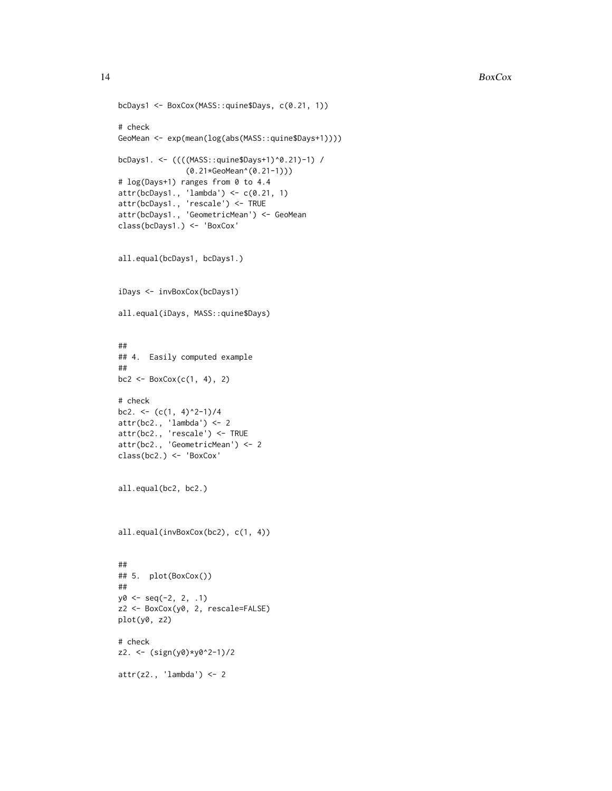```
bcDays1 <- BoxCox(MASS::quine$Days, c(0.21, 1))
# check
GeoMean <- exp(mean(log(abs(MASS::quine$Days+1))))
bcDays1. <- ((((MASS::quine$Days+1)^0.21)-1) /
               (0.21*GeoMean^(0.21-1)))
# log(Days+1) ranges from 0 to 4.4
attr(bcDays1., 'lambda') <- c(0.21, 1)
attr(bcDays1., 'rescale') <- TRUE
attr(bcDays1., 'GeometricMean') <- GeoMean
class(bcDays1.) <- 'BoxCox'
all.equal(bcDays1, bcDays1.)
iDays <- invBoxCox(bcDays1)
all.equal(iDays, MASS::quine$Days)
##
## 4. Easily computed example
##
bc2 \leq - BoxCox(c(1, 4), 2)
# check
bc2. <- (c(1, 4)^2-1)/4attr(bc2., 'lambda') <- 2
attr(bc2., 'rescale') <- TRUE
attr(bc2., 'GeometricMean') <- 2
class(bc2.) <- 'BoxCox'
all.equal(bc2, bc2.)
all.equal(invBoxCox(bc2), c(1, 4))
##
## 5. plot(BoxCox())
##
y0 \leq -\text{seq}(-2, 2, .1)z2 <- BoxCox(y0, 2, rescale=FALSE)
plot(y0, z2)
# check
z2. <- (sign(y0)*y0^2-1)/2
attr(z2., 'lambda') <- 2
```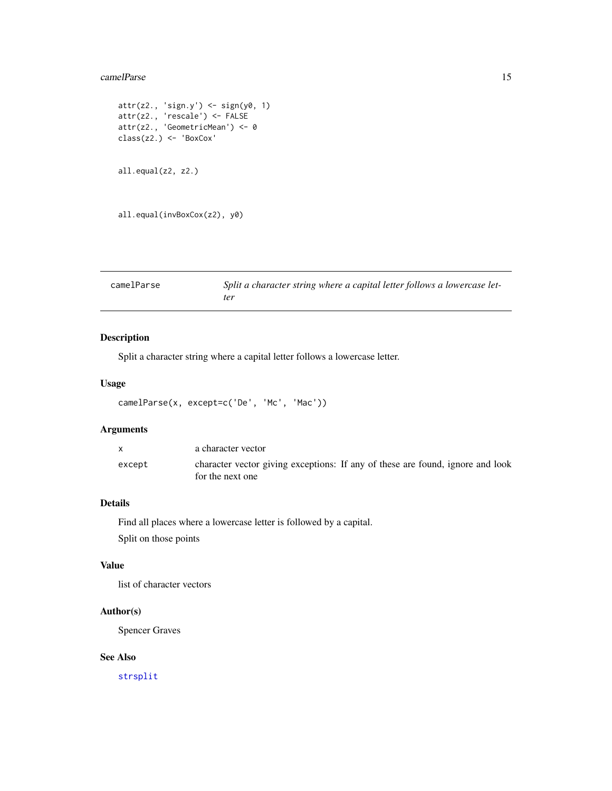#### <span id="page-14-0"></span>camelParse 15

```
attr(z2., 'sign.y') <- sign(y0, 1)
attr(z2., 'rescale') <- FALSE
attr(z2., 'GeometricMean') <- 0
class(z2.) <- 'BoxCox'
all.equal(z2, z2.)
all.equal(invBoxCox(z2), y0)
```

| camelParse | Split a character string where a capital letter follows a lowercase let- |
|------------|--------------------------------------------------------------------------|
|            | ter                                                                      |

## Description

Split a character string where a capital letter follows a lowercase letter.

## Usage

```
camelParse(x, except=c('De', 'Mc', 'Mac'))
```
## Arguments

|        | a character vector                                                             |
|--------|--------------------------------------------------------------------------------|
| except | character vector giving exceptions: If any of these are found, ignore and look |
|        | for the next one                                                               |

## Details

Find all places where a lowercase letter is followed by a capital. Split on those points

## Value

list of character vectors

## Author(s)

Spencer Graves

## See Also

[strsplit](#page-0-0)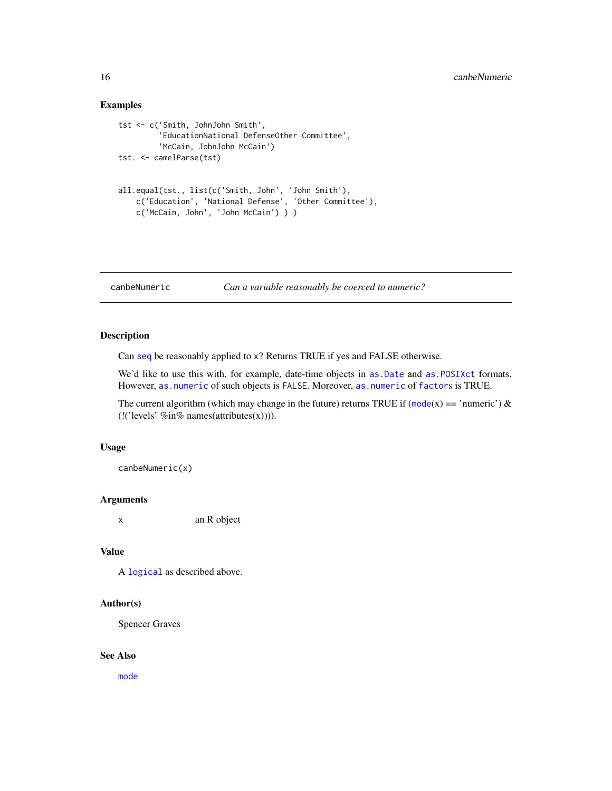## Examples

```
tst <- c('Smith, JohnJohn Smith',
         'EducationNational DefenseOther Committee',
         'McCain, JohnJohn McCain')
tst. <- camelParse(tst)
all.equal(tst., list(c('Smith, John', 'John Smith'),
   c('Education', 'National Defense', 'Other Committee'),
   c('McCain, John', 'John McCain') ) )
```

```
canbeNumeric Can a variable reasonably be coerced to numeric?
```
## Description

Can [seq](#page-0-0) be reasonably applied to x? Returns TRUE if yes and FALSE otherwise.

We'd like to use this with, for example, date-time objects in as. Date and as. POSIXct formats. However, [as.numeric](#page-0-0) of such objects is FALSE. Moreover, [as.numeric](#page-0-0) of [factor](#page-0-0)s is TRUE.

The current algorithm (which may change in the future) returns TRUE if ([mode](#page-0-0)(x) == 'numeric') & (!('levels' %in% names(attributes(x)))).

#### Usage

canbeNumeric(x)

## Arguments

x an R object

## Value

A [logical](#page-0-0) as described above.

#### Author(s)

Spencer Graves

#### See Also

[mode](#page-0-0)

<span id="page-15-0"></span>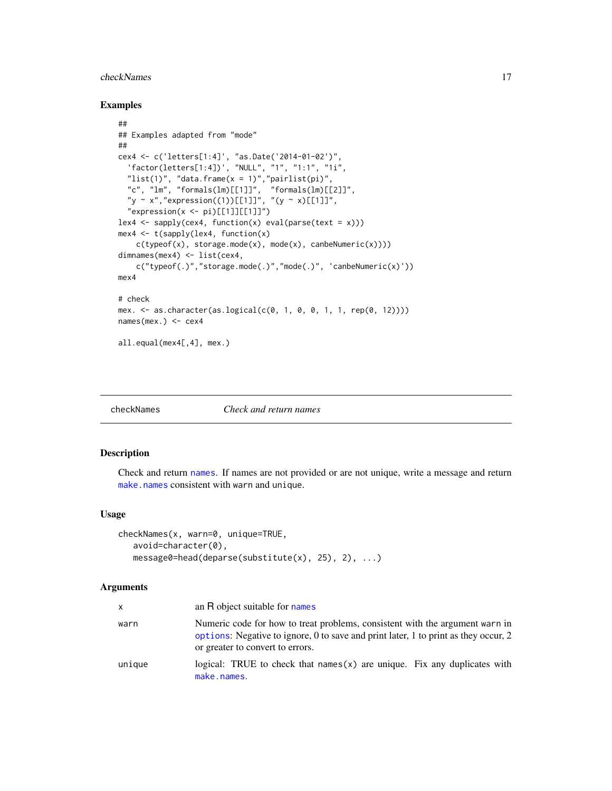#### <span id="page-16-0"></span>checkNames 17

#### Examples

```
##
## Examples adapted from "mode"
##
cex4 <- c('letters[1:4]', "as.Date('2014-01-02')",
  'factor(letters[1:4])', "NULL", "1", "1:1", "1i",
  "list(1)", "data.frame(x = 1)", "pairlist(pi)",
  "c", "lm", "formals(lm)[[1]]", "formals(lm)[[2]]",
  "y \sim x","expression((1))[[1]]", "(y \sim x)[[1]]",
  "expression(x \leftarrow pi)[[1]][[1]]"lex4 \leftarrow sapply(cex4, function(x) eval(parse(text = x)))mex4 <- t(sapply(lex4, function(x)
    c(typeof(x), storage.mode(x), mode(x), canbeNumeric(x))))
dimnames(mex4) <- list(cex4,
    c("typeof(.)", "storage-mode(.)", "mode(.)"", 'code(.))", 'canbeNumeric(x)'))mex4
# check
mex. <- as.character(as.logical(c(0, 1, 0, 0, 1, 1, rep(0, 12))))
names(mex.) <- cex4
all.equal(mex4[,4], mex.)
```
checkNames *Check and return names*

#### Description

Check and return [names](#page-0-0). If names are not provided or are not unique, write a message and return [make.names](#page-0-0) consistent with warn and unique.

#### Usage

```
checkNames(x, warn=0, unique=TRUE,
   avoid=character(0),
   message0=head(deparse(substitute(x), 25), 2), ...)
```
#### Arguments

| X      | an R object suitable for names                                                                                                                                                                          |
|--------|---------------------------------------------------------------------------------------------------------------------------------------------------------------------------------------------------------|
| warn   | Numeric code for how to treat problems, consistent with the argument warn in<br>options: Negative to ignore, 0 to save and print later, 1 to print as they occur, 2<br>or greater to convert to errors. |
| unique | logical: TRUE to check that names $(x)$ are unique. Fix any duplicates with<br>make.names.                                                                                                              |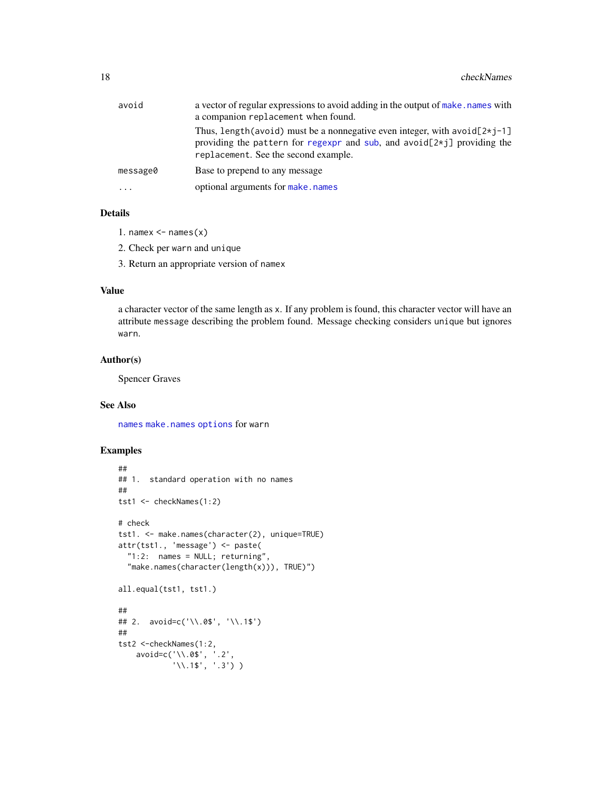| avoid    | a vector of regular expressions to avoid adding in the output of make, names with<br>a companion replacement when found.                                                                                      |
|----------|---------------------------------------------------------------------------------------------------------------------------------------------------------------------------------------------------------------|
|          | Thus, length (avoid) must be a nonnegative even integer, with avoid $[2\star i-1]$<br>providing the pattern for regexpr and sub, and avoid[ $2\star$ j] providing the<br>replacement. See the second example. |
| message0 | Base to prepend to any message                                                                                                                                                                                |
| .        | optional arguments for make, names                                                                                                                                                                            |
|          |                                                                                                                                                                                                               |

## Details

- 1. namex  $\leq$  names $(x)$
- 2. Check per warn and unique
- 3. Return an appropriate version of namex

## Value

a character vector of the same length as x. If any problem is found, this character vector will have an attribute message describing the problem found. Message checking considers unique but ignores warn.

## Author(s)

Spencer Graves

## See Also

[names](#page-0-0) [make.names](#page-0-0) [options](#page-0-0) for warn

```
##
## 1. standard operation with no names
##
tst1 <- checkNames(1:2)
# check
tst1. <- make.names(character(2), unique=TRUE)
attr(tst1., 'message') <- paste(
  "1:2: names = NULL; returning",
  "make.names(character(length(x))), TRUE)")
all.equal(tst1, tst1.)
##
## 2. avoid=c('\\.0$', '\\.1$')
##
tst2 <-checkNames(1:2,
    avoid=c('\\.0$', '.2',
             '\\.1$', '.3') )
```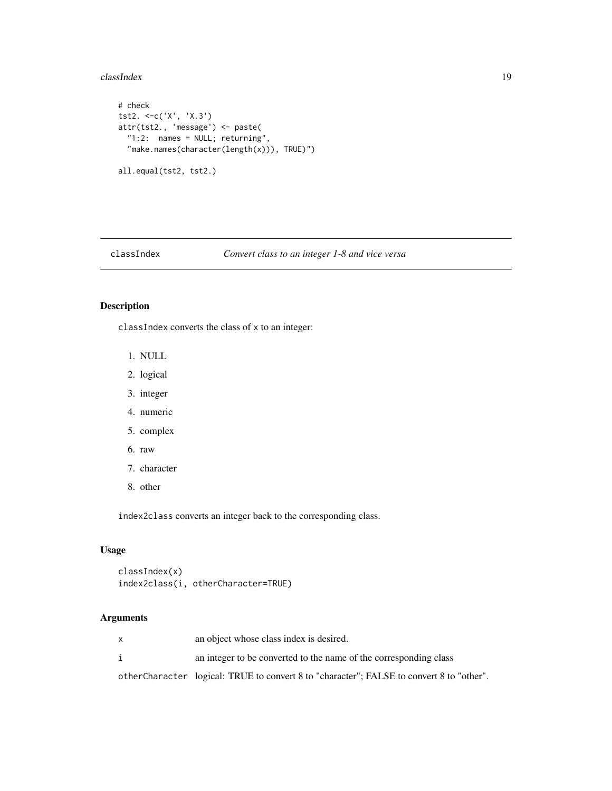#### <span id="page-18-0"></span>classIndex 19

```
# check
tst2. <-c('X', 'X.3')
attr(tst2., 'message') <- paste(
  "1:2: names = NULL; returning",
  "make.names(character(length(x))), TRUE)")
all.equal(tst2, tst2.)
```
## classIndex *Convert class to an integer 1-8 and vice versa*

## Description

classIndex converts the class of x to an integer:

- 1. NULL
- 2. logical
- 3. integer
- 4. numeric
- 5. complex
- 6. raw
- 7. character
- 8. other

index2class converts an integer back to the corresponding class.

#### Usage

```
classIndex(x)
index2class(i, otherCharacter=TRUE)
```
## Arguments

i an integer to be converted to the name of the corresponding class

otherCharacter logical: TRUE to convert 8 to "character"; FALSE to convert 8 to "other".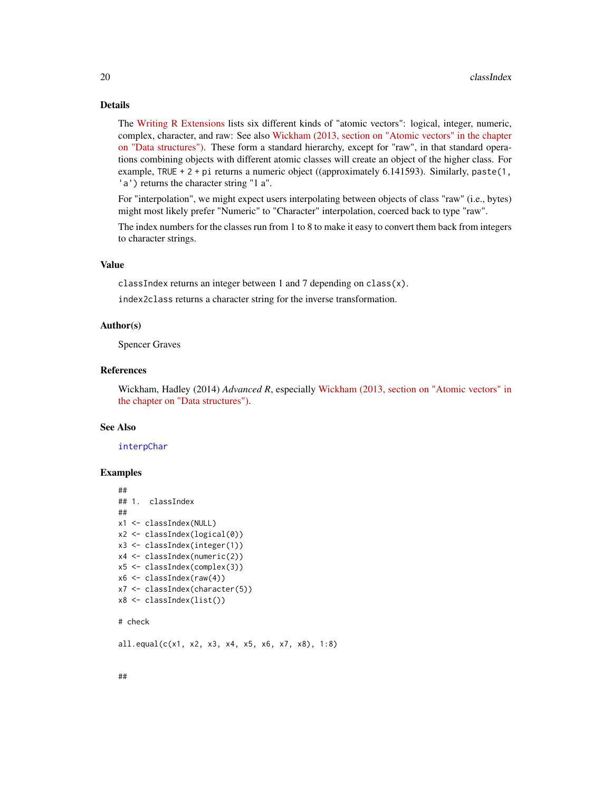## Details

The [Writing R Extensions](https://cran.r-project.org/doc/manuals/r-release/R-exts.html) lists six different kinds of "atomic vectors": logical, integer, numeric, complex, character, and raw: See also [Wickham \(2013, section on "Atomic vectors" in the chapter](http://adv-r.had.co.nz/Data-structures.html) [on "Data structures"\).](http://adv-r.had.co.nz/Data-structures.html) These form a standard hierarchy, except for "raw", in that standard operations combining objects with different atomic classes will create an object of the higher class. For example, TRUE + 2 + pi returns a numeric object ((approximately 6.141593). Similarly, paste(1, 'a') returns the character string "1 a".

For "interpolation", we might expect users interpolating between objects of class "raw" (i.e., bytes) might most likely prefer "Numeric" to "Character" interpolation, coerced back to type "raw".

The index numbers for the classes run from 1 to 8 to make it easy to convert them back from integers to character strings.

## Value

classIndex returns an integer between 1 and 7 depending on class(x).

index2class returns a character string for the inverse transformation.

## Author(s)

Spencer Graves

#### References

Wickham, Hadley (2014) *Advanced R*, especially [Wickham \(2013, section on "Atomic vectors" in](http://adv-r.had.co.nz/Data-structures.html) [the chapter on "Data structures"\).](http://adv-r.had.co.nz/Data-structures.html)

#### See Also

#### [interpChar](#page-46-1)

## Examples

```
##
## 1. classIndex
##
x1 <- classIndex(NULL)
x2 <- classIndex(logical(0))
x3 <- classIndex(integer(1))
x4 <- classIndex(numeric(2))
x5 <- classIndex(complex(3))
x6 <- classIndex(raw(4))
x7 <- classIndex(character(5))
x8 <- classIndex(list())
# check
```
 $all.equals(c(x1, x2, x3, x4, x5, x6, x7, x8), 1:8)$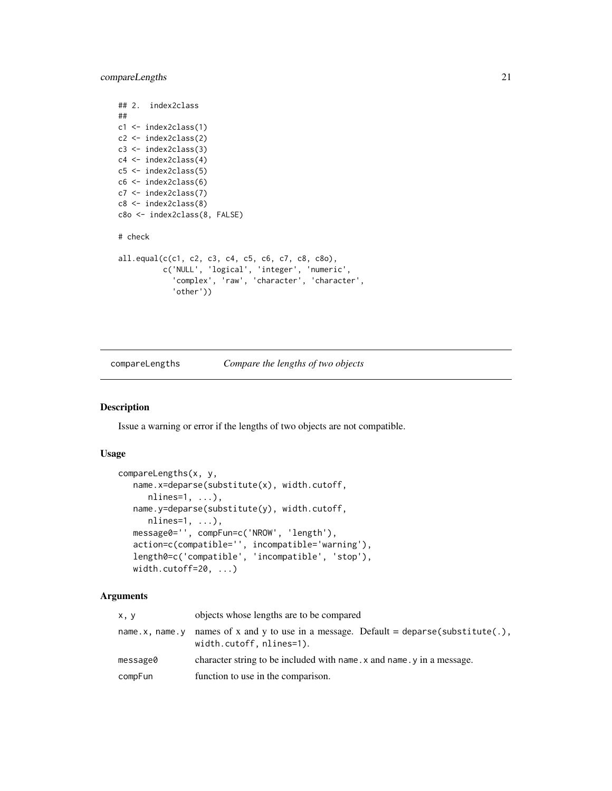<span id="page-20-0"></span>compareLengths 21

```
## 2. index2class
##
c1 <- index2class(1)
c2 <- index2class(2)
c3 <- index2class(3)
c4 <- index2class(4)
c5 <- index2class(5)
c6 <- index2class(6)
c7 <- index2class(7)
c8 <- index2class(8)
c8o <- index2class(8, FALSE)
# check
all.equal(c(c1, c2, c3, c4, c5, c6, c7, c8, c8o),
          c('NULL', 'logical', 'integer', 'numeric',
             'complex', 'raw', 'character', 'character',
            'other'))
```
#### compareLengths *Compare the lengths of two objects*

## Description

Issue a warning or error if the lengths of two objects are not compatible.

#### Usage

```
compareLengths(x, y,
  name.x=deparse(substitute(x), width.cutoff,
     nlines=1, ...),name.y=deparse(substitute(y), width.cutoff,
     nlines=1, ...),
  message0='', compFun=c('NROW', 'length'),
   action=c(compatible='', incompatible='warning'),
   length0=c('compatible', 'incompatible', 'stop'),
  width.cutoff=20, ...)
```
#### Arguments

| x, y           | objects whose lengths are to be compared                                                           |
|----------------|----------------------------------------------------------------------------------------------------|
| name.x, name.y | names of x and y to use in a message. Default = deparse(substitute(.),<br>width.cutoff, nlines=1). |
| message0       | character string to be included with name. $x$ and name. $y$ in a message.                         |
| compFun        | function to use in the comparison.                                                                 |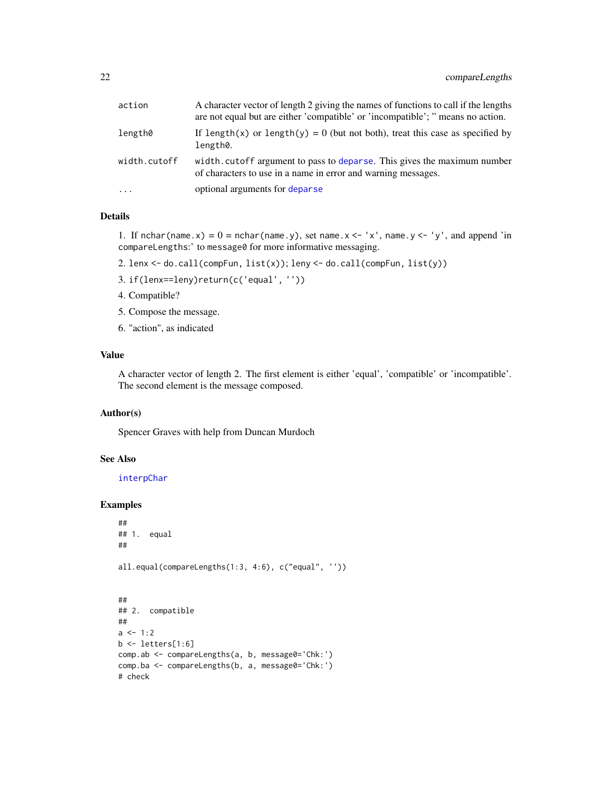| action       | A character vector of length 2 giving the names of functions to call if the lengths<br>are not equal but are either 'compatible' or 'incompatible'; " means no action. |
|--------------|------------------------------------------------------------------------------------------------------------------------------------------------------------------------|
| length0      | If length(x) or length(y) = 0 (but not both), treat this case as specified by<br>length0.                                                                              |
| width.cutoff | width. cutoff argument to pass to deparse. This gives the maximum number<br>of characters to use in a name in error and warning messages.                              |
| $\cdots$     | optional arguments for deparse                                                                                                                                         |

## Details

1. If nchar(name.x) =  $0 = \text{nchar}(\text{name.y})$ , set name.x <- 'x', name.y <- 'y', and append 'in compareLengths:' to message0 for more informative messaging.

- 2. lenx <- do.call(compFun, list(x)); leny <- do.call(compFun, list(y))
- 3. if(lenx==leny)return(c('equal', ''))
- 4. Compatible?
- 5. Compose the message.
- 6. "action", as indicated

## Value

A character vector of length 2. The first element is either 'equal', 'compatible' or 'incompatible'. The second element is the message composed.

#### Author(s)

Spencer Graves with help from Duncan Murdoch

#### See Also

[interpChar](#page-46-1)

```
##
## 1. equal
##
all.equal(compareLengths(1:3, 4:6), c("equal", ''))
##
## 2. compatible
##
a \le -1:2b \leftarrow letters[1:6]
comp.ab <- compareLengths(a, b, message0='Chk:')
comp.ba <- compareLengths(b, a, message0='Chk:')
# check
```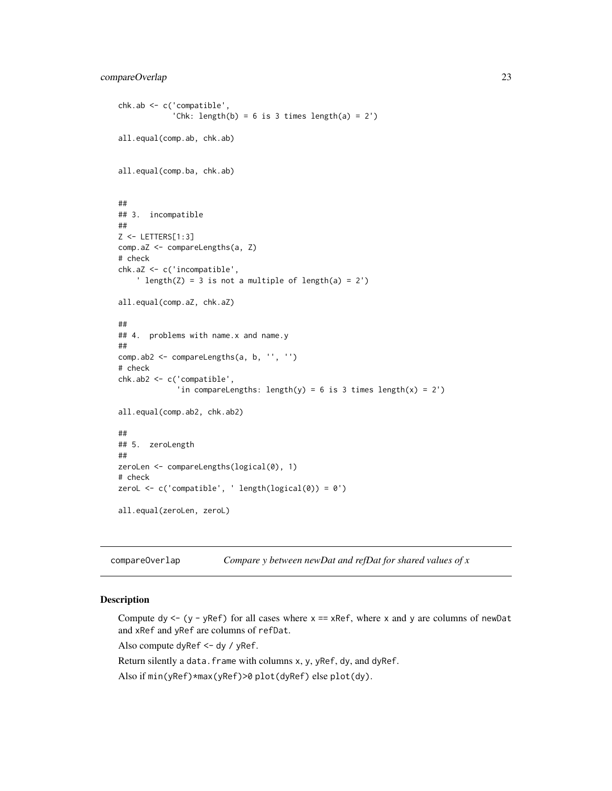```
chk.ab <- c('compatible',
            'Chk: length(b) = 6 is 3 times length(a) = 2')
all.equal(comp.ab, chk.ab)
all.equal(comp.ba, chk.ab)
##
## 3. incompatible
##
Z <- LETTERS[1:3]
comp.aZ <- compareLengths(a, Z)
# check
chk.aZ <- c('incompatible',
    ' length(Z) = 3 is not a multiple of length(a) = 2')
all.equal(comp.aZ, chk.aZ)
##
## 4. problems with name.x and name.y
##
comp.ab2 <- compareLengths(a, b, '', '')
# check
chk.ab2 <- c('compatible',
             'in compareLengths: length(y) = 6 is 3 times length(x) = 2')
all.equal(comp.ab2, chk.ab2)
##
## 5. zeroLength
##
zeroLen <- compareLengths(logical(0), 1)
# check
zeroL <- c('compatible', ' length(logical(0)) = 0')
all.equal(zeroLen, zeroL)
```
compareOverlap *Compare y between newDat and refDat for shared values of x*

## Description

Compute dy  $\leq -$  (y - yRef) for all cases where  $x == xRef$ , where x and y are columns of newDat and xRef and yRef are columns of refDat.

Also compute dyRef <- dy / yRef.

Return silently a data.frame with columns x, y, yRef, dy, and dyRef.

Also if min(yRef)\*max(yRef)>0 plot(dyRef) else plot(dy).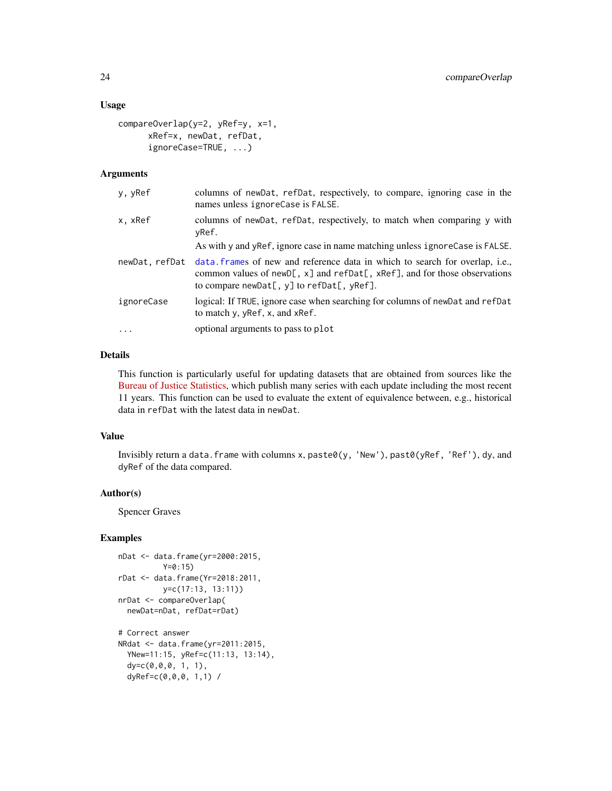## Usage

```
compareOverlap(y=2, yRef=y, x=1,
     xRef=x, newDat, refDat,
     ignoreCase=TRUE, ...)
```
#### **Arguments**

| y, yRef        | columns of newDat, refDat, respectively, to compare, ignoring case in the<br>names unless ignoreCase is FALSE.                                                                                                                   |
|----------------|----------------------------------------------------------------------------------------------------------------------------------------------------------------------------------------------------------------------------------|
| x, xRef        | columns of newDat, refDat, respectively, to match when comparing y with<br>yRef.                                                                                                                                                 |
|                | As with y and yRef, ignore case in name matching unless ignoreCase is FALSE.                                                                                                                                                     |
| newDat, refDat | data. frames of new and reference data in which to search for overlap, i.e.,<br>common values of new D[, $x$ ] and ref Dat[, $xRef$ ], and for those observations<br>to compare new Dat $[$ , y $]$ to ref Dat $[$ , y Ref $]$ . |
| ignoreCase     | logical: If TRUE, ignore case when searching for columns of new Dat and refDat<br>to match y, yRef, x, and xRef.                                                                                                                 |
| $\cdot$        | optional arguments to pass to plot                                                                                                                                                                                               |
|                |                                                                                                                                                                                                                                  |

#### Details

This function is particularly useful for updating datasets that are obtained from sources like the [Bureau of Justice Statistics,](https://bjs.ojp.gov) which publish many series with each update including the most recent 11 years. This function can be used to evaluate the extent of equivalence between, e.g., historical data in refDat with the latest data in newDat.

## Value

Invisibly return a data.frame with columns x, paste0(y, 'New'), past0(yRef, 'Ref'), dy, and dyRef of the data compared.

## Author(s)

Spencer Graves

```
nDat <- data.frame(yr=2000:2015,
         Y=0:15)
rDat <- data.frame(Yr=2018:2011,
         y=c(17:13, 13:11))
nrDat <- compareOverlap(
 newDat=nDat, refDat=rDat)
# Correct answer
NRdat <- data.frame(yr=2011:2015,
 YNew=11:15, yRef=c(11:13, 13:14),
 dy=c(0,0,0, 1, 1),
 dyRef=c(0,0,0, 1,1) /
```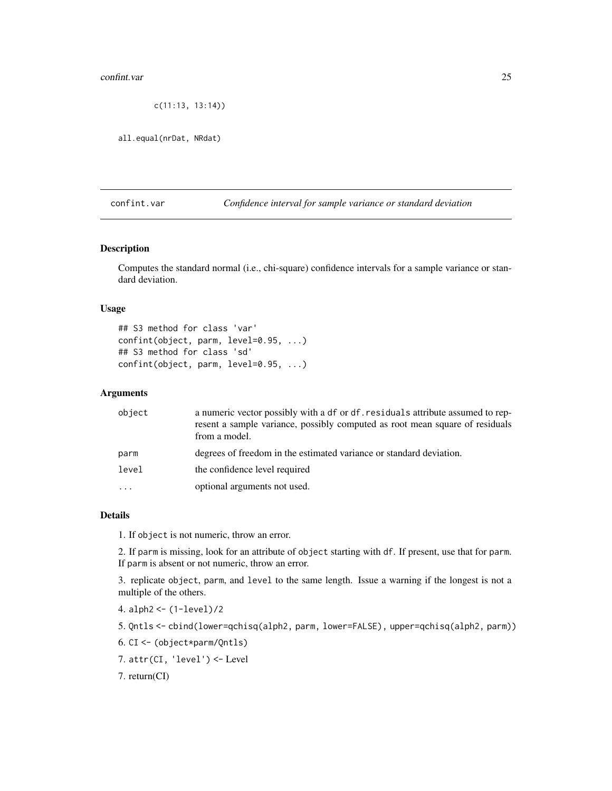#### <span id="page-24-0"></span>confint.var 25

```
c(11:13, 13:14))
```
all.equal(nrDat, NRdat)

## confint.var *Confidence interval for sample variance or standard deviation*

#### Description

Computes the standard normal (i.e., chi-square) confidence intervals for a sample variance or standard deviation.

#### Usage

```
## S3 method for class 'var'
confint(object, parm, level=0.95, ...)
## S3 method for class 'sd'
confint(object, parm, level=0.95, ...)
```
#### Arguments

| object | a numeric vector possibly with a df or df. residuals attribute assumed to rep-<br>resent a sample variance, possibly computed as root mean square of residuals<br>from a model. |
|--------|---------------------------------------------------------------------------------------------------------------------------------------------------------------------------------|
| parm   | degrees of freedom in the estimated variance or standard deviation.                                                                                                             |
| level  | the confidence level required                                                                                                                                                   |
| .      | optional arguments not used.                                                                                                                                                    |
|        |                                                                                                                                                                                 |

## Details

1. If object is not numeric, throw an error.

2. If parm is missing, look for an attribute of object starting with df. If present, use that for parm. If parm is absent or not numeric, throw an error.

3. replicate object, parm, and level to the same length. Issue a warning if the longest is not a multiple of the others.

- 4. alph2 <- (1-level)/2
- 5. Qntls <- cbind(lower=qchisq(alph2, parm, lower=FALSE), upper=qchisq(alph2, parm))
- 6. CI <- (object\*parm/Qntls)
- 7. attr(CI, 'level') <- Level

7. return(CI)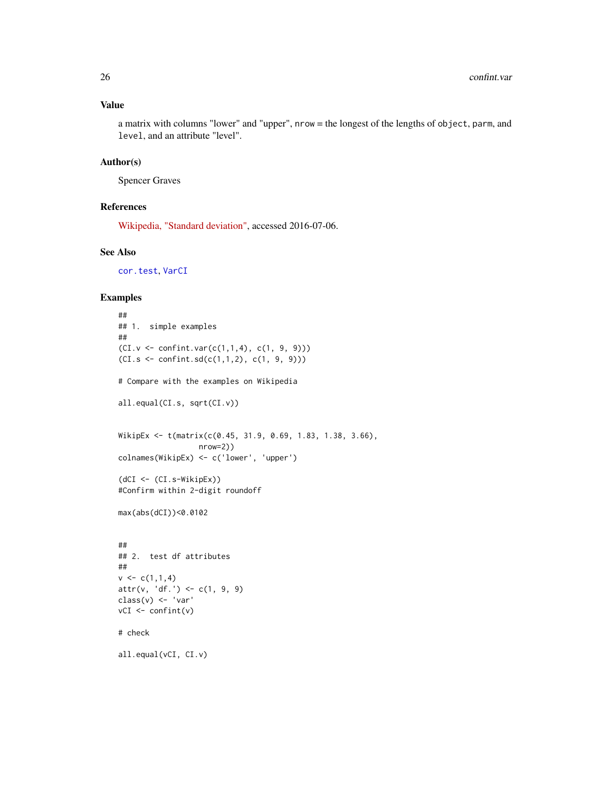## Value

a matrix with columns "lower" and "upper", nrow = the longest of the lengths of object, parm, and level, and an attribute "level".

## Author(s)

Spencer Graves

#### References

[Wikipedia, "Standard deviation",](https://en.wikipedia.org/wiki/Standard_deviation) accessed 2016-07-06.

## See Also

[cor.test](#page-0-0), [VarCI](#page-0-0)

```
##
## 1. simple examples
##
(CI.v \leq contrivar(c(1,1,4), c(1, 9, 9)))(CI.s \le \text{confint}.\text{sd}(c(1,1,2), c(1, 9, 9)))# Compare with the examples on Wikipedia
all.equal(CI.s, sqrt(CI.v))
WikipEx <- t(matrix(c(0.45, 31.9, 0.69, 1.83, 1.38, 3.66),
                   nrow=2))
colnames(WikipEx) <- c('lower', 'upper')
(dCI <- (CI.s-WikipEx))
#Confirm within 2-digit roundoff
max(abs(dCI))<0.0102
##
## 2. test df attributes
##
v \leq c(1,1,4)attr(v, 'df.' ) \leftarrow c(1, 9, 9)class(v) <- 'var'
vCI \leftarrow \text{confint}(v)# check
all.equal(vCI, CI.v)
```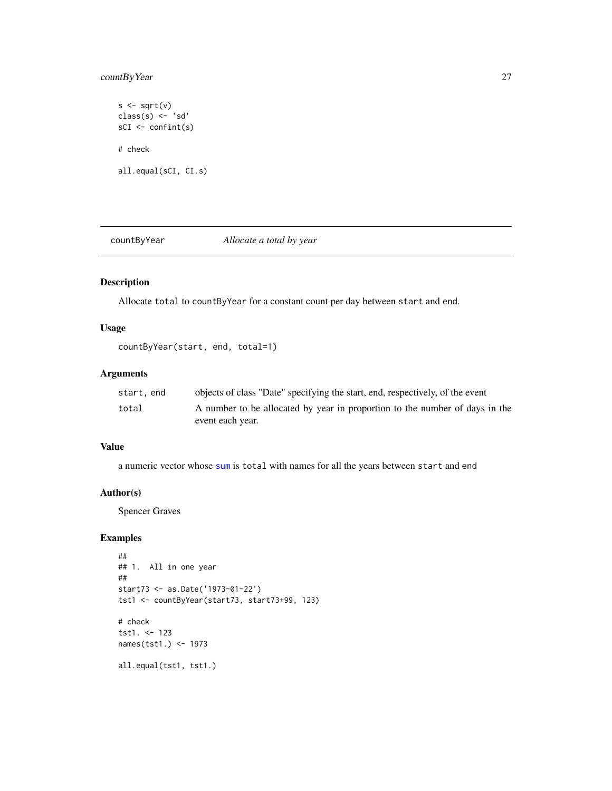## <span id="page-26-0"></span>countByYear 27

 $s \leftarrow sqrt(v)$ class(s) <- 'sd' sCI <- confint(s) # check all.equal(sCI, CI.s)

countByYear *Allocate a total by year*

## Description

Allocate total to countByYear for a constant count per day between start and end.

## Usage

countByYear(start, end, total=1)

## Arguments

| start.end | objects of class "Date" specifying the start, end, respectively, of the event |
|-----------|-------------------------------------------------------------------------------|
| total     | A number to be allocated by year in proportion to the number of days in the   |
|           | event each year.                                                              |

## Value

a numeric vector whose [sum](#page-0-0) is total with names for all the years between start and end

#### Author(s)

Spencer Graves

```
##
## 1. All in one year
##
start73 <- as.Date('1973-01-22')
tst1 <- countByYear(start73, start73+99, 123)
# check
tst1. <- 123
names(tst1.) <- 1973
all.equal(tst1, tst1.)
```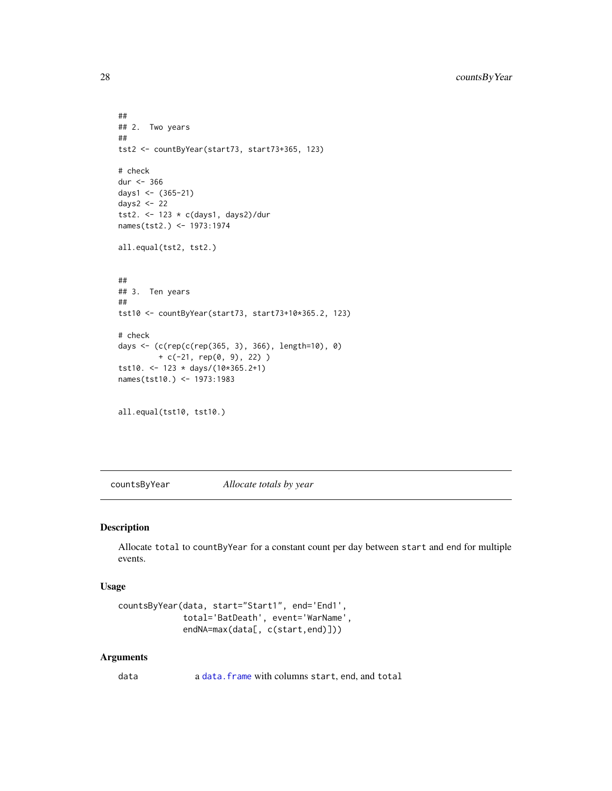```
##
## 2. Two years
##
tst2 <- countByYear(start73, start73+365, 123)
# check
dur <- 366
days1 <- (365-21)
days2 <- 22
tst2. <- 123 * c(days1, days2)/dur
names(tst2.) <- 1973:1974
all.equal(tst2, tst2.)
##
## 3. Ten years
##
tst10 <- countByYear(start73, start73+10*365.2, 123)
# check
days <- (c(rep(c(rep(365, 3), 366), length=10), 0)
         + c(-21, rep(0, 9), 22) )
tst10. <- 123 * days/(10*365.2+1)
names(tst10.) <- 1973:1983
all.equal(tst10, tst10.)
```
countsByYear *Allocate totals by year*

## Description

Allocate total to countByYear for a constant count per day between start and end for multiple events.

#### Usage

```
countsByYear(data, start="Start1", end='End1',
             total='BatDeath', event='WarName',
             endNA=max(data[, c(start,end)]))
```
#### Arguments

data a [data.frame](#page-0-0) with columns start, end, and total

<span id="page-27-0"></span>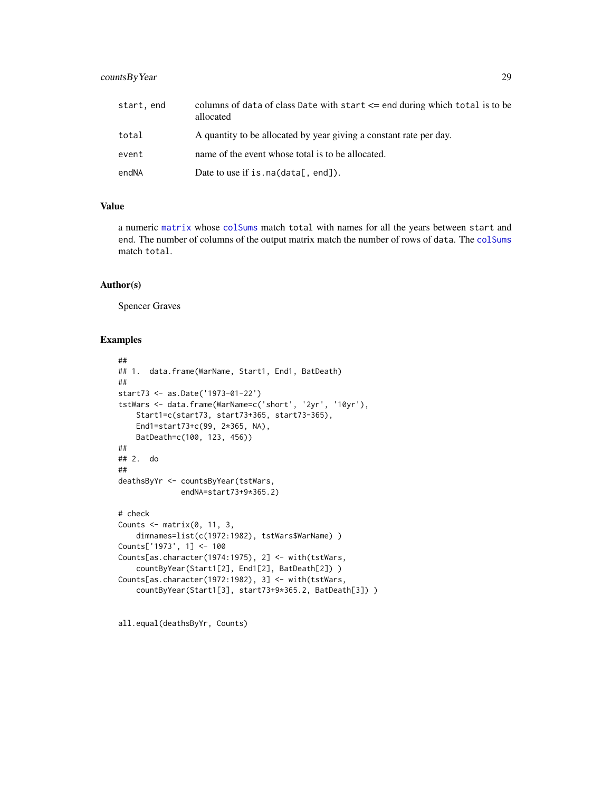## countsByYear 29

| start, end | columns of data of class Date with start $\leq$ end during which total is to be<br>allocated |
|------------|----------------------------------------------------------------------------------------------|
| total      | A quantity to be allocated by year giving a constant rate per day.                           |
| event      | name of the event whose total is to be allocated.                                            |
| endNA      | Date to use if is. $na(data[, end]).$                                                        |

## Value

a numeric [matrix](#page-0-0) whose [colSums](#page-0-0) match total with names for all the years between start and end. The number of columns of the output matrix match the number of rows of data. The [colSums](#page-0-0) match total.

#### Author(s)

Spencer Graves

#### Examples

```
##
## 1. data.frame(WarName, Start1, End1, BatDeath)
##
start73 <- as.Date('1973-01-22')
tstWars <- data.frame(WarName=c('short', '2yr', '10yr'),
    Start1=c(start73, start73+365, start73-365),
    End1=start73+c(99, 2*365, NA),
    BatDeath=c(100, 123, 456))
##
## 2. do
##
deathsByYr <- countsByYear(tstWars,
              endNA=start73+9*365.2)
# check
Counts \leq matrix(0, 11, 3,
    dimnames=list(c(1972:1982), tstWars$WarName) )
Counts['1973', 1] <- 100
Counts[as.character(1974:1975), 2] <- with(tstWars,
    countByYear(Start1[2], End1[2], BatDeath[2]) )
Counts[as.character(1972:1982), 3] <- with(tstWars,
    countByYear(Start1[3], start73+9*365.2, BatDeath[3]) )
```
all.equal(deathsByYr, Counts)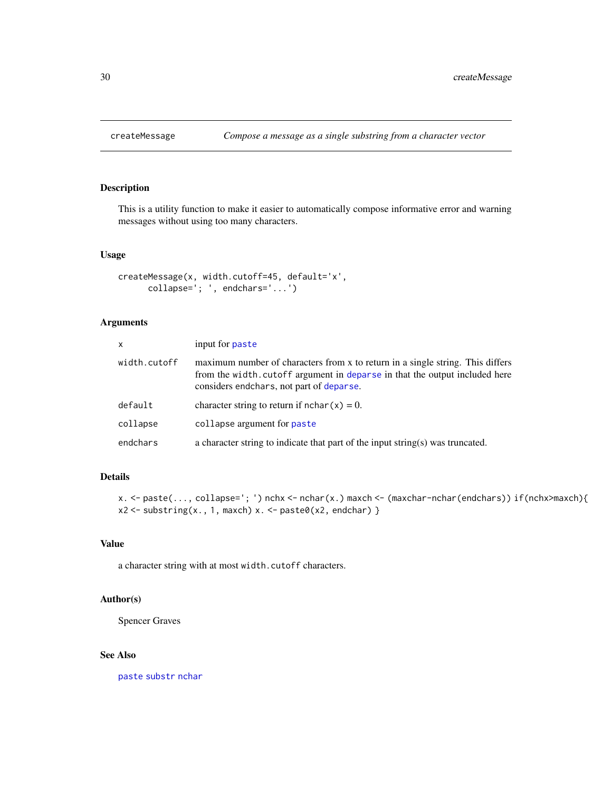<span id="page-29-0"></span>

## Description

This is a utility function to make it easier to automatically compose informative error and warning messages without using too many characters.

#### Usage

```
createMessage(x, width.cutoff=45, default='x',
      collapse='; ', endchars='...')
```
## Arguments

| X            | input for paste                                                                                                                                                                                           |
|--------------|-----------------------------------------------------------------------------------------------------------------------------------------------------------------------------------------------------------|
| width.cutoff | maximum number of characters from x to return in a single string. This differs<br>from the width. cutoff argument in deparse in that the output included here<br>considers endchars, not part of deparse. |
| default      | character string to return if $nchar(x) = 0$ .                                                                                                                                                            |
| collapse     | collapse argument for paste                                                                                                                                                                               |
| endchars     | a character string to indicate that part of the input string(s) was truncated.                                                                                                                            |

#### Details

```
x. <- paste(..., collapse='; ') nchx <- nchar(x.) maxch <- (maxchar-nchar(endchars)) if(nchx>maxch){
x2 \leftarrow substring(x., 1, maxch) x. \leftarrow paste0(x2, endchar) }
```
## Value

a character string with at most width.cutoff characters.

## Author(s)

Spencer Graves

## See Also

[paste](#page-0-0) [substr](#page-0-0) [nchar](#page-0-0)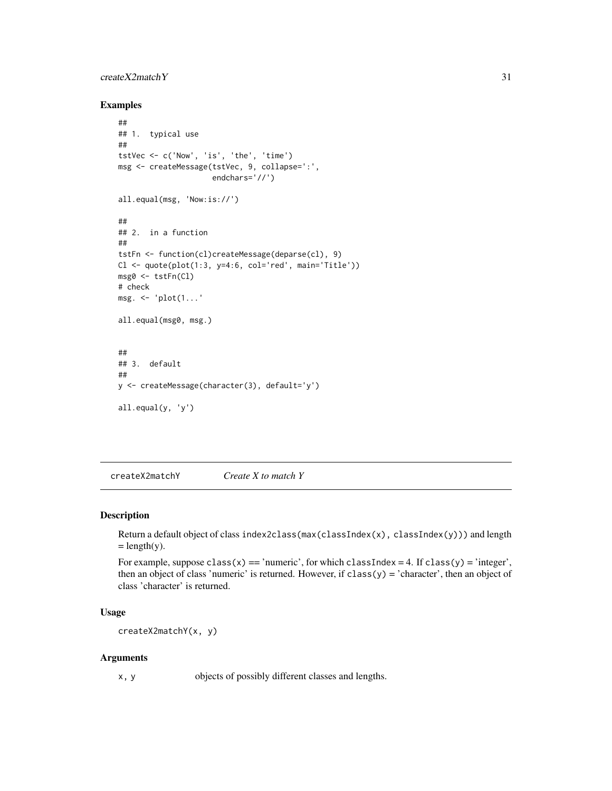## <span id="page-30-0"></span>createX2matchY 31

#### Examples

```
##
## 1. typical use
##
tstVec <- c('Now', 'is', 'the', 'time')
msg <- createMessage(tstVec, 9, collapse=':',
                      endchars='//')
all.equal(msg, 'Now:is://')
##
## 2. in a function
##
tstFn <- function(cl)createMessage(deparse(cl), 9)
Cl \leftarrow \text{quote}(\text{plot}(1:3, y=4:6, \text{col='red'}, \text{main='Title'}))msg0 <- tstFn(Cl)
# check
msg. <- 'plot(1...'
all.equal(msg0, msg.)
##
## 3. default
##
y <- createMessage(character(3), default='y')
all.equal(y, 'y')
```
createX2matchY *Create X to match Y*

#### Description

Return a default object of class index2class(max(classIndex(x), classIndex(y))) and length  $=$  length(y).

For example, suppose class(x) == 'numeric', for which classIndex = 4. If class(y) = 'integer', then an object of class 'numeric' is returned. However, if  $\text{class}(y) = \text{'character'}$ , then an object of class 'character' is returned.

## Usage

createX2matchY(x, y)

#### Arguments

x, y objects of possibly different classes and lengths.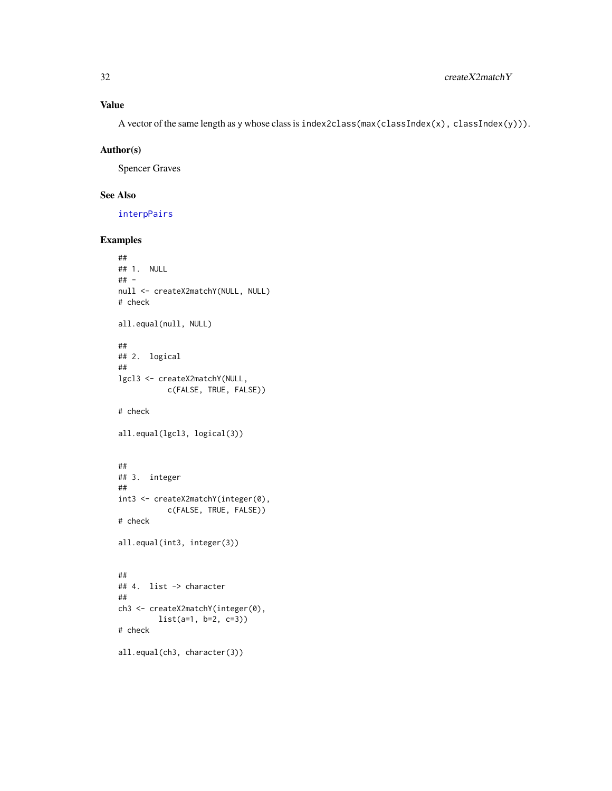## Value

A vector of the same length as y whose class is index2class(max(classIndex(x), classIndex(y))).

#### Author(s)

Spencer Graves

## See Also

[interpPairs](#page-49-1)

```
##
## 1. NULL
## -
null <- createX2matchY(NULL, NULL)
# check
all.equal(null, NULL)
##
## 2. logical
##
lgcl3 <- createX2matchY(NULL,
           c(FALSE, TRUE, FALSE))
# check
all.equal(lgcl3, logical(3))
##
## 3. integer
##
int3 <- createX2matchY(integer(0),
           c(FALSE, TRUE, FALSE))
# check
all.equal(int3, integer(3))
##
## 4. list -> character
##
ch3 <- createX2matchY(integer(0),
         list(a=1, b=2, c=3))
# check
all.equal(ch3, character(3))
```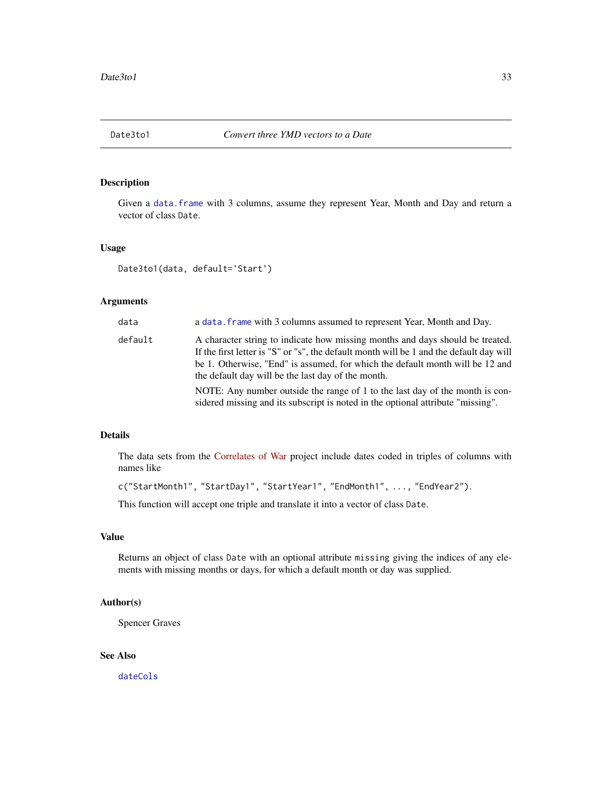<span id="page-32-1"></span><span id="page-32-0"></span>

## Description

Given a [data.frame](#page-0-0) with 3 columns, assume they represent Year, Month and Day and return a vector of class Date.

## Usage

Date3to1(data, default='Start')

#### Arguments

| data    | a data. frame with 3 columns assumed to represent Year, Month and Day.                                                                                                                                                                                                                                          |
|---------|-----------------------------------------------------------------------------------------------------------------------------------------------------------------------------------------------------------------------------------------------------------------------------------------------------------------|
| default | A character string to indicate how missing months and days should be treated.<br>If the first letter is "S" or "s", the default month will be 1 and the default day will<br>be 1. Otherwise, "End" is assumed, for which the default month will be 12 and<br>the default day will be the last day of the month. |
|         | NOTE: Any number outside the range of 1 to the last day of the month is con-<br>sidered missing and its subscript is noted in the optional attribute "missing".                                                                                                                                                 |

#### Details

The data sets from the [Correlates of War](https://correlatesofwar.org/data-sets/COW-war) project include dates coded in triples of columns with names like

```
c("StartMonth1", "StartDay1", "StartYear1", "EndMonth1", ..., "EndYear2").
```
This function will accept one triple and translate it into a vector of class Date.

## Value

Returns an object of class Date with an optional attribute missing giving the indices of any elements with missing months or days, for which a default month or day was supplied.

## Author(s)

Spencer Graves

## See Also

[dateCols](#page-33-1)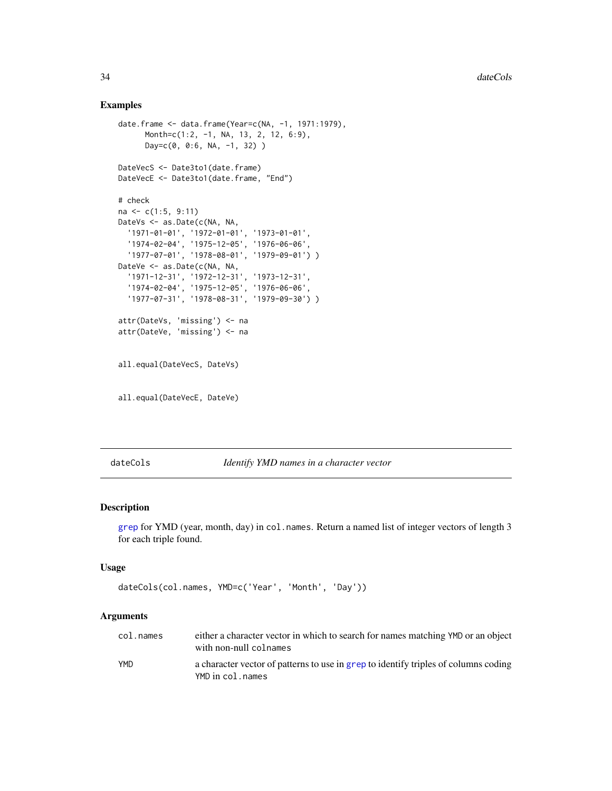#### <span id="page-33-0"></span>Examples

```
date.frame <- data.frame(Year=c(NA, -1, 1971:1979),
      Month=c(1:2, -1, NA, 13, 2, 12, 6:9),
      Day=c(0, 0:6, NA, -1, 32) )
DateVecS <- Date3to1(date.frame)
DateVecE <- Date3to1(date.frame, "End")
# check
na <- c(1:5, 9:11)
DateVs <- as.Date(c(NA, NA,
  '1971-01-01', '1972-01-01', '1973-01-01',
  '1974-02-04', '1975-12-05', '1976-06-06',
  '1977-07-01', '1978-08-01', '1979-09-01') )
DateVe <- as.Date(c(NA, NA,
  '1971-12-31', '1972-12-31', '1973-12-31',
  '1974-02-04', '1975-12-05', '1976-06-06',
  '1977-07-31', '1978-08-31', '1979-09-30') )
attr(DateVs, 'missing') <- na
attr(DateVe, 'missing') <- na
all.equal(DateVecS, DateVs)
all.equal(DateVecE, DateVe)
```
<span id="page-33-1"></span>dateCols *Identify YMD names in a character vector*

#### Description

[grep](#page-0-0) for YMD (year, month, day) in col. names. Return a named list of integer vectors of length 3 for each triple found.

#### Usage

```
dateCols(col.names, YMD=c('Year', 'Month', 'Day'))
```
#### Arguments

| col.names  | either a character vector in which to search for names matching YMD or an object<br>with non-null colnames |
|------------|------------------------------------------------------------------------------------------------------------|
| <b>YMD</b> | a character vector of patterns to use in grep to identify triples of columns coding<br>YMD in col.names    |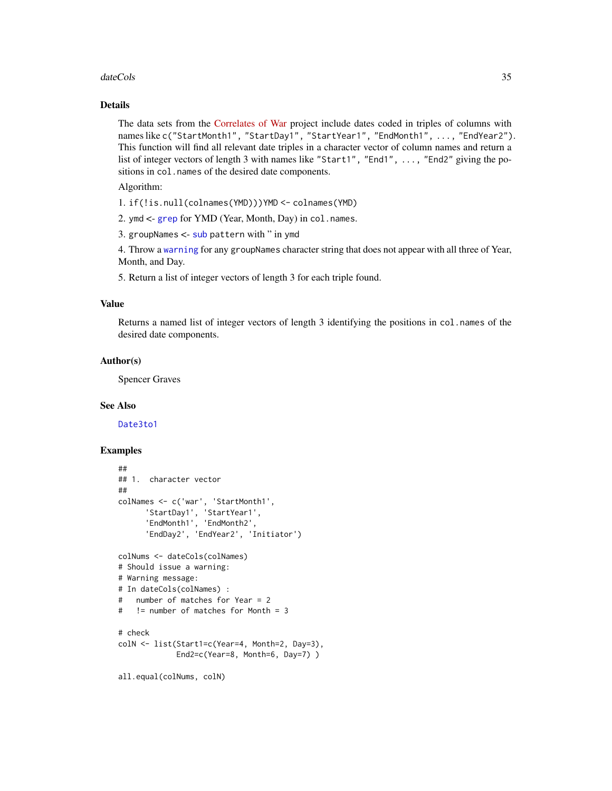#### dateCols 35

## Details

The data sets from the [Correlates of War](https://correlatesofwar.org/data-sets/COW-war) project include dates coded in triples of columns with names like c("StartMonth1", "StartDay1", "StartYear1", "EndMonth1", ..., "EndYear2"). This function will find all relevant date triples in a character vector of column names and return a list of integer vectors of length 3 with names like "Start1", "End1", ..., "End2" giving the positions in col. names of the desired date components.

Algorithm:

1. if(!is.null(colnames(YMD)))YMD <- colnames(YMD)

2. ymd <- [grep](#page-0-0) for YMD (Year, Month, Day) in col.names.

3. groupNames <- [sub](#page-0-0) pattern with " in ymd

4. Throw a [warning](#page-0-0) for any groupNames character string that does not appear with all three of Year, Month, and Day.

5. Return a list of integer vectors of length 3 for each triple found.

## Value

Returns a named list of integer vectors of length 3 identifying the positions in col.names of the desired date components.

#### Author(s)

Spencer Graves

#### See Also

[Date3to1](#page-32-1)

```
##
## 1. character vector
##
colNames <- c('war', 'StartMonth1',
     'StartDay1', 'StartYear1',
      'EndMonth1', 'EndMonth2',
      'EndDay2', 'EndYear2', 'Initiator')
colNums <- dateCols(colNames)
# Should issue a warning:
# Warning message:
# In dateCols(colNames) :
# number of matches for Year = 2
# != number of matches for Month = 3
# check
colN <- list(Start1=c(Year=4, Month=2, Day=3),
             End2=c(Year=8, Month=6, Day=7) )
all.equal(colNums, colN)
```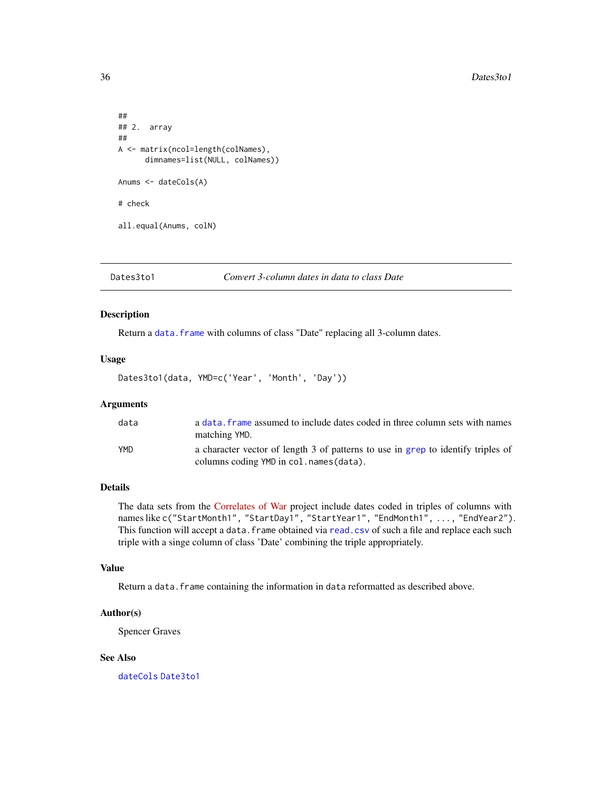```
##
## 2. array
##
A <- matrix(ncol=length(colNames),
      dimnames=list(NULL, colNames))
Anums <- dateCols(A)
# check
all.equal(Anums, colN)
```
#### Dates3to1 *Convert 3-column dates in data to class Date*

## Description

Return a data. frame with columns of class "Date" replacing all 3-column dates.

#### Usage

Dates3to1(data, YMD=c('Year', 'Month', 'Day'))

#### Arguments

| data | a data, frame assumed to include dates coded in three column sets with names<br>matching YMD.                                |
|------|------------------------------------------------------------------------------------------------------------------------------|
| YMD  | a character vector of length 3 of patterns to use in grep to identify triples of<br>columns coding YMD in col. names (data). |

## Details

The data sets from the [Correlates of War](https://correlatesofwar.org/data-sets/COW-war) project include dates coded in triples of columns with names like c("StartMonth1", "StartDay1", "StartYear1", "EndMonth1", ..., "EndYear2"). This function will accept a data.frame obtained via [read.csv](#page-0-0) of such a file and replace each such triple with a singe column of class 'Date' combining the triple appropriately.

#### Value

Return a data. frame containing the information in data reformatted as described above.

#### Author(s)

Spencer Graves

## See Also

[dateCols](#page-33-1) [Date3to1](#page-32-1)

<span id="page-35-0"></span>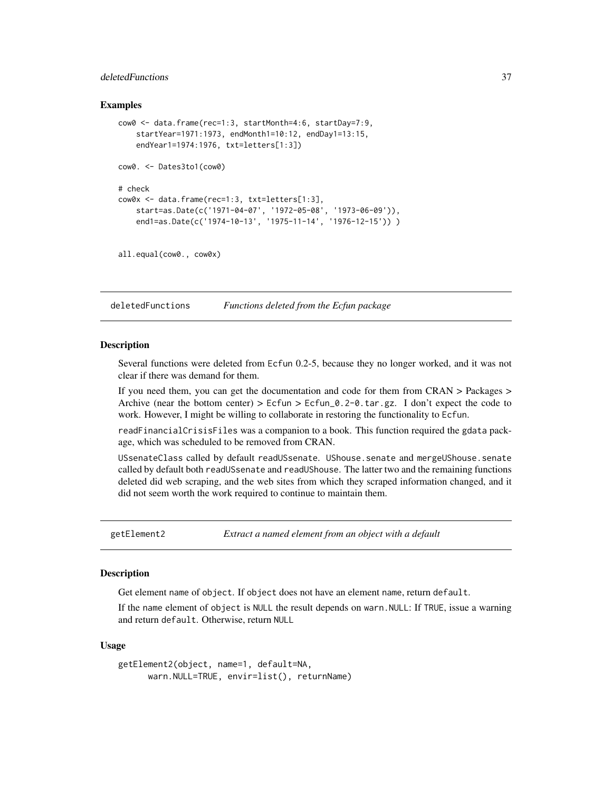# deletedFunctions 37

### Examples

```
cow0 <- data.frame(rec=1:3, startMonth=4:6, startDay=7:9,
    startYear=1971:1973, endMonth1=10:12, endDay1=13:15,
    endYear1=1974:1976, txt=letters[1:3])
cow0. <- Dates3to1(cow0)
# check
cow0x <- data.frame(rec=1:3, txt=letters[1:3],
    start=as.Date(c('1971-04-07', '1972-05-08', '1973-06-09')),
    end1=as.Date(c('1974-10-13', '1975-11-14', '1976-12-15')) )
```

```
all.equal(cow0., cow0x)
```
deletedFunctions *Functions deleted from the Ecfun package*

#### <span id="page-36-0"></span>Description

Several functions were deleted from Ecfun 0.2-5, because they no longer worked, and it was not clear if there was demand for them.

If you need them, you can get the documentation and code for them from CRAN > Packages > Archive (near the bottom center) >  $Ecfun > Ecfun_0.2-0.1$  tar.gz. I don't expect the code to work. However, I might be willing to collaborate in restoring the functionality to Ecfun.

readFinancialCrisisFiles was a companion to a book. This function required the gdata package, which was scheduled to be removed from CRAN.

USsenateClass called by default readUSsenate. UShouse.senate and mergeUShouse.senate called by default both readUSsenate and readUShouse. The latter two and the remaining functions deleted did web scraping, and the web sites from which they scraped information changed, and it did not seem worth the work required to continue to maintain them.

getElement2 *Extract a named element from an object with a default*

#### **Description**

Get element name of object. If object does not have an element name, return default.

If the name element of object is NULL the result depends on warn.NULL: If TRUE, issue a warning and return default. Otherwise, return NULL

#### Usage

```
getElement2(object, name=1, default=NA,
     warn.NULL=TRUE, envir=list(), returnName)
```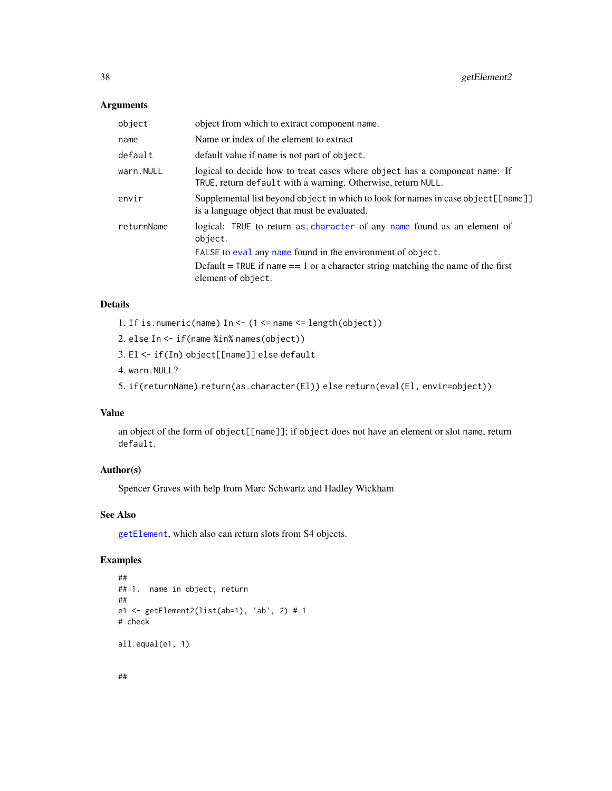## Arguments

| object     | object from which to extract component name.                                                                                               |
|------------|--------------------------------------------------------------------------------------------------------------------------------------------|
| name       | Name or index of the element to extract                                                                                                    |
| default    | default value if name is not part of object.                                                                                               |
| warn.NULL  | logical to decide how to treat cases where object has a component name: If<br>TRUE, return default with a warning. Otherwise, return NULL. |
| envir      | Supplemental list beyond object in which to look for names in case object [[name]]<br>is a language object that must be evaluated.         |
| returnName | logical: TRUE to return as character of any name found as an element of<br>object.                                                         |
|            | FALSE to eval any name found in the environment of object.                                                                                 |
|            | Default = TRUE if name $== 1$ or a character string matching the name of the first<br>element of object.                                   |
|            |                                                                                                                                            |

# Details

1. If is.numeric(name) In <- (1 <= name <= length(object))

```
2. else In <- if(name %in% names(object))
```
- 3. El <- if(In) object[[name]] else default
- 4. warn.NULL?
- 5. if(returnName) return(as.character(El)) else return(eval(El, envir=object))

## Value

an object of the form of object[[name]]; if object does not have an element or slot name, return default.

## Author(s)

Spencer Graves with help from Marc Schwartz and Hadley Wickham

# See Also

[getElement](#page-0-0), which also can return slots from S4 objects.

```
##
## 1. name in object, return
##
e1 <- getElement2(list(ab=1), 'ab', 2) # 1
# check
all.equal(e1, 1)
```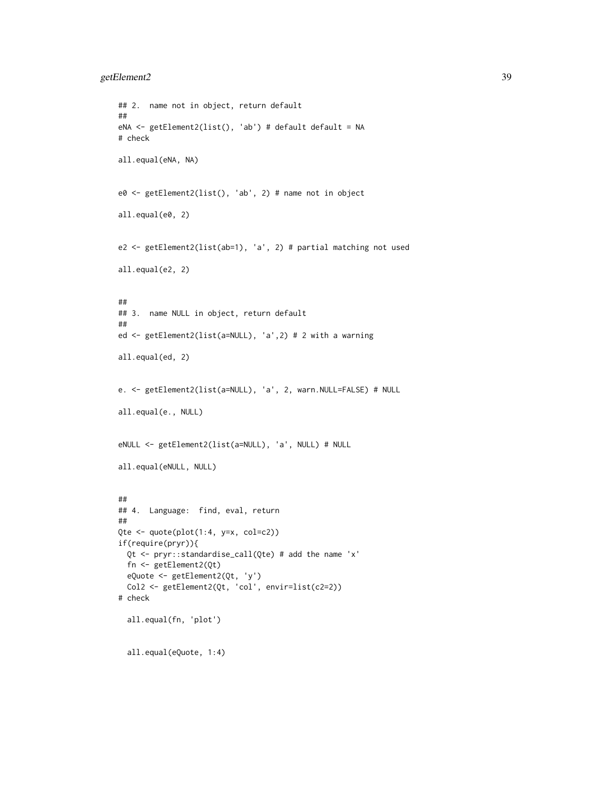```
## 2. name not in object, return default
##
eNA <- getElement2(list(), 'ab') # default default = NA
# check
all.equal(eNA, NA)
e0 <- getElement2(list(), 'ab', 2) # name not in object
all.equal(e0, 2)
e2 <- getElement2(list(ab=1), 'a', 2) # partial matching not used
all.equal(e2, 2)
##
## 3. name NULL in object, return default
##
ed <- getElement2(list(a=NULL), 'a',2) # 2 with a warning
all.equal(ed, 2)
e. <- getElement2(list(a=NULL), 'a', 2, warn.NULL=FALSE) # NULL
all.equal(e., NULL)
eNULL <- getElement2(list(a=NULL), 'a', NULL) # NULL
all.equal(eNULL, NULL)
##
## 4. Language: find, eval, return
##
Qte \leq quote(plot(1:4, y=x, col=c2))
if(require(pryr)){
 Qt <- pryr::standardise_call(Qte) # add the name 'x'
  fn <- getElement2(Qt)
  eQuote <- getElement2(Qt, 'y')
  Col2 <- getElement2(Qt, 'col', envir=list(c2=2))
# check
  all.equal(fn, 'plot')
  all.equal(eQuote, 1:4)
```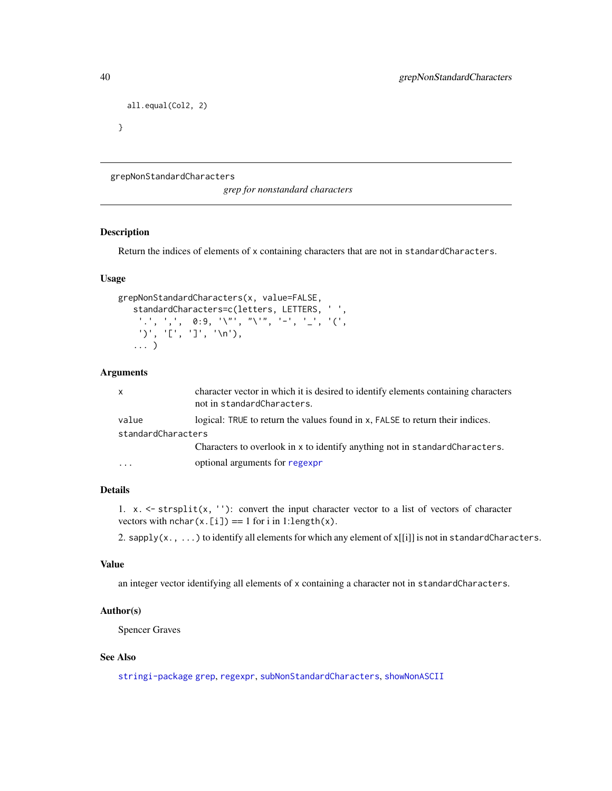```
all.equal(Col2, 2)
```
}

grepNonStandardCharacters

*grep for nonstandard characters*

## Description

Return the indices of elements of x containing characters that are not in standardCharacters.

### Usage

```
grepNonStandardCharacters(x, value=FALSE,
   standardCharacters=c(letters, LETTERS, ' ',
    '.', ',', 0:9, '\"', "\'", '-', '_', '(',
    ')', '[', ']', '\n'),
   ... )
```
## Arguments

| x                  | character vector in which it is desired to identify elements containing characters<br>not in standardCharacters. |
|--------------------|------------------------------------------------------------------------------------------------------------------|
| value              | logical: TRUE to return the values found in x, FALSE to return their indices.                                    |
| standardCharacters |                                                                                                                  |
|                    | Characters to overlook in x to identify anything not in standard Characters.                                     |
| $\cdot$            | optional arguments for regexpr                                                                                   |

## Details

1.  $x. \leq$ -strsplit(x, ''): convert the input character vector to a list of vectors of character vectors with  $nchar(x.[i]) == 1$  for i in 1:length(x).

2. sapply(x., ...) to identify all elements for which any element of x[[i]] is not in standardCharacters.

#### Value

an integer vector identifying all elements of x containing a character not in standardCharacters.

#### Author(s)

Spencer Graves

# See Also

[stringi-package](#page-0-0) [grep](#page-0-0), [regexpr](#page-0-0), [subNonStandardCharacters](#page-112-0), [showNonASCII](#page-0-0)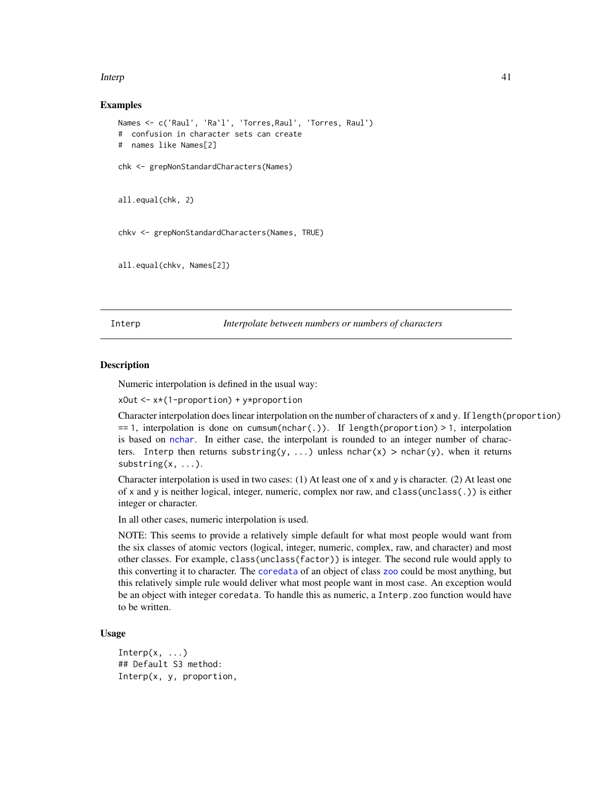#### Interp

### Examples

```
Names <- c('Raul', 'Ra`l', 'Torres,Raul', 'Torres, Raul')
# confusion in character sets can create
# names like Names[2]
chk <- grepNonStandardCharacters(Names)
all.equal(chk, 2)
chkv <- grepNonStandardCharacters(Names, TRUE)
```

```
all.equal(chkv, Names[2])
```
Interp *Interpolate between numbers or numbers of characters*

### **Description**

Numeric interpolation is defined in the usual way:

xOut <- x\*(1-proportion) + y\*proportion

Character interpolation does linear interpolation on the number of characters of x and y. If length(proportion) == 1, interpolation is done on cumsum(nchar(.)). If length(proportion) > 1, interpolation is based on [nchar](#page-0-0). In either case, the interpolant is rounded to an integer number of characters. Interp then returns substring(y, ...) unless nchar(x) > nchar(y), when it returns  $substring(x, \ldots).$ 

Character interpolation is used in two cases: (1) At least one of x and y is character. (2) At least one of x and y is neither logical, integer, numeric, complex nor raw, and class(unclass(.)) is either integer or character.

In all other cases, numeric interpolation is used.

NOTE: This seems to provide a relatively simple default for what most people would want from the six classes of atomic vectors (logical, integer, numeric, complex, raw, and character) and most other classes. For example, class(unclass(factor)) is integer. The second rule would apply to this converting it to character. The [coredata](#page-0-0) of an object of class [zoo](#page-0-0) could be most anything, but this relatively simple rule would deliver what most people want in most case. An exception would be an object with integer coredata. To handle this as numeric, a Interp.zoo function would have to be written.

#### Usage

```
Interp(x, \ldots)## Default S3 method:
Interp(x, y, proportion,
```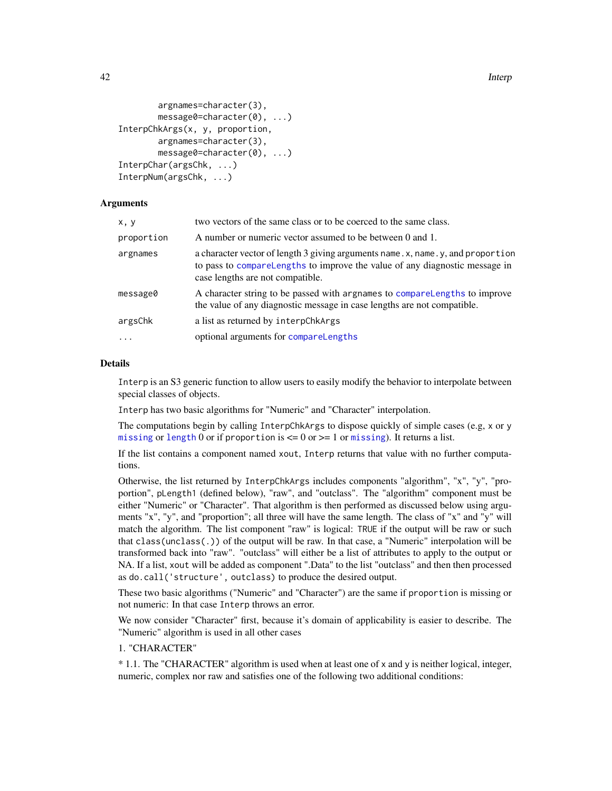```
argnames=character(3),
       message0=character(0), ...)
InterpChkArgs(x, y, proportion,
       argnames=character(3),
       message0=character(0), ...)
InterpChar(argsChk, ...)
InterpNum(argsChk, ...)
```
## Arguments

| x, y       | two vectors of the same class or to be coerced to the same class.                                                                                                                                    |
|------------|------------------------------------------------------------------------------------------------------------------------------------------------------------------------------------------------------|
| proportion | A number or numeric vector assumed to be between 0 and 1.                                                                                                                                            |
| argnames   | a character vector of length 3 giving arguments name. x, name. y, and proportion<br>to pass to comparel engths to improve the value of any diagnostic message in<br>case lengths are not compatible. |
| message0   | A character string to be passed with argnames to compare Lengths to improve<br>the value of any diagnostic message in case lengths are not compatible.                                               |
| argsChk    | a list as returned by interpChkArgs                                                                                                                                                                  |
| $\ddotsc$  | optional arguments for compareLengths                                                                                                                                                                |
|            |                                                                                                                                                                                                      |

#### Details

Interp is an S3 generic function to allow users to easily modify the behavior to interpolate between special classes of objects.

Interp has two basic algorithms for "Numeric" and "Character" interpolation.

The computations begin by calling InterpChkArgs to dispose quickly of simple cases (e.g, x or y [missing](#page-0-0) or [length](#page-0-0) 0 or if proportion is  $\leq$  0 or  $\geq$  1 or missing). It returns a list.

If the list contains a component named xout, Interp returns that value with no further computations.

Otherwise, the list returned by InterpChkArgs includes components "algorithm", "x", "y", "proportion", pLength1 (defined below), "raw", and "outclass". The "algorithm" component must be either "Numeric" or "Character". That algorithm is then performed as discussed below using arguments "x", "y", and "proportion"; all three will have the same length. The class of "x" and "y" will match the algorithm. The list component "raw" is logical: TRUE if the output will be raw or such that class(unclass(.)) of the output will be raw. In that case, a "Numeric" interpolation will be transformed back into "raw". "outclass" will either be a list of attributes to apply to the output or NA. If a list, xout will be added as component ".Data" to the list "outclass" and then then processed as do.call('structure', outclass) to produce the desired output.

These two basic algorithms ("Numeric" and "Character") are the same if proportion is missing or not numeric: In that case Interp throws an error.

We now consider "Character" first, because it's domain of applicability is easier to describe. The "Numeric" algorithm is used in all other cases

1. "CHARACTER"

\* 1.1. The "CHARACTER" algorithm is used when at least one of x and y is neither logical, integer, numeric, complex nor raw and satisfies one of the following two additional conditions: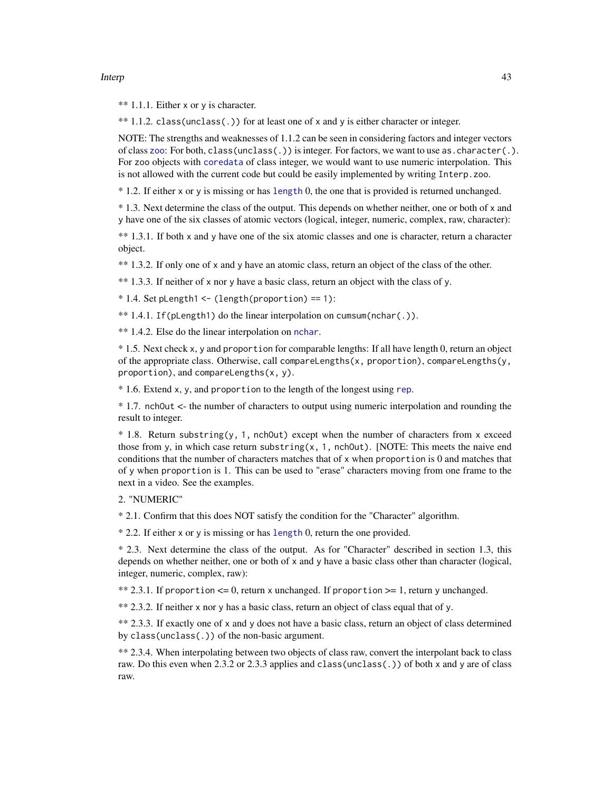#### Interp

\*\* 1.1.1. Either  $x$  or  $y$  is character.

\*\* 1.1.2. class(unclass(.)) for at least one of x and y is either character or integer.

NOTE: The strengths and weaknesses of 1.1.2 can be seen in considering factors and integer vectors of class [zoo](#page-0-0): For both,  $class(unchass(.))$  is integer. For factors, we want to use as. character(.). For zoo objects with [coredata](#page-0-0) of class integer, we would want to use numeric interpolation. This is not allowed with the current code but could be easily implemented by writing Interp.zoo.

\* 1.2. If either x or y is missing or has [length](#page-0-0) 0, the one that is provided is returned unchanged.

\* 1.3. Next determine the class of the output. This depends on whether neither, one or both of x and y have one of the six classes of atomic vectors (logical, integer, numeric, complex, raw, character):

\*\* 1.3.1. If both x and y have one of the six atomic classes and one is character, return a character object.

\*\* 1.3.2. If only one of x and y have an atomic class, return an object of the class of the other.

\*\* 1.3.3. If neither of x nor y have a basic class, return an object with the class of y.

 $*$  1.4. Set pLength1 <- (length(proportion) == 1):

\*\* 1.4.1. If(pLength1) do the linear interpolation on cumsum(nchar(.)).

\*\* 1.4.2. Else do the linear interpolation on [nchar](#page-0-0).

\* 1.5. Next check x, y and proportion for comparable lengths: If all have length 0, return an object of the appropriate class. Otherwise, call compareLengths $(x,$  proportion), compareLengths $(y,$ proportion), and compareLengths(x, y).

\* 1.6. Extend x, y, and proportion to the length of the longest using [rep](#page-0-0).

\* 1.7. nchOut <- the number of characters to output using numeric interpolation and rounding the result to integer.

 $*$  1.8. Return substring(y, 1, nchOut) except when the number of characters from x exceed those from y, in which case return substring(x, 1, nchOut). [NOTE: This meets the naive end conditions that the number of characters matches that of x when proportion is 0 and matches that of y when proportion is 1. This can be used to "erase" characters moving from one frame to the next in a video. See the examples.

# 2. "NUMERIC"

\* 2.1. Confirm that this does NOT satisfy the condition for the "Character" algorithm.

\* 2.2. If either x or y is missing or has [length](#page-0-0) 0, return the one provided.

\* 2.3. Next determine the class of the output. As for "Character" described in section 1.3, this depends on whether neither, one or both of x and y have a basic class other than character (logical, integer, numeric, complex, raw):

\*\* 2.3.1. If proportion  $\leq 0$ , return x unchanged. If proportion  $\geq 1$ , return y unchanged.

\*\* 2.3.2. If neither x nor y has a basic class, return an object of class equal that of y.

\*\* 2.3.3. If exactly one of x and y does not have a basic class, return an object of class determined by class(unclass(.)) of the non-basic argument.

\*\* 2.3.4. When interpolating between two objects of class raw, convert the interpolant back to class raw. Do this even when 2.3.2 or 2.3.3 applies and class(unclass(.)) of both x and y are of class raw.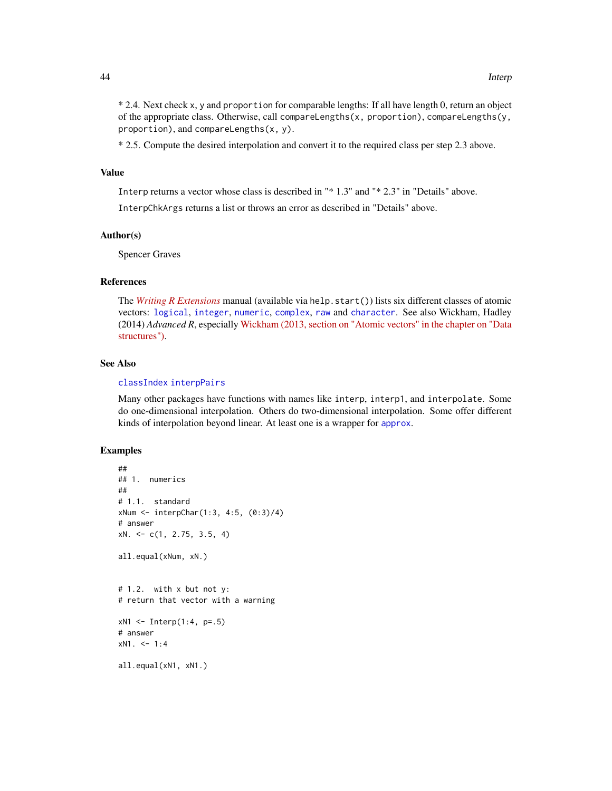\* 2.4. Next check x, y and proportion for comparable lengths: If all have length 0, return an object of the appropriate class. Otherwise, call compareLengths(x, proportion), compareLengths(y, proportion), and compareLengths(x, y).

\* 2.5. Compute the desired interpolation and convert it to the required class per step 2.3 above.

#### Value

Interp returns a vector whose class is described in "\* 1.3" and "\* 2.3" in "Details" above.

InterpChkArgs returns a list or throws an error as described in "Details" above.

## Author(s)

Spencer Graves

#### References

The *[Writing R Extensions](https://cran.r-project.org/doc/manuals/r-release/R-exts.html)* manual (available via help.start()) lists six different classes of atomic vectors: [logical](#page-0-0), [integer](#page-0-0), [numeric](#page-0-0), [complex](#page-0-0), [raw](#page-0-0) and [character](#page-0-0). See also Wickham, Hadley (2014) *Advanced R*, especially [Wickham \(2013, section on "Atomic vectors" in the chapter on "Data](http://adv-r.had.co.nz/Data-structures.html) [structures"\).](http://adv-r.had.co.nz/Data-structures.html)

#### See Also

## [classIndex](#page-18-0) [interpPairs](#page-49-0)

Many other packages have functions with names like interp, interp1, and interpolate. Some do one-dimensional interpolation. Others do two-dimensional interpolation. Some offer different kinds of interpolation beyond linear. At least one is a wrapper for [approx](#page-0-0).

```
##
## 1. numerics
##
# 1.1. standard
xNum <- interpChar(1:3, 4:5, (0:3)/4)
# answer
xN. <- c(1, 2.75, 3.5, 4)
all.equal(xNum, xN.)
# 1.2. with x but not y:
# return that vector with a warning
xN1 \leq - Interp(1:4, p=.5)
# answer
xN1. < -1:4all.equal(xN1, xN1.)
```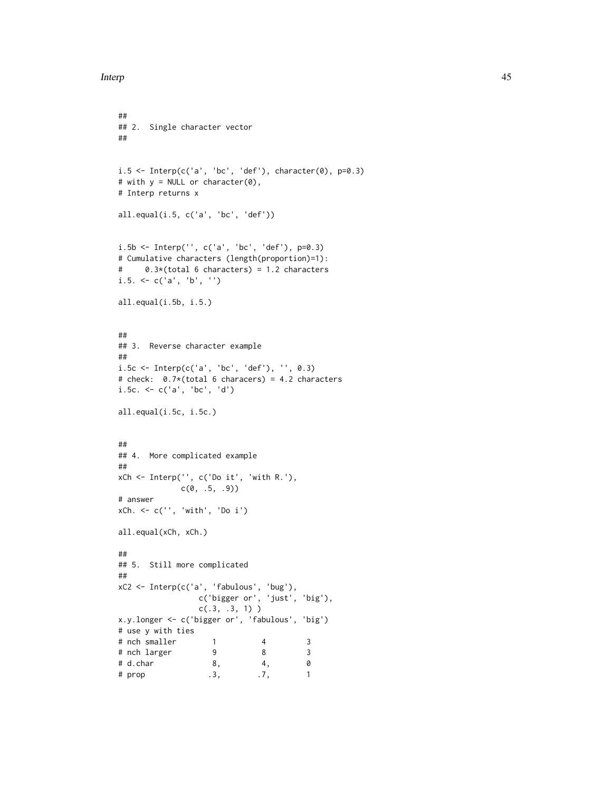```
##
## 2. Single character vector
##
i.5 \leq Interp(c('a', 'bc', 'def'), character(0), p=0.3)# with y = NULL or character(0),
# Interp returns x
all.equal(i.5, c('a', 'bc', 'def'))
i.5b <- Interp('', c('a', 'bc', 'def'), p=0.3)
# Cumulative characters (length(proportion)=1):
# 0.3*(total 6 characters) = 1.2 characters
i.5. \leq c('a', 'b', '')all.equal(i.5b, i.5.)
##
## 3. Reverse character example
##
i.5c <- Interp(c('a', 'bc', 'def'), '', 0.3)
# check: 0.7*(total 6 characers) = 4.2 characters
i.5c. <- c('a', 'bc', 'd')
all.equal(i.5c, i.5c.)
##
## 4. More complicated example
##
xCh <- Interp('', c('Do it', 'with R.'),
             c(0, .5, .9)# answer
xCh. <- c('', 'with', 'Do i')
all.equal(xCh, xCh.)
##
## 5. Still more complicated
##
xC2 <- Interp(c('a', 'fabulous', 'bug'),
                 c('bigger or', 'just', 'big'),
                 c(.3, .3, 1))
x.y.longer <- c('bigger or', 'fabulous', 'big')
# use y with ties
# nch smaller 1 4 3<br># nch larger 9 8 3
# nch larger 9 8 3<br># d.char 8, 4, 0
# d.char <br>
# prop 3, 3, 3, 3, 1
# prop .3, .7, 1
```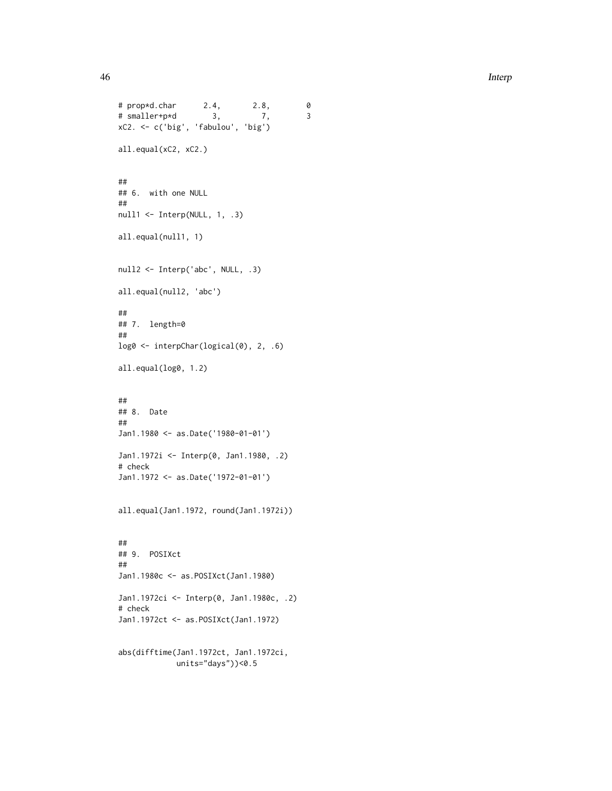```
# prop*d.char 2.4, 2.8, 0
# smaller+p*d 3, 7, 3
xC2. <- c('big', 'fabulou', 'big')
all.equal(xC2, xC2.)
##
## 6. with one NULL
##
null1 <- Interp(NULL, 1, .3)
all.equal(null1, 1)
null2 <- Interp('abc', NULL, .3)
all.equal(null2, 'abc')
##
## 7. length=0
##
log0 <- interpChar(logical(0), 2, .6)
all.equal(log0, 1.2)
##
## 8. Date
##
Jan1.1980 <- as.Date('1980-01-01')
Jan1.1972i <- Interp(0, Jan1.1980, .2)
# check
Jan1.1972 <- as.Date('1972-01-01')
all.equal(Jan1.1972, round(Jan1.1972i))
##
## 9. POSIXct
##
Jan1.1980c <- as.POSIXct(Jan1.1980)
Jan1.1972ci <- Interp(0, Jan1.1980c, .2)
# check
Jan1.1972ct <- as.POSIXct(Jan1.1972)
abs(difftime(Jan1.1972ct, Jan1.1972ci,
            units="days"))<0.5
```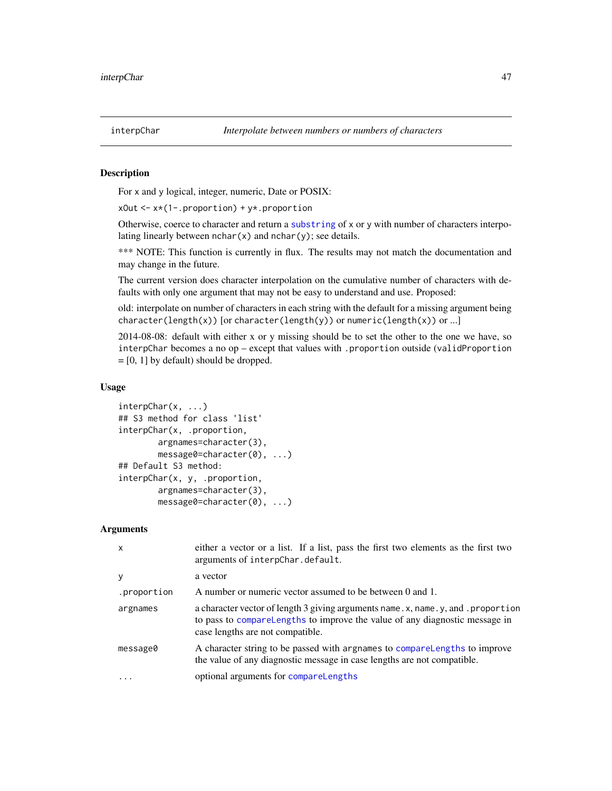### <span id="page-46-0"></span>Description

For x and y logical, integer, numeric, Date or POSIX:

 $xOut \leftarrow x * (1-.proportion) + y * .proportion$ 

Otherwise, coerce to character and return a [substring](#page-0-0) of x or y with number of characters interpolating linearly between  $nchar(x)$  and  $nchar(y)$ ; see details.

\*\*\* NOTE: This function is currently in flux. The results may not match the documentation and may change in the future.

The current version does character interpolation on the cumulative number of characters with defaults with only one argument that may not be easy to understand and use. Proposed:

old: interpolate on number of characters in each string with the default for a missing argument being character(length(x)) [or character(length(y)) or numeric(length(x)) or ...]

2014-08-08: default with either x or y missing should be to set the other to the one we have, so interpChar becomes a no op – except that values with .proportion outside (validProportion  $=[0, 1]$  by default) should be dropped.

### Usage

```
interpChar(x, ...)
## S3 method for class 'list'
interpChar(x, .proportion,
        argnames=character(3),
        message0=character(0), ...)
## Default S3 method:
interpChar(x, y, .proportion,
        argnames=character(3),
        message0=character(0), ...)
```
#### **Arguments**

| $\mathsf{x}$ | either a vector or a list. If a list, pass the first two elements as the first two<br>arguments of interpChar.default.                                                                               |
|--------------|------------------------------------------------------------------------------------------------------------------------------------------------------------------------------------------------------|
| y            | a vector                                                                                                                                                                                             |
| .proportion  | A number or numeric vector assumed to be between 0 and 1.                                                                                                                                            |
| argnames     | a character vector of length 3 giving arguments name. x, name. y, and. proportion<br>to pass to comparelengths to improve the value of any diagnostic message in<br>case lengths are not compatible. |
| message0     | A character string to be passed with argnames to compare Lengths to improve<br>the value of any diagnostic message in case lengths are not compatible.                                               |
| $\ddotsc$    | optional arguments for compareLengths                                                                                                                                                                |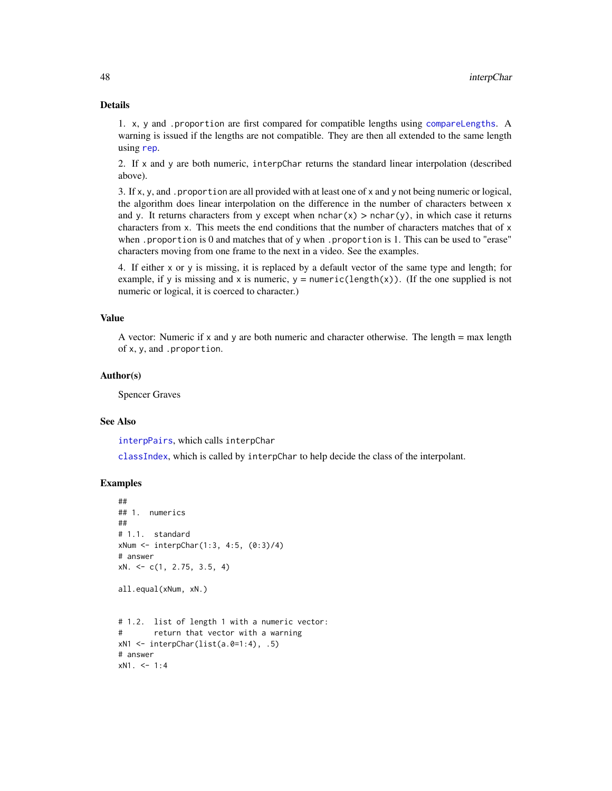## Details

1. x, y and .proportion are first compared for compatible lengths using [compareLengths](#page-20-0). A warning is issued if the lengths are not compatible. They are then all extended to the same length using [rep](#page-0-0).

2. If x and y are both numeric, interpChar returns the standard linear interpolation (described above).

3. If x, y, and .proportion are all provided with at least one of x and y not being numeric or logical, the algorithm does linear interpolation on the difference in the number of characters between x and y. It returns characters from y except when  $nchar(x) > nchar(y)$ , in which case it returns characters from x. This meets the end conditions that the number of characters matches that of x when .proportion is 0 and matches that of y when .proportion is 1. This can be used to "erase" characters moving from one frame to the next in a video. See the examples.

4. If either x or y is missing, it is replaced by a default vector of the same type and length; for example, if y is missing and x is numeric,  $y =$  numeric(length(x)). (If the one supplied is not numeric or logical, it is coerced to character.)

#### Value

A vector: Numeric if x and y are both numeric and character otherwise. The length  $=$  max length of x, y, and .proportion.

#### Author(s)

Spencer Graves

### See Also

[interpPairs](#page-49-0), which calls interpChar

[classIndex](#page-18-0), which is called by interpChar to help decide the class of the interpolant.

```
##
## 1. numerics
##
# 1.1. standard
xNum <- interpChar(1:3, 4:5, (0:3)/4)
# answer
xN. \leq -c(1, 2.75, 3.5, 4)all.equal(xNum, xN.)
# 1.2. list of length 1 with a numeric vector:
# return that vector with a warning
xN1 \leftarrow \text{interpChar}(list(a.0=1:4), .5)# answer
xN1. < -1:4
```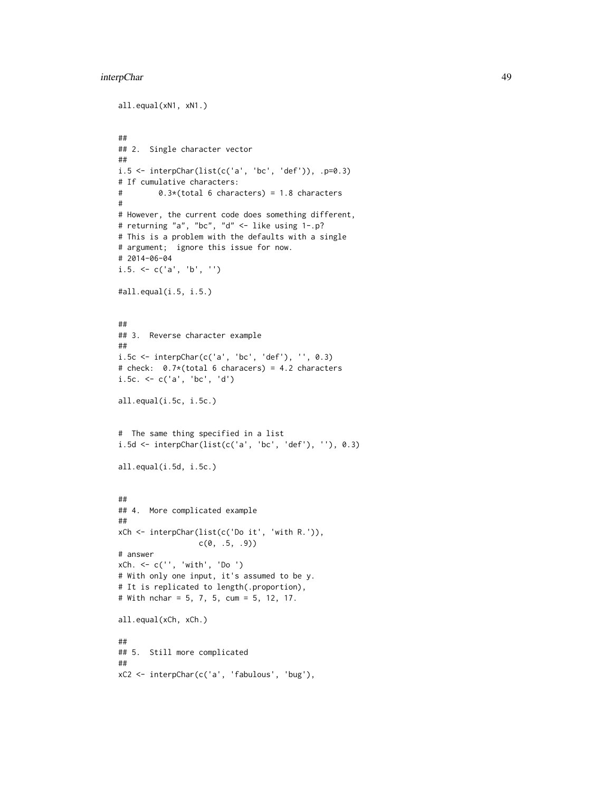#### interpChar 49

```
all.equal(xN1, xN1.)
##
## 2. Single character vector
##
i.5 \leftarrow interpChar(list(c('a', 'bc', 'def')), .p=0.3)
# If cumulative characters:
# 0.3*(total 6 characters) = 1.8 characters
#
# However, the current code does something different,
# returning "a", "bc", "d" <- like using 1-.p?
# This is a problem with the defaults with a single
# argument; ignore this issue for now.
# 2014-06-04
i.5. \leq c('a', 'b', '')
#all.equal(i.5, i.5.)
##
## 3. Reverse character example
##
i.5c <- interpChar(c('a', 'bc', 'def'), '', 0.3)
# check: 0.7*(total 6 characers) = 4.2 characters
i.5c. <- c('a', 'bc', 'd')
all.equal(i.5c, i.5c.)
# The same thing specified in a list
i.5d <- interpChar(list(c('a', 'bc', 'def'), ''), 0.3)
all.equal(i.5d, i.5c.)
##
## 4. More complicated example
##
xCh <- interpChar(list(c('Do it', 'with R.')),
                  c(\emptyset, .5, .9)# answer
xCh. <- c('', 'with', 'Do ')
# With only one input, it's assumed to be y.
# It is replicated to length(.proportion),
# With nchar = 5, 7, 5, cum = 5, 12, 17.
all.equal(xCh, xCh.)
##
## 5. Still more complicated
##
xC2 <- interpChar(c('a', 'fabulous', 'bug'),
```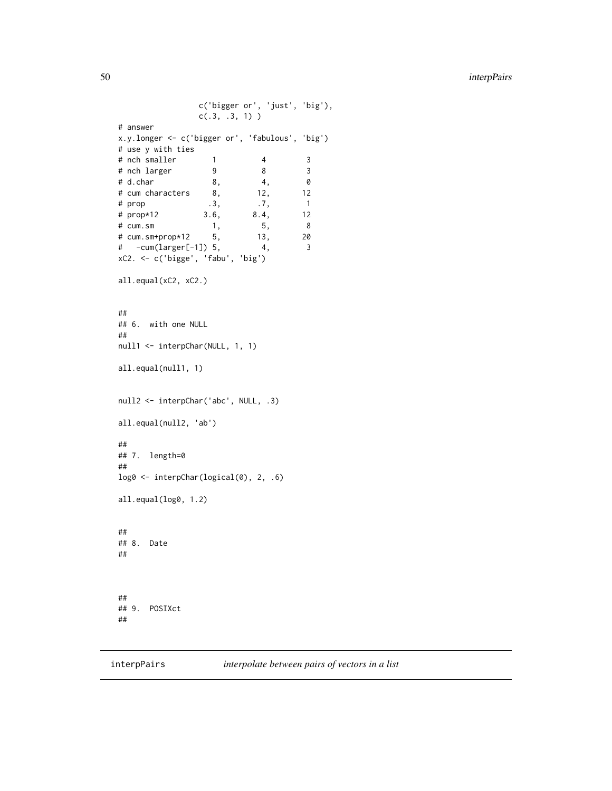```
c('bigger or', 'just', 'big'),
                 c(.3, .3, 1))
# answer
x.y.longer <- c('bigger or', 'fabulous', 'big')
# use y with ties
4 nch smaller 1 4 3<br>
4 nch larger 9 8 3<br>
4 d.char 8, 4, 0<br>
4 cum characters 8, 12, 12
# nch larger 9 8 3
# d.char 8, 4, 0
# cum characters 8, 12, 12
# prop \begin{array}{cccc} .3, & .7, & 1 \\ + \text{prop} * 12 & .3, & .6, & 8.4, & 12 \end{array}# prop*12 3.6, 8.4, 12
# cum.sm 1, 5, 8
# cum.sm+prop*12 5, 13, 20
# -cum(larger[-1]) 5, 4, 3
xC2. <- c('bigge', 'fabu', 'big')
all.equal(xC2, xC2.)
##
## 6. with one NULL
##
null1 <- interpChar(NULL, 1, 1)
all.equal(null1, 1)
null2 <- interpChar('abc', NULL, .3)
all.equal(null2, 'ab')
##
## 7. length=0
##
log0 <- interpChar(logical(0), 2, .6)
all.equal(log0, 1.2)
##
## 8. Date
##
##
## 9. POSIXct
##
```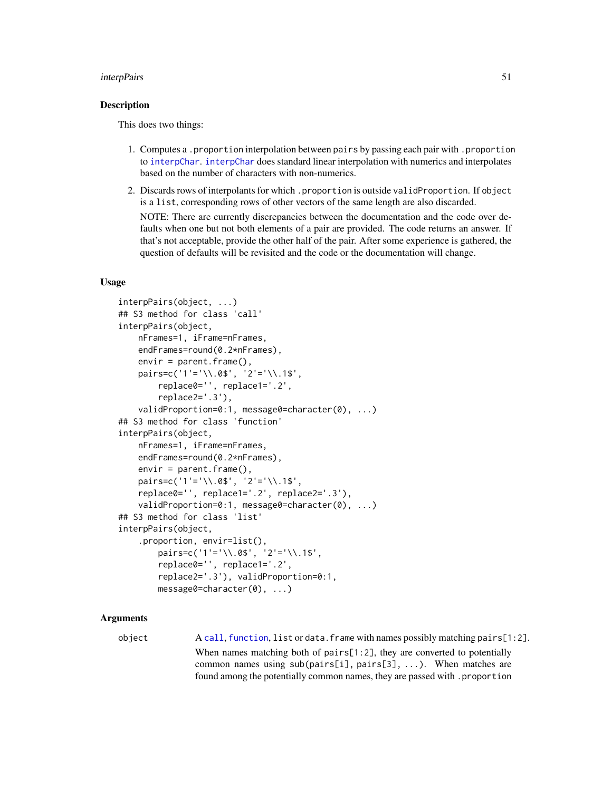#### interpPairs 51

### Description

This does two things:

- 1. Computes a .proportion interpolation between pairs by passing each pair with .proportion to [interpChar](#page-46-0). [interpChar](#page-46-0) does standard linear interpolation with numerics and interpolates based on the number of characters with non-numerics.
- 2. Discards rows of interpolants for which .proportion is outside validProportion. If object is a list, corresponding rows of other vectors of the same length are also discarded.

NOTE: There are currently discrepancies between the documentation and the code over defaults when one but not both elements of a pair are provided. The code returns an answer. If that's not acceptable, provide the other half of the pair. After some experience is gathered, the question of defaults will be revisited and the code or the documentation will change.

## Usage

```
interpPairs(object, ...)
## S3 method for class 'call'
interpPairs(object,
   nFrames=1, iFrame=nFrames,
   endFrames=round(0.2*nFrames),
   envir = parent.frame(),pairs=c('1'='\\.0$', '2'='\\.1$',
        replace0='', replace1='.2',
        replace2='.3'),
   validProportion=0:1, message0=character(0), ...)
## S3 method for class 'function'
interpPairs(object,
   nFrames=1, iFrame=nFrames,
    endFrames=round(0.2*nFrames),
    envir = parent.frame(),
    pairs=c('1'='\\.0$', '2'='\\.1$',
    replace0='', replace1='.2', replace2='.3'),
    validProportion=0:1, message0=character(0), ...)
## S3 method for class 'list'
interpPairs(object,
    .proportion, envir=list(),
        pairs=c('1'='\\.0$', '2'='\\.1$',
        replace0='', replace1='.2',
        replace2='.3'), validProportion=0:1,
       message0=character(0), ...)
```
#### Arguments

object A [call](#page-0-0), [function](#page-0-0), list or data.frame with names possibly matching pairs[1:2]. When names matching both of pairs[1:2], they are converted to potentially common names using sub(pairs[i], pairs[3], ...). When matches are found among the potentially common names, they are passed with .proportion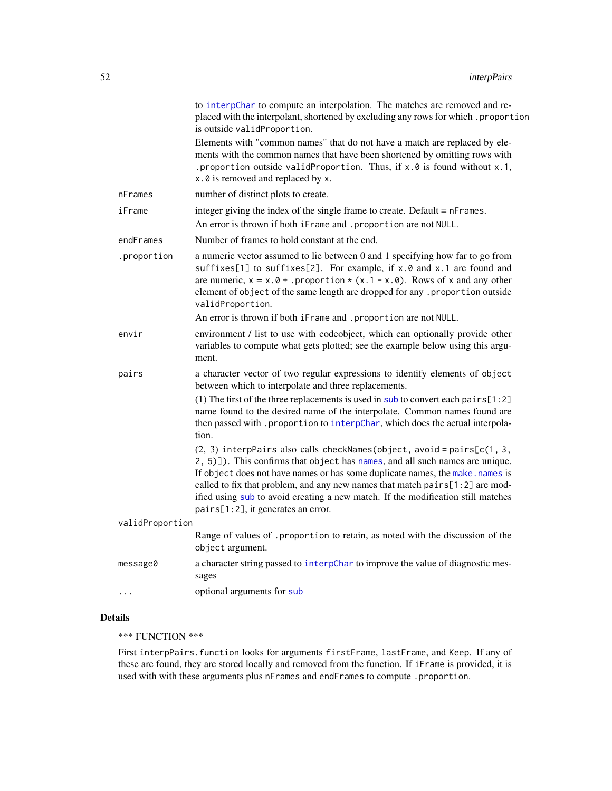|                 | to interpChar to compute an interpolation. The matches are removed and re-<br>placed with the interpolant, shortened by excluding any rows for which . proportion<br>is outside validProportion.                                                                                                                                                                                                                                                    |
|-----------------|-----------------------------------------------------------------------------------------------------------------------------------------------------------------------------------------------------------------------------------------------------------------------------------------------------------------------------------------------------------------------------------------------------------------------------------------------------|
|                 | Elements with "common names" that do not have a match are replaced by ele-<br>ments with the common names that have been shortened by omitting rows with<br>.proportion outside validProportion. Thus, if x.0 is found without x.1,<br>x.0 is removed and replaced by x.                                                                                                                                                                            |
| nFrames         | number of distinct plots to create.                                                                                                                                                                                                                                                                                                                                                                                                                 |
| iFrame          | integer giving the index of the single frame to create. Default $= n$ Frames.                                                                                                                                                                                                                                                                                                                                                                       |
|                 | An error is thrown if both iFrame and . proportion are not NULL.                                                                                                                                                                                                                                                                                                                                                                                    |
| endFrames       | Number of frames to hold constant at the end.                                                                                                                                                                                                                                                                                                                                                                                                       |
| .proportion     | a numeric vector assumed to lie between 0 and 1 specifying how far to go from<br>suffixes[1] to suffixes[2]. For example, if x.0 and x.1 are found and<br>are numeric, $x = x.0 +$ . proportion $*(x.1 - x.0)$ . Rows of x and any other<br>element of object of the same length are dropped for any .proportion outside<br>validProportion.                                                                                                        |
|                 | An error is thrown if both iFrame and . proportion are not NULL.                                                                                                                                                                                                                                                                                                                                                                                    |
| envir           | environment / list to use with codeobject, which can optionally provide other<br>variables to compute what gets plotted; see the example below using this argu-<br>ment.                                                                                                                                                                                                                                                                            |
| pairs           | a character vector of two regular expressions to identify elements of object<br>between which to interpolate and three replacements.                                                                                                                                                                                                                                                                                                                |
|                 | (1) The first of the three replacements is used in sub to convert each pairs [1:2]<br>name found to the desired name of the interpolate. Common names found are<br>then passed with . proportion to interpChar, which does the actual interpola-<br>tion.                                                                                                                                                                                           |
|                 | $(2, 3)$ interpPairs also calls checkNames(object, avoid = pairs[c(1, 3,<br>2, 5)]). This confirms that object has names, and all such names are unique.<br>If object does not have names or has some duplicate names, the make. names is<br>called to fix that problem, and any new names that match pairs[1:2] are mod-<br>ified using sub to avoid creating a new match. If the modification still matches<br>pairs[1:2], it generates an error. |
| validProportion |                                                                                                                                                                                                                                                                                                                                                                                                                                                     |
|                 | Range of values of . proportion to retain, as noted with the discussion of the<br>object argument.                                                                                                                                                                                                                                                                                                                                                  |
| message0        | a character string passed to interpChar to improve the value of diagnostic mes-<br>sages                                                                                                                                                                                                                                                                                                                                                            |
| .               | optional arguments for sub                                                                                                                                                                                                                                                                                                                                                                                                                          |

# Details

\*\*\* FUNCTION \*\*\*

First interpPairs.function looks for arguments firstFrame, lastFrame, and Keep. If any of these are found, they are stored locally and removed from the function. If iFrame is provided, it is used with with these arguments plus nFrames and endFrames to compute .proportion.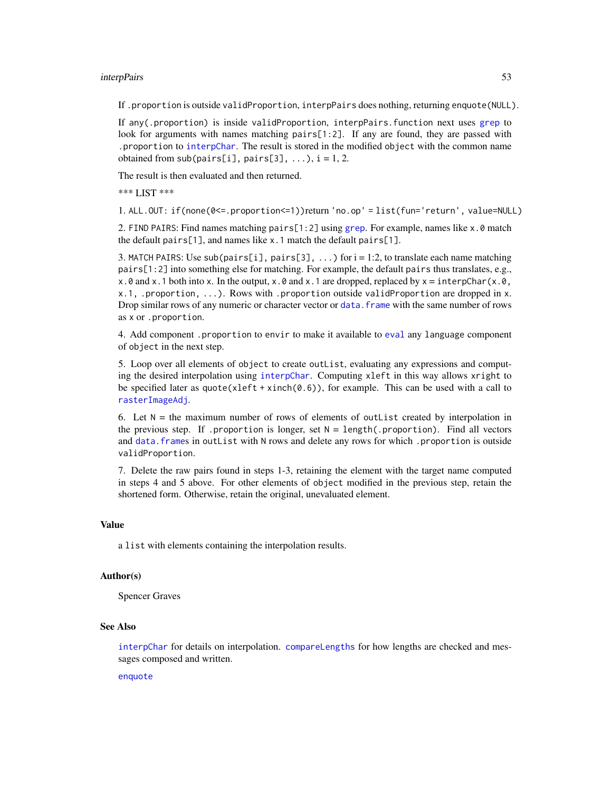### interpPairs 53

If .proportion is outside validProportion, interpPairs does nothing, returning enquote(NULL).

If any(.proportion) is inside validProportion, interpPairs.function next uses [grep](#page-0-0) to look for arguments with names matching pairs[1:2]. If any are found, they are passed with .proportion to [interpChar](#page-46-0). The result is stored in the modified object with the common name obtained from sub(pairs[i], pairs[3], ...),  $i = 1, 2$ .

The result is then evaluated and then returned.

\*\*\* LIST \*\*\*

1. ALL.OUT: if(none(0<=.proportion<=1))return 'no.op' = list(fun='return', value=NULL)

2. FIND PAIRS: Find names matching pairs[1:2] using [grep](#page-0-0). For example, names like x.0 match the default pairs[1], and names like x.1 match the default pairs[1].

3. MATCH PAIRS: Use sub(pairs[i], pairs[3], ...) for  $i = 1:2$ , to translate each name matching pairs[1:2] into something else for matching. For example, the default pairs thus translates, e.g., x.0 and x.1 both into x. In the output, x.0 and x.1 are dropped, replaced by  $x =$  interpChar(x.0, x.1, .proportion, ...). Rows with .proportion outside validProportion are dropped in x. Drop similar rows of any numeric or character vector or [data.frame](#page-0-0) with the same number of rows as x or .proportion.

4. Add component .proportion to envir to make it available to [eval](#page-0-0) any language component of object in the next step.

5. Loop over all elements of object to create outList, evaluating any expressions and computing the desired interpolation using [interpChar](#page-46-0). Computing xleft in this way allows xright to be specified later as quote(xleft + xinch( $(0.6)$ ), for example. This can be used with a call to [rasterImageAdj](#page-93-0).

6. Let  $N =$  the maximum number of rows of elements of outlist created by interpolation in the previous step. If .proportion is longer, set  $N = length($ .proportion). Find all vectors and [data.frame](#page-0-0)s in outList with N rows and delete any rows for which .proportion is outside validProportion.

7. Delete the raw pairs found in steps 1-3, retaining the element with the target name computed in steps 4 and 5 above. For other elements of object modified in the previous step, retain the shortened form. Otherwise, retain the original, unevaluated element.

#### Value

a list with elements containing the interpolation results.

# Author(s)

Spencer Graves

#### See Also

[interpChar](#page-46-0) for details on interpolation. [compareLengths](#page-20-0) for how lengths are checked and messages composed and written.

[enquote](#page-0-0)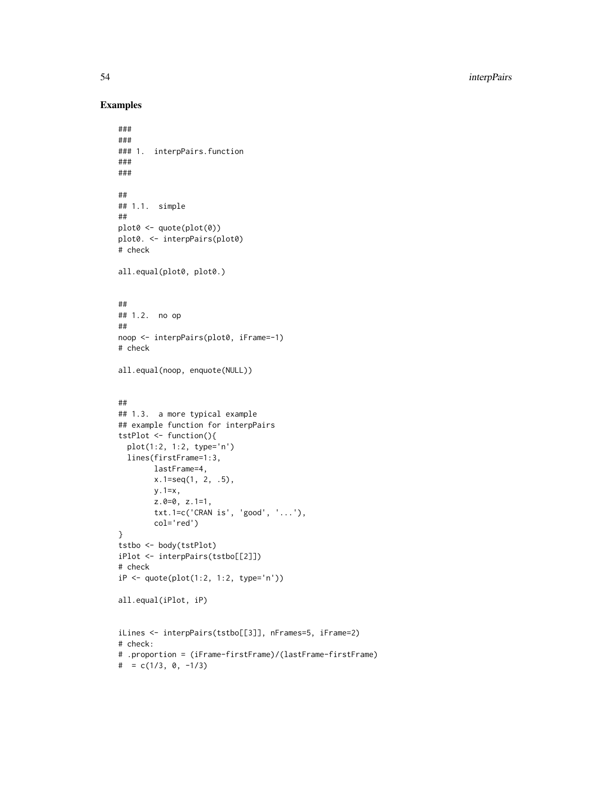54 interpPairs

```
###
###
### 1. interpPairs.function
###
###
##
## 1.1. simple
##
plot0 <- quote(plot(0))
plot0. <- interpPairs(plot0)
# check
all.equal(plot0, plot0.)
##
## 1.2. no op
##
noop <- interpPairs(plot0, iFrame=-1)
# check
all.equal(noop, enquote(NULL))
##
## 1.3. a more typical example
## example function for interpPairs
tstPlot <- function(){
  plot(1:2, 1:2, type='n')
  lines(firstFrame=1:3,
       lastFrame=4,
       x.1=seq(1, 2, .5),
       y.1=x,
       z.0=0, z.1=1,
       txt.1=c('CRAN is', 'good', '...'),
        col='red')
}
tstbo <- body(tstPlot)
iPlot <- interpPairs(tstbo[[2]])
# check
iP <- quote(plot(1:2, 1:2, type='n'))
all.equal(iPlot, iP)
iLines <- interpPairs(tstbo[[3]], nFrames=5, iFrame=2)
# check:
# .proportion = (iFrame-firstFrame)/(lastFrame-firstFrame)
# = c(1/3, 0, -1/3)
```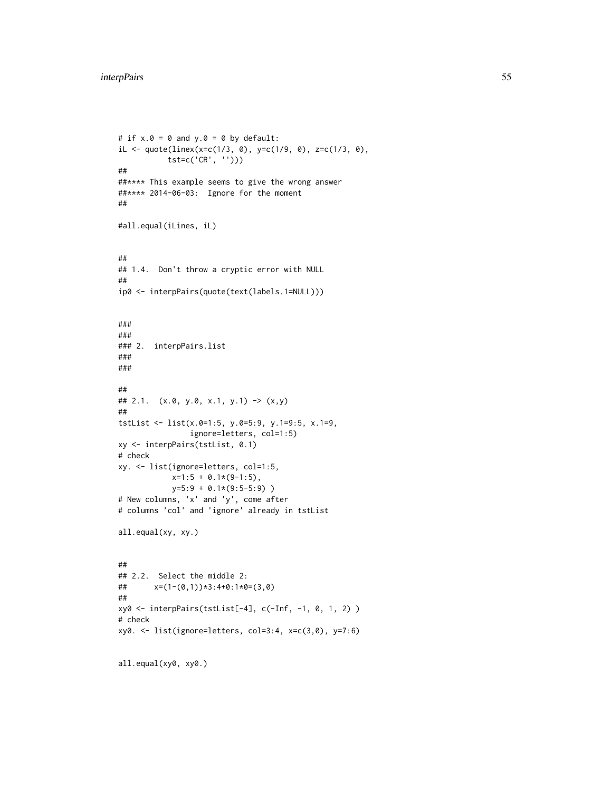```
# if x.\theta = \theta and y.\theta = \theta by default:
iL <- quote(linex(x=c(1/3, 0), y=c(1/9, 0), z=c(1/3, 0),
           tst=c('CR', '')))
##
##**** This example seems to give the wrong answer
##**** 2014-06-03: Ignore for the moment
##
#all.equal(iLines, iL)
##
## 1.4. Don't throw a cryptic error with NULL
##
ip0 <- interpPairs(quote(text(labels.1=NULL)))
###
###
### 2. interpPairs.list
###
###
##
## 2.1. (x.0, y.0, x.1, y.1) -> (x,y)
##
tstList <- list(x.0=1:5, y.0=5:9, y.1=9:5, x.1=9,
                ignore=letters, col=1:5)
xy <- interpPairs(tstList, 0.1)
# check
xy. <- list(ignore=letters, col=1:5,
            x=1:5 + 0.1*(9-1:5),
            y=5:9 + 0.1*(9:5-5:9) )
# New columns, 'x' and 'y', come after
# columns 'col' and 'ignore' already in tstList
all.equal(xy, xy.)
##
## 2.2. Select the middle 2:
## x=(1-(0,1))*3:4+0:1*0=(3,0)
##
xy0 <- interpPairs(tstList[-4], c(-Inf, -1, 0, 1, 2) )
# check
xy0. <- list(ignore=letters, col=3:4, x=c(3,0), y=7:6)
all.equal(xy0, xy0.)
```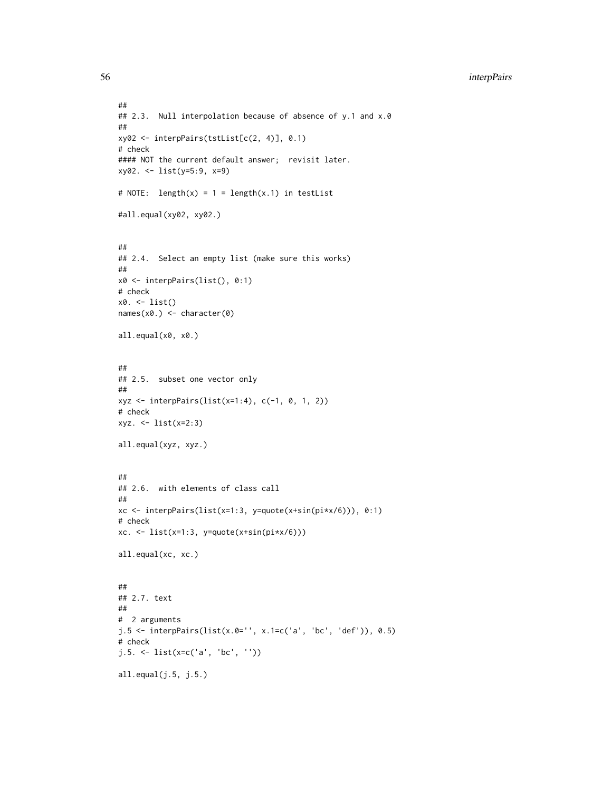```
##
## 2.3. Null interpolation because of absence of y.1 and x.0
##
xy02 <- interpPairs(tstList[c(2, 4)], 0.1)
# check
#### NOT the current default answer; revisit later.
xy02. <- list(y=5:9, x=9)
# NOTE: length(x) = 1 = length(x.1) in testList
#all.equal(xy02, xy02.)
##
## 2.4. Select an empty list (make sure this works)
##
x0 <- interpPairs(list(), 0:1)
# check
x0. <- list()
names(x0.) <- character(0)
all.equal(x0, x0.)
##
## 2.5. subset one vector only
##
xyz \le interpPairs(list(x=1:4), c(-1, 0, 1, 2))
# check
xyz. <- list(x=2:3)
all.equal(xyz, xyz.)
##
## 2.6. with elements of class call
##
xc <- interpPairs(list(x=1:3, y=quote(x+sin(pi*x/6))), 0:1)
# check
xc. \leftarrow list(x=1:3, y=quote(x+sin(pi*x/6)))
all.equal(xc, xc.)
##
## 2.7. text
##
# 2 arguments
j.5 \leftarrow interpPairs(list(x.0='', x.1=c('a', 'bc', 'def')), 0.5)
# check
j.5. <- list(x=c('a', 'bc', ''))
all.equal(j.5, j.5.)
```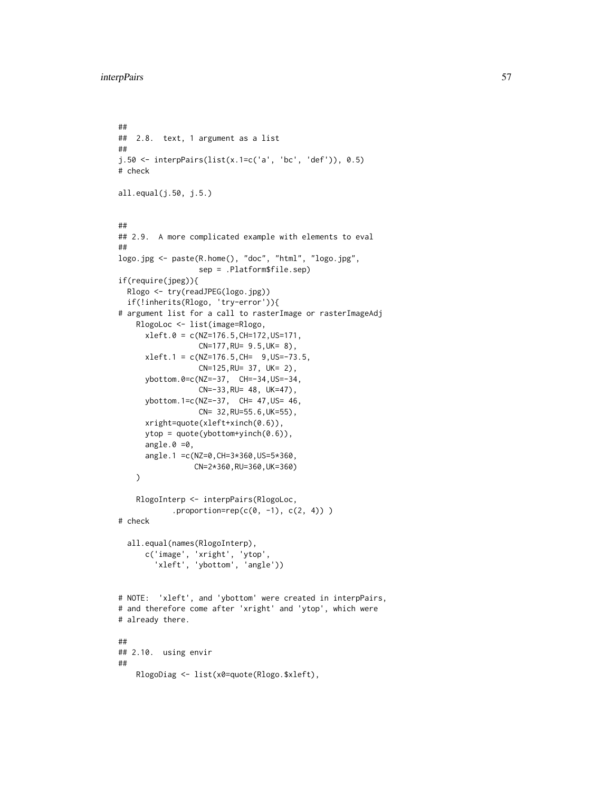```
##
## 2.8. text, 1 argument as a list
##
j.50 <- interpPairs(list(x.1=c('a', 'bc', 'def')), 0.5)
# check
all.equal(j.50, j.5.)
##
## 2.9. A more complicated example with elements to eval
##
logo.jpg <- paste(R.home(), "doc", "html", "logo.jpg",
                  sep = .Platform$file.sep)
if(require(jpeg)){
  Rlogo <- try(readJPEG(logo.jpg))
  if(!inherits(Rlogo, 'try-error')){
# argument list for a call to rasterImage or rasterImageAdj
    RlogoLoc <- list(image=Rlogo,
      xleft.0 = c(NZ=176.5, CH=172, US=171,CN=177,RU= 9.5,UK= 8),
      xleft.1 = c(NZ=176.5, CH = 9, US=-73.5,CN=125,RU= 37, UK= 2),
      ybottom.0=c(NZ=-37, CH=-34,US=-34,
                  CN=-33,RU= 48, UK=47),
      ybottom.1=c(NZ=-37, CH= 47,US= 46,
                  CN= 32,RU=55.6,UK=55),
      xright=quote(xleft+xinch(0.6)),
      ytop = quote(ybottom+yinch(0.6)),
      angle.0 = 0,
      angle.1 =c(NZ=0,CH=3*360,US=5*360,
                 CN=2*360,RU=360,UK=360)
   )
    RlogoInterp <- interpPairs(RlogoLoc,
            .proportion=rep(c(0, -1), c(2, 4)))
# check
  all.equal(names(RlogoInterp),
      c('image', 'xright', 'ytop',
         'xleft', 'ybottom', 'angle'))
# NOTE: 'xleft', and 'ybottom' were created in interpPairs,
# and therefore come after 'xright' and 'ytop', which were
# already there.
##
## 2.10. using envir
##
    RlogoDiag <- list(x0=quote(Rlogo.$xleft),
```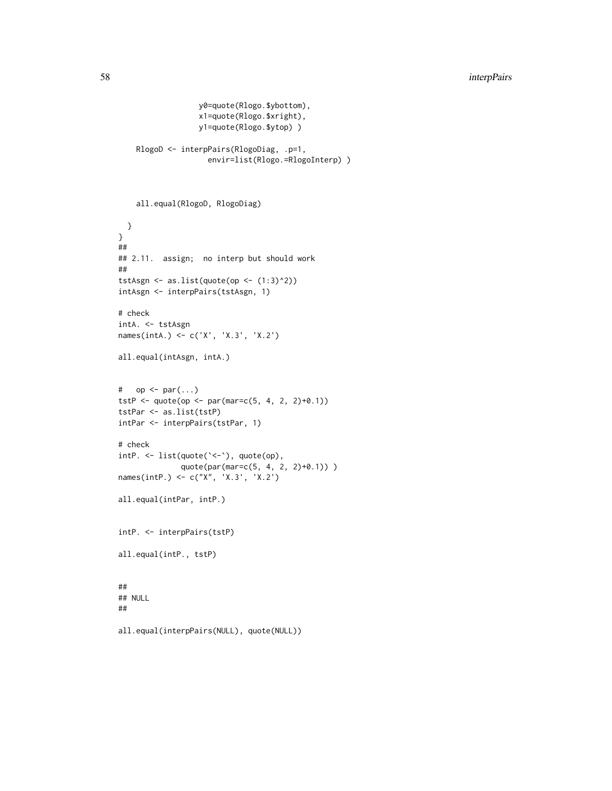```
y0=quote(Rlogo.$ybottom),
                  x1=quote(Rlogo.$xright),
                  y1=quote(Rlogo.$ytop) )
    RlogoD <- interpPairs(RlogoDiag, .p=1,
                    envir=list(Rlogo.=RlogoInterp) )
    all.equal(RlogoD, RlogoDiag)
  }
}
##
## 2.11. assign; no interp but should work
##
tstAsgn <- as.list(quote(op <- (1:3)^2))
intAsgn <- interpPairs(tstAsgn, 1)
# check
intA. <- tstAsgn
names(intA.) <- c('X', 'X.3', 'X.2')
all.equal(intAsgn, intA.)
# op \leq par(...)tstP <- quote(op <- par(mar=c(5, 4, 2, 2)+0.1))
tstPar <- as.list(tstP)
intPar <- interpPairs(tstPar, 1)
# check
intP. <- list(quote(`<-`), quote(op),
              quote(par(mar=c(5, 4, 2, 2)+0.1)) )
names(intP.) <- c("X", 'X.3', 'X.2')
all.equal(intPar, intP.)
intP. <- interpPairs(tstP)
all.equal(intP., tstP)
##
## NULL
##
all.equal(interpPairs(NULL), quote(NULL))
```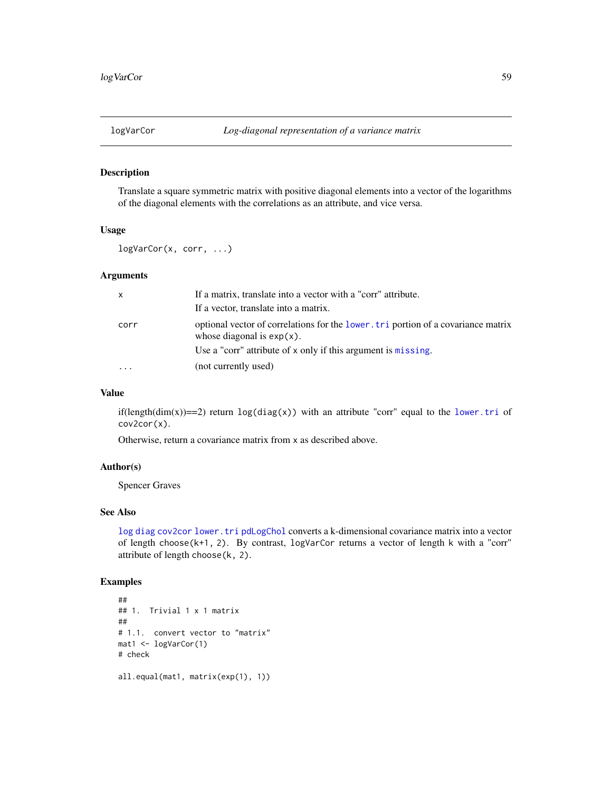#### Description

Translate a square symmetric matrix with positive diagonal elements into a vector of the logarithms of the diagonal elements with the correlations as an attribute, and vice versa.

# Usage

logVarCor(x, corr, ...)

# Arguments

| $\mathsf{x}$ | If a matrix, translate into a vector with a "corr" attribute.                                                       |
|--------------|---------------------------------------------------------------------------------------------------------------------|
|              | If a vector, translate into a matrix.                                                                               |
| corr         | optional vector of correlations for the lower. Let a portion of a covariance matrix<br>whose diagonal is $exp(x)$ . |
|              | Use a "corr" attribute of x only if this argument is missing.                                                       |
| $\cdots$     | (not currently used)                                                                                                |

#### Value

if(length(dim(x))==2) return  $log(diag(x))$  with an attribute "corr" equal to the [lower.tri](#page-0-0) of cov2cor(x).

Otherwise, return a covariance matrix from x as described above.

## Author(s)

Spencer Graves

### See Also

[log](#page-0-0) [diag](#page-0-0) [cov2cor](#page-0-0) [lower.tri](#page-0-0) [pdLogChol](#page-0-0) converts a k-dimensional covariance matrix into a vector of length choose(k+1, 2). By contrast, logVarCor returns a vector of length k with a "corr" attribute of length choose(k, 2).

```
##
## 1. Trivial 1 x 1 matrix
##
# 1.1. convert vector to "matrix"
mat1 <- logVarCor(1)
# check
all.equal(mat1, matrix(exp(1), 1))
```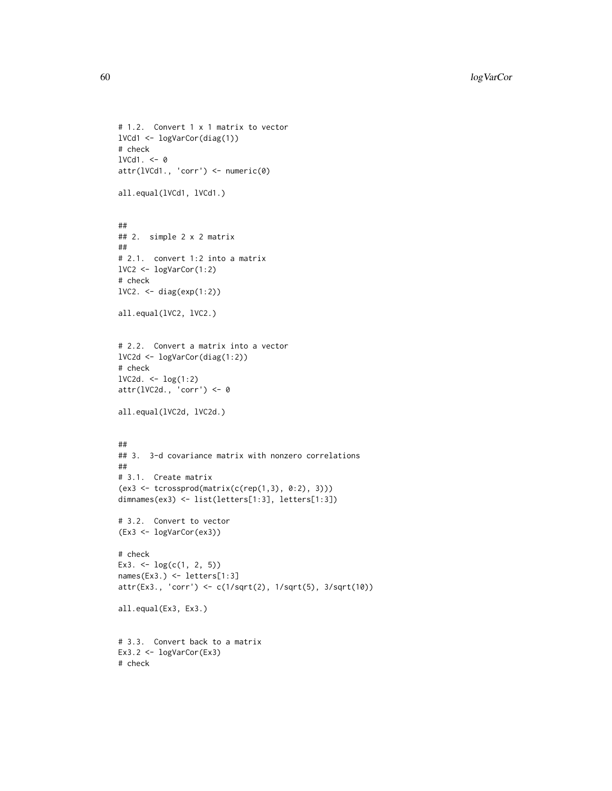```
# 1.2. Convert 1 x 1 matrix to vector
lVCd1 <- logVarCor(diag(1))
# check
1VCd1. < -0attr(lVCd1., 'corr') <- numeric(0)
all.equal(lVCd1, lVCd1.)
##
## 2. simple 2 x 2 matrix
##
# 2.1. convert 1:2 into a matrix
lVC2 <- logVarCor(1:2)
# check
lVC2. <- diag(exp(1:2))
all.equal(lVC2, lVC2.)
# 2.2. Convert a matrix into a vector
lVC2d <- logVarCor(diag(1:2))
# check
lVC2d. <- log(1:2)
attr(lVC2d., 'corr') <- 0
all.equal(lVC2d, lVC2d.)
##
## 3. 3-d covariance matrix with nonzero correlations
##
# 3.1. Create matrix
(ex3 <- tcrossprod(matrix(c(rep(1,3), 0:2), 3)))
dimnames(ex3) <- list(letters[1:3], letters[1:3])
# 3.2. Convert to vector
(Ex3 <- logVarCor(ex3))
# check
Ex3. <- log(c(1, 2, 5))names(Ex3.) <- letters[1:3]
attr(Ex3., 'corr') <- c(1/sqrt(2), 1/sqrt(5), 3/sqrt(10))
all.equal(Ex3, Ex3.)
# 3.3. Convert back to a matrix
Ex3.2 <- logVarCor(Ex3)
# check
```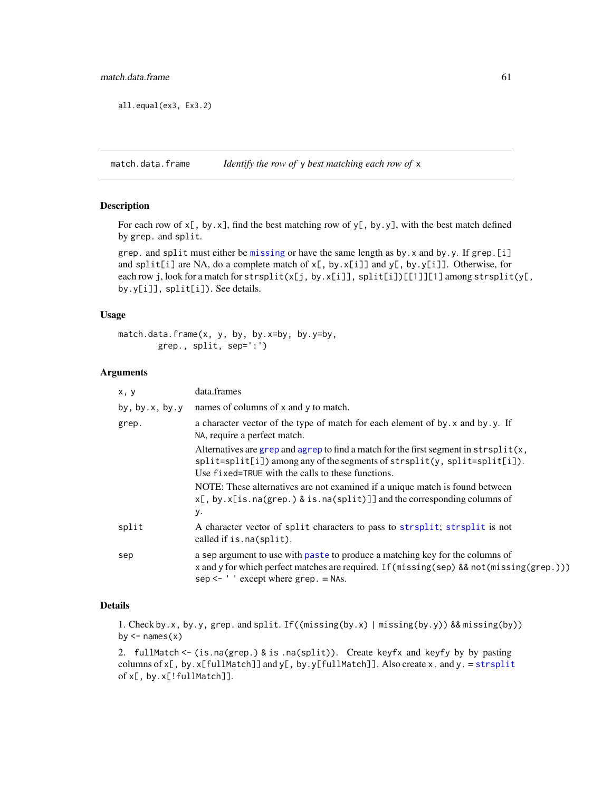all.equal(ex3, Ex3.2)

match.data.frame *Identify the row of* y *best matching each row of* x

### Description

For each row of  $x$ [, by.x], find the best matching row of  $y$ [, by.y], with the best match defined by grep. and split.

grep. and split must either be [missing](#page-0-0) or have the same length as by.x and by.y. If grep.[i] and split[i] are NA, do a complete match of x[, by.x[i]] and y[, by.y[i]]. Otherwise, for each row j, look for a match for strsplit(x[j, by.x[i]], split[i])[[1]][1] among strsplit(y[, by.y[i]], split[i]). See details.

#### Usage

```
match.data.frame(x, y, by, by.x=by, by.y=by,
       grep., split, sep=':')
```
## Arguments

| x, y                  | data.frames                                                                                                                                                                                                                      |
|-----------------------|----------------------------------------------------------------------------------------------------------------------------------------------------------------------------------------------------------------------------------|
| by, by. $x$ , by. $y$ | names of columns of x and y to match.                                                                                                                                                                                            |
| grep.                 | a character vector of the type of match for each element of by. x and by. y. If<br>NA, require a perfect match.                                                                                                                  |
|                       | Alternatives are grep and agrep to find a match for the first segment in $strsplit(x,$<br>$split=split[i])$ among any of the segments of strsplit(y, split=split[i]).<br>Use fixed=TRUE with the calls to these functions.       |
|                       | NOTE: These alternatives are not examined if a unique match is found between<br>$x[,$ by. $x[$ is. na(grep.) & is. na(split)]] and the corresponding columns of<br>у.                                                            |
| split                 | A character vector of split characters to pass to strisplit; strisplit is not<br>called if is. na(split).                                                                                                                        |
| sep                   | a sep argument to use with paste to produce a matching key for the columns of<br>x and y for which perfect matches are required. If (missing (sep) && not (missing (grep.)))<br>$sep \leftarrow$ ' ' except where $green =$ NAs. |

### Details

1. Check by.x, by.y, grep. and split. If((missing(by.x) | missing(by.y)) && missing(by)) by  $\leq$ - names $(x)$ 

2. fullMatch <- (is.na(grep.) & is .na(split)). Create keyfx and keyfy by by pasting columns of  $x$ [, by. $x$ [fullMatch]] and  $y$ [, by. $y$ [fullMatch]]. Also create x. and y. = [strsplit](#page-0-0) of x[, by.x[!fullMatch]].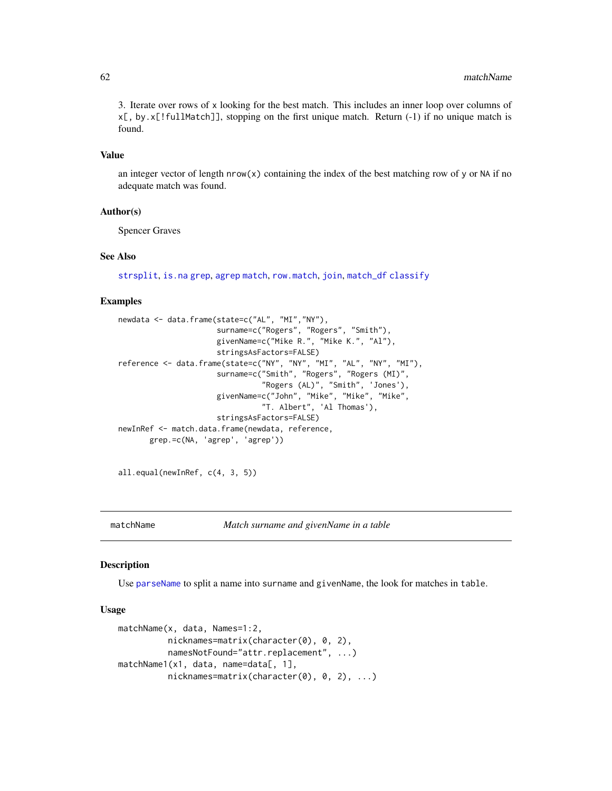3. Iterate over rows of x looking for the best match. This includes an inner loop over columns of  $x$ [, by.  $x$ [! fullMatch]], stopping on the first unique match. Return (-1) if no unique match is found.

## Value

an integer vector of length  $nrow(x)$  containing the index of the best matching row of y or NA if no adequate match was found.

### Author(s)

Spencer Graves

### See Also

[strsplit](#page-0-0), [is.na](#page-0-0) [grep](#page-0-0), [agrep](#page-0-0) [match](#page-0-0), [row.match](#page-0-0), [join](#page-0-0), [match\\_df](#page-0-0) [classify](#page-0-0)

# Examples

```
newdata <- data.frame(state=c("AL", "MI","NY"),
                      surname=c("Rogers", "Rogers", "Smith"),
                      givenName=c("Mike R.", "Mike K.", "Al"),
                      stringsAsFactors=FALSE)
reference <- data.frame(state=c("NY", "NY", "MI", "AL", "NY", "MI"),
                      surname=c("Smith", "Rogers", "Rogers (MI)",
                                "Rogers (AL)", "Smith", 'Jones'),
                      givenName=c("John", "Mike", "Mike", "Mike",
                                "T. Albert", 'Al Thomas'),
                      stringsAsFactors=FALSE)
newInRef <- match.data.frame(newdata, reference,
      grep.=c(NA, 'agrep', 'agrep'))
```
all.equal(newInRef, c(4, 3, 5))

matchName *Match surname and givenName in a table*

## Description

Use [parseName](#page-76-0) to split a name into surname and givenName, the look for matches in table.

### Usage

```
matchName(x, data, Names=1:2,
          nicknames=matrix(character(0), 0, 2),
          namesNotFound="attr.replacement", ...)
matchName1(x1, data, name=data[, 1],
          nicknames=matrix(character(0), 0, 2), ...)
```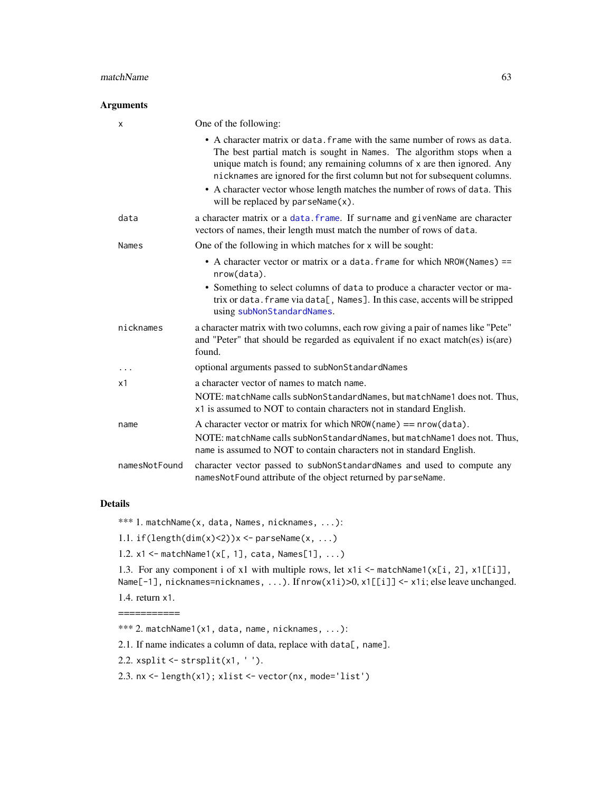#### $matchName$  63

### Arguments

| X             | One of the following:                                                                                                                                                                                                                                                                                                                                                                                                             |
|---------------|-----------------------------------------------------------------------------------------------------------------------------------------------------------------------------------------------------------------------------------------------------------------------------------------------------------------------------------------------------------------------------------------------------------------------------------|
|               | • A character matrix or data. frame with the same number of rows as data.<br>The best partial match is sought in Names. The algorithm stops when a<br>unique match is found; any remaining columns of x are then ignored. Any<br>nicknames are ignored for the first column but not for subsequent columns.<br>• A character vector whose length matches the number of rows of data. This<br>will be replaced by $parseName(x)$ . |
| data          | a character matrix or a data. frame. If surname and givenName are character<br>vectors of names, their length must match the number of rows of data.                                                                                                                                                                                                                                                                              |
| <b>Names</b>  | One of the following in which matches for x will be sought:                                                                                                                                                                                                                                                                                                                                                                       |
|               | • A character vector or matrix or a data. frame for which NROW (Names) ==<br>nrow(data).                                                                                                                                                                                                                                                                                                                                          |
|               | • Something to select columns of data to produce a character vector or ma-<br>trix or data. frame via data[, Names]. In this case, accents will be stripped<br>using subNonStandardNames.                                                                                                                                                                                                                                         |
| nicknames     | a character matrix with two columns, each row giving a pair of names like "Pete"<br>and "Peter" that should be regarded as equivalent if no exact match(es) is(are)<br>found.                                                                                                                                                                                                                                                     |
| .             | optional arguments passed to subNonStandardNames                                                                                                                                                                                                                                                                                                                                                                                  |
| x1            | a character vector of names to match name.                                                                                                                                                                                                                                                                                                                                                                                        |
|               | NOTE: matchName calls subNonStandardNames, but matchName1 does not. Thus,<br>x1 is assumed to NOT to contain characters not in standard English.                                                                                                                                                                                                                                                                                  |
| name          | A character vector or matrix for which $NROW(name) == new(data)$ .<br>NOTE: matchName calls subNonStandardNames, but matchName1 does not. Thus,<br>name is assumed to NOT to contain characters not in standard English.                                                                                                                                                                                                          |
| namesNotFound | character vector passed to subNonStandardNames and used to compute any<br>namesNotFound attribute of the object returned by parseName.                                                                                                                                                                                                                                                                                            |

## Details

\*\*\* 1. matchName(x, data, Names, nicknames, ...):

1.1.  $if(length(dim(x)<2))x <- parseName(x, ...)$ 

1.2. x1 <- matchName1(x[, 1], cata, Names[1], ...)

1.3. For any component i of x1 with multiple rows, let x1i <- matchName1(x[i, 2], x1[[i]], Name[-1], nicknames=nicknames, ...). If nrow(x1i)>0, x1[[i]] <- x1i; else leave unchanged.

1.4. return x1. ===========

\*\*\* 2. matchName1(x1, data, name, nicknames, ...):

2.1. If name indicates a column of data, replace with data[, name].

2.2.  $xsplit \leftarrow \text{strsplit}(x1, '').$ 

2.3. nx <- length(x1); xlist <- vector(nx, mode='list')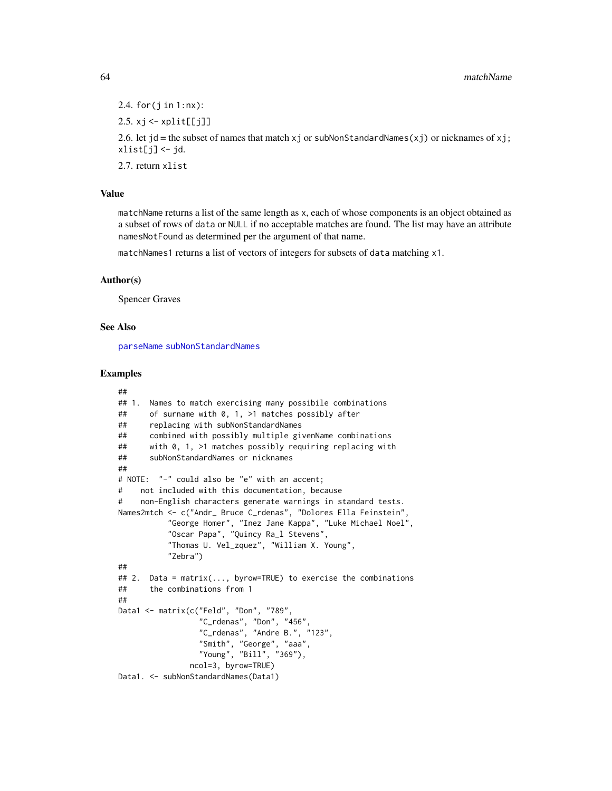2.4. for $(j$  in  $1:nx)$ :

2.5.  $xj \leftarrow xplit[[jj]]$ 

2.6. let  $jd$  = the subset of names that match x j or subNonStandardNames(xj) or nicknames of xj;  $xlist[j] < -jd$ .

2.7. return xlist

# Value

matchName returns a list of the same length as x, each of whose components is an object obtained as a subset of rows of data or NULL if no acceptable matches are found. The list may have an attribute namesNotFound as determined per the argument of that name.

matchNames1 returns a list of vectors of integers for subsets of data matching x1.

#### Author(s)

Spencer Graves

## See Also

[parseName](#page-76-0) [subNonStandardNames](#page-114-0)

```
##
## 1. Names to match exercising many possibile combinations
## of surname with 0, 1, >1 matches possibly after
## replacing with subNonStandardNames
## combined with possibly multiple givenName combinations
## with 0, 1, >1 matches possibly requiring replacing with
## subNonStandardNames or nicknames
##
# NOTE: "-" could also be "e" with an accent;
# not included with this documentation, because
# non-English characters generate warnings in standard tests.
Names2mtch <- c("Andr_ Bruce C_rdenas", "Dolores Ella Feinstein",
           "George Homer", "Inez Jane Kappa", "Luke Michael Noel",
           "Oscar Papa", "Quincy Ra_l Stevens",
           "Thomas U. Vel_zquez", "William X. Young",
           "Zebra")
##
## 2. Data = matrix(..., byrow=TRUE) to exercise the combinations
## the combinations from 1
##
Data1 <- matrix(c("Feld", "Don", "789",
                 "C_rdenas", "Don", "456",
                 "C_rdenas", "Andre B.", "123",
                 "Smith", "George", "aaa",
                 "Young", "Bill", "369"),
               ncol=3, byrow=TRUE)
Data1. <- subNonStandardNames(Data1)
```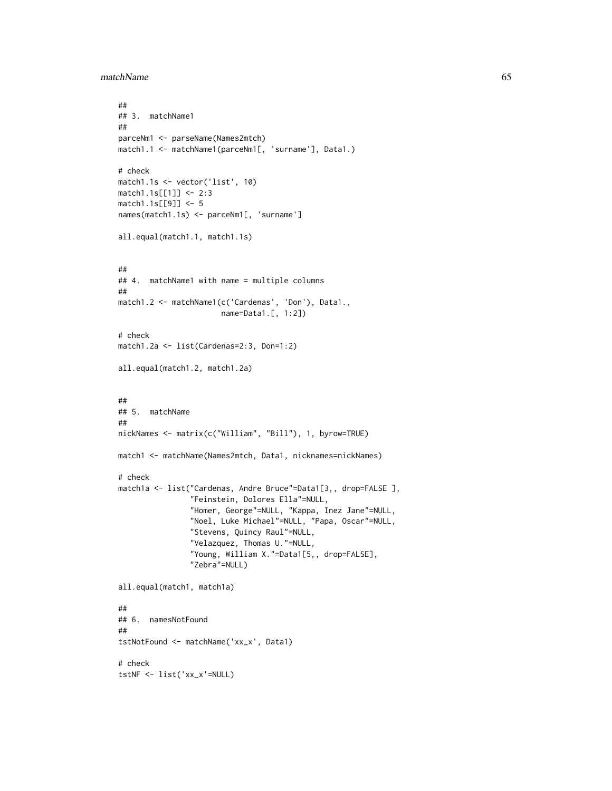matchName 65

```
##
## 3. matchName1
##
parceNm1 <- parseName(Names2mtch)
match1.1 <- matchName1(parceNm1[, 'surname'], Data1.)
# check
match1.1s <- vector('list', 10)
match1.1s[[1]] <- 2:3
match1.1s[[9]] <- 5
names(match1.1s) <- parceNm1[, 'surname']
all.equal(match1.1, match1.1s)
##
## 4. matchName1 with name = multiple columns
##
match1.2 <- matchName1(c('Cardenas', 'Don'), Data1.,
                       name=Data1.[, 1:2])
# check
match1.2a <- list(Cardenas=2:3, Don=1:2)
all.equal(match1.2, match1.2a)
##
## 5. matchName
##
nickNames <- matrix(c("William", "Bill"), 1, byrow=TRUE)
match1 <- matchName(Names2mtch, Data1, nicknames=nickNames)
# check
match1a <- list("Cardenas, Andre Bruce"=Data1[3,, drop=FALSE ],
                "Feinstein, Dolores Ella"=NULL,
                "Homer, George"=NULL, "Kappa, Inez Jane"=NULL,
                "Noel, Luke Michael"=NULL, "Papa, Oscar"=NULL,
                "Stevens, Quincy Raul"=NULL,
                "Velazquez, Thomas U."=NULL,
                "Young, William X."=Data1[5,, drop=FALSE],
                "Zebra"=NULL)
all.equal(match1, match1a)
##
## 6. namesNotFound
##
tstNotFound <- matchName('xx_x', Data1)
# check
tstNF <- list('xx_x'=NULL)
```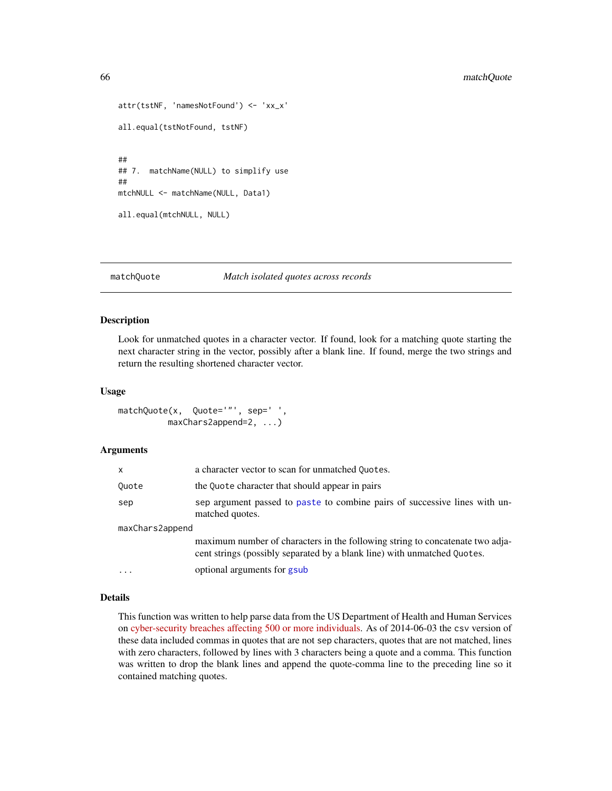```
attr(tstNF, 'namesNotFound') <- 'xx_x'
all.equal(tstNotFound, tstNF)
##
## 7. matchName(NULL) to simplify use
##
mtchNULL <- matchName(NULL, Data1)
all.equal(mtchNULL, NULL)
```
## matchQuote *Match isolated quotes across records*

### Description

Look for unmatched quotes in a character vector. If found, look for a matching quote starting the next character string in the vector, possibly after a blank line. If found, merge the two strings and return the resulting shortened character vector.

#### Usage

matchQuote(x, Quote='"', sep=' ', maxChars2append=2, ...)

## Arguments

| x               | a character vector to scan for unmatched Quotes.                                                                                                          |
|-----------------|-----------------------------------------------------------------------------------------------------------------------------------------------------------|
| Ouote           | the Quote character that should appear in pairs                                                                                                           |
| sep             | sep argument passed to paste to combine pairs of successive lines with un-<br>matched quotes.                                                             |
| maxChars2append |                                                                                                                                                           |
|                 | maximum number of characters in the following string to concatenate two adja-<br>cent strings (possibly separated by a blank line) with unmatched Quotes. |
| .               | optional arguments for gsub                                                                                                                               |

### Details

This function was written to help parse data from the US Department of Health and Human Services on [cyber-security breaches affecting 500 or more individuals.](https://ocrportal.hhs.gov/ocr/breach/breach_report.jsf) As of 2014-06-03 the csv version of these data included commas in quotes that are not sep characters, quotes that are not matched, lines with zero characters, followed by lines with 3 characters being a quote and a comma. This function was written to drop the blank lines and append the quote-comma line to the preceding line so it contained matching quotes.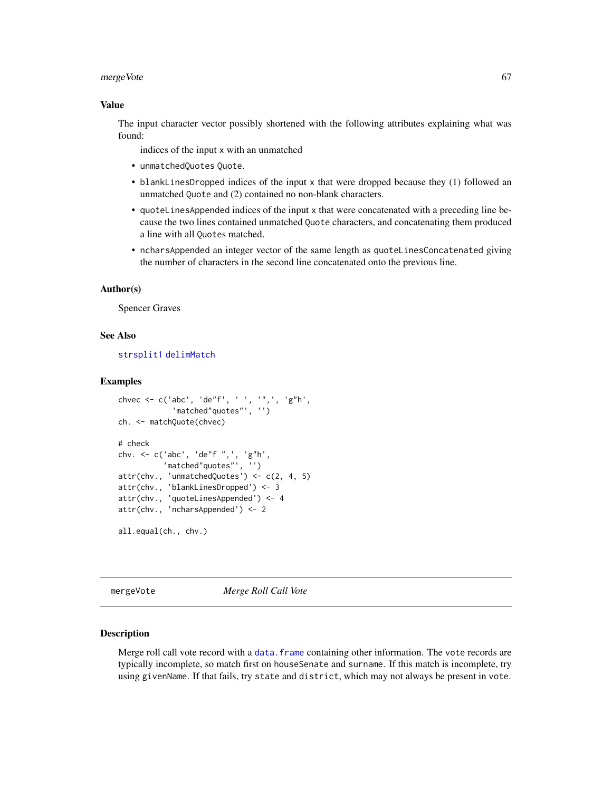#### mergeVote 67

### Value

The input character vector possibly shortened with the following attributes explaining what was found:

indices of the input x with an unmatched

- unmatchedQuotes Quote.
- blankLinesDropped indices of the input x that were dropped because they (1) followed an unmatched Quote and (2) contained no non-blank characters.
- quoteLinesAppended indices of the input x that were concatenated with a preceding line because the two lines contained unmatched Quote characters, and concatenating them produced a line with all Quotes matched.
- ncharsAppended an integer vector of the same length as quoteLinesConcatenated giving the number of characters in the second line concatenated onto the previous line.

#### Author(s)

Spencer Graves

# See Also

[strsplit1](#page-110-0) [delimMatch](#page-0-0)

#### Examples

```
chvec \leq c('abc', 'de"f', '', '", ', 'g"h',
            'matched"quotes"', '')
ch. <- matchQuote(chvec)
# check
chv. <- c('abc', 'de"f ",', 'g"h',
           'matched"quotes"', '')
attr(chv., 'unmatchedQuotes') <- c(2, 4, 5)
attr(chv., 'blankLinesDropped') <- 3
attr(chv., 'quoteLinesAppended') <- 4
attr(chv., 'ncharsAppended') <- 2
all.equal(ch., chv.)
```
mergeVote *Merge Roll Call Vote*

#### Description

Merge roll call vote record with a data. frame containing other information. The vote records are typically incomplete, so match first on houseSenate and surname. If this match is incomplete, try using givenName. If that fails, try state and district, which may not always be present in vote.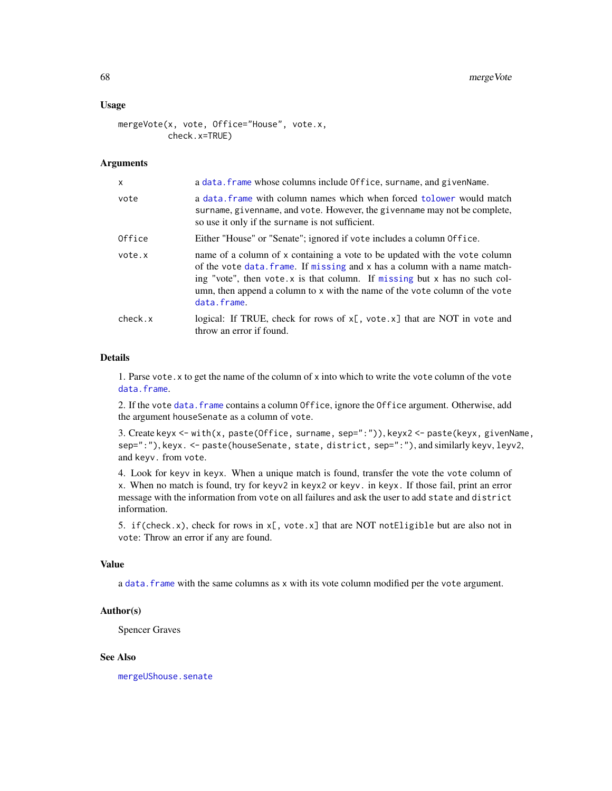### Usage

```
mergeVote(x, vote, Office="House", vote.x,
          check.x=TRUE)
```
### **Arguments**

| X       | a data. frame whose columns include Office, surname, and given Name.                                                                                                                                                                                                                                                                   |
|---------|----------------------------------------------------------------------------------------------------------------------------------------------------------------------------------------------------------------------------------------------------------------------------------------------------------------------------------------|
| vote    | a data frame with column names which when forced tolower would match<br>surname, givenname, and vote. However, the givenname may not be complete,<br>so use it only if the surname is not sufficient.                                                                                                                                  |
| Office  | Either "House" or "Senate"; ignored if vote includes a column Office.                                                                                                                                                                                                                                                                  |
| vote.x  | name of a column of x containing a vote to be updated with the vote column<br>of the vote data. frame. If missing and x has a column with a name match-<br>ing "vote", then vote $x$ is that column. If missing but $x$ has no such col-<br>umn, then append a column to x with the name of the vote column of the vote<br>data.frame. |
| check.x | logical: If TRUE, check for rows of x[, vote.x] that are NOT in vote and<br>throw an error if found.                                                                                                                                                                                                                                   |

## Details

1. Parse vote.x to get the name of the column of x into which to write the vote column of the vote [data.frame](#page-0-0).

2. If the vote [data.frame](#page-0-0) contains a column Office, ignore the Office argument. Otherwise, add the argument houseSenate as a column of vote.

3. Create keyx <- with(x, paste(Office, surname, sep=":")), keyx2 <- paste(keyx, givenName, sep=":"), keyx. <- paste(houseSenate, state, district, sep=":"), and similarly keyv, leyv2, and keyv. from vote.

4. Look for keyv in keyx. When a unique match is found, transfer the vote the vote column of x. When no match is found, try for keyv2 in keyx2 or keyv. in keyx. If those fail, print an error message with the information from vote on all failures and ask the user to add state and district information.

5. if(check.x), check for rows in  $x$ [, vote.x] that are NOT notEligible but are also not in vote: Throw an error if any are found.

### Value

a [data.frame](#page-0-0) with the same columns as x with its vote column modified per the vote argument.

## Author(s)

Spencer Graves

## See Also

[mergeUShouse.senate](#page-36-0)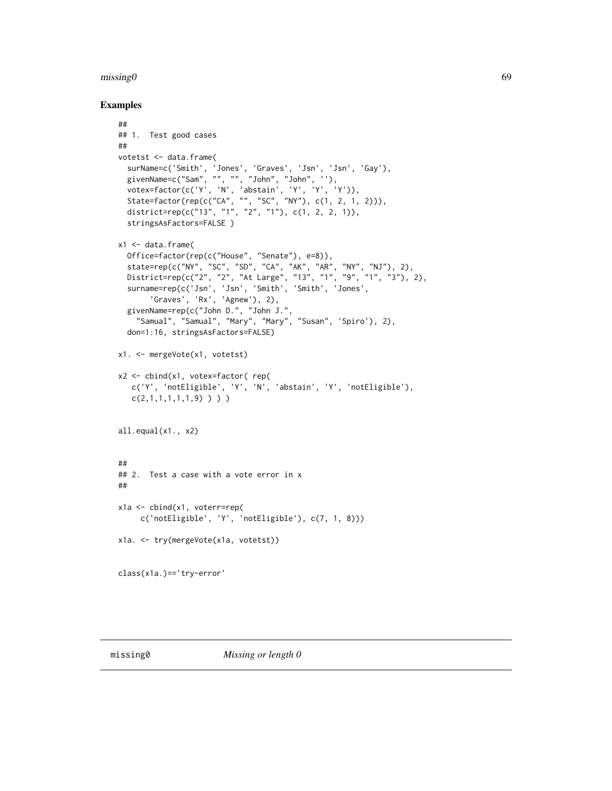## $\mu$  missing 0 69

```
##
## 1. Test good cases
##
votetst <- data.frame(
  surName=c('Smith', 'Jones', 'Graves', 'Jsn', 'Jsn', 'Gay'),
  givenName=c("Sam", "", "", "John", "John", ''),
  votex=factor(c('Y', 'N', 'abstain', 'Y', 'Y', 'Y')),
  State=factor(rep(c("CA", "", "SC", "NY"), c(1, 2, 1, 2))),
  district=rep(c("13", "1", "2", "1"), c(1, 2, 2, 1)),
  stringsAsFactors=FALSE )
x1 \leftarrow data . frame(Office=factor(rep(c("House", "Senate"), e=8)),
  state=rep(c("NY", "SC", "SD", "CA", "AK", "AR", "NY", "NJ"), 2),
  District=rep(c("2", "2", "At Large", "13", "1", "9", "1", "3"), 2),
  surname=rep(c('Jsn', 'Jsn', 'Smith', 'Smith', 'Jones',
       'Graves', 'Rx', 'Agnew'), 2),
  givenName=rep(c("John D.", "John J.",
    "Samual", "Samual", "Mary", "Mary", "Susan", 'Spiro'), 2),
  don=1:16, stringsAsFactors=FALSE)
x1. <- mergeVote(x1, votetst)
x2 <- cbind(x1, votex=factor( rep(
   c('Y', 'notEligible', 'Y', 'N', 'abstain', 'Y', 'notEligible'),
   c(2,1,1,1,1,1,1,9) ) ) )
all.equal(x1., x2)
##
## 2. Test a case with a vote error in x
##
x1a <- cbind(x1, voterr=rep(
     c('notEligible', 'Y', 'notEligible'), c(7, 1, 8)))
x1a. <- try(mergeVote(x1a, votetst))
class(x1a.)=='try-error'
```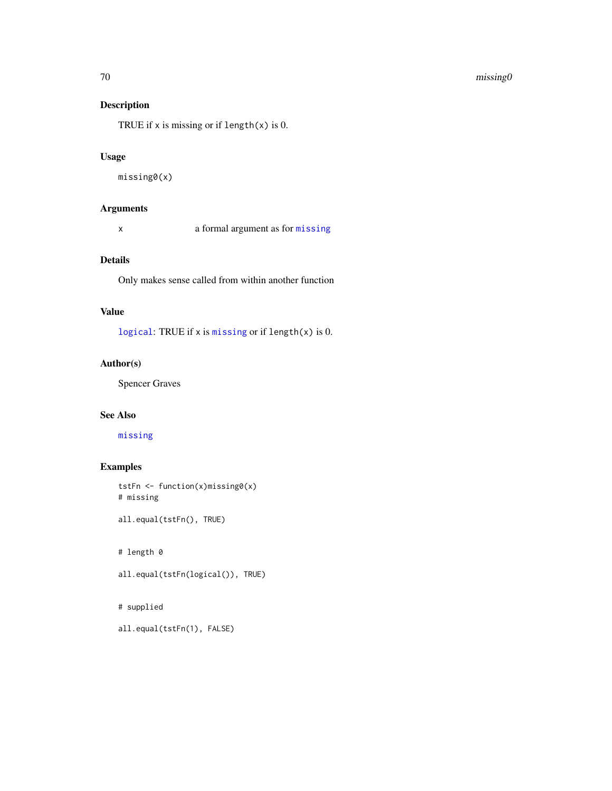#### $70$  missing  $0$

# Description

TRUE if  $x$  is missing or if length( $x$ ) is 0.

### Usage

```
missing0(x)
```
# Arguments

x a formal argument as for [missing](#page-0-0)

# Details

Only makes sense called from within another function

## Value

[logical](#page-0-0): TRUE if x is [missing](#page-0-0) or if length(x) is 0.

# Author(s)

Spencer Graves

## See Also

[missing](#page-0-0)

# Examples

```
tstFn <- function(x)missing0(x)
# missing
```
all.equal(tstFn(), TRUE)

# length 0

all.equal(tstFn(logical()), TRUE)

# # supplied

```
all.equal(tstFn(1), FALSE)
```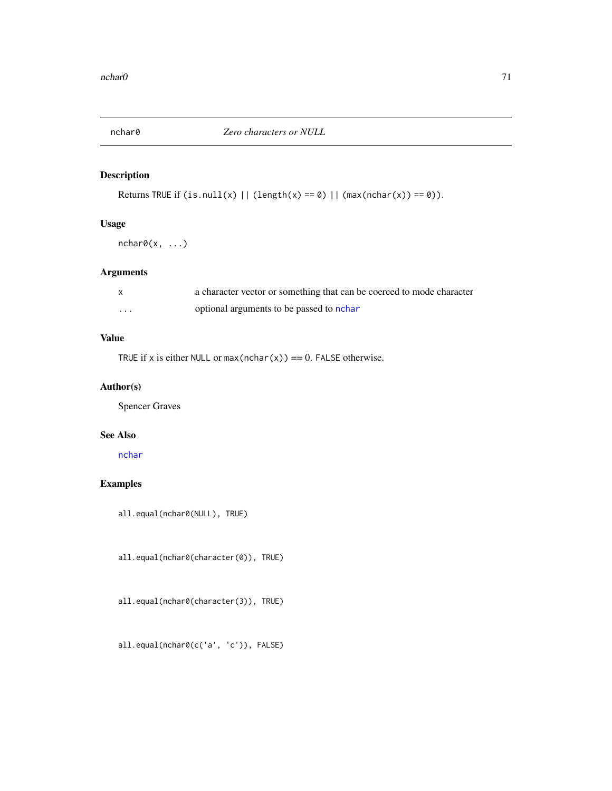# Description

Returns TRUE if  $(is.null(x) || (length(x) == 0) || (max(nchar(x)) == 0)).$ 

## Usage

 $nchar@(x, ...)$ 

# Arguments

|          | a character vector or something that can be coerced to mode character |
|----------|-----------------------------------------------------------------------|
| $\cdots$ | optional arguments to be passed to nchar                              |

# Value

TRUE if x is either NULL or  $max(nchar(x)) == 0$ . FALSE otherwise.

# Author(s)

Spencer Graves

## See Also

[nchar](#page-0-0)

# Examples

all.equal(nchar0(NULL), TRUE)

all.equal(nchar0(character(0)), TRUE)

all.equal(nchar0(character(3)), TRUE)

all.equal(nchar0(c('a', 'c')), FALSE)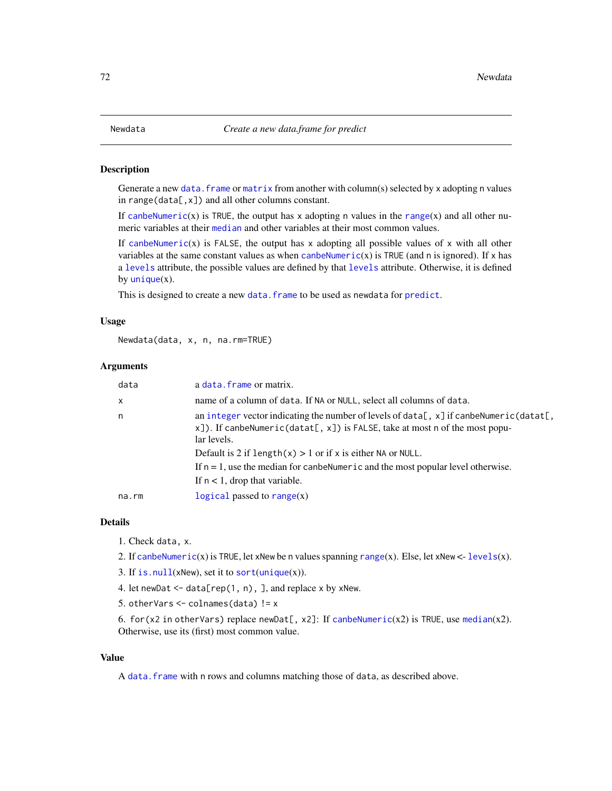## Description

Generate a new data. frame or [matrix](#page-0-0) from another with column(s) selected by x adopting n values in range(data[, $x$ ]) and all other columns constant.

If [canbeNumeric](#page-15-0)(x) is TRUE, the output has x adopting n values in the [range](#page-0-0)(x) and all other numeric variables at their [median](#page-0-0) and other variables at their most common values.

If [canbeNumeric](#page-15-0)(x) is FALSE, the output has x adopting all possible values of x with all other variables at the same constant values as when [canbeNumeric](#page-15-0)(x) is TRUE (and n is ignored). If  $x$  has a [levels](#page-0-0) attribute, the possible values are defined by that [levels](#page-0-0) attribute. Otherwise, it is defined by  $unique(x)$  $unique(x)$ .

This is designed to create a new data. frame to be used as newdata for [predict](#page-0-0).

#### Usage

Newdata(data, x, n, na.rm=TRUE)

### Arguments

| data  | a data. frame or matrix.                                                                                                                                                                     |
|-------|----------------------------------------------------------------------------------------------------------------------------------------------------------------------------------------------|
| x     | name of a column of data. If NA or NULL, select all columns of data.                                                                                                                         |
| n     | an integer vector indicating the number of levels of data[, $x$ ] if canbe Numeric (datat[,<br>$x$ ]). If canbeNumeric(datat[, x]) is FALSE, take at most n of the most popu-<br>lar levels. |
|       | Default is 2 if length $(x) > 1$ or if x is either NA or NULL.                                                                                                                               |
|       | If $n = 1$ , use the median for can be Numeric and the most popular level otherwise.                                                                                                         |
|       | If $n < 1$ , drop that variable.                                                                                                                                                             |
| na.rm | logical passed to range $(x)$                                                                                                                                                                |
|       |                                                                                                                                                                                              |

### Details

1. Check data, x.

2. If [canbeNumeric](#page-15-0)(x) is TRUE, let xNew be n values spanning [range](#page-0-0)(x). Else, let xNew <- [levels](#page-0-0)(x).

- 3. If is.  $null(xNew)$ , set it to [sort](#page-0-0)([unique](#page-0-0) $(x)$ ).
- 4. let newDat  $\leq$  data[rep(1, n), ], and replace x by xNew.
- 5. otherVars  $\leq$  colnames(data) != x

6. for(x2 in otherVars) replace newDat[, x2]: If [canbeNumeric](#page-15-0)(x2) is TRUE, use [median](#page-0-0)(x2). Otherwise, use its (first) most common value.

### Value

A [data.frame](#page-0-0) with n rows and columns matching those of data, as described above.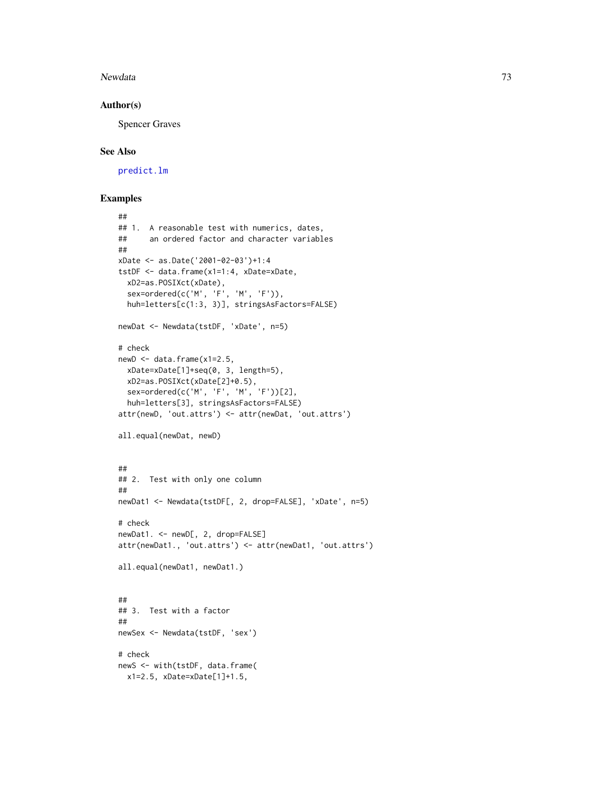#### Newdata 73

#### Author(s)

Spencer Graves

## See Also

[predict.lm](#page-0-0)

```
##
## 1. A reasonable test with numerics, dates,
## an ordered factor and character variables
##
xDate <- as.Date('2001-02-03')+1:4
tstDF <- data.frame(x1=1:4, xDate=xDate,
 xD2=as.POSIXct(xDate),
  sex=ordered(c('M', 'F', 'M', 'F')),
 huh=letters[c(1:3, 3)], stringsAsFactors=FALSE)
newDat <- Newdata(tstDF, 'xDate', n=5)
# check
newD \leq data.frame(x1=2.5,
 xDate=xDate[1]+seq(0, 3, length=5),
 xD2=as.POSIXct(xDate[2]+0.5),
  sex=ordered(c('M', 'F', 'M', 'F'))[2],
  huh=letters[3], stringsAsFactors=FALSE)
attr(newD, 'out.attrs') <- attr(newDat, 'out.attrs')
all.equal(newDat, newD)
##
## 2. Test with only one column
##
newDat1 <- Newdata(tstDF[, 2, drop=FALSE], 'xDate', n=5)
# check
newDat1. <- newD[, 2, drop=FALSE]
attr(newDat1., 'out.attrs') <- attr(newDat1, 'out.attrs')
all.equal(newDat1, newDat1.)
##
## 3. Test with a factor
##
newSex <- Newdata(tstDF, 'sex')
# check
newS <- with(tstDF, data.frame(
 x1=2.5, xDate=xDate[1]+1.5,
```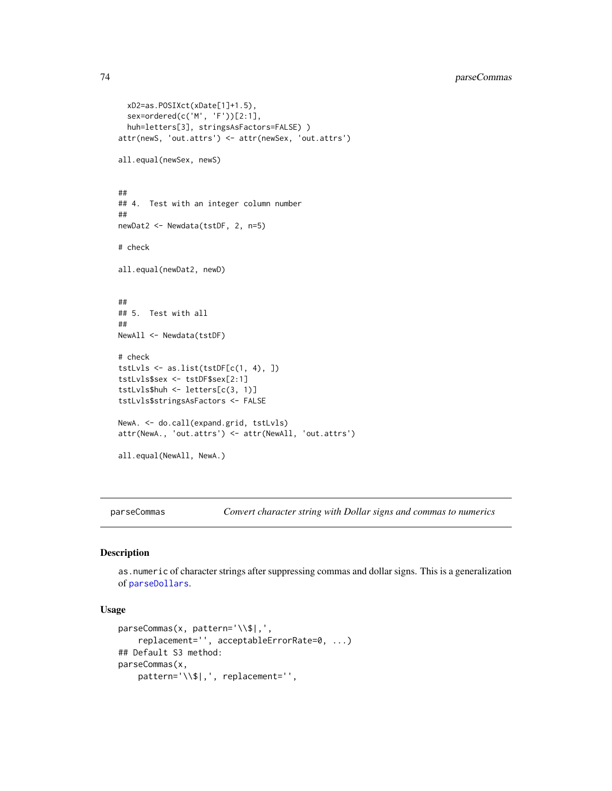```
xD2=as.POSIXct(xDate[1]+1.5),
  sex=ordered(c('M', 'F'))[2:1],
  huh=letters[3], stringsAsFactors=FALSE) )
attr(newS, 'out.attrs') <- attr(newSex, 'out.attrs')
all.equal(newSex, newS)
##
## 4. Test with an integer column number
##
newDat2 <- Newdata(tstDF, 2, n=5)
# check
all.equal(newDat2, newD)
##
## 5. Test with all
##
NewAll <- Newdata(tstDF)
# check
tstLvls <- as.list(tstDF[c(1, 4), ])
tstLvls$sex <- tstDF$sex[2:1]
tstLvls$huh <- letters[c(3, 1)]
tstLvls$stringsAsFactors <- FALSE
NewA. <- do.call(expand.grid, tstLvls)
attr(NewA., 'out.attrs') <- attr(NewAll, 'out.attrs')
all.equal(NewAll, NewA.)
```
<span id="page-73-0"></span>

parseCommas *Convert character string with Dollar signs and commas to numerics*

## Description

as.numeric of character strings after suppressing commas and dollar signs. This is a generalization of [parseDollars](#page-75-0).

## Usage

```
parseCommas(x, pattern='\\$|,',
    replacement='', acceptableErrorRate=0, ...)
## Default S3 method:
parseCommas(x,
    pattern='\\$|,', replacement='',
```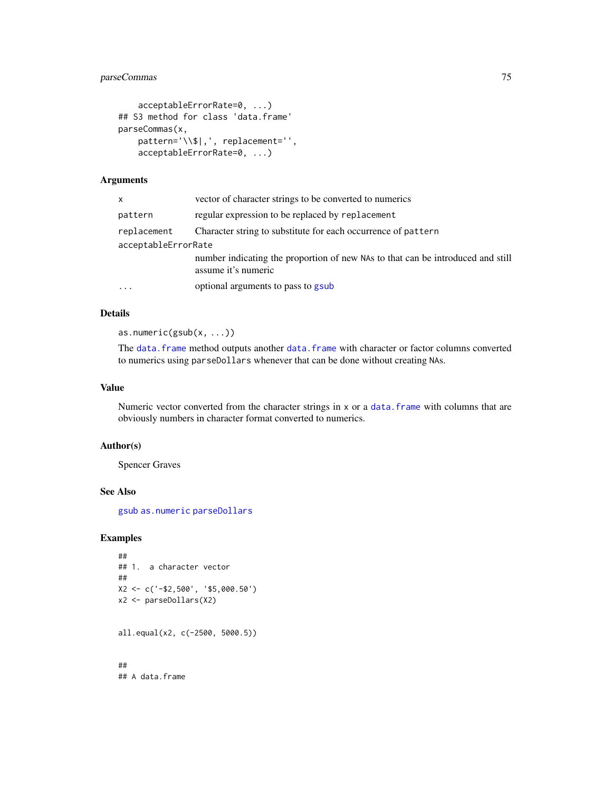# parseCommas 75

```
acceptableErrorRate=0, ...)
## S3 method for class 'data.frame'
parseCommas(x,
   pattern='\\$|,', replacement='',
    acceptableErrorRate=0, ...)
```
## Arguments

| x                   | vector of character strings to be converted to numerics                                                |  |
|---------------------|--------------------------------------------------------------------------------------------------------|--|
| pattern             | regular expression to be replaced by replacement                                                       |  |
| replacement         | Character string to substitute for each occurrence of pattern                                          |  |
| acceptableErrorRate |                                                                                                        |  |
|                     | number indicating the proportion of new NAs to that can be introduced and still<br>assume it's numeric |  |
| .                   | optional arguments to pass to gsub                                                                     |  |

## Details

as.numeric(gsub(x, ...))

The data. frame method outputs another data. frame with character or factor columns converted to numerics using parseDollars whenever that can be done without creating NAs.

## Value

Numeric vector converted from the character strings in x or a data. frame with columns that are obviously numbers in character format converted to numerics.

## Author(s)

Spencer Graves

## See Also

[gsub](#page-0-0) [as.numeric](#page-0-0) [parseDollars](#page-75-0)

## Examples

```
##
## 1. a character vector
##
X2 <- c('-$2,500', '$5,000.50')
x2 <- parseDollars(X2)
all.equal(x2, c(-2500, 5000.5))
```
## ## A data.frame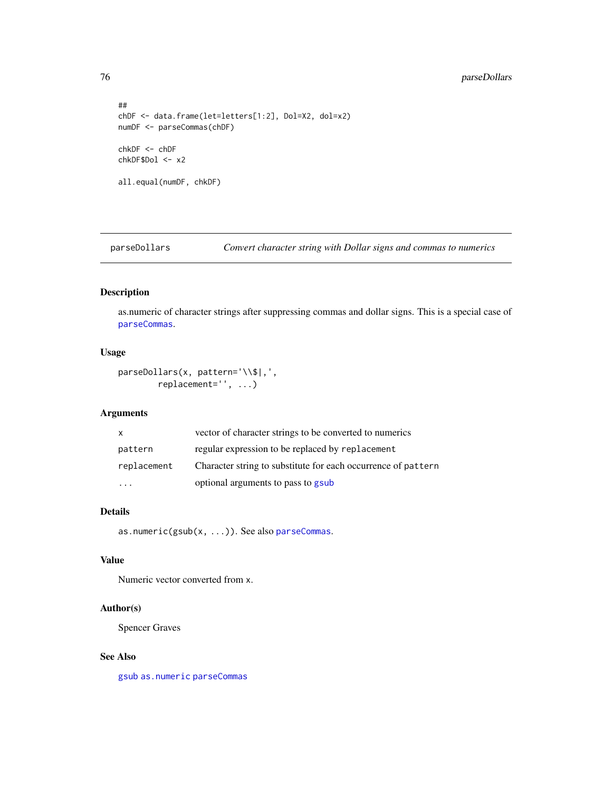## 76 parseDollars

```
##
chDF <- data.frame(let=letters[1:2], Dol=X2, dol=x2)
numDF <- parseCommas(chDF)
chkDF <- chDF
chkDF$Dol <- x2
all.equal(numDF, chkDF)
```
<span id="page-75-0"></span>parseDollars *Convert character string with Dollar signs and commas to numerics*

# Description

as.numeric of character strings after suppressing commas and dollar signs. This is a special case of [parseCommas](#page-73-0).

## Usage

```
parseDollars(x, pattern='\\$|,',
        replacement='', ...)
```
## Arguments

| $\mathsf{x}$ | vector of character strings to be converted to numerics       |
|--------------|---------------------------------------------------------------|
| pattern      | regular expression to be replaced by replacement              |
| replacement  | Character string to substitute for each occurrence of pattern |
|              | optional arguments to pass to gsub                            |

## Details

as.numeric(gsub(x, ...)). See also [parseCommas](#page-73-0).

# Value

Numeric vector converted from x.

## Author(s)

Spencer Graves

#### See Also

[gsub](#page-0-0) [as.numeric](#page-0-0) [parseCommas](#page-73-0)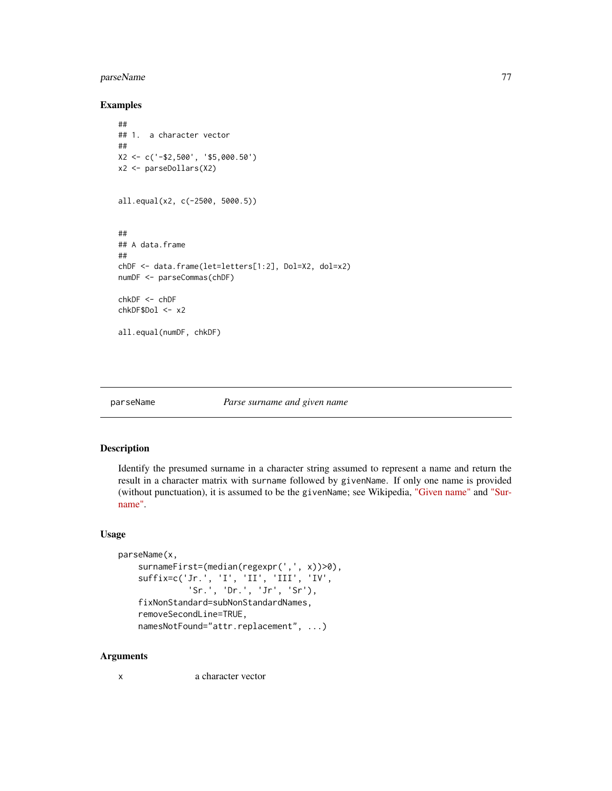# parseName 77

## Examples

```
##
## 1. a character vector
##
X2 <- c('-$2,500', '$5,000.50')
x2 <- parseDollars(X2)
all.equal(x2, c(-2500, 5000.5))
##
## A data.frame
##
chDF <- data.frame(let=letters[1:2], Dol=X2, dol=x2)
numDF <- parseCommas(chDF)
chkDF <- chDF
chkDF$Dol <- x2
all.equal(numDF, chkDF)
```
#### parseName *Parse surname and given name*

#### Description

Identify the presumed surname in a character string assumed to represent a name and return the result in a character matrix with surname followed by givenName. If only one name is provided (without punctuation), it is assumed to be the givenName; see Wikipedia, ["Given name"](https://en.wikipedia.org/wiki/Given_name) and ["Sur](https://en.wikipedia.org/wiki/Surname)[name".](https://en.wikipedia.org/wiki/Surname)

#### Usage

```
parseName(x,
    surnameFirst=(median(regexpr(',', x))>0),
    suffix=c('Jr.', 'I', 'II', 'III', 'IV',
              'Sr.', 'Dr.', 'Jr', 'Sr'),
    fixNonStandard=subNonStandardNames,
    removeSecondLine=TRUE,
    namesNotFound="attr.replacement", ...)
```
#### Arguments

x a character vector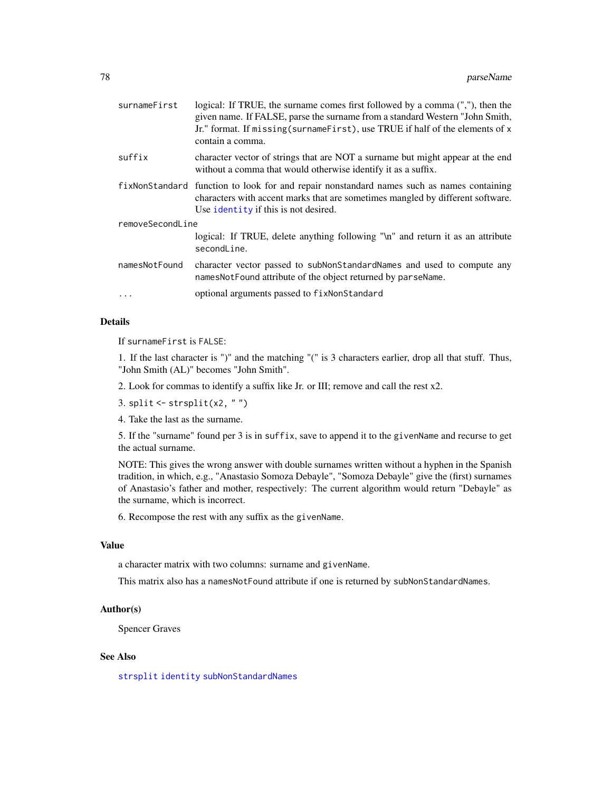| surnameFirst     | logical: If TRUE, the surname comes first followed by a comma (","), then the<br>given name. If FALSE, parse the surname from a standard Western "John Smith,<br>Jr." format. If missing (surnameFirst), use TRUE if half of the elements of x<br>contain a comma. |  |
|------------------|--------------------------------------------------------------------------------------------------------------------------------------------------------------------------------------------------------------------------------------------------------------------|--|
| suffix           | character vector of strings that are NOT a surname but might appear at the end<br>without a comma that would otherwise identify it as a suffix.                                                                                                                    |  |
| fixNonStandard   | function to look for and repair nonstandard names such as names containing<br>characters with accent marks that are sometimes mangled by different software.<br>Use identity if this is not desired.                                                               |  |
| removeSecondLine |                                                                                                                                                                                                                                                                    |  |
|                  | logical: If TRUE, delete anything following "\n" and return it as an attribute<br>secondLine.                                                                                                                                                                      |  |
| namesNotFound    | character vector passed to subNonStandardNames and used to compute any<br>names Not Found attribute of the object returned by parse Name.                                                                                                                          |  |
|                  | optional arguments passed to fixNonStandard                                                                                                                                                                                                                        |  |
|                  |                                                                                                                                                                                                                                                                    |  |

If surnameFirst is FALSE:

1. If the last character is ")" and the matching "(" is 3 characters earlier, drop all that stuff. Thus, "John Smith (AL)" becomes "John Smith".

2. Look for commas to identify a suffix like Jr. or III; remove and call the rest x2.

3. split  $\le$  strsplit(x2, "")

4. Take the last as the surname.

5. If the "surname" found per 3 is in suffix, save to append it to the givenName and recurse to get the actual surname.

NOTE: This gives the wrong answer with double surnames written without a hyphen in the Spanish tradition, in which, e.g., "Anastasio Somoza Debayle", "Somoza Debayle" give the (first) surnames of Anastasio's father and mother, respectively: The current algorithm would return "Debayle" as the surname, which is incorrect.

6. Recompose the rest with any suffix as the givenName.

#### Value

a character matrix with two columns: surname and givenName.

This matrix also has a namesNotFound attribute if one is returned by subNonStandardNames.

## Author(s)

Spencer Graves

## See Also

[strsplit](#page-0-0) [identity](#page-0-0) [subNonStandardNames](#page-114-0)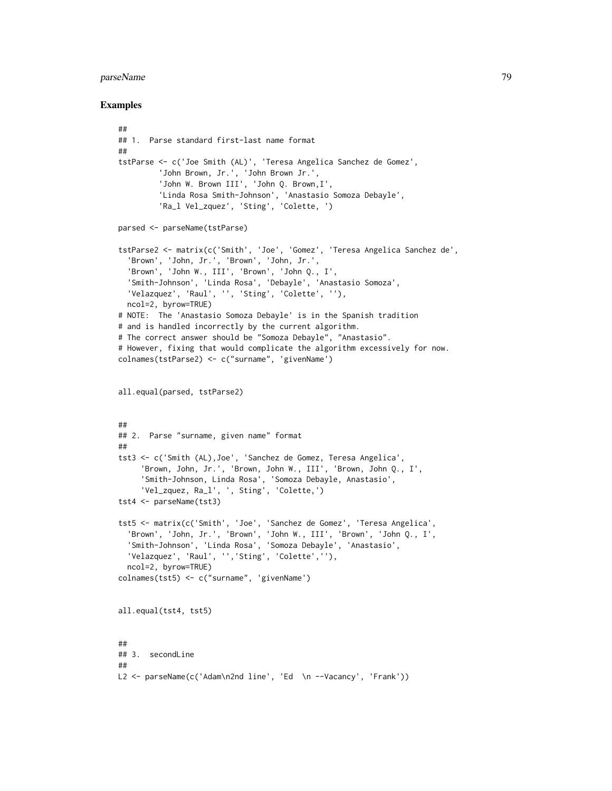#### parseName 79

```
##
## 1. Parse standard first-last name format
##
tstParse <- c('Joe Smith (AL)', 'Teresa Angelica Sanchez de Gomez',
         'John Brown, Jr.', 'John Brown Jr.',
         'John W. Brown III', 'John Q. Brown,I',
         'Linda Rosa Smith-Johnson', 'Anastasio Somoza Debayle',
         'Ra_l Vel_zquez', 'Sting', 'Colette, ')
parsed <- parseName(tstParse)
tstParse2 <- matrix(c('Smith', 'Joe', 'Gomez', 'Teresa Angelica Sanchez de',
  'Brown', 'John, Jr.', 'Brown', 'John, Jr.',
  'Brown', 'John W., III', 'Brown', 'John Q., I',
  'Smith-Johnson', 'Linda Rosa', 'Debayle', 'Anastasio Somoza',
  'Velazquez', 'Raul', '', 'Sting', 'Colette', ''),
  ncol=2, byrow=TRUE)
# NOTE: The 'Anastasio Somoza Debayle' is in the Spanish tradition
# and is handled incorrectly by the current algorithm.
# The correct answer should be "Somoza Debayle", "Anastasio".
# However, fixing that would complicate the algorithm excessively for now.
colnames(tstParse2) <- c("surname", 'givenName')
all.equal(parsed, tstParse2)
##
## 2. Parse "surname, given name" format
##
tst3 <- c('Smith (AL),Joe', 'Sanchez de Gomez, Teresa Angelica',
     'Brown, John, Jr.', 'Brown, John W., III', 'Brown, John Q., I',
     'Smith-Johnson, Linda Rosa', 'Somoza Debayle, Anastasio',
     'Vel_zquez, Ra_l', ', Sting', 'Colette,')
tst4 <- parseName(tst3)
tst5 <- matrix(c('Smith', 'Joe', 'Sanchez de Gomez', 'Teresa Angelica',
  'Brown', 'John, Jr.', 'Brown', 'John W., III', 'Brown', 'John Q., I',
  'Smith-Johnson', 'Linda Rosa', 'Somoza Debayle', 'Anastasio',
  'Velazquez', 'Raul', '','Sting', 'Colette',''),
  ncol=2, byrow=TRUE)
colnames(tst5) <- c("surname", 'givenName')
all.equal(tst4, tst5)
##
## 3. secondLine
##
L2 <- parseName(c('Adam\n2nd line', 'Ed \n --Vacancy', 'Frank'))
```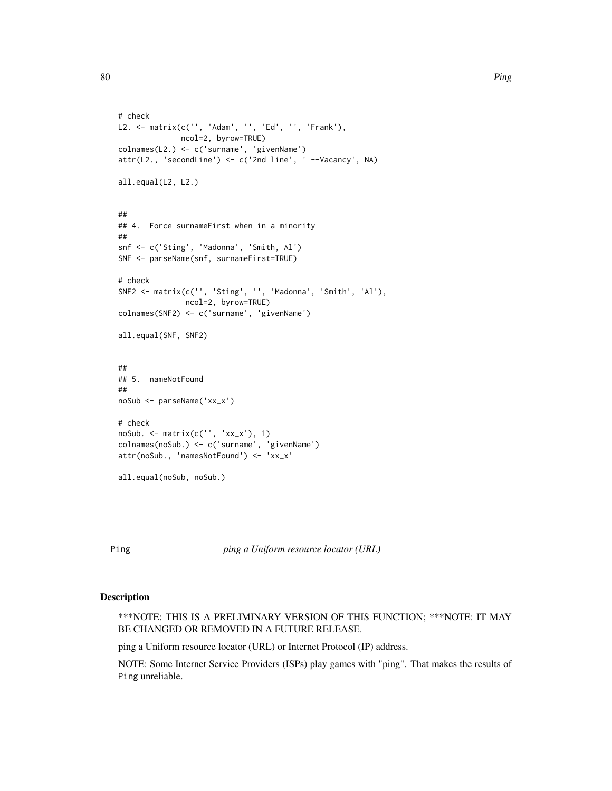```
# check
L2. <- matrix(c('', 'Adam', '', 'Ed', '', 'Frank'),
             ncol=2, byrow=TRUE)
colnames(L2.) <- c('surname', 'givenName')
attr(L2., 'secondLine') <- c('2nd line', ' --Vacancy', NA)
all.equal(L2, L2.)
##
## 4. Force surnameFirst when in a minority
##
snf <- c('Sting', 'Madonna', 'Smith, Al')
SNF <- parseName(snf, surnameFirst=TRUE)
# check
SNF2 <- matrix(c('', 'Sting', '', 'Madonna', 'Smith', 'Al'),
               ncol=2, byrow=TRUE)
colnames(SNF2) <- c('surname', 'givenName')
all.equal(SNF, SNF2)
##
## 5. nameNotFound
##
noSub <- parseName('xx_x')
# check
noSub. <- matrix(c('', 'xx_x'), 1)
colnames(noSub.) <- c('surname', 'givenName')
attr(noSub., 'namesNotFound') <- 'xx_x'
all.equal(noSub, noSub.)
```
Ping *ping a Uniform resource locator (URL)*

#### Description

\*\*\*NOTE: THIS IS A PRELIMINARY VERSION OF THIS FUNCTION; \*\*\*NOTE: IT MAY BE CHANGED OR REMOVED IN A FUTURE RELEASE.

ping a Uniform resource locator (URL) or Internet Protocol (IP) address.

NOTE: Some Internet Service Providers (ISPs) play games with "ping". That makes the results of Ping unreliable.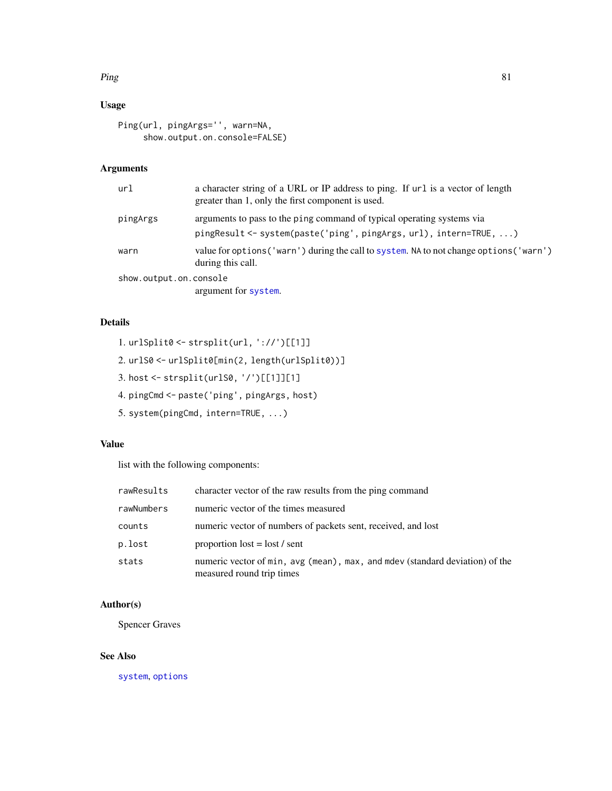#### $Ping$  81

# Usage

```
Ping(url, pingArgs='', warn=NA,
     show.output.on.console=FALSE)
```
## Arguments

| url                    | a character string of a URL or IP address to ping. If url is a vector of length<br>greater than 1, only the first component is used.        |
|------------------------|---------------------------------------------------------------------------------------------------------------------------------------------|
| pingArgs               | arguments to pass to the ping command of typical operating systems via<br>pingResult <- system(paste('ping', pingArgs, url), intern=TRUE, ) |
| warn                   | value for options ('warn') during the call to system. NA to not change options ('warn')<br>during this call.                                |
| show.output.on.console |                                                                                                                                             |
|                        | argument for system.                                                                                                                        |

# Details

1. urlSplit0 <- strsplit(url, '://')[[1]]

- 2. urlS0 <- urlSplit0[min(2, length(urlSplit0))]
- 3. host <- strsplit(urlS0, '/')[[1]][1]
- 4. pingCmd <- paste('ping', pingArgs, host)
- 5. system(pingCmd, intern=TRUE, ...)

# Value

list with the following components:

| rawResults | character vector of the raw results from the ping command                                                  |
|------------|------------------------------------------------------------------------------------------------------------|
| rawNumbers | numeric vector of the times measured                                                                       |
| counts     | numeric vector of numbers of packets sent, received, and lost                                              |
| p.lost     | proportion $\text{lost} = \text{lost} / \text{sent}$                                                       |
| stats      | numeric vector of min, avg (mean), max, and modev (standard deviation) of the<br>measured round trip times |

# Author(s)

Spencer Graves

# See Also

[system](#page-0-0), [options](#page-0-0)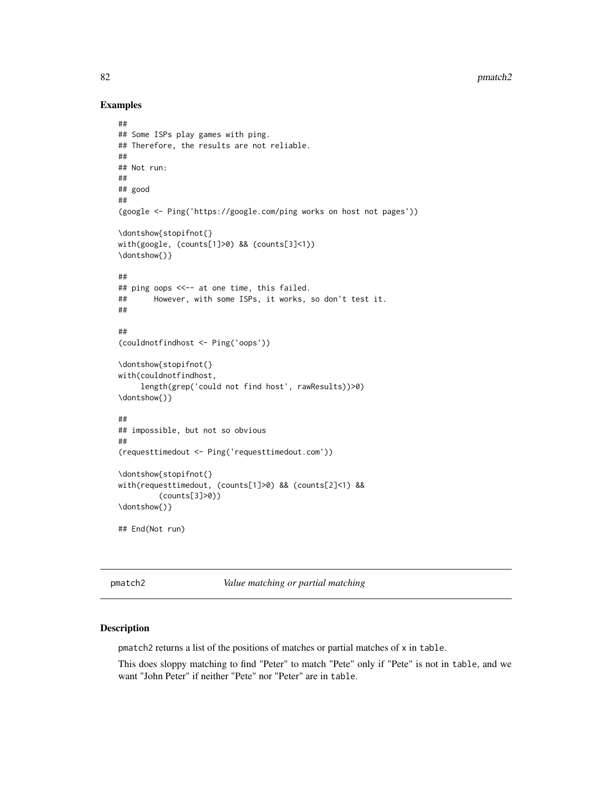82 pmatch2

#### Examples

```
##
## Some ISPs play games with ping.
## Therefore, the results are not reliable.
##
## Not run:
##
## good
##
(google <- Ping('https://google.com/ping works on host not pages'))
\dontshow{stopifnot(}
with(google, (counts[1]>0) && (counts[3]<1))
\dontshow{)}
##
## ping oops <<-- at one time, this failed.
## However, with some ISPs, it works, so don't test it.
##
##
(couldnotfindhost <- Ping('oops'))
\dontshow{stopifnot(}
with(couldnotfindhost,
     length(grep('could not find host', rawResults))>0)
\dontshow{)}
##
## impossible, but not so obvious
##
(requesttimedout <- Ping('requesttimedout.com'))
\dontshow{stopifnot(}
with(requesttimedout, (counts[1]>0) && (counts[2]<1) &&
         (counts[3]>0))
\dontshow{)}
## End(Not run)
```
pmatch2 *Value matching or partial matching*

## Description

pmatch2 returns a list of the positions of matches or partial matches of x in table.

This does sloppy matching to find "Peter" to match "Pete" only if "Pete" is not in table, and we want "John Peter" if neither "Pete" nor "Peter" are in table.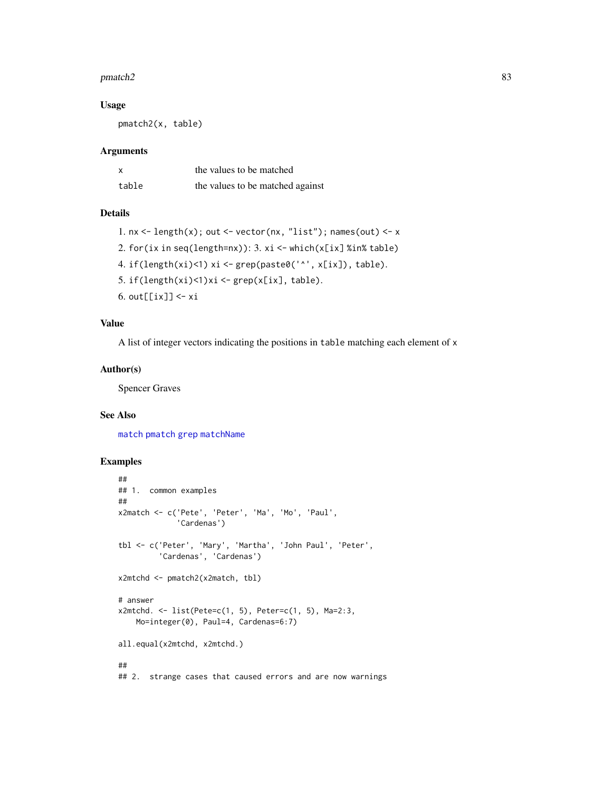#### $p$ match2 83

#### Usage

pmatch2(x, table)

## Arguments

|       | the values to be matched         |
|-------|----------------------------------|
| table | the values to be matched against |

## Details

```
1. nx \leftarrow \text{length}(x); out \leftarrow vector(nx, "list"); names(out) \leftarrow x
2. for(ix in seq(length=nx)): 3. \times i \le - which(x[ix] %in% table)
4. if(length(xi)<1) xi <- grep(paste0('^', x[ix]), table).
5. if(length(xi)<1)xi <- grep(x[ix], table).
6. out[[ix]] <- xi
```
## Value

A list of integer vectors indicating the positions in table matching each element of x

## Author(s)

Spencer Graves

## See Also

[match](#page-0-0) [pmatch](#page-0-0) [grep](#page-0-0) [matchName](#page-61-0)

```
##
## 1. common examples
##
x2match <- c('Pete', 'Peter', 'Ma', 'Mo', 'Paul',
             'Cardenas')
tbl <- c('Peter', 'Mary', 'Martha', 'John Paul', 'Peter',
         'Cardenas', 'Cardenas')
x2mtchd <- pmatch2(x2match, tbl)
# answer
x2mtchd. <- list(Pete=c(1, 5), Peter=c(1, 5), Ma=2:3,
   Mo=integer(0), Paul=4, Cardenas=6:7)
all.equal(x2mtchd, x2mtchd.)
##
## 2. strange cases that caused errors and are now warnings
```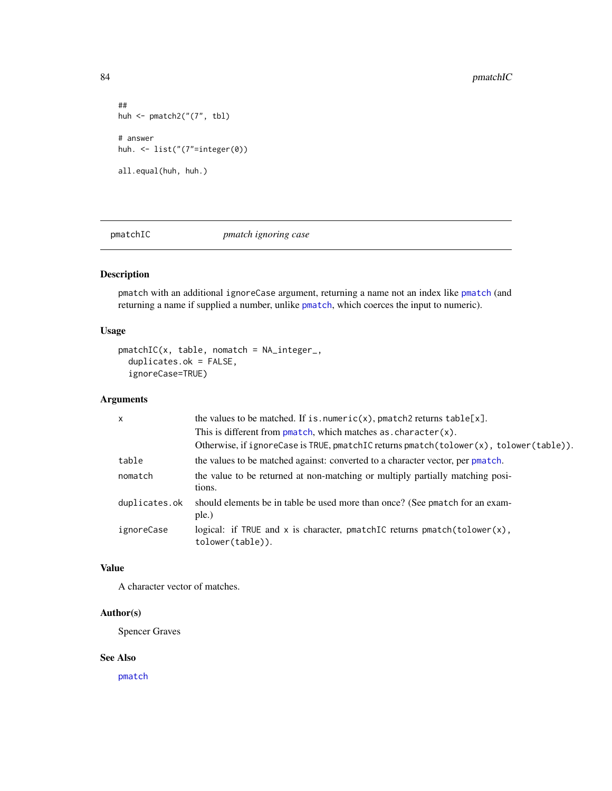```
##
huh <- pmatch2("(7", tbl)
# answer
huh. <- list("(7"=integer(0))
all.equal(huh, huh.)
```
pmatchIC *pmatch ignoring case*

## Description

pmatch with an additional ignoreCase argument, returning a name not an index like [pmatch](#page-0-0) (and returning a name if supplied a number, unlike [pmatch](#page-0-0), which coerces the input to numeric).

## Usage

```
pmatchIC(x, table, nomatch = NA_integer_,
  duplicates.ok = FALSE,
  ignoreCase=TRUE)
```
## Arguments

| $\mathsf{x}$  | the values to be matched. If is numeric(x), pmatch2 returns $table[x]$ .                       |
|---------------|------------------------------------------------------------------------------------------------|
|               | This is different from $p$ match, which matches as $R$ character(x).                           |
|               | Otherwise, if ignoreCase is TRUE, pmatchIC returns pmatch(tolower(x), tolower(table)).         |
| table         | the values to be matched against: converted to a character vector, per pmatch.                 |
| nomatch       | the value to be returned at non-matching or multiply partially matching posi-<br>tions.        |
| duplicates.ok | should elements be in table be used more than once? (See pmatch for an exam-<br>ple.)          |
| ignoreCase    | logical: if TRUE and x is character, pmatchIC returns $pmatch(tolower(x),$<br>tolower(table)). |

## Value

A character vector of matches.

## Author(s)

Spencer Graves

## See Also

[pmatch](#page-0-0)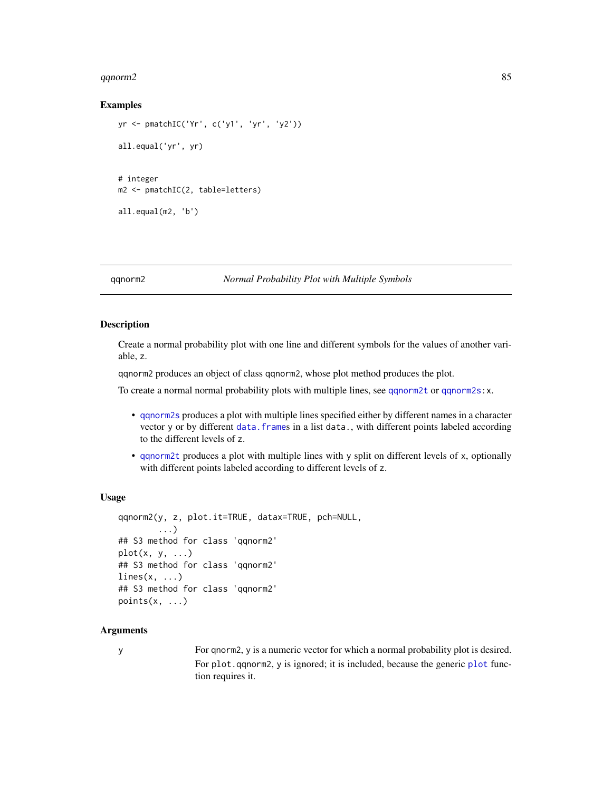#### $qq$ norm2 85

## Examples

```
yr <- pmatchIC('Yr', c('y1', 'yr', 'y2'))
all.equal('yr', yr)
# integer
m2 <- pmatchIC(2, table=letters)
all.equal(m2, 'b')
```
#### <span id="page-84-0"></span>qqnorm2 *Normal Probability Plot with Multiple Symbols*

# Description

Create a normal probability plot with one line and different symbols for the values of another variable, z.

qqnorm2 produces an object of class qqnorm2, whose plot method produces the plot.

To create a normal normal probability plots with multiple lines, see [qqnorm2t](#page-91-0) or [qqnorm2s:](#page-88-0)x.

- [qqnorm2s](#page-88-0) produces a plot with multiple lines specified either by different names in a character vector y or by different data. frames in a list data., with different points labeled according to the different levels of z.
- [qqnorm2t](#page-91-0) produces a plot with multiple lines with y split on different levels of x, optionally with different points labeled according to different levels of z.

#### Usage

```
qqnorm2(y, z, plot.it=TRUE, datax=TRUE, pch=NULL,
        ...)
## S3 method for class 'qqnorm2'
plot(x, y, \ldots)## S3 method for class 'qqnorm2'
lines(x, \ldots)## S3 method for class 'qqnorm2'
points(x, \ldots)
```
## Arguments

y For qnorm2, y is a numeric vector for which a normal probability plot is desired. For [plot](#page-0-0).qqnorm2, y is ignored; it is included, because the generic plot function requires it.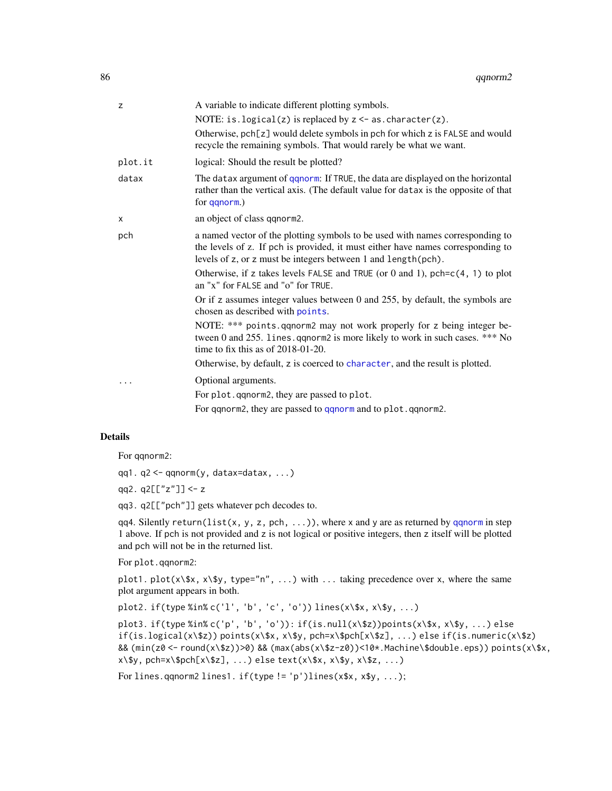| z       | A variable to indicate different plotting symbols.                                                                                                                                                                                 |
|---------|------------------------------------------------------------------------------------------------------------------------------------------------------------------------------------------------------------------------------------|
|         | NOTE: is.logical(z) is replaced by $z < -$ as.character(z).                                                                                                                                                                        |
|         | Otherwise, pch[z] would delete symbols in pch for which z is FALSE and would<br>recycle the remaining symbols. That would rarely be what we want.                                                                                  |
| plot.it | logical: Should the result be plotted?                                                                                                                                                                                             |
| datax   | The datax argument of qqnorm: If TRUE, the data are displayed on the horizontal<br>rather than the vertical axis. (The default value for datax is the opposite of that<br>for qqnorm.)                                             |
| X       | an object of class qqnorm2.                                                                                                                                                                                                        |
| pch     | a named vector of the plotting symbols to be used with names corresponding to<br>the levels of z. If pch is provided, it must either have names corresponding to<br>levels of z, or z must be integers between 1 and length (pch). |
|         | Otherwise, if z takes levels FALSE and TRUE (or 0 and 1), $pch = c(4, 1)$ to plot<br>an "x" for FALSE and "o" for TRUE.                                                                                                            |
|         | Or if z assumes integer values between 0 and 255, by default, the symbols are<br>chosen as described with points.                                                                                                                  |
|         | NOTE: *** points.qqnorm2 may not work properly for z being integer be-<br>tween 0 and 255. lines. qqnorm2 is more likely to work in such cases. *** No<br>time to fix this as of $2018-01-20$ .                                    |
|         | Otherwise, by default, z is coerced to character, and the result is plotted.                                                                                                                                                       |
|         | Optional arguments.                                                                                                                                                                                                                |
|         | For plot. qqnorm2, they are passed to plot.                                                                                                                                                                                        |
|         | For qqnorm2, they are passed to qqnorm and to plot.qqnorm2.                                                                                                                                                                        |

For qqnorm2:

qq1. q2 <- qqnorm(y, datax=datax, ...)

- qq2. q2[["z"]] <- z
- qq3. q2[["pch"]] gets whatever pch decodes to.

qq4. Silently return(list(x, y, z, pch, ...)), where x and y are as returned by [qqnorm](#page-0-0) in step 1 above. If pch is not provided and z is not logical or positive integers, then z itself will be plotted and pch will not be in the returned list.

For plot.qqnorm2:

plot1. plot( $x$ \\$x,  $x$ \\$y, type="n", ...) with ... taking precedence over x, where the same plot argument appears in both.

plot2. if(type %in% c('l', 'b', 'c', 'o')) lines(x\\$x, x\\$y, ...)

plot3. if(type %in% c('p', 'b', 'o')): if(is.null(x\\$z))points(x\\$x, x\\$y, ...) else if(is.logical(x\\$z)) points(x\\$x, x\\$y, pch=x\\$pch[x\\$z], ...) else if(is.numeric(x\\$z) && (min(z0 <- round(x\\$z))>0) && (max(abs(x\\$z-z0))<10\*.Machine\\$double.eps)) points(x\\$x,  $x\$  y, pch=x\pch[x\ $z], ...$ ) else text( $x\$  x, x\ y, x\ $z, ...$ )

For lines.qqnorm2 lines1. if(type != 'p')lines(x\$x, x\$y, ...);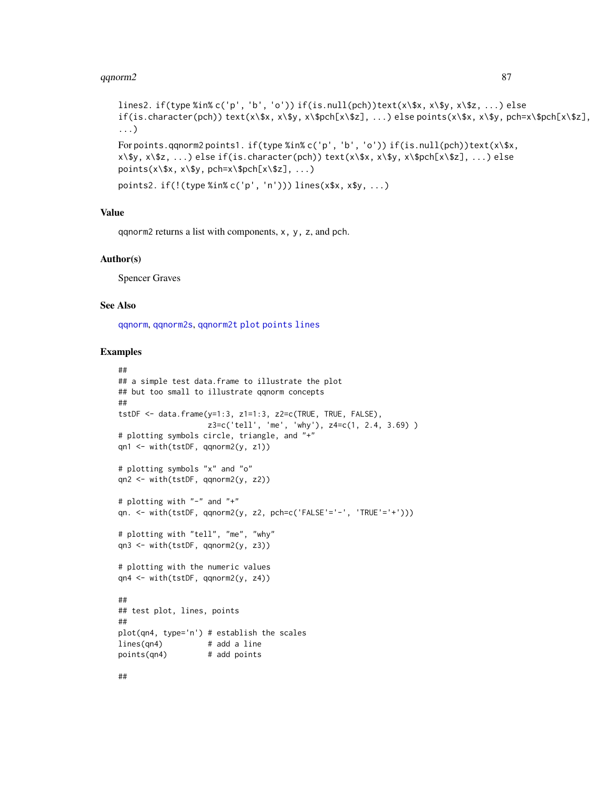#### $q$ qnorm2 87

```
lines2. if(type %in% c('p', 'b', 'o')) if(is.null(pch))text(x\$x, x\$y, x\$z, ...) else
if(is.character(pch)) text(x\, x\$y, x\$pch[x\$z], ...)else points(x\$x, x\$y, pch=x\$pch[x\$z],
...)
For points.qqnorm2 points1. if(type %in% c('p', 'b', 'o')) if(is.null(pch))text(x\$x,
x\$y, x\$z, ...) else if(is.character(pch)) text(x\$x, x\$y, x\$pch[x\$z], ...) else
points(x\, x\, pch=x\$pch[x\Z], ...)
points2. if(!(type %in% c('p', 'n'))) lines(x$x, x$y, ...)
```
#### Value

qqnorm2 returns a list with components, x, y, z, and pch.

#### Author(s)

Spencer Graves

#### See Also

[qqnorm](#page-0-0), [qqnorm2s](#page-88-0), [qqnorm2t](#page-91-0) [plot](#page-0-0) [points](#page-0-0) [lines](#page-0-0)

```
##
## a simple test data.frame to illustrate the plot
## but too small to illustrate qqnorm concepts
##
tstDF \leq data.frame(y=1:3, z1=1:3, z2=c(TRUE, TRUE, FALSE),
                   z3=c('tell', 'me', 'why'), z4=c(1, 2.4, 3.69) )
# plotting symbols circle, triangle, and "+"
qn1 <- with(tstDF, qqnorm2(y, z1))
# plotting symbols "x" and "o"
qn2 <- with(tstDF, qqnorm2(y, z2))
# plotting with "-" and "+"
qn. <- with(tstDF, qqnorm2(y, z2, pch=c('FALSE'='-', 'TRUE'='+')))
# plotting with "tell", "me", "why"
qn3 <- with(tstDF, qqnorm2(y, z3))
# plotting with the numeric values
qn4 <- with(tstDF, qqnorm2(y, z4))
##
## test plot, lines, points
##
plot(qn4, type='n') # establish the scales
lines(qn4) # add a line
points(qn4) # add points
```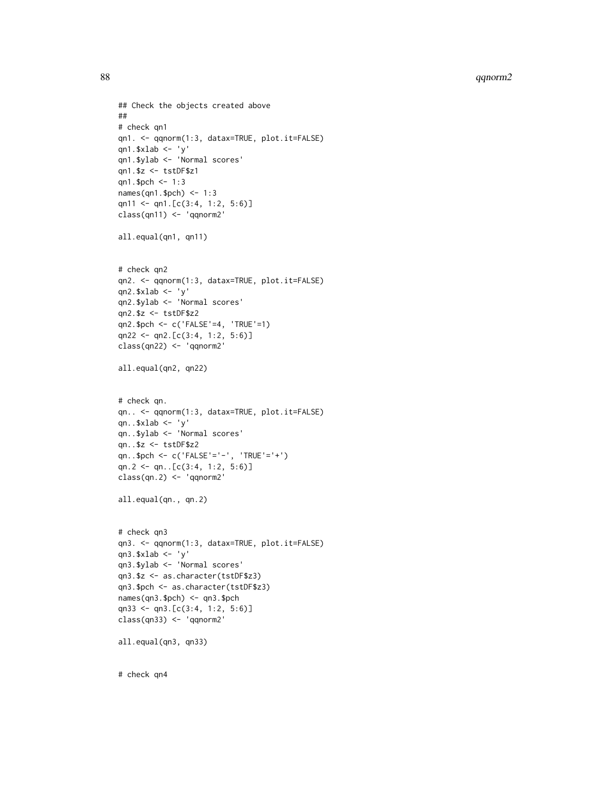```
88 qqnorm2
```

```
## Check the objects created above
##
# check qn1
qn1. <- qqnorm(1:3, datax=TRUE, plot.it=FALSE)
qn1.$xlab <- 'y'
qn1.$ylab <- 'Normal scores'
qn1.$z <- tstDF$z1
qn1.$pch <- 1:3
names(qn1.$pch) <- 1:3
qn11 <- qn1.[c(3:4, 1:2, 5:6)]class(qn11) <- 'qqnorm2'
all.equal(qn1, qn11)
# check qn2
qn2. <- qqnorm(1:3, datax=TRUE, plot.it=FALSE)
qn2.$xlab <- 'y'
qn2.$ylab <- 'Normal scores'
qn2.$z <- tstDF$z2
qn2.$pch <- c('FALSE'=4, 'TRUE'=1)
qn22 <- qn2.[c(3:4, 1:2, 5:6)]
class(qn22) <- 'qqnorm2'
all.equal(qn2, qn22)
# check qn.
qn.. <- qqnorm(1:3, datax=TRUE, plot.it=FALSE)
qn..$xlab <- 'y'
qn..$ylab <- 'Normal scores'
qn..$z <- tstDF$z2
qn..$pch <- c('FALSE'='-', 'TRUE'='+')
qn.2 <- qn..[c(3:4, 1:2, 5:6)]
class(qn.2) <- 'qqnorm2'
all.equal(qn., qn.2)
# check qn3
qn3. <- qqnorm(1:3, datax=TRUE, plot.it=FALSE)
qn3.$xlab <- 'y'
qn3.$ylab <- 'Normal scores'
qn3.$z <- as.character(tstDF$z3)
qn3.$pch <- as.character(tstDF$z3)
names(qn3.$pch) <- qn3.$pch
qn33 <- qn3.[c(3:4, 1:2, 5:6)]
class(qn33) <- 'qqnorm2'
all.equal(qn3, qn33)
```
# check qn4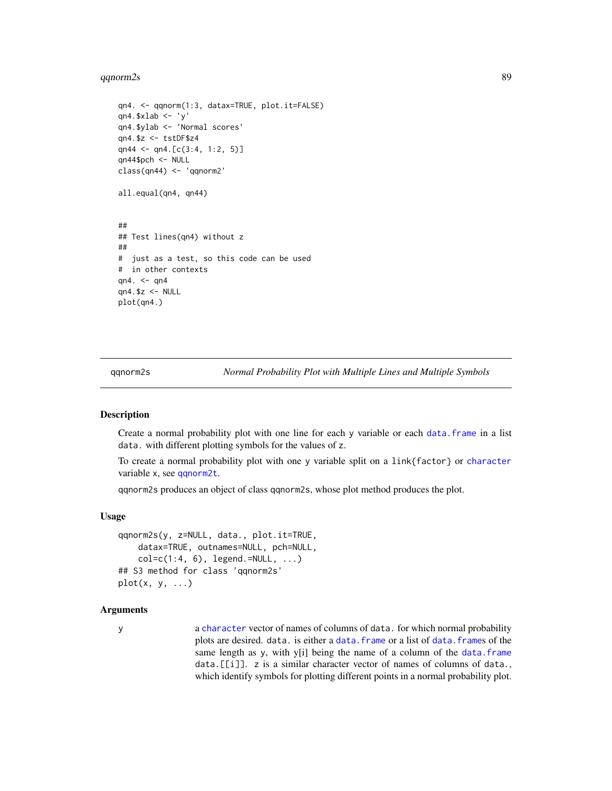#### $q$ qnorm2s 89

```
qn4. <- qqnorm(1:3, datax=TRUE, plot.it=FALSE)
qn4.$xlab <- 'y'
qn4.$ylab <- 'Normal scores'
qn4.$z <- tstDF$z4
qn44 <- qn4.[c(3:4, 1:2, 5)]
qn44$pch <- NULL
class(qn44) <- 'qqnorm2'
all.equal(qn4, qn44)
##
## Test lines(qn4) without z
##
# just as a test, so this code can be used
# in other contexts
qn4. \leq qn4
qn4.$z <- NULL
plot(qn4.)
```
<span id="page-88-0"></span>

qqnorm2s *Normal Probability Plot with Multiple Lines and Multiple Symbols*

### Description

Create a normal probability plot with one line for each y variable or each [data.frame](#page-0-0) in a list data. with different plotting symbols for the values of z.

To create a normal probability plot with one y variable split on a link{factor} or [character](#page-0-0) variable x, see [qqnorm2t](#page-91-0).

qqnorm2s produces an object of class qqnorm2s, whose plot method produces the plot.

## Usage

```
qqnorm2s(y, z=NULL, data., plot.it=TRUE,
    datax=TRUE, outnames=NULL, pch=NULL,
    col=c(1:4, 6), legend.=NULL, ...)
## S3 method for class 'qqnorm2s'
plot(x, y, \ldots)
```
## Arguments

y a [character](#page-0-0) vector of names of columns of data. for which normal probability plots are desired. data. is either a data. frame or a list of data. frames of the same length as y, with y[i] being the name of a column of the [data.frame](#page-0-0) data.[[i]]. z is a similar character vector of names of columns of data., which identify symbols for plotting different points in a normal probability plot.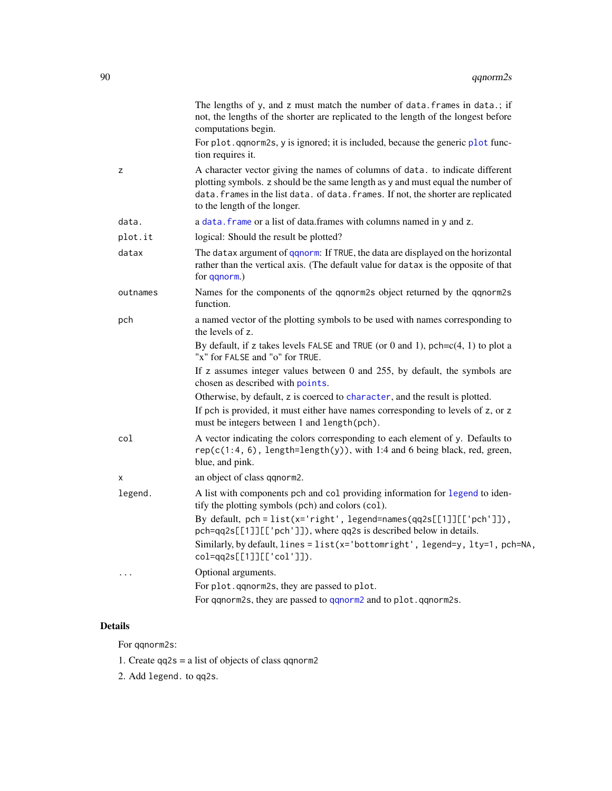|          | The lengths of y, and z must match the number of data. frames in data.; if<br>not, the lengths of the shorter are replicated to the length of the longest before<br>computations begin.                                                                                                |
|----------|----------------------------------------------------------------------------------------------------------------------------------------------------------------------------------------------------------------------------------------------------------------------------------------|
|          | For plot. qqnorm2s, y is ignored; it is included, because the generic plot func-<br>tion requires it.                                                                                                                                                                                  |
| z        | A character vector giving the names of columns of data. to indicate different<br>plotting symbols. z should be the same length as y and must equal the number of<br>data. frames in the list data. of data. frames. If not, the shorter are replicated<br>to the length of the longer. |
| data.    | a data. frame or a list of data. frames with columns named in y and z.                                                                                                                                                                                                                 |
| plot.it  | logical: Should the result be plotted?                                                                                                                                                                                                                                                 |
| datax    | The datax argument of qqnorm: If TRUE, the data are displayed on the horizontal<br>rather than the vertical axis. (The default value for datax is the opposite of that<br>for qqnorm.)                                                                                                 |
| outnames | Names for the components of the qqnorm2s object returned by the qqnorm2s<br>function.                                                                                                                                                                                                  |
| pch      | a named vector of the plotting symbols to be used with names corresponding to<br>the levels of z.                                                                                                                                                                                      |
|          | By default, if z takes levels FALSE and TRUE (or 0 and 1), $pch = c(4, 1)$ to plot a<br>"x" for FALSE and "o" for TRUE.                                                                                                                                                                |
|          | If z assumes integer values between 0 and 255, by default, the symbols are<br>chosen as described with points.                                                                                                                                                                         |
|          | Otherwise, by default, z is coerced to character, and the result is plotted.                                                                                                                                                                                                           |
|          | If pch is provided, it must either have names corresponding to levels of z, or z<br>must be integers between 1 and length(pch).                                                                                                                                                        |
| col      | A vector indicating the colors corresponding to each element of y. Defaults to<br>$rep(c(1:4, 6), length=length(y)), with 1:4 and 6 being black, red, green,$<br>blue, and pink.                                                                                                       |
| X        | an object of class qqnorm2.                                                                                                                                                                                                                                                            |
| legend.  | A list with components pch and col providing information for legend to iden-<br>tify the plotting symbols (pch) and colors (col).                                                                                                                                                      |
|          | By default, pch = list(x='right', legend=names(qq2s[[1]][['pch']]),<br>pch=qq2s[[1]][['pch']]), where qq2s is described below in details.                                                                                                                                              |
|          | Similarly, by default, lines = list(x='bottomright', legend=y, lty=1, pch=NA,<br>$col = qq2s[[1]][['col']]).$                                                                                                                                                                          |
| .        | Optional arguments.                                                                                                                                                                                                                                                                    |
|          | For plot. qqnorm2s, they are passed to plot.                                                                                                                                                                                                                                           |
|          | For qqnorm2s, they are passed to qqnorm2 and to plot.qqnorm2s.                                                                                                                                                                                                                         |

For qqnorm2s:

1. Create qq2s = a list of objects of class qqnorm2

2. Add legend. to qq2s.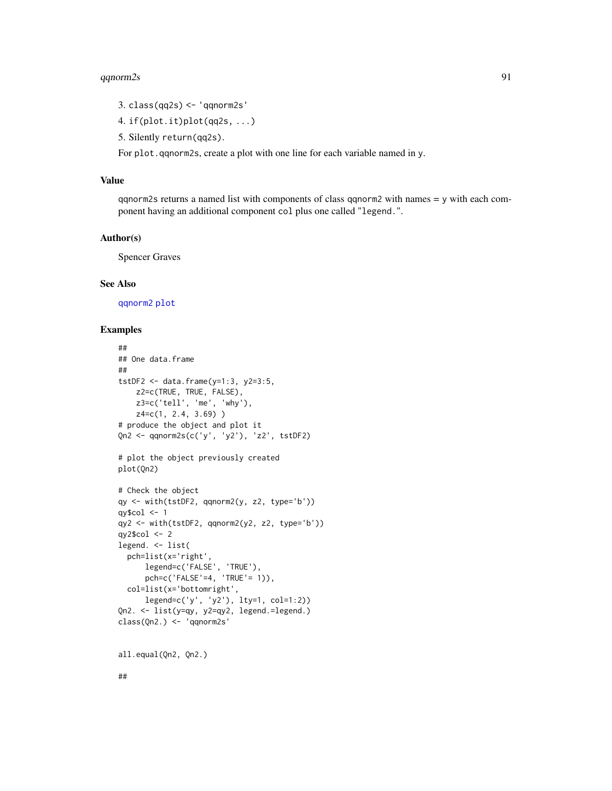#### $q$ qnorm2s 91

- 3. class(qq2s) <- 'qqnorm2s'
- 4. if(plot.it)plot(qq2s, ...)
- 5. Silently return(qq2s).

For plot.qqnorm2s, create a plot with one line for each variable named in y.

## Value

qqnorm2s returns a named list with components of class qqnorm2 with names = y with each component having an additional component col plus one called "legend.".

## Author(s)

Spencer Graves

#### See Also

[qqnorm2](#page-84-0) [plot](#page-0-0)

```
##
## One data.frame
##
tstDF2 <- data.frame(y=1:3, y2=3:5,
   z2=c(TRUE, TRUE, FALSE),
   z3=c('tell', 'me', 'why'),
   z4=c(1, 2.4, 3.69))
# produce the object and plot it
Qn2 <- qqnorm2s(c('y', 'y2'), 'z2', tstDF2)
# plot the object previously created
plot(Qn2)
# Check the object
qy <- with(tstDF2, qqnorm2(y, z2, type='b'))
qy$col <-1qy2 <- with(tstDF2, qqnorm2(y2, z2, type='b'))
qy2$col <- 2
legend. <- list(
  pch=list(x='right',
      legend=c('FALSE', 'TRUE'),
      pch=c('FALSE'=4, 'TRUE'= 1)),
  col=list(x='bottomright',
      legend=c('y', 'y2'), lty=1, col=1:2))
Qn2. <- list(y=qy, y2=qy2, legend.=legend.)
class(Qn2.) <- 'qqnorm2s'
all.equal(Qn2, Qn2.)
##
```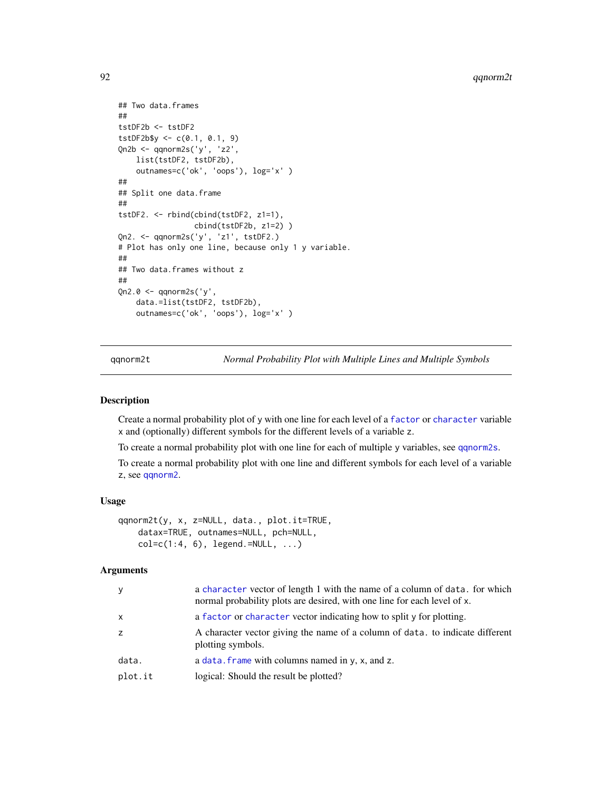```
## Two data.frames
##
tstDF2b <- tstDF2
tstDF2b\ <- c(0.1, 0.1, 9)Qn2b <- qqnorm2s('y', 'z2',
   list(tstDF2, tstDF2b),
   outnames=c('ok', 'oops'), log='x' )
##
## Split one data.frame
##
tstDF2. <- rbind(cbind(tstDF2, z1=1),
                 cbind(tstDF2b, z1=2) )
Qn2. <- qqnorm2s('y', 'z1', tstDF2.)
# Plot has only one line, because only 1 y variable.
##
## Two data.frames without z
##
Qn2.0 <- qqnorm2s('y',
   data.=list(tstDF2, tstDF2b),
   outnames=c('ok', 'oops'), log='x' )
```
<span id="page-91-0"></span>qqnorm2t *Normal Probability Plot with Multiple Lines and Multiple Symbols*

## Description

Create a normal probability plot of y with one line for each level of a [factor](#page-0-0) or [character](#page-0-0) variable x and (optionally) different symbols for the different levels of a variable z.

To create a normal probability plot with one line for each of multiple y variables, see [qqnorm2s](#page-88-0).

To create a normal probability plot with one line and different symbols for each level of a variable z, see [qqnorm2](#page-84-0).

#### Usage

```
qqnorm2t(y, x, z=NULL, data., plot.it=TRUE,
   datax=TRUE, outnames=NULL, pch=NULL,
   col=c(1:4, 6), legend.=NULL, ...
```
## Arguments

| У       | a character vector of length 1 with the name of a column of data. for which<br>normal probability plots are desired, with one line for each level of x. |
|---------|---------------------------------------------------------------------------------------------------------------------------------------------------------|
| x       | a factor or character vector indicating how to split y for plotting.                                                                                    |
| Z.      | A character vector giving the name of a column of data, to indicate different<br>plotting symbols.                                                      |
| data.   | a data. frame with columns named in $y$ , x, and z.                                                                                                     |
| plot.it | logical: Should the result be plotted?                                                                                                                  |
|         |                                                                                                                                                         |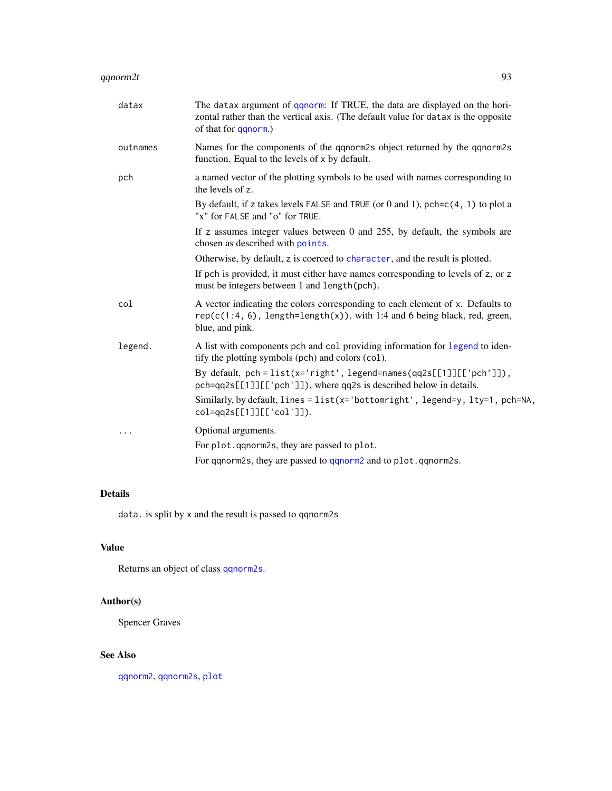| datax    | The datax argument of <i>qqnorm</i> : If TRUE, the data are displayed on the hori-<br>zontal rather than the vertical axis. (The default value for datax is the opposite<br>of that for qqnorm.) |
|----------|--------------------------------------------------------------------------------------------------------------------------------------------------------------------------------------------------|
| outnames | Names for the components of the qqnorm2s object returned by the qqnorm2s<br>function. Equal to the levels of x by default.                                                                       |
| pch      | a named vector of the plotting symbols to be used with names corresponding to<br>the levels of z.                                                                                                |
|          | By default, if z takes levels FALSE and TRUE (or 0 and 1), $pch = c(4, 1)$ to plot a<br>"x" for FALSE and "o" for TRUE.                                                                          |
|          | If z assumes integer values between 0 and 255, by default, the symbols are<br>chosen as described with points.                                                                                   |
|          | Otherwise, by default, z is coerced to character, and the result is plotted.                                                                                                                     |
|          | If pch is provided, it must either have names corresponding to levels of z, or z<br>must be integers between 1 and length (pch).                                                                 |
| col      | A vector indicating the colors corresponding to each element of x. Defaults to<br>$rep(c(1:4, 6), length=length(x)), with 1:4 and 6 being black, red, green,$<br>blue, and pink.                 |
| legend.  | A list with components pch and col providing information for legend to iden-<br>tify the plotting symbols (pch) and colors (col).                                                                |
|          | By default, $pch = list(x='right', legend=names(qq2s[[1]][['pch']]),$<br>pch=qq2s[[1]][['pch']]), where qq2s is described below in details.                                                      |
|          | Similarly, by default, $lines = list(x = 'bottomright', legend=y, lty=1, pch=NA,$<br>col=qq2s[[1]][['col']]).                                                                                    |
| .        | Optional arguments.                                                                                                                                                                              |
|          | For plot. qqnorm2s, they are passed to plot.                                                                                                                                                     |
|          | For qqnorm2s, they are passed to qqnorm2 and to plot.qqnorm2s.                                                                                                                                   |

data. is split by x and the result is passed to qqnorm2s

# Value

Returns an object of class [qqnorm2s](#page-88-0).

# Author(s)

Spencer Graves

# See Also

[qqnorm2](#page-84-0), [qqnorm2s](#page-88-0), [plot](#page-0-0)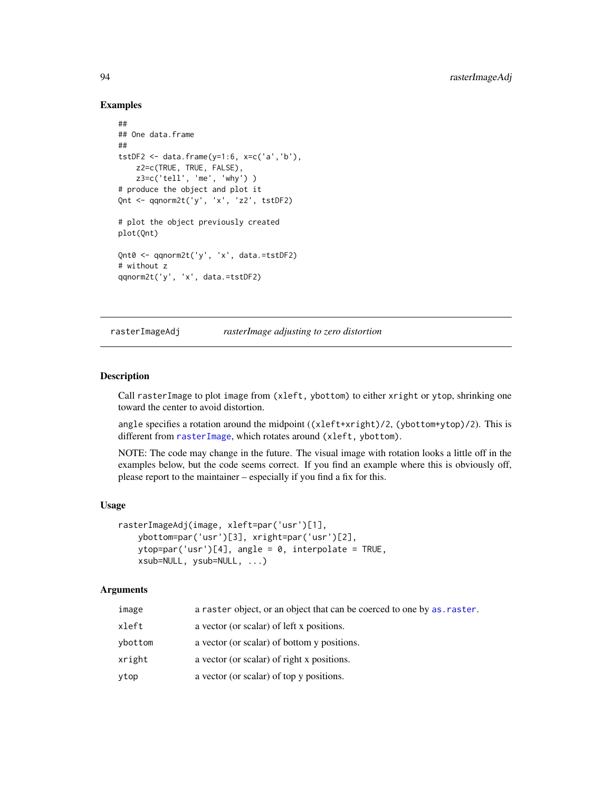#### Examples

```
##
## One data.frame
##
tstDF2 <- data.frame(y=1:6, x=c('a','b'),
   z2=c(TRUE, TRUE, FALSE),
   z3=c('tell', 'me', 'why') )
# produce the object and plot it
Qnt <- qqnorm2t('y', 'x', 'z2', tstDF2)
# plot the object previously created
plot(Qnt)
Qnt0 <- qqnorm2t('y', 'x', data.=tstDF2)
# without z
qqnorm2t('y', 'x', data.=tstDF2)
```
rasterImageAdj *rasterImage adjusting to zero distortion*

### Description

Call rasterImage to plot image from (xleft, ybottom) to either xright or ytop, shrinking one toward the center to avoid distortion.

angle specifies a rotation around the midpoint ((xleft+xright)/2, (ybottom+ytop)/2). This is different from [rasterImage](#page-0-0), which rotates around (xleft, ybottom).

NOTE: The code may change in the future. The visual image with rotation looks a little off in the examples below, but the code seems correct. If you find an example where this is obviously off, please report to the maintainer – especially if you find a fix for this.

#### Usage

```
rasterImageAdj(image, xleft=par('usr')[1],
   ybottom=par('usr')[3], xright=par('usr')[2],
   ytop=par('usr')[4], angle = 0, interpolate = TRUE,
   xsub=NULL, ysub=NULL, ...)
```
## Arguments

| image   | a raster object, or an object that can be coerced to one by as raster. |
|---------|------------------------------------------------------------------------|
| xleft   | a vector (or scalar) of left x positions.                              |
| vbottom | a vector (or scalar) of bottom y positions.                            |
| xright  | a vector (or scalar) of right x positions.                             |
| ytop    | a vector (or scalar) of top y positions.                               |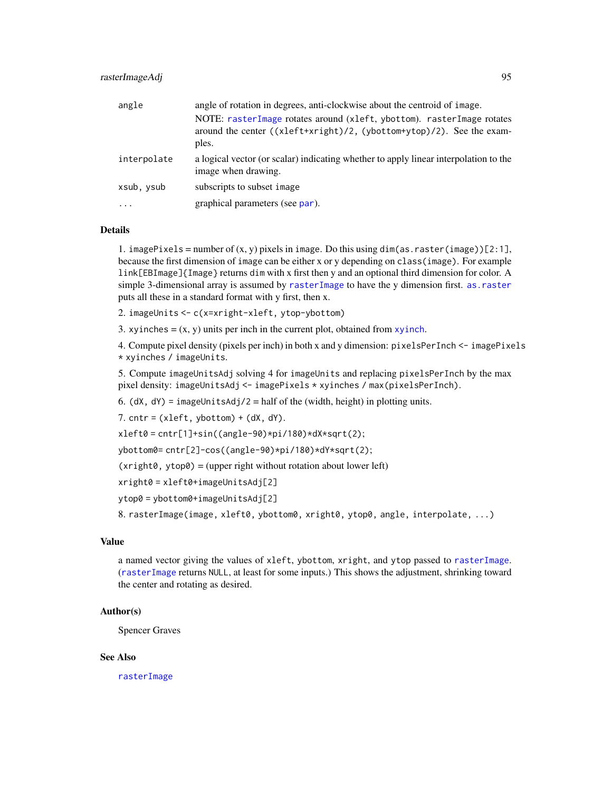| angle       | angle of rotation in degrees, anti-clockwise about the centroid of image.                                                                                |
|-------------|----------------------------------------------------------------------------------------------------------------------------------------------------------|
|             | NOTE: rasterImage rotates around (xleft, ybottom). rasterImage rotates<br>around the center ((xleft+xright)/2, (ybottom+ytop)/2). See the exam-<br>ples. |
| interpolate | a logical vector (or scalar) indicating whether to apply linear interpolation to the<br>image when drawing.                                              |
| xsub, ysub  | subscripts to subset image                                                                                                                               |
| .           | graphical parameters (see par).                                                                                                                          |

1. imagePixels = number of  $(x, y)$  pixels in image. Do this using dim(as.raster(image))[2:1], because the first dimension of image can be either x or y depending on class(image). For example link[EBImage]{Image} returns dim with x first then y and an optional third dimension for color. A simple 3-dimensional array is assumed by [rasterImage](#page-0-0) to have the y dimension first. [as.raster](#page-0-0) puts all these in a standard format with y first, then x.

2. imageUnits <- c(x=xright-xleft, ytop-ybottom)

3. [xyinch](#page-0-0)es  $= (x, y)$  units per inch in the current plot, obtained from xyinch.

4. Compute pixel density (pixels per inch) in both x and y dimension: pixelsPerInch <- imagePixels \* xyinches / imageUnits.

5. Compute imageUnitsAdj solving 4 for imageUnits and replacing pixelsPerInch by the max pixel density: imageUnitsAdj <- imagePixels \* xyinches / max(pixelsPerInch).

6. (dX,  $dY$ ) = imageUnitsAdj/2 = half of the (width, height) in plotting units.

7.  $cntr = (xleft, ybottom) + (dX, dY).$ 

 $xleft0 = \text{cntr}[1] + \sin((\text{angle}-90) * \text{pi}/180) * dX * \text{sqrt}(2);$ 

ybottom0= cntr[2]-cos((angle-90)\*pi/180)\*dY\*sqrt(2);

 $(xright0, ytop0) = (upper right without rotation about lower left)$ 

```
xright0 = xleft0+imageUnitsAdj[2]
```

```
ytop0 = ybottom0+imageUnitsAdj[2]
```
8. rasterImage(image, xleft0, ybottom0, xright0, ytop0, angle, interpolate, ...)

## Value

a named vector giving the values of xleft, ybottom, xright, and ytop passed to [rasterImage](#page-0-0). ([rasterImage](#page-0-0) returns NULL, at least for some inputs.) This shows the adjustment, shrinking toward the center and rotating as desired.

#### Author(s)

Spencer Graves

## See Also

[rasterImage](#page-0-0)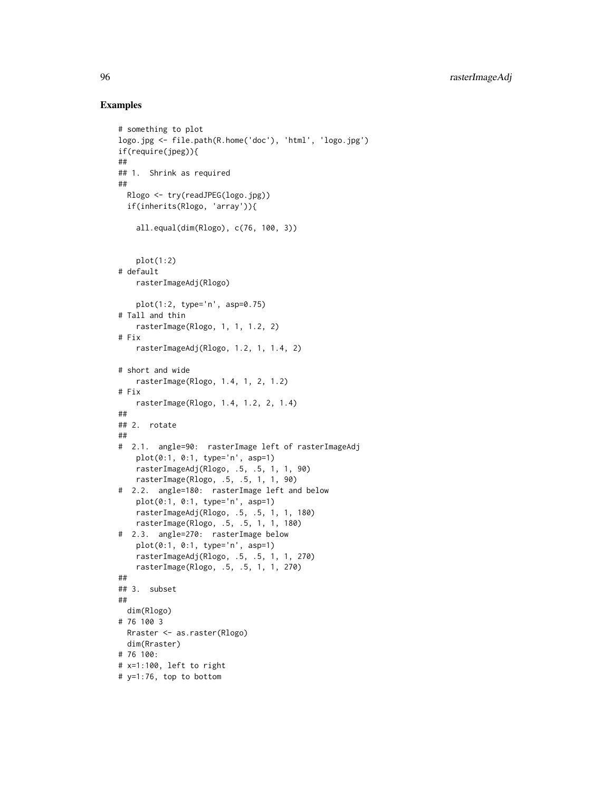```
# something to plot
logo.jpg <- file.path(R.home('doc'), 'html', 'logo.jpg')
if(require(jpeg)){
##
## 1. Shrink as required
##
  Rlogo <- try(readJPEG(logo.jpg))
  if(inherits(Rlogo, 'array')){
    all.equal(dim(Rlogo), c(76, 100, 3))
   plot(1:2)# default
   rasterImageAdj(Rlogo)
   plot(1:2, type='n', asp=0.75)
# Tall and thin
    rasterImage(Rlogo, 1, 1, 1.2, 2)
# Fix
    rasterImageAdj(Rlogo, 1.2, 1, 1.4, 2)
# short and wide
    rasterImage(Rlogo, 1.4, 1, 2, 1.2)
# Fix
   rasterImage(Rlogo, 1.4, 1.2, 2, 1.4)
##
## 2. rotate
##
# 2.1. angle=90: rasterImage left of rasterImageAdj
    plot(0:1, 0:1, type='n', asp=1)
   rasterImageAdj(Rlogo, .5, .5, 1, 1, 90)
    rasterImage(Rlogo, .5, .5, 1, 1, 90)
# 2.2. angle=180: rasterImage left and below
   plot(0:1, 0:1, type='n', asp=1)
   rasterImageAdj(Rlogo, .5, .5, 1, 1, 180)
   rasterImage(Rlogo, .5, .5, 1, 1, 180)
# 2.3. angle=270: rasterImage below
   plot(0:1, 0:1, type='n', asp=1)
   rasterImageAdj(Rlogo, .5, .5, 1, 1, 270)
   rasterImage(Rlogo, .5, .5, 1, 1, 270)
##
## 3. subset
##
  dim(Rlogo)
# 76 100 3
  Rraster <- as.raster(Rlogo)
  dim(Rraster)
# 76 100:
# x=1:100, left to right
# y=1:76, top to bottom
```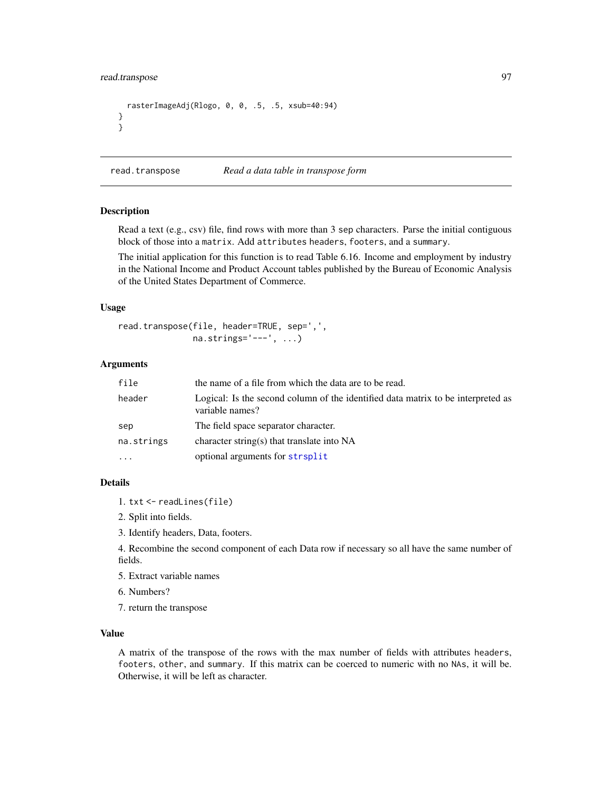## read.transpose 97

```
rasterImageAdj(Rlogo, 0, 0, .5, .5, xsub=40:94)
}
}
```
<span id="page-96-0"></span>read.transpose *Read a data table in transpose form*

#### Description

Read a text (e.g., csv) file, find rows with more than 3 sep characters. Parse the initial contiguous block of those into a matrix. Add attributes headers, footers, and a summary.

The initial application for this function is to read Table 6.16. Income and employment by industry in the National Income and Product Account tables published by the Bureau of Economic Analysis of the United States Department of Commerce.

#### Usage

```
read.transpose(file, header=TRUE, sep=',',
               na.strings='---', ...)
```
#### Arguments

| file       | the name of a file from which the data are to be read.                                              |
|------------|-----------------------------------------------------------------------------------------------------|
| header     | Logical: Is the second column of the identified data matrix to be interpreted as<br>variable names? |
| sep        | The field space separator character.                                                                |
| na.strings | character string(s) that translate into $NA$                                                        |
| $\cdots$   | optional arguments for strsplit                                                                     |

## Details

- 1. txt <- readLines(file)
- 2. Split into fields.
- 3. Identify headers, Data, footers.

4. Recombine the second component of each Data row if necessary so all have the same number of fields.

5. Extract variable names

6. Numbers?

7. return the transpose

## Value

A matrix of the transpose of the rows with the max number of fields with attributes headers, footers, other, and summary. If this matrix can be coerced to numeric with no NAs, it will be. Otherwise, it will be left as character.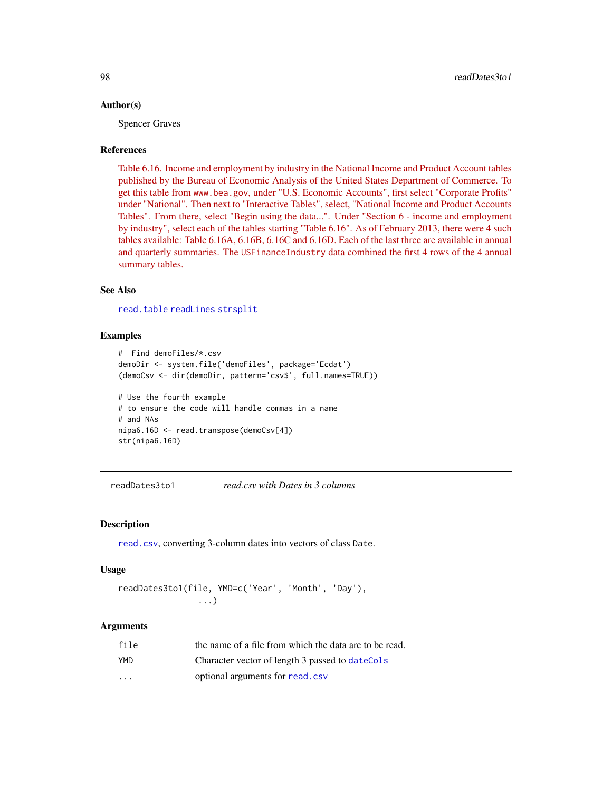#### Author(s)

Spencer Graves

#### References

[Table 6.16. Income and employment by industry in the National Income and Product Account tables](https://www.bea.gov) [published by the Bureau of Economic Analysis of the United States Department of Commerce. To](https://www.bea.gov) get this table from www.bea.gov[, under "U.S. Economic Accounts", first select "Corporate Profits"](https://www.bea.gov) [under "National". Then next to "Interactive Tables", select, "National Income and Product Accounts](https://www.bea.gov) [Tables". From there, select "Begin using the data...". Under "Section 6 - income and employment](https://www.bea.gov) [by industry", select each of the tables starting "Table 6.16". As of February 2013, there were 4 such](https://www.bea.gov) [tables available: Table 6.16A, 6.16B, 6.16C and 6.16D. Each of the last three are available in annual](https://www.bea.gov) and quarterly summaries. The USFinanceIndustry [data combined the first 4 rows of the 4 annual](https://www.bea.gov) [summary tables.](https://www.bea.gov)

## See Also

[read.table](#page-0-0) [readLines](#page-0-0) [strsplit](#page-0-0)

## Examples

```
# Find demoFiles/*.csv
demoDir <- system.file('demoFiles', package='Ecdat')
(demoCsv <- dir(demoDir, pattern='csv$', full.names=TRUE))
# Use the fourth example
# to ensure the code will handle commas in a name
# and NAs
nipa6.16D <- read.transpose(demoCsv[4])
str(nipa6.16D)
```
readDates3to1 *read.csv with Dates in 3 columns*

#### **Description**

[read.csv](#page-0-0), converting 3-column dates into vectors of class Date.

#### Usage

```
readDates3to1(file, YMD=c('Year', 'Month', 'Day'),
                ...)
```
#### Arguments

| file       | the name of a file from which the data are to be read. |
|------------|--------------------------------------------------------|
| <b>YMD</b> | Character vector of length 3 passed to dateCols        |
| $\cdot$    | optional arguments for read.csv                        |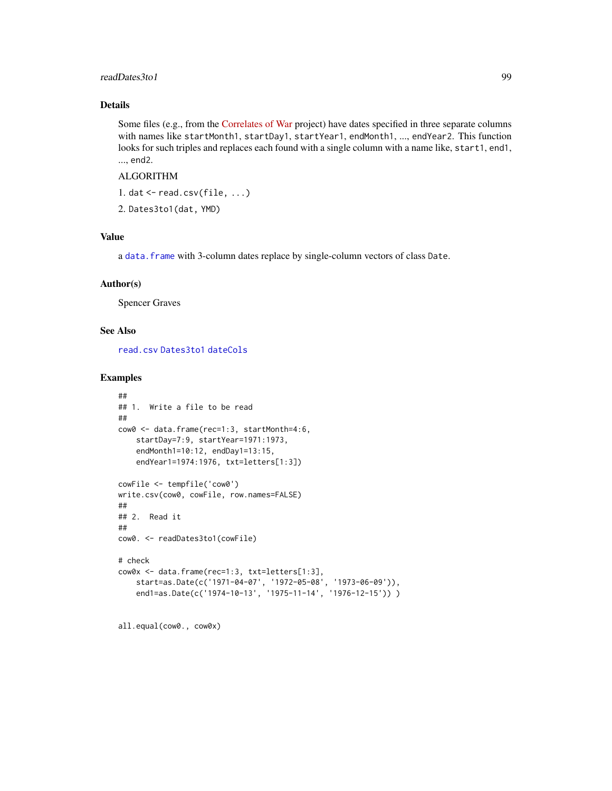## readDates3to1 99

## Details

Some files (e.g., from the [Correlates of War](https://correlatesofwar.org/data-sets/COW-war) project) have dates specified in three separate columns with names like startMonth1, startDay1, startYear1, endMonth1, ..., endYear2. This function looks for such triples and replaces each found with a single column with a name like, start1, end1, ..., end2.

## ALGORITHM

1. dat  $\leq$ -read.csv(file, ...)

2. Dates3to1(dat, YMD)

## Value

a [data.frame](#page-0-0) with 3-column dates replace by single-column vectors of class Date.

#### Author(s)

Spencer Graves

## See Also

[read.csv](#page-0-0) [Dates3to1](#page-35-0) [dateCols](#page-33-0)

## Examples

```
##
## 1. Write a file to be read
##
cow0 <- data.frame(rec=1:3, startMonth=4:6,
   startDay=7:9, startYear=1971:1973,
    endMonth1=10:12, endDay1=13:15,
   endYear1=1974:1976, txt=letters[1:3])
cowFile <- tempfile('cow0')
write.csv(cow0, cowFile, row.names=FALSE)
##
## 2. Read it
##
cow0. <- readDates3to1(cowFile)
# check
cow0x <- data.frame(rec=1:3, txt=letters[1:3],
   start=as.Date(c('1971-04-07', '1972-05-08', '1973-06-09')),
   end1=as.Date(c('1974-10-13', '1975-11-14', '1976-12-15')) )
```
all.equal(cow0., cow0x)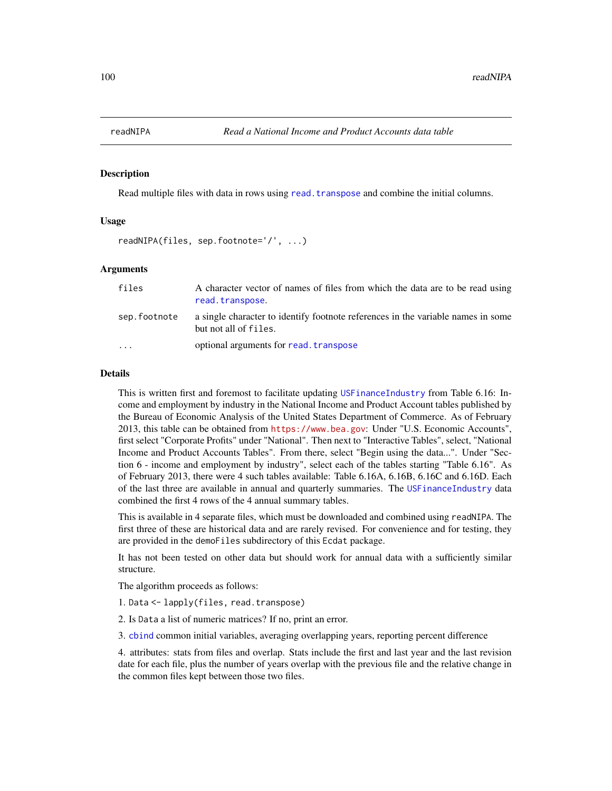#### Description

Read multiple files with data in rows using read. transpose and combine the initial columns.

#### Usage

```
readNIPA(files, sep.footnote='/', ...)
```
#### Arguments

| files        | A character vector of names of files from which the data are to be read using<br>read.transpose.          |
|--------------|-----------------------------------------------------------------------------------------------------------|
| sep.footnote | a single character to identify footnote references in the variable names in some<br>but not all of files. |
| $\cdot$      | optional arguments for read, transpose                                                                    |

#### Details

This is written first and foremost to facilitate updating [USFinanceIndustry](#page-0-0) from Table 6.16: Income and employment by industry in the National Income and Product Account tables published by the Bureau of Economic Analysis of the United States Department of Commerce. As of February 2013, this table can be obtained from <https://www.bea.gov>: Under "U.S. Economic Accounts", first select "Corporate Profits" under "National". Then next to "Interactive Tables", select, "National Income and Product Accounts Tables". From there, select "Begin using the data...". Under "Section 6 - income and employment by industry", select each of the tables starting "Table 6.16". As of February 2013, there were 4 such tables available: Table 6.16A, 6.16B, 6.16C and 6.16D. Each of the last three are available in annual and quarterly summaries. The [USFinanceIndustry](#page-0-0) data combined the first 4 rows of the 4 annual summary tables.

This is available in 4 separate files, which must be downloaded and combined using readNIPA. The first three of these are historical data and are rarely revised. For convenience and for testing, they are provided in the demoFiles subdirectory of this Ecdat package.

It has not been tested on other data but should work for annual data with a sufficiently similar structure.

The algorithm proceeds as follows:

- 1. Data <- lapply(files, read.transpose)
- 2. Is Data a list of numeric matrices? If no, print an error.

3. [cbind](#page-0-0) common initial variables, averaging overlapping years, reporting percent difference

4. attributes: stats from files and overlap. Stats include the first and last year and the last revision date for each file, plus the number of years overlap with the previous file and the relative change in the common files kept between those two files.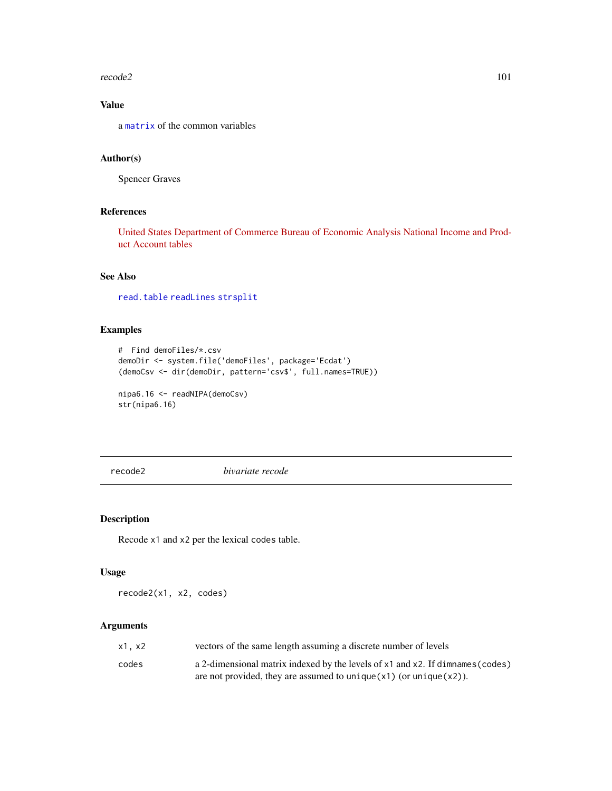#### recode2 101

# Value

a [matrix](#page-0-0) of the common variables

## Author(s)

Spencer Graves

## References

[United States Department of Commerce Bureau of Economic Analysis National Income and Prod](https://www.bea.gov)[uct Account tables](https://www.bea.gov)

## See Also

[read.table](#page-0-0) [readLines](#page-0-0) [strsplit](#page-0-0)

## Examples

```
# Find demoFiles/*.csv
demoDir <- system.file('demoFiles', package='Ecdat')
(demoCsv <- dir(demoDir, pattern='csv$', full.names=TRUE))
nipa6.16 <- readNIPA(demoCsv)
str(nipa6.16)
```
recode2 *bivariate recode*

## Description

Recode x1 and x2 per the lexical codes table.

## Usage

recode2(x1, x2, codes)

## Arguments

| x1. x2 | vectors of the same length assuming a discrete number of levels                |
|--------|--------------------------------------------------------------------------------|
| codes  | a 2-dimensional matrix indexed by the levels of x1 and x2. If dimnames (codes) |
|        | are not provided, they are assumed to unique $(x1)$ (or unique $(x2)$ ).       |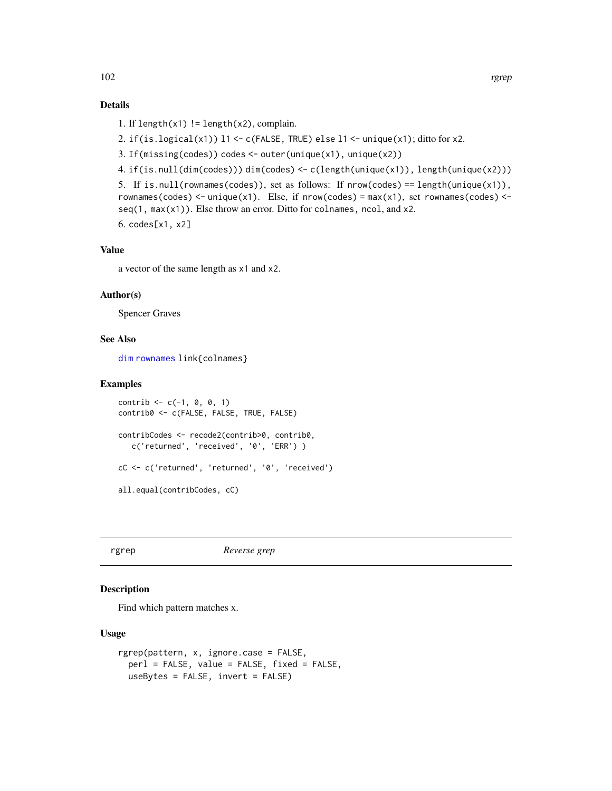- 1. If length $(x1)$  != length $(x2)$ , complain.
- 2. if(is.logical(x1))  $11 \leftarrow c$ (FALSE, TRUE) else  $11 \leftarrow unique(x1)$ ; ditto for x2.
- 3. If(missing(codes)) codes <- outer(unique(x1), unique(x2))
- 4. if(is.null(dim(codes))) dim(codes) <- c(length(unique(x1)), length(unique(x2)))

```
5. If is.null(rownames(codes)), set as follows: If nrow(codes) == length(unique(x1)),
rownames(codes) <- unique(x1). Else, if nrow(codes) = max(x1), set rownames(codes) <-
seq(1, max(x1)). Else throw an error. Ditto for colnames, ncol, and x2.
6. codes[x1, x2]
```
## Value

a vector of the same length as x1 and x2.

#### Author(s)

Spencer Graves

#### See Also

[dim](#page-0-0) [rownames](#page-0-0) link{colnames}

### Examples

```
control < -c(-1, 0, 0, 1)contrib0 <- c(FALSE, FALSE, TRUE, FALSE)
contribCodes <- recode2(contrib>0, contrib0,
   c('returned', 'received', '0', 'ERR') )
cC <- c('returned', 'returned', '0', 'received')
all.equal(contribCodes, cC)
```
#### rgrep *Reverse grep*

#### Description

Find which pattern matches x.

#### Usage

```
rgrep(pattern, x, ignore.case = FALSE,
 perl = FALSE, value = FALSE, fixed = FALSE,
 useBytes = FALSE, invert = FALSE)
```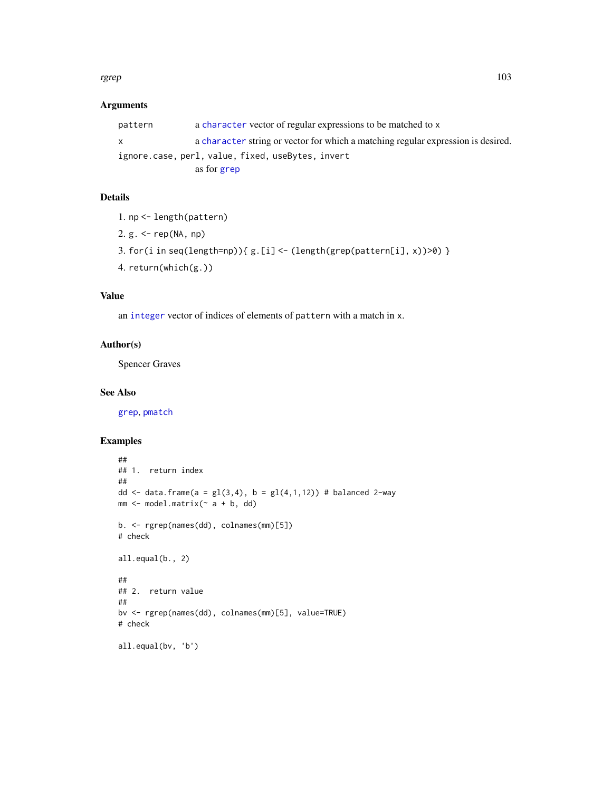#### rgrep to the contract of the contract of the contract of the contract of the contract of the contract of the contract of the contract of the contract of the contract of the contract of the contract of the contract of the c

## Arguments

| pattern                                           | a character vector of regular expressions to be matched to x                     |
|---------------------------------------------------|----------------------------------------------------------------------------------|
| X                                                 | a character string or vector for which a matching regular expression is desired. |
| ignore.case, perl, value, fixed, useBytes, invert |                                                                                  |
|                                                   | as for grep                                                                      |

# Details

1. np <- length(pattern)

2. g. <- rep(NA, np)

- 3. for(i in seq(length=np)){ g.[i] <- (length(grep(pattern[i], x))>0) }
- 4. return(which(g.))

# Value

an [integer](#page-0-0) vector of indices of elements of pattern with a match in x.

## Author(s)

Spencer Graves

#### See Also

[grep](#page-0-0), [pmatch](#page-0-0)

```
##
## 1. return index
##
dd <- data.frame(a = gl(3, 4), b = gl(4, 1, 12)) # balanced 2-way
mm < - model.matrix(~ a + b, dd)b. <- rgrep(names(dd), colnames(mm)[5])
# check
all.equal(b., 2)
##
## 2. return value
##
bv <- rgrep(names(dd), colnames(mm)[5], value=TRUE)
# check
all.equal(bv, 'b')
```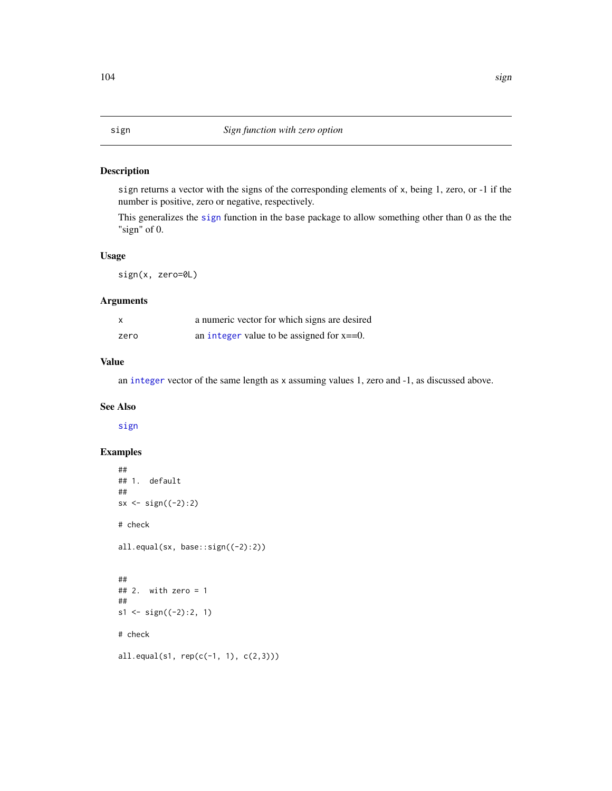## <span id="page-103-0"></span>Description

sign returns a vector with the signs of the corresponding elements of x, being 1, zero, or -1 if the number is positive, zero or negative, respectively.

This generalizes the [sign](#page-103-0) function in the base package to allow something other than 0 as the the "sign" of 0.

### Usage

sign(x, zero=0L)

### Arguments

|      | a numeric vector for which signs are desired  |
|------|-----------------------------------------------|
| zero | an integer value to be assigned for $x = 0$ . |

## Value

an [integer](#page-0-0) vector of the same length as x assuming values 1, zero and -1, as discussed above.

# See Also

[sign](#page-103-0)

```
##
## 1. default
##
sx \leftarrow sign((-2):2)# check
all.equal(sx, base::sign((-2):2))
##
\# 2. with zero = 1
##
s1 \leftarrow sign((-2):2, 1)# check
all.equal(s1, rep(c(-1, 1), c(2,3)))
```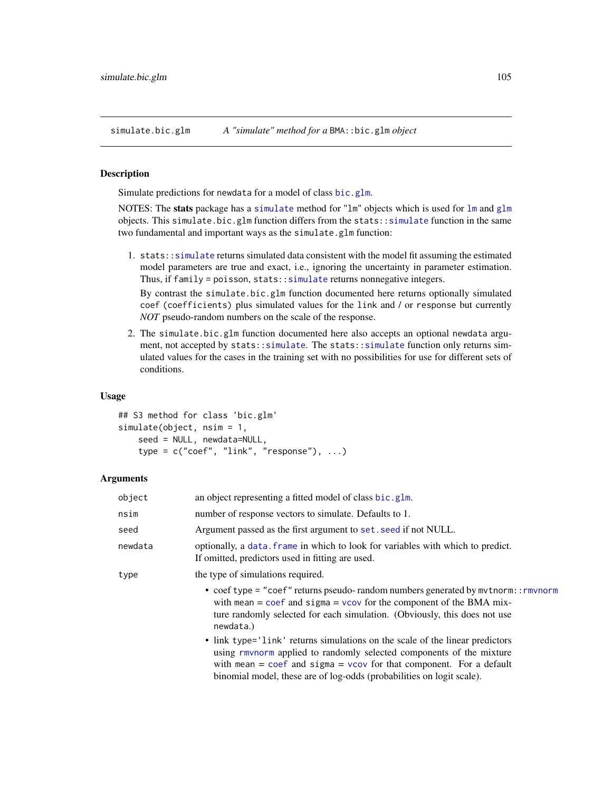simulate.bic.glm *A "simulate" method for a* BMA::bic.glm *object*

#### Description

Simulate predictions for newdata for a model of class [bic.glm](#page-0-0).

NOTES: The stats package has a [simulate](#page-0-0) method for "lm" objects which is used for [lm](#page-0-0) and [glm](#page-0-0) objects. This simulate.bic.glm function differs from the stats:[:simulate](#page-0-0) function in the same two fundamental and important ways as the simulate.glm function:

1. stats:[:simulate](#page-0-0) returns simulated data consistent with the model fit assuming the estimated model parameters are true and exact, i.e., ignoring the uncertainty in parameter estimation. Thus, if family = poisson, stats:: simulate returns nonnegative integers.

By contrast the simulate.bic.glm function documented here returns optionally simulated coef (coefficients) plus simulated values for the link and / or response but currently *NOT* pseudo-random numbers on the scale of the response.

2. The simulate.bic.glm function documented here also accepts an optional newdata argument, not accepted by stats:[:simulate](#page-0-0). The stats:[:simulate](#page-0-0) function only returns simulated values for the cases in the training set with no possibilities for use for different sets of conditions.

#### Usage

```
## S3 method for class 'bic.glm'
simulate(object, nsim = 1,
   seed = NULL, newdata=NULL,
    type = c("coef", "link", "response"), ...)
```
## Arguments

| object  | an object representing a fitted model of class bic.glm.                                                                                                                                                                                                                                                                |
|---------|------------------------------------------------------------------------------------------------------------------------------------------------------------------------------------------------------------------------------------------------------------------------------------------------------------------------|
| nsim    | number of response vectors to simulate. Defaults to 1.                                                                                                                                                                                                                                                                 |
| seed    | Argument passed as the first argument to set. seed if not NULL.                                                                                                                                                                                                                                                        |
| newdata | optionally, a data, frame in which to look for variables with which to predict.<br>If omitted, predictors used in fitting are used.                                                                                                                                                                                    |
| type    | the type of simulations required.                                                                                                                                                                                                                                                                                      |
|         | • coef type = "coef" returns pseudo- random numbers generated by mythorm:: rmynorm<br>with mean = $\cos f$ and $\sin \theta = \cos \theta$ for the component of the BMA mix-<br>ture randomly selected for each simulation. (Obviously, this does not use<br>newdata.)                                                 |
|         | • link type='link' returns simulations on the scale of the linear predictors<br>using rmynorm applied to randomly selected components of the mixture<br>with mean = $\text{coef}$ and sigma = $\text{vcov}$ for that component. For a default<br>binomial model, these are of log-odds (probabilities on logit scale). |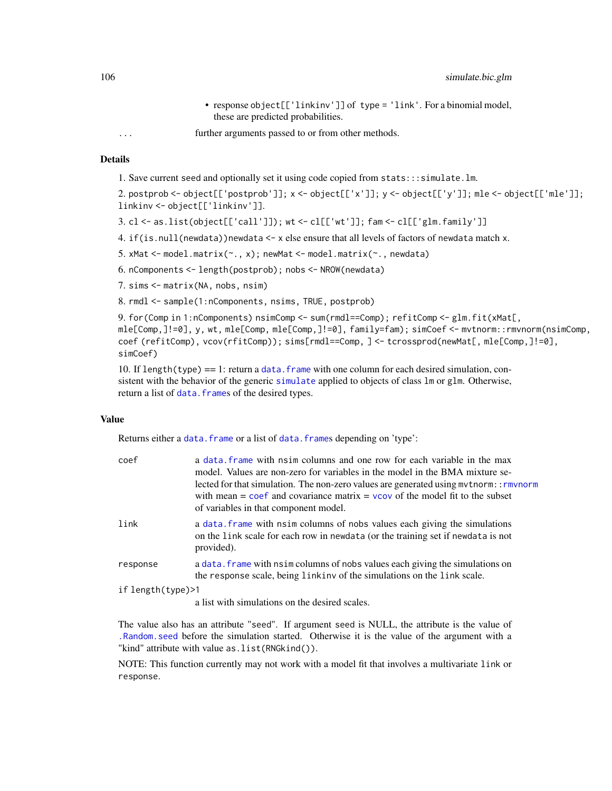- response object[['linkinv']] of type = 'link'. For a binomial model, these are predicted probabilities.
- ... further arguments passed to or from other methods.

1. Save current seed and optionally set it using code copied from stats:::simulate.lm.

2. postprob <- object[['postprob']]; x <- object[['x']]; y <- object[['y']]; mle <- object[['mle']]; linkinv <- object[['linkinv']].

3. cl <- as.list(object[['call']]); wt <- cl[['wt']]; fam <- cl[['glm.family']]

4. if(is.null(newdata))newdata <- x else ensure that all levels of factors of newdata match x.

5. xMat <- model.matrix(~., x); newMat <- model.matrix(~., newdata)

6. nComponents <- length(postprob); nobs <- NROW(newdata)

7. sims <- matrix(NA, nobs, nsim)

8. rmdl <- sample(1:nComponents, nsims, TRUE, postprob)

9. for(Comp in 1:nComponents) nsimComp <- sum(rmdl==Comp); refitComp <- glm.fit(xMat[, mle[Comp,]!=0], y, wt, mle[Comp, mle[Comp,]!=0], family=fam); simCoef <- mvtnorm::rmvnorm(nsimComp, coef (refitComp), vcov(rfitComp)); sims[rmdl==Comp, ] <- tcrossprod(newMat[, mle[Comp,]!=0], simCoef)

10. If length(type)  $=$  1: return a data. frame with one column for each desired simulation, consistent with the behavior of the generic [simulate](#page-0-0) applied to objects of class  $lm$  or glm. Otherwise, return a list of data. frames of the desired types.

#### Value

Returns either a data. frame or a list of data. frames depending on 'type':

| coef              | a data, frame with nsim columns and one row for each variable in the max<br>model. Values are non-zero for variables in the model in the BMA mixture se-<br>lected for that simulation. The non-zero values are generated using mythorm:: rmynorm<br>with mean $=$ coef and covariance matrix $=$ vcov of the model fit to the subset<br>of variables in that component model. |
|-------------------|--------------------------------------------------------------------------------------------------------------------------------------------------------------------------------------------------------------------------------------------------------------------------------------------------------------------------------------------------------------------------------|
| link              | a data. frame with nsim columns of nobs values each giving the simulations<br>on the link scale for each row in newdata (or the training set if newdata is not<br>provided).                                                                                                                                                                                                   |
| response          | a data. frame with nsim columns of nobs values each giving the simulations on<br>the response scale, being linkinv of the simulations on the link scale.                                                                                                                                                                                                                       |
| if length(type)>1 |                                                                                                                                                                                                                                                                                                                                                                                |
|                   | a list with simulations on the desired scales.                                                                                                                                                                                                                                                                                                                                 |

The value also has an attribute "seed". If argument seed is NULL, the attribute is the value of [.Random.seed](#page-0-0) before the simulation started. Otherwise it is the value of the argument with a "kind" attribute with value as.list(RNGkind()).

NOTE: This function currently may not work with a model fit that involves a multivariate link or response.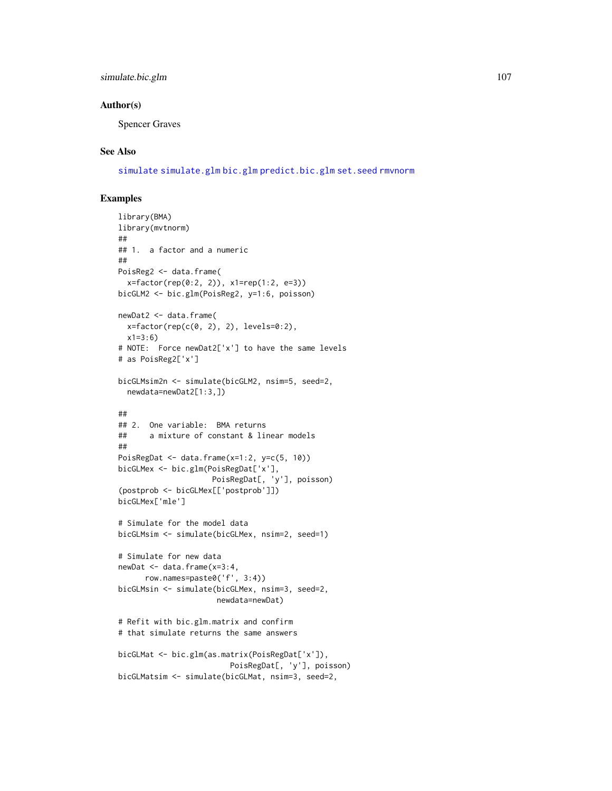## simulate.bic.glm 107

## Author(s)

Spencer Graves

## See Also

[simulate](#page-0-0) [simulate.glm](#page-107-0) [bic.glm](#page-0-0) [predict.bic.glm](#page-0-0) [set.seed](#page-0-0) [rmvnorm](#page-0-0)

```
library(BMA)
library(mvtnorm)
##
## 1. a factor and a numeric
##
PoisReg2 <- data.frame(
  x=factor(rep(0:2, 2)), x1=rep(1:2, e=3))
bicGLM2 <- bic.glm(PoisReg2, y=1:6, poisson)
newDat2 <- data.frame(
  x=factor(rep(c(0, 2), 2), levels=0:2),x1=3:6)
# NOTE: Force newDat2['x'] to have the same levels
# as PoisReg2['x']
bicGLMsim2n <- simulate(bicGLM2, nsim=5, seed=2,
  newdata=newDat2[1:3,])
##
## 2. One variable: BMA returns
## a mixture of constant & linear models
##
PoisRegDat <- data.frame(x=1:2, y=c(5, 10))
bicGLMex <- bic.glm(PoisRegDat['x'],
                     PoisRegDat[, 'y'], poisson)
(postprob <- bicGLMex[['postprob']])
bicGLMex['mle']
# Simulate for the model data
bicGLMsim <- simulate(bicGLMex, nsim=2, seed=1)
# Simulate for new data
newDat <- data.frame(x=3:4,
      row.names=paste0('f', 3:4))
bicGLMsin <- simulate(bicGLMex, nsim=3, seed=2,
                      newdata=newDat)
# Refit with bic.glm.matrix and confirm
# that simulate returns the same answers
bicGLMat <- bic.glm(as.matrix(PoisRegDat['x']),
                        PoisRegDat[, 'y'], poisson)
bicGLMatsim <- simulate(bicGLMat, nsim=3, seed=2,
```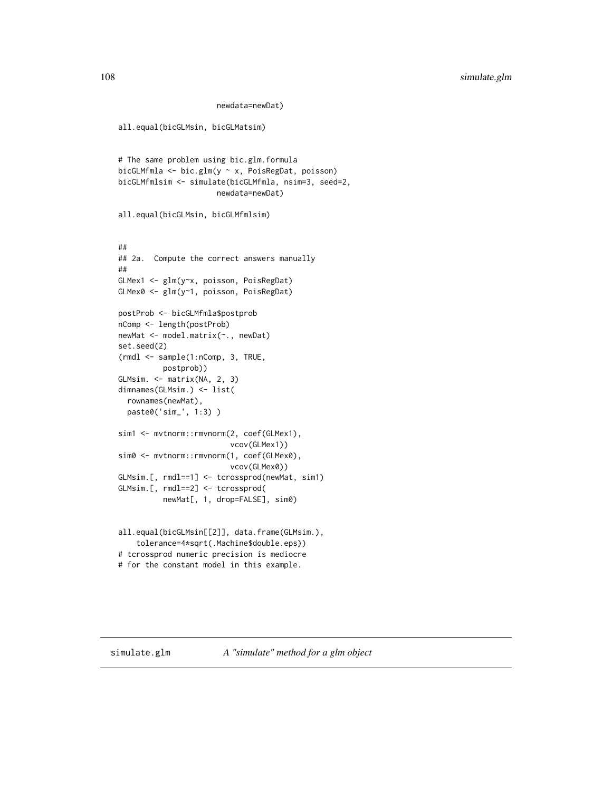```
newdata=newDat)
```

```
all.equal(bicGLMsin, bicGLMatsim)
# The same problem using bic.glm.formula
bicGLMfmla <- bic.glm(y ~ x, PoisRegDat, poisson)
bicGLMfmlsim <- simulate(bicGLMfmla, nsim=3, seed=2,
                      newdata=newDat)
all.equal(bicGLMsin, bicGLMfmlsim)
##
## 2a. Compute the correct answers manually
##
GLMex1 <- glm(y~x, poisson, PoisRegDat)
GLMex0 <- glm(y~1, poisson, PoisRegDat)
postProb <- bicGLMfmla$postprob
nComp <- length(postProb)
newMat <- model.matrix(~., newDat)
set.seed(2)
(rmdl <- sample(1:nComp, 3, TRUE,
          postprob))
GLMsim. <- matrix(NA, 2, 3)
dimnames(GLMsim.) <- list(
  rownames(newMat),
  paste0('sim_', 1:3) )
sim1 <- mvtnorm::rmvnorm(2, coef(GLMex1),
                         vcov(GLMex1))
sim0 <- mvtnorm::rmvnorm(1, coef(GLMex0),
                         vcov(GLMex0))
GLMsim.[, rmdl==1] <- tcrossprod(newMat, sim1)
GLMsim.[, rmdl==2] <- tcrossprod(
          newMat[, 1, drop=FALSE], sim0)
all.equal(bicGLMsin[[2]], data.frame(GLMsim.),
    tolerance=4*sqrt(.Machine$double.eps))
# tcrossprod numeric precision is mediocre
# for the constant model in this example.
```
<span id="page-107-0"></span>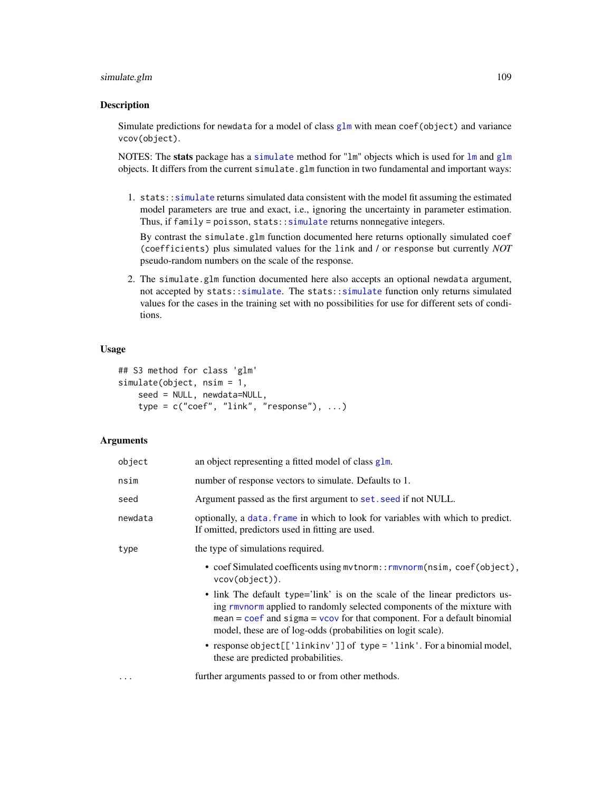# <span id="page-108-0"></span>simulate.glm 109

#### Description

Simulate predictions for newdata for a model of class [glm](#page-0-0) with mean coef(object) and variance vcov(object).

NOTES: The stats package has a [simulate](#page-0-0) method for "[lm](#page-0-0)" objects which is used for  $\text{lm}$  and  $\text{glm}$  $\text{glm}$  $\text{glm}$ objects. It differs from the current simulate.glm function in two fundamental and important ways:

1. stats:[:simulate](#page-0-0) returns simulated data consistent with the model fit assuming the estimated model parameters are true and exact, i.e., ignoring the uncertainty in parameter estimation. Thus, if family = poisson, stats:[:simulate](#page-0-0) returns nonnegative integers.

By contrast the simulate.glm function documented here returns optionally simulated coef (coefficients) plus simulated values for the link and / or response but currently *NOT* pseudo-random numbers on the scale of the response.

2. The simulate.glm function documented here also accepts an optional newdata argument, not accepted by stats:[:simulate](#page-0-0). The stats:[:simulate](#page-0-0) function only returns simulated values for the cases in the training set with no possibilities for use for different sets of conditions.

# Usage

```
## S3 method for class 'glm'
simulate(object, nsim = 1,
   seed = NULL, newdata=NULL,
   type = c("coef", "link", "response"), ...)
```
## **Arguments**

| object  | an object representing a fitted model of class glm.                                                                                                                                                                                                                                                   |
|---------|-------------------------------------------------------------------------------------------------------------------------------------------------------------------------------------------------------------------------------------------------------------------------------------------------------|
| nsim    | number of response vectors to simulate. Defaults to 1.                                                                                                                                                                                                                                                |
| seed    | Argument passed as the first argument to set. seed if not NULL.                                                                                                                                                                                                                                       |
| newdata | optionally, a data. frame in which to look for variables with which to predict.<br>If omitted, predictors used in fitting are used.                                                                                                                                                                   |
| type    | the type of simulations required.                                                                                                                                                                                                                                                                     |
|         | • coef Simulated coefficents using mythorm::rmvnorm(nsim, coef(object),<br>vcov(object)).                                                                                                                                                                                                             |
|         | • link The default type='link' is on the scale of the linear predictors us-<br>ing rmynorm applied to randomly selected components of the mixture with<br>mean $=$ coef and sigma $=$ vcov for that component. For a default binomial<br>model, these are of log-odds (probabilities on logit scale). |
|         | • response object [['linkinv']] of type = 'link'. For a binomial model,<br>these are predicted probabilities.                                                                                                                                                                                         |
| .       | further arguments passed to or from other methods.                                                                                                                                                                                                                                                    |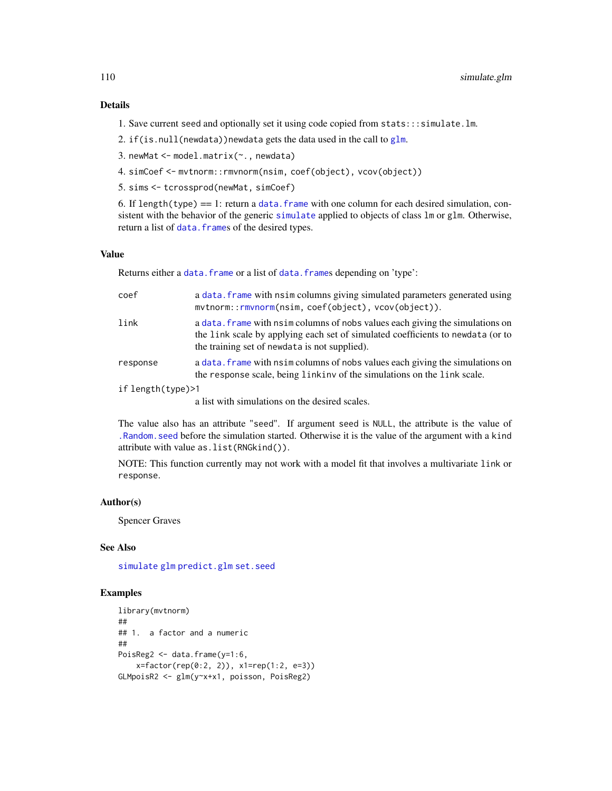# <span id="page-109-0"></span>Details

- 1. Save current seed and optionally set it using code copied from stats:::simulate.lm.
- 2. if(is.null(newdata))newdata gets the data used in the call to  $g1m$ .
- 3. newMat <- model.matrix(~., newdata)
- 4. simCoef <- mvtnorm::rmvnorm(nsim, coef(object), vcov(object))
- 5. sims <- tcrossprod(newMat, simCoef)

6. If length(type)  $=$  1: return a data. frame with one column for each desired simulation, consistent with the behavior of the generic [simulate](#page-0-0) applied to objects of class lm or glm. Otherwise, return a list of data. frames of the desired types.

# Value

Returns either a [data.frame](#page-0-0) or a list of data.frames depending on 'type':

| coef              | a data. frame with nsim columns giving simulated parameters generated using<br>mvtnorm::rmvnorm(nsim, coef(object), vcov(object)).                                                                                |
|-------------------|-------------------------------------------------------------------------------------------------------------------------------------------------------------------------------------------------------------------|
| link              | a data. Frame with nsim columns of nobs values each giving the simulations on<br>the link scale by applying each set of simulated coefficients to newdata (or to<br>the training set of newdata is not supplied). |
| response          | a data. frame with nsim columns of nobs values each giving the simulations on<br>the response scale, being linkinv of the simulations on the link scale.                                                          |
| if length(type)>1 |                                                                                                                                                                                                                   |
|                   | a list with simulations on the desired scales.                                                                                                                                                                    |

The value also has an attribute "seed". If argument seed is NULL, the attribute is the value of [.Random.seed](#page-0-0) before the simulation started. Otherwise it is the value of the argument with a kind attribute with value as.list(RNGkind()).

NOTE: This function currently may not work with a model fit that involves a multivariate link or response.

## Author(s)

Spencer Graves

# See Also

[simulate](#page-0-0) [glm](#page-0-0) [predict.glm](#page-0-0) [set.seed](#page-0-0)

# Examples

```
library(mvtnorm)
##
## 1. a factor and a numeric
##
PoisReg2 <- data.frame(y=1:6,
   x=factor(rep(0:2, 2)), x1=rep(1:2, e=3))
GLMpoisR2 <- glm(y~x+x1, poisson, PoisReg2)
```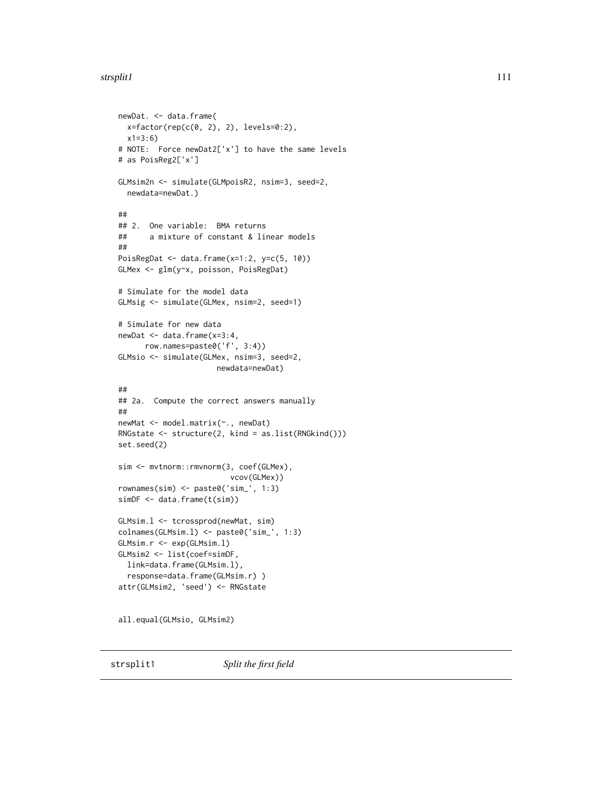# <span id="page-110-0"></span>strsplit1 111

```
newDat. <- data.frame(
  x=factor(rep(c(\emptyset, 2), 2), levels=0:2),x1=3:6)
# NOTE: Force newDat2['x'] to have the same levels
# as PoisReg2['x']
GLMsim2n <- simulate(GLMpoisR2, nsim=3, seed=2,
  newdata=newDat.)
##
## 2. One variable: BMA returns
## a mixture of constant & linear models
##
PoisRegDat <- data.frame(x=1:2, y=c(5, 10))
GLMex <- glm(y~x, poisson, PoisRegDat)
# Simulate for the model data
GLMsig <- simulate(GLMex, nsim=2, seed=1)
# Simulate for new data
newDat <- data.frame(x=3:4,
      row.names=paste0('f', 3:4))
GLMsio <- simulate(GLMex, nsim=3, seed=2,
                     newdata=newDat)
##
## 2a. Compute the correct answers manually
##
newMat <- model.matrix(~., newDat)
RNGstate <- structure(2, kind = as.list(RNGkind()))
set.seed(2)
sim <- mvtnorm::rmvnorm(3, coef(GLMex),
                         vcov(GLMex))
rownames(sim) <- paste0('sim_', 1:3)
simDF <- data.frame(t(sim))
GLMsim.l <- tcrossprod(newMat, sim)
colnames(GLMsim.l) <- paste0('sim_', 1:3)
GLMsim.r <- exp(GLMsim.l)
GLMsim2 <- list(coef=simDF,
  link=data.frame(GLMsim.l),
  response=data.frame(GLMsim.r) )
attr(GLMsim2, 'seed') <- RNGstate
all.equal(GLMsio, GLMsim2)
```
strsplit1 *Split the first field*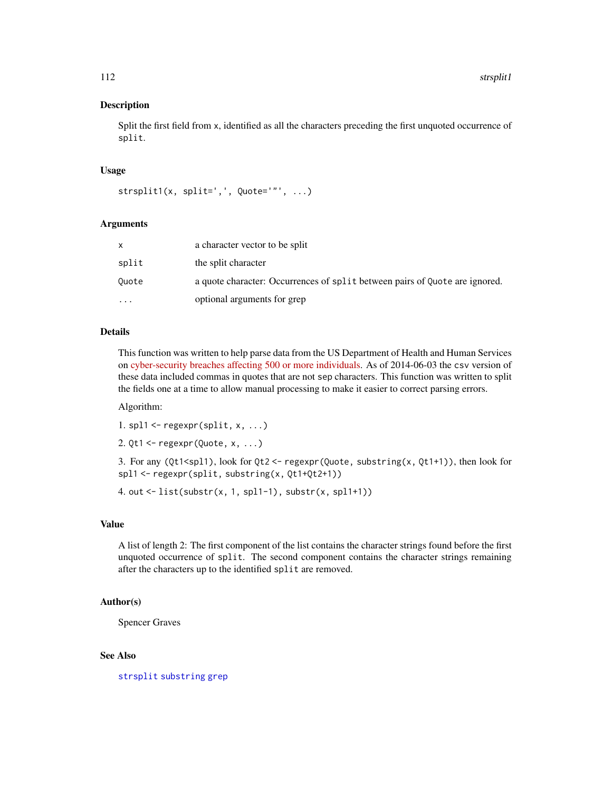#### <span id="page-111-0"></span>Description

Split the first field from x, identified as all the characters preceding the first unquoted occurrence of split.

#### Usage

```
strsplit1(x, split=','', Quote='''', ...)
```
#### Arguments

|           | a character vector to be split                                              |
|-----------|-----------------------------------------------------------------------------|
| split     | the split character                                                         |
| Ouote     | a quote character: Occurrences of split between pairs of Quote are ignored. |
| $\ddotsc$ | optional arguments for grep                                                 |

#### Details

This function was written to help parse data from the US Department of Health and Human Services on [cyber-security breaches affecting 500 or more individuals.](https://ocrportal.hhs.gov/ocr/breach/breach_report.jsf) As of 2014-06-03 the csv version of these data included commas in quotes that are not sep characters. This function was written to split the fields one at a time to allow manual processing to make it easier to correct parsing errors.

Algorithm:

1. spl $1 \leftarrow \text{regexpr}(\text{split}, x, \ldots)$ 

```
2. Qt1 \leq- regexpr(Quote, x, ...)
```
3. For any (Qt1<spl1), look for Qt2 <- regexpr(Quote, substring(x, Qt1+1)), then look for spl1 <- regexpr(split, substring(x, Qt1+Qt2+1))

4. out <- list(substr(x, 1, spl1-1), substr(x, spl1+1))

#### Value

A list of length 2: The first component of the list contains the character strings found before the first unquoted occurrence of split. The second component contains the character strings remaining after the characters up to the identified split are removed.

# Author(s)

Spencer Graves

# See Also

[strsplit](#page-0-0) [substring](#page-0-0) [grep](#page-0-0)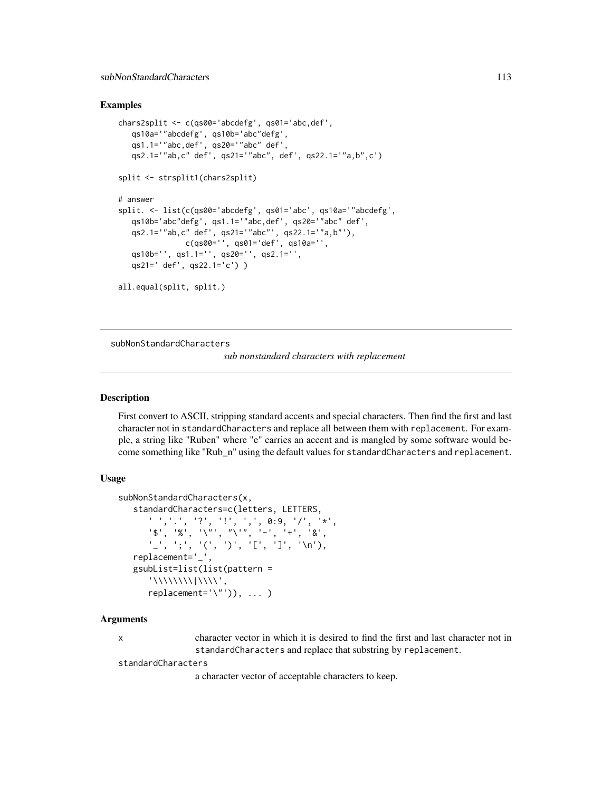# <span id="page-112-1"></span>Examples

```
chars2split <- c(qs00='abcdefg', qs01='abc,def',
  qs10a='"abcdefg', qs10b='abc"defg',
  qs1.1='"abc,def', qs20='"abc" def',
  qs2.1='"ab,c" def', qs21='"abc", def', qs22.1='"a,b",c')
split <- strsplit1(chars2split)
# answer
split. <- list(c(qs00='abcdefg', qs01='abc', qs10a='"abcdefg',
  qs10b='abc"defg', qs1.1='"abc,def', qs20='"abc" def',
  qs2.1='"ab,c" def', qs21='"abc"', qs22.1='"a,b"'),
              c(qs00='', qs01='def', qs10a='',
  qs10b='', qs1.1='', qs20='', qs2.1='',
  qs21=' def', qs22.1='c') )
all.equal(split, split.)
```
<span id="page-112-0"></span>subNonStandardCharacters

*sub nonstandard characters with replacement*

#### **Description**

First convert to ASCII, stripping standard accents and special characters. Then find the first and last character not in standardCharacters and replace all between them with replacement. For example, a string like "Ruben" where "e" carries an accent and is mangled by some software would become something like "Rub\_n" using the default values for standardCharacters and replacement.

# Usage

```
subNonStandardCharacters(x,
  standardCharacters=c(letters, LETTERS,
      ' ','.', '?', '!', ',', 0:9, '/', '*',
      '$', '%', '\"', "\'", '-', '+', '&',
      '_', ';', '(', ')', '[', ']', '\n'),
  replacement='_',
  gsubList=list(list(pattern =
      '\\\\\\\\|\\\\',
     replacent='\\\'''), ... )
```
# Arguments

x character vector in which it is desired to find the first and last character not in standardCharacters and replace that substring by replacement.

standardCharacters

a character vector of acceptable characters to keep.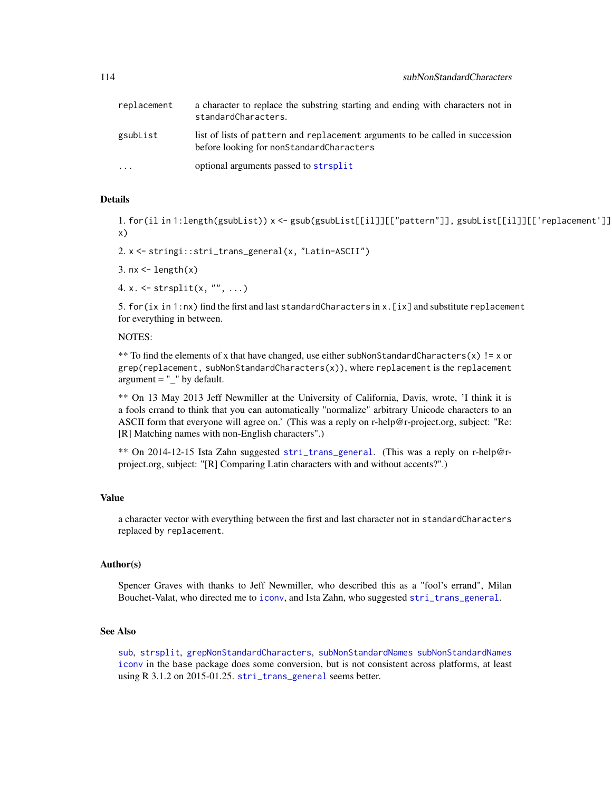<span id="page-113-0"></span>

| replacement | a character to replace the substring starting and ending with characters not in<br>standardCharacters.                    |
|-------------|---------------------------------------------------------------------------------------------------------------------------|
| gsubList    | list of lists of pattern and replacement arguments to be called in succession<br>before looking for nonStandardCharacters |
| $\cdots$    | optional arguments passed to strsplit                                                                                     |

# Details

1. for(il in 1:length(gsubList)) x <- gsub(gsubList[[il]][["pattern"]], gsubList[[il]][['replacement']], x)

2. x <- stringi::stri\_trans\_general(x, "Latin-ASCII")

3.  $nx \leftarrow length(x)$ 

4.  $x. \leq -$  strsplit( $x, "", \ldots$ )

5. for(ix in 1:nx) find the first and last standardCharacters in x.[ix] and substitute replacement for everything in between.

NOTES:

\*\* To find the elements of x that have changed, use either subNonStandardCharacters(x) != x or  $grep(replacement, subNonStandardCharles(x)),$  where replacement is the replacement  $argument = "$ " by default.

\*\* On 13 May 2013 Jeff Newmiller at the University of California, Davis, wrote, 'I think it is a fools errand to think that you can automatically "normalize" arbitrary Unicode characters to an ASCII form that everyone will agree on.' (This was a reply on r-help@r-project.org, subject: "Re: [R] Matching names with non-English characters".)

\*\* On 2014-12-15 Ista Zahn suggested [stri\\_trans\\_general](#page-0-0). (This was a reply on r-help@rproject.org, subject: "[R] Comparing Latin characters with and without accents?".)

#### Value

a character vector with everything between the first and last character not in standardCharacters replaced by replacement.

# Author(s)

Spencer Graves with thanks to Jeff Newmiller, who described this as a "fool's errand", Milan Bouchet-Valat, who directed me to [iconv](#page-0-0), and Ista Zahn, who suggested [stri\\_trans\\_general](#page-0-0).

# See Also

[sub](#page-0-0), [strsplit](#page-0-0), [grepNonStandardCharacters](#page-39-0), [subNonStandardNames](#page-114-0) [subNonStandardNames](#page-114-0) [iconv](#page-0-0) in the base package does some conversion, but is not consistent across platforms, at least using R 3.1.2 on 2015-01.25. [stri\\_trans\\_general](#page-0-0) seems better.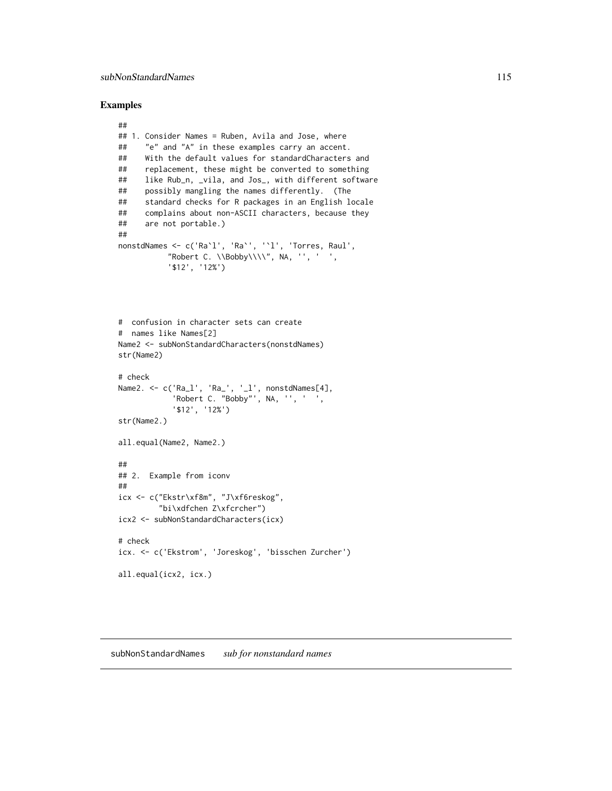#### <span id="page-114-1"></span>Examples

```
##
## 1. Consider Names = Ruben, Avila and Jose, where
## "e" and "A" in these examples carry an accent.
## With the default values for standardCharacters and
## replacement, these might be converted to something
## like Rub_n, _vila, and Jos_, with different software
## possibly mangling the names differently. (The
## standard checks for R packages in an English locale
## complains about non-ASCII characters, because they
## are not portable.)
##
nonstdNames <- c('Ra`l', 'Ra`', '`l', 'Torres, Raul',
           "Robert C. \Bbb{by}\1\1', N_A, '', ' '', ''$12', '12%')
# confusion in character sets can create
# names like Names[2]
Name2 <- subNonStandardCharacters(nonstdNames)
str(Name2)
# check
Name2. <- c('Ra_l', 'Ra_', '_l', nonstdNames[4],
            'Robert C. "Bobby"', NA, '', ' ',
            '$12', '12%')
str(Name2.)
all.equal(Name2, Name2.)
##
## 2. Example from iconv
##
icx <- c("Ekstr\xf8m", "J\xf6reskog",
         "bi\xdfchen Z\xfcrcher")
icx2 <- subNonStandardCharacters(icx)
# check
icx. <- c('Ekstrom', 'Joreskog', 'bisschen Zurcher')
all.equal(icx2, icx.)
```
<span id="page-114-0"></span>subNonStandardNames *sub for nonstandard names*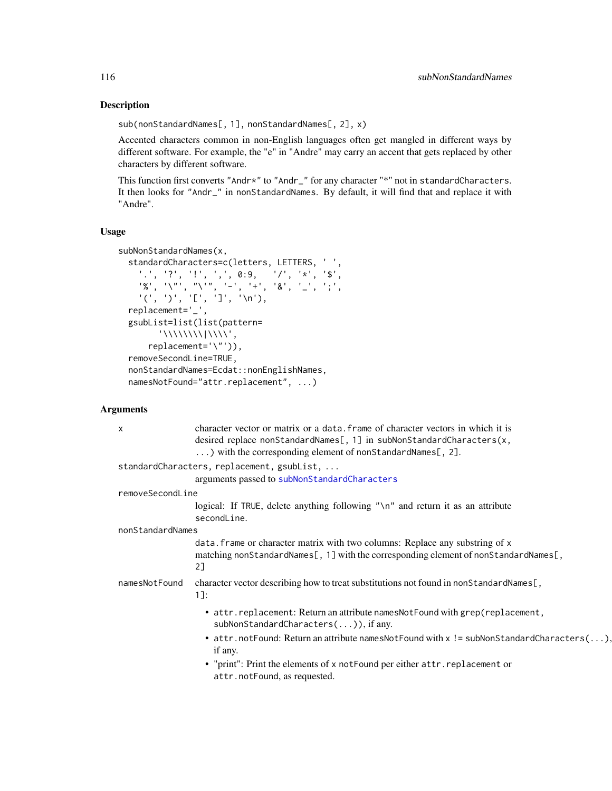# Description

sub(nonStandardNames[, 1], nonStandardNames[, 2], x)

Accented characters common in non-English languages often get mangled in different ways by different software. For example, the "e" in "Andre" may carry an accent that gets replaced by other characters by different software.

This function first converts "Andr\*" to "Andr\_" for any character "\*" not in standardCharacters. It then looks for "Andr\_" in nonStandardNames. By default, it will find that and replace it with "Andre".

# Usage

```
subNonStandardNames(x,
    standardCharacters=c(letters, LETTERS, ' ',
           '.', '?', '!', ',', 0:9, '/', '*', '$',
           \mathcal{C}^{\prime\prime}, \quad \mathcal{C}^{\prime\prime\prime}, \quad \mathcal{C}^{\prime\prime\prime\prime}, \quad \mathcal{C}^{\prime\prime}, \quad \mathcal{C}^{\prime\prime}, \quad \mathcal{C}^{\prime\prime}, \quad \mathcal{C}^{\prime\prime}, \quad \mathcal{C}^{\prime\prime}, \quad \mathcal{C}^{\prime\prime}, \quad \mathcal{C}^{\prime\prime}, \quad \mathcal{C}^{\prime\prime}, \quad \mathcal{C}^{\prime\prime}, \quad \mathcal{C}^{\prime\prime}, \quad \mathcal{C}^{\prime\prime}, \quad \mathcal{C}^{\prime\prime}, \quad \mathcal{'(', '')', '['', '']', '\\n'),replacement='_',
     gsubList=list(list(pattern=
                   '\\\\\\\\|\\\\',
              replacement='\"')),
     removeSecondLine=TRUE,
    nonStandardNames=Ecdat::nonEnglishNames,
    namesNotFound="attr.replacement", ...)
```
# Arguments

| $\mathsf{x}$     | character vector or matrix or a data, frame of character vectors in which it is<br>desired replace nonStandardNames[, 1] in subNonStandardCharacters(x,<br>) with the corresponding element of nonStandardNames[, 2]. |
|------------------|-----------------------------------------------------------------------------------------------------------------------------------------------------------------------------------------------------------------------|
|                  | standardCharacters, replacement, gsubList,                                                                                                                                                                            |
|                  | arguments passed to subNonStandardCharacters                                                                                                                                                                          |
| removeSecondLine |                                                                                                                                                                                                                       |
|                  | logical: If TRUE, delete anything following "\n" and return it as an attribute<br>secondLine.                                                                                                                         |
| nonStandardNames |                                                                                                                                                                                                                       |
|                  | data. frame or character matrix with two columns: Replace any substring of x<br>matching nonStandardNames[, 1] with the corresponding element of nonStandardNames[,<br>2]                                             |
| namesNotFound    | character vector describing how to treat substitutions not found in nonStandardNames[,<br>$1$ ]:                                                                                                                      |
|                  | • attr.replacement: Return an attribute namesNotFound with grep(replacement,<br>subNonStandardCharacters()), if any.                                                                                                  |
|                  | • attr.notFound: Return an attribute namesNotFound with $x$ ! = subNonStandardCharacters(),<br>if any.                                                                                                                |
|                  | • "print": Print the elements of x not Found per either attr. replacement or<br>attr.notFound, as requested.                                                                                                          |

<span id="page-115-0"></span>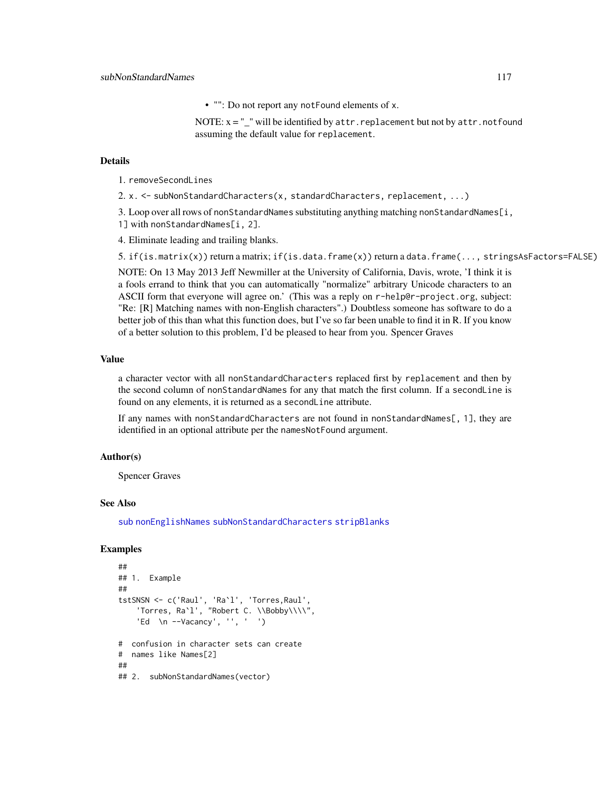• "": Do not report any notFound elements of x.

NOTE:  $x = "$  will be identified by attr. replacement but not by attr.notfound assuming the default value for replacement.

#### <span id="page-116-0"></span>Details

1. removeSecondLines

2. x. <- subNonStandardCharacters(x, standardCharacters, replacement, ...)

3. Loop over all rows of nonStandardNames substituting anything matching nonStandardNames[i, 1] with nonStandardNames[i, 2].

4. Eliminate leading and trailing blanks.

5. if(is.matrix(x)) return a matrix; if(is.data.frame(x)) return a data.frame(..., stringsAsFactors=FALSE)

NOTE: On 13 May 2013 Jeff Newmiller at the University of California, Davis, wrote, 'I think it is a fools errand to think that you can automatically "normalize" arbitrary Unicode characters to an ASCII form that everyone will agree on.' (This was a reply on r-help@r-project.org, subject: "Re: [R] Matching names with non-English characters".) Doubtless someone has software to do a better job of this than what this function does, but I've so far been unable to find it in R. If you know of a better solution to this problem, I'd be pleased to hear from you. Spencer Graves

#### Value

a character vector with all nonStandardCharacters replaced first by replacement and then by the second column of nonStandardNames for any that match the first column. If a secondLine is found on any elements, it is returned as a secondLine attribute.

If any names with nonStandardCharacters are not found in nonStandardNames[, 1], they are identified in an optional attribute per the namesNotFound argument.

# Author(s)

Spencer Graves

# See Also

[sub](#page-0-0) [nonEnglishNames](#page-0-0) [subNonStandardCharacters](#page-112-0) [stripBlanks](#page-0-0)

#### Examples

```
##
## 1. Example
##
tstSNSN <- c('Raul', 'Ra`l', 'Torres,Raul',
    'Torres, Ra`l', "Robert C. \\Bobby\\\\",
    'Ed \n --Vacancy', '', ' ')
# confusion in character sets can create
# names like Names[2]
##
## 2. subNonStandardNames(vector)
```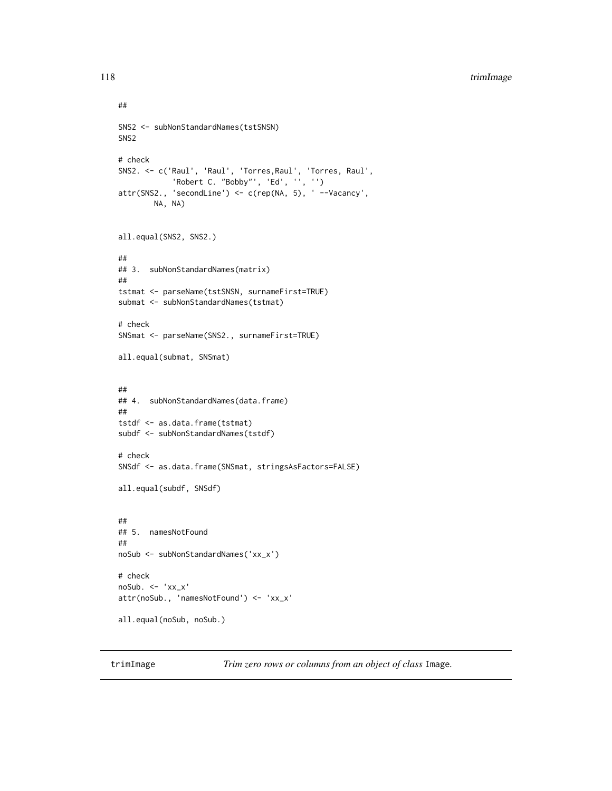# <span id="page-117-0"></span>118 trimImage

```
##
SNS2 <- subNonStandardNames(tstSNSN)
SNS2
# check
SNS2. <- c('Raul', 'Raul', 'Torres,Raul', 'Torres, Raul',
            'Robert C. "Bobby"', 'Ed', '', '')
attr(SNS2., 'secondLine') <- c(rep(NA, 5), ' --Vacancy',
        NA, NA)
all.equal(SNS2, SNS2.)
##
## 3. subNonStandardNames(matrix)
##
tstmat <- parseName(tstSNSN, surnameFirst=TRUE)
submat <- subNonStandardNames(tstmat)
# check
SNSmat <- parseName(SNS2., surnameFirst=TRUE)
all.equal(submat, SNSmat)
##
## 4. subNonStandardNames(data.frame)
##
tstdf <- as.data.frame(tstmat)
subdf <- subNonStandardNames(tstdf)
# check
SNSdf <- as.data.frame(SNSmat, stringsAsFactors=FALSE)
all.equal(subdf, SNSdf)
##
## 5. namesNotFound
##
noSub <- subNonStandardNames('xx_x')
# check
noSub. <- 'xx_x'
attr(noSub., 'namesNotFound') <- 'xx_x'
all.equal(noSub, noSub.)
```
trimImage *Trim zero rows or columns from an object of class* Image*.*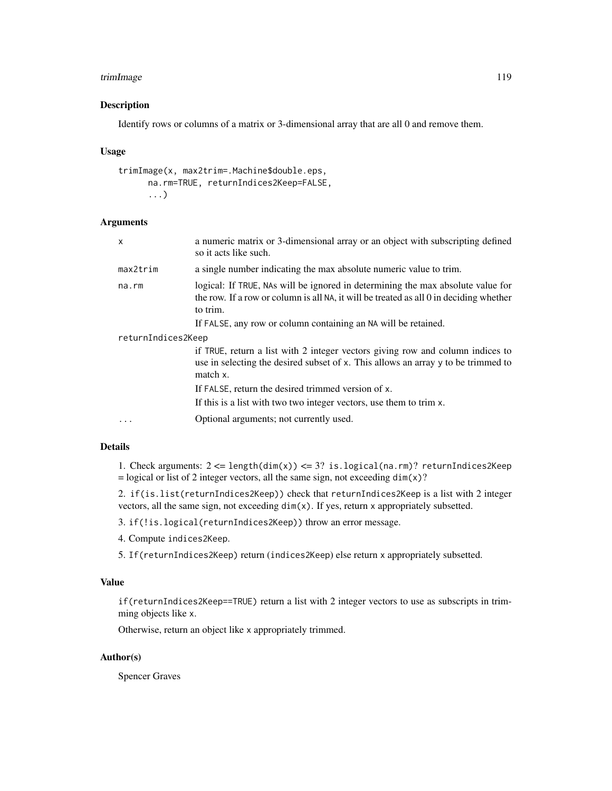# <span id="page-118-0"></span>trimImage 119

# Description

Identify rows or columns of a matrix or 3-dimensional array that are all 0 and remove them.

#### Usage

```
trimImage(x, max2trim=.Machine$double.eps,
      na.rm=TRUE, returnIndices2Keep=FALSE,
      ...)
```
# Arguments

| $\times$           | a numeric matrix or 3-dimensional array or an object with subscripting defined<br>so it acts like such.                                                                               |
|--------------------|---------------------------------------------------------------------------------------------------------------------------------------------------------------------------------------|
| $max2$ trim        | a single number indicating the max absolute numeric value to trim.                                                                                                                    |
| na.rm              | logical: If TRUE, NAs will be ignored in determining the max absolute value for<br>the row. If a row or column is all NA, it will be treated as all 0 in deciding whether<br>to trim. |
|                    | If FALSE, any row or column containing an NA will be retained.                                                                                                                        |
| returnIndices2Keep |                                                                                                                                                                                       |
|                    | if TRUE, return a list with 2 integer vectors giving row and column indices to<br>use in selecting the desired subset of x. This allows an array y to be trimmed to<br>match x.       |
|                    | If FALSE, return the desired trimmed version of x.                                                                                                                                    |
|                    | If this is a list with two two integer vectors, use them to trim x.                                                                                                                   |
|                    | Optional arguments; not currently used.                                                                                                                                               |

# Details

1. Check arguments:  $2 \leq$  length(dim(x))  $\leq$  3? is.logical(na.rm)? returnIndices2Keep  $=$  logical or list of 2 integer vectors, all the same sign, not exceeding dim(x)?

2. if(is.list(returnIndices2Keep)) check that returnIndices2Keep is a list with 2 integer vectors, all the same sign, not exceeding dim(x). If yes, return x appropriately subsetted.

3. if(!is.logical(returnIndices2Keep)) throw an error message.

4. Compute indices2Keep.

5. If(returnIndices2Keep) return (indices2Keep) else return x appropriately subsetted.

#### Value

if(returnIndices2Keep==TRUE) return a list with 2 integer vectors to use as subscripts in trimming objects like x.

Otherwise, return an object like x appropriately trimmed.

# Author(s)

Spencer Graves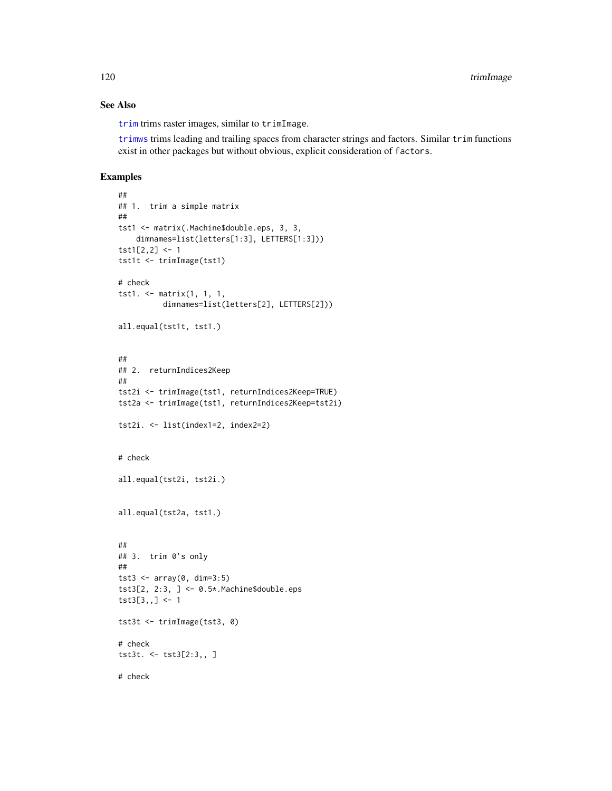# See Also

[trim](#page-0-0) trims raster images, similar to trimImage.

[trimws](#page-0-0) trims leading and trailing spaces from character strings and factors. Similar trim functions exist in other packages but without obvious, explicit consideration of factors.

# Examples

```
##
## 1. trim a simple matrix
##
tst1 <- matrix(.Machine$double.eps, 3, 3,
   dimnames=list(letters[1:3], LETTERS[1:3]))
\text{tst1}[2,2] <- 1
tst1t <- trimImage(tst1)
# check
tst1. <- matrix(1, 1, 1,
          dimnames=list(letters[2], LETTERS[2]))
all.equal(tst1t, tst1.)
##
## 2. returnIndices2Keep
##
tst2i <- trimImage(tst1, returnIndices2Keep=TRUE)
tst2a <- trimImage(tst1, returnIndices2Keep=tst2i)
tst2i. <- list(index1=2, index2=2)
# check
all.equal(tst2i, tst2i.)
all.equal(tst2a, tst1.)
##
## 3. trim 0's only
##
tst3 <- array(0, dim=3:5)
tst3[2, 2:3, ] <- 0.5*.Machine$double.eps
tst3[3,,] <- 1
tst3t <- trimImage(tst3, 0)
# check
tst3t. <- tst3[2:3,, ]
# check
```
<span id="page-119-0"></span>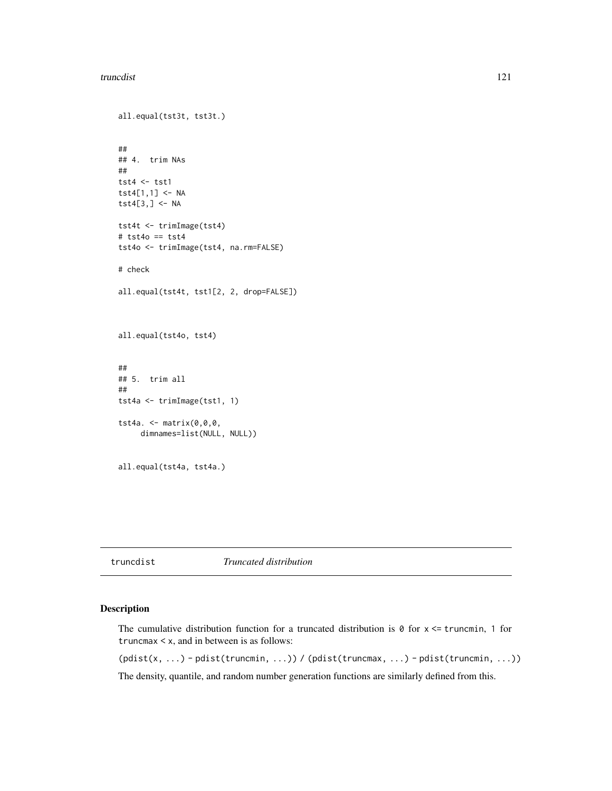#### <span id="page-120-0"></span>truncdist 121

```
all.equal(tst3t, tst3t.)
##
## 4. trim NAs
##
tst4 \leftarrow tst1
tst4[1,1] <- NA
\texttt{tst4}[3,] \leq NA
tst4t <- trimImage(tst4)
# tst4o == tst4
tst4o <- trimImage(tst4, na.rm=FALSE)
# check
all.equal(tst4t, tst1[2, 2, drop=FALSE])
all.equal(tst4o, tst4)
##
## 5. trim all
##
tst4a <- trimImage(tst1, 1)
tst4a. <- matrix(0,0,0,
     dimnames=list(NULL, NULL))
all.equal(tst4a, tst4a.)
```
truncdist *Truncated distribution*

# Description

The cumulative distribution function for a truncated distribution is  $\theta$  for  $x \leq t$  runcmin, 1 for truncmax < x, and in between is as follows: (pdist(x, ...) - pdist(truncmin, ...)) / (pdist(truncmax, ...) - pdist(truncmin, ...))

The density, quantile, and random number generation functions are similarly defined from this.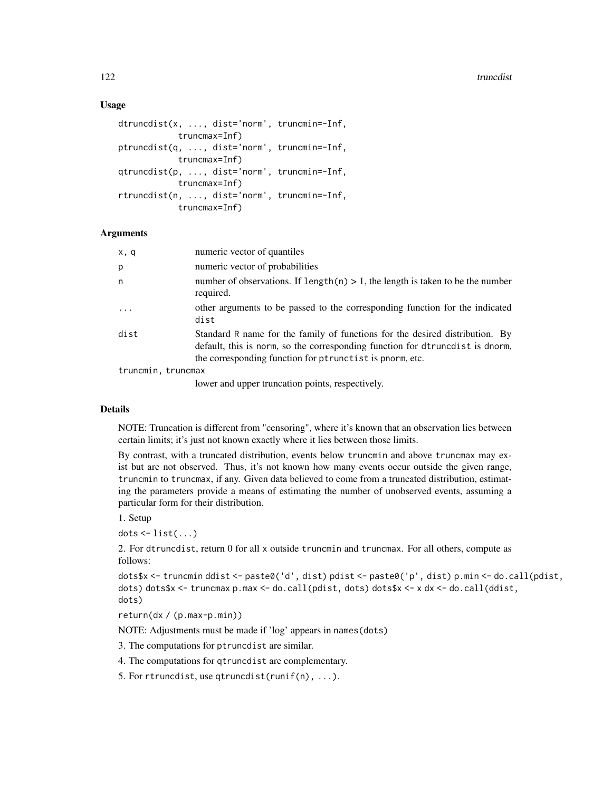# Usage

```
dtruncdist(x, ..., dist='norm', truncmin=-Inf,
            truncmax=Inf)
ptruncdist(q, ..., dist='norm', truncmin=-Inf,
            truncmax=Inf)
qtruncdist(p, ..., dist='norm', truncmin=-Inf,
            truncmax=Inf)
rtruncdist(n, ..., dist='norm', truncmin=-Inf,
            truncmax=Inf)
```
#### Arguments

| x, q               | numeric vector of quantiles                                                                                                                                                                                               |
|--------------------|---------------------------------------------------------------------------------------------------------------------------------------------------------------------------------------------------------------------------|
| p                  | numeric vector of probabilities                                                                                                                                                                                           |
| n                  | number of observations. If $length(n) > 1$ , the length is taken to be the number<br>required.                                                                                                                            |
| $\cdot$            | other arguments to be passed to the corresponding function for the indicated<br>dist                                                                                                                                      |
| dist               | Standard R name for the family of functions for the desired distribution. By<br>default, this is norm, so the corresponding function for dtruncdist is dnorm,<br>the corresponding function for ptrunctist is pnorm, etc. |
| truncmin, truncmax |                                                                                                                                                                                                                           |

lower and upper truncation points, respectively.

# Details

NOTE: Truncation is different from "censoring", where it's known that an observation lies between certain limits; it's just not known exactly where it lies between those limits.

By contrast, with a truncated distribution, events below truncmin and above truncmax may exist but are not observed. Thus, it's not known how many events occur outside the given range, truncmin to truncmax, if any. Given data believed to come from a truncated distribution, estimating the parameters provide a means of estimating the number of unobserved events, assuming a particular form for their distribution.

1. Setup

 $dots <$ - list $(...)$ 

2. For dtruncdist, return 0 for all x outside truncmin and truncmax. For all others, compute as follows:

```
dots$x <- truncmin ddist <- paste0('d', dist) pdist <- paste0('p', dist) p.min <- do.call(pdist,
dots) dots$x <- truncmax p.max <- do.call(pdist, dots) dots$x <- x dx <- do.call(ddist,
dots)
```
return(dx / (p.max-p.min))

NOTE: Adjustments must be made if 'log' appears in names(dots)

3. The computations for ptruncdist are similar.

4. The computations for qtruncdist are complementary.

5. For rtruncdist, use qtruncdist(runif(n), ...).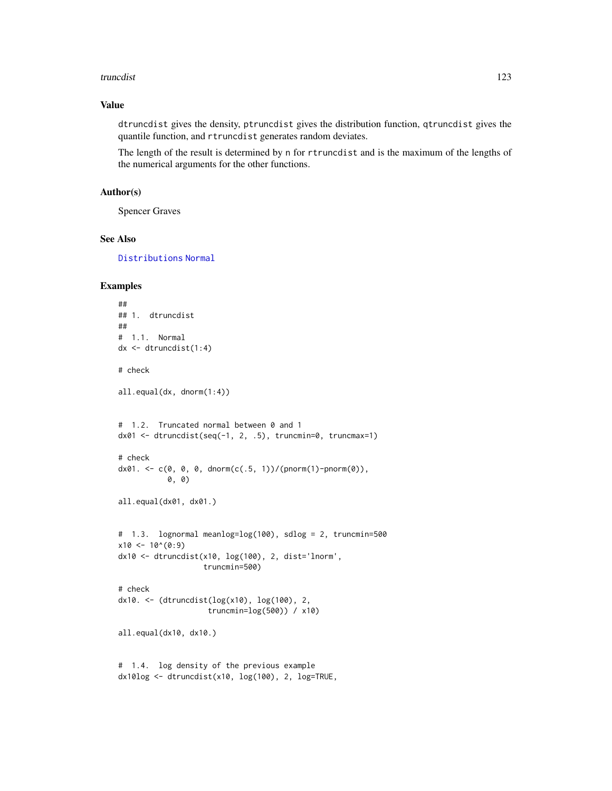#### <span id="page-122-0"></span>truncdist 123

# Value

dtruncdist gives the density, ptruncdist gives the distribution function, qtruncdist gives the quantile function, and rtruncdist generates random deviates.

The length of the result is determined by n for rtruncdist and is the maximum of the lengths of the numerical arguments for the other functions.

# Author(s)

Spencer Graves

# See Also

[Distributions](#page-0-0) [Normal](#page-0-0)

# Examples

```
##
## 1. dtruncdist
##
# 1.1. Normal
dx <- dtruncdist(1:4)
# check
all.equal(dx, dnorm(1:4))
# 1.2. Truncated normal between 0 and 1
dx01 <- dtruncdist(seq(-1, 2, .5), truncmin=0, truncmax=1)
# check
dx01. <- c(0, 0, 0, dnorm(c(.5, 1))/(pnorm(1)-pnorm(0)),
           0, 0)
all.equal(dx01, dx01.)
# 1.3. lognormal meanlog=log(100), sdlog = 2, truncmin=500
x10 < -10<sup>(0:9)</sup>
dx10 <- dtruncdist(x10, log(100), 2, dist='lnorm',
                   truncmin=500)
# check
dx10. <- (dtruncdist(log(x10), log(100), 2,
                    truncmin=log(500)) / x10)
all.equal(dx10, dx10.)
# 1.4. log density of the previous example
dx10log <- dtruncdist(x10, log(100), 2, log=TRUE,
```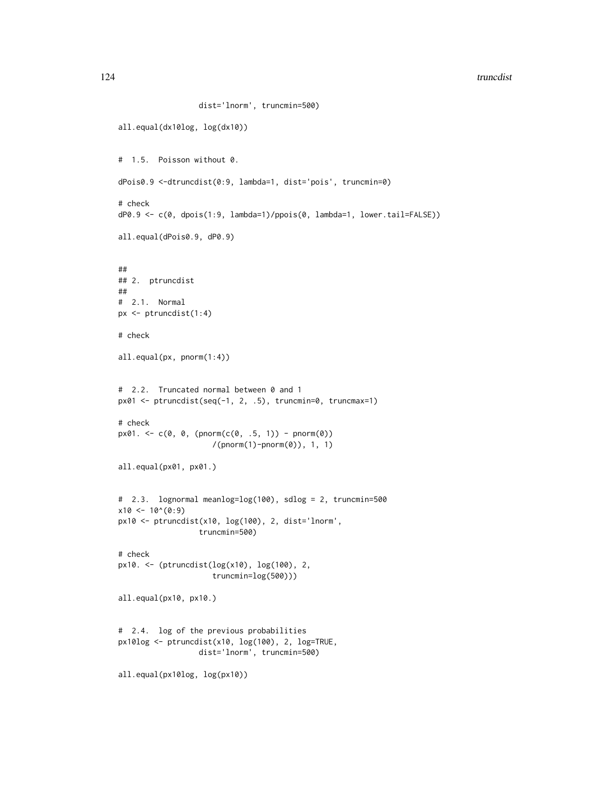#### 124 truncdist truncdist truncdist truncdist truncdist truncdist truncdist truncdist truncdist truncdist truncdist truncdist truncdist truncdist truncdist truncdist truncdist truncdist truncdist truncdist truncdist truncdis

```
dist='lnorm', truncmin=500)
all.equal(dx10log, log(dx10))
# 1.5. Poisson without 0.
dPois0.9 <-dtruncdist(0:9, lambda=1, dist='pois', truncmin=0)
# check
dP0.9 <- c(0, dpois(1:9, lambda=1)/ppois(0, lambda=1, lower.tail=FALSE))
all.equal(dPois0.9, dP0.9)
##
## 2. ptruncdist
##
# 2.1. Normal
px <- ptruncdist(1:4)
# check
all.equal(px, pnorm(1:4))
# 2.2. Truncated normal between 0 and 1
px01 <- ptruncdist(seq(-1, 2, .5), truncmin=0, truncmax=1)
# check
px01. < -c(0, 0, (pnorm(c(0, .5, 1)) - pnorm(0))/(pnorm(1)-pnorm(0)), 1, 1)
all.equal(px01, px01.)
# 2.3. lognormal meanlog=log(100), sdlog = 2, truncmin=500
x10 \le -10^{\circ}(0:9)px10 <- ptruncdist(x10, log(100), 2, dist='lnorm',
                  truncmin=500)
# check
px10. <- (ptruncdist(log(x10), log(100), 2,
                     truncmin=log(500)))
all.equal(px10, px10.)
# 2.4. log of the previous probabilities
px10log <- ptruncdist(x10, log(100), 2, log=TRUE,
                  dist='lnorm', truncmin=500)
all.equal(px10log, log(px10))
```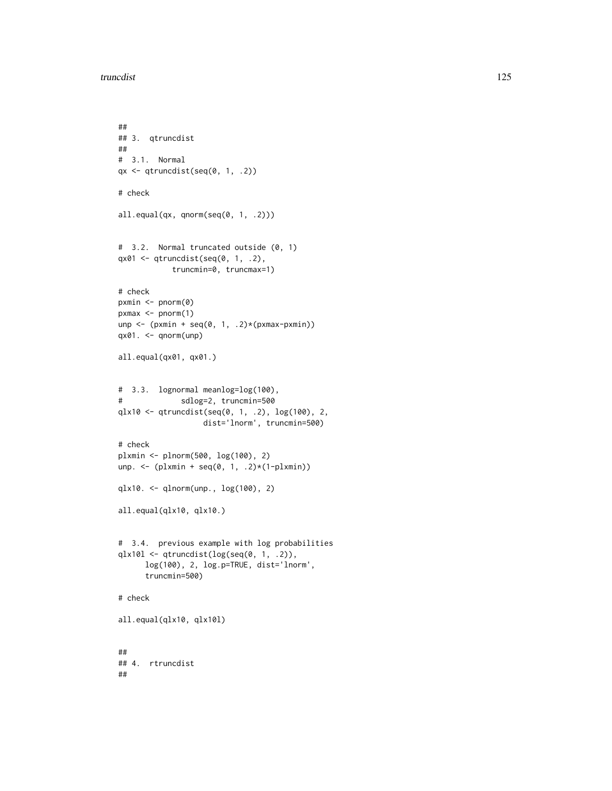```
##
## 3. qtruncdist
##
# 3.1. Normal
qx \leftarrow qtruncdist(seq(0, 1, .2))
# check
all.equal(qx, qnorm(seq(0, 1, .2)))
# 3.2. Normal truncated outside (0, 1)
qx01 <- qtruncdist(seq(0, 1, .2),
           truncmin=0, truncmax=1)
# check
pxmin <- pnorm(0)
pxmax \leftarrow pnorm(1)unp <- (pxmin + seq(0, 1, .2)*(pxmax-pxmin))
qx@1. < -qnorm(unp)all.equal(qx01, qx01.)
# 3.3. lognormal meanlog=log(100),
# sdlog=2, truncmin=500
qlx10 <- qtruncdist(seq(0, 1, .2), log(100), 2,
                  dist='lnorm', truncmin=500)
# check
plxmin <- plnorm(500, log(100), 2)
unp. <- (plxmin + seq(0, 1, .2)*(1-plxmin))
qlx10. <- qlnorm(unp., log(100), 2)
all.equal(qlx10, qlx10.)
# 3.4. previous example with log probabilities
qlx10l <- qtruncdist(log(seq(0, 1, .2)),
      log(100), 2, log.p=TRUE, dist='lnorm',
      truncmin=500)
# check
all.equal(qlx10, qlx10l)
##
## 4. rtruncdist
##
```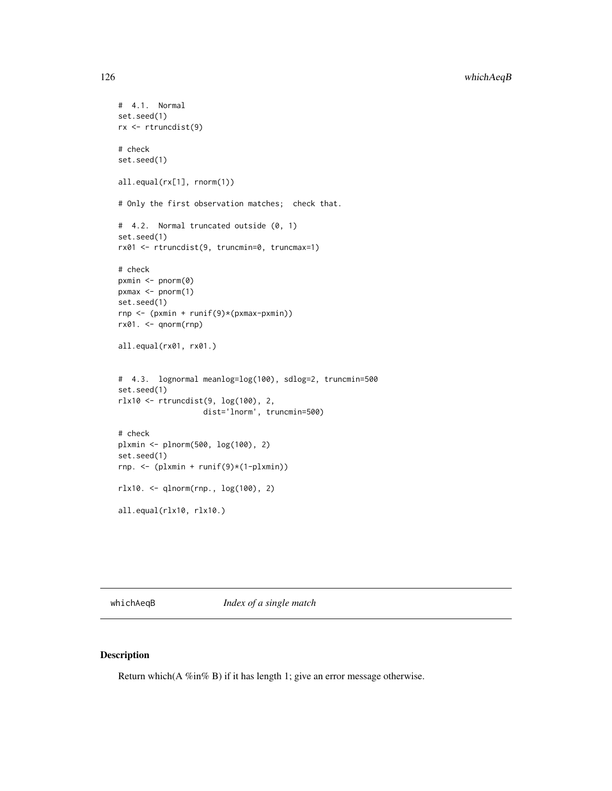# <span id="page-125-0"></span>126 whichAeqB

```
# 4.1. Normal
set.seed(1)
rx <- rtruncdist(9)
# check
set.seed(1)
all.equal(rx[1], rnorm(1))
# Only the first observation matches; check that.
# 4.2. Normal truncated outside (0, 1)
set.seed(1)
rx01 <- rtruncdist(9, truncmin=0, truncmax=1)
# check
pxmin <- pnorm(0)
pxmax <- pnorm(1)
set.seed(1)
rnp <- (pxmin + runif(9)*(pxmax-pxmin))
rx@1. <- qnorm(rnp)all.equal(rx01, rx01.)
# 4.3. lognormal meanlog=log(100), sdlog=2, truncmin=500
set.seed(1)
rlx10 <- rtruncdist(9, log(100), 2,
                  dist='lnorm', truncmin=500)
# check
plxmin <- plnorm(500, log(100), 2)
set.seed(1)
rnp. <- (plxmin + runif(9)*(1-plxmin))
rlx10. <- qlnorm(rnp., log(100), 2)
all.equal(rlx10, rlx10.)
```
whichAeqB *Index of a single match*

# Description

Return which(A %in% B) if it has length 1; give an error message otherwise.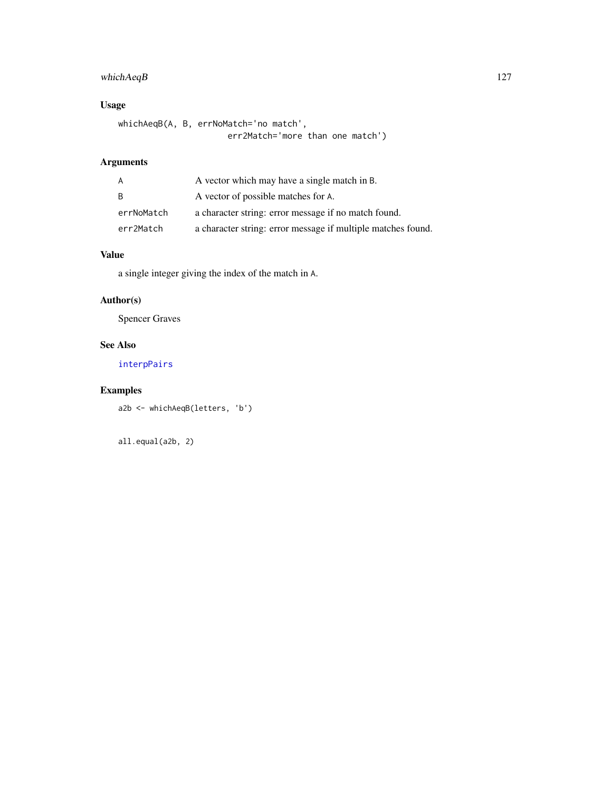# <span id="page-126-0"></span>whichAeqB 127

# Usage

```
whichAeqB(A, B, errNoMatch='no match',
                     err2Match='more than one match')
```
# Arguments

| A          | A vector which may have a single match in B.                 |
|------------|--------------------------------------------------------------|
| - B        | A vector of possible matches for A.                          |
| errNoMatch | a character string: error message if no match found.         |
| err2Match  | a character string: error message if multiple matches found. |

# Value

a single integer giving the index of the match in A.

# Author(s)

Spencer Graves

# See Also

[interpPairs](#page-49-0)

# Examples

a2b <- whichAeqB(letters, 'b')

all.equal(a2b, 2)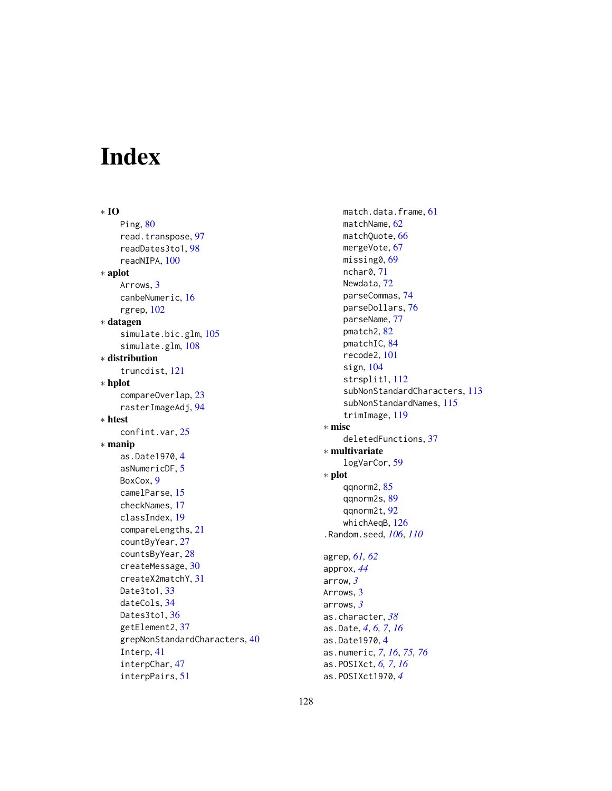# Index

∗ IO Ping, [80](#page-79-0) read.transpose, [97](#page-96-0) readDates3to1, [98](#page-97-0) readNIPA, [100](#page-99-0) ∗ aplot Arrows, [3](#page-2-0) canbeNumeric, [16](#page-15-0) rgrep, [102](#page-101-0) ∗ datagen simulate.bic.glm, [105](#page-104-0) simulate.glm, [108](#page-107-0) ∗ distribution truncdist, [121](#page-120-0) ∗ hplot compareOverlap, [23](#page-22-0) rasterImageAdj, [94](#page-93-0) ∗ htest confint.var, [25](#page-24-0) ∗ manip as.Date1970, [4](#page-3-0) asNumericDF, [5](#page-4-0) BoxCox, [9](#page-8-0) camelParse, [15](#page-14-0) checkNames, [17](#page-16-0) classIndex, [19](#page-18-0) compareLengths, [21](#page-20-0) countByYear, [27](#page-26-0) countsByYear, [28](#page-27-0) createMessage, [30](#page-29-0) createX2matchY, [31](#page-30-0) Date3to1, [33](#page-32-0) dateCols, [34](#page-33-0) Dates3to1, [36](#page-35-0) getElement2, [37](#page-36-0) grepNonStandardCharacters, [40](#page-39-1) Interp, [41](#page-40-0) interpChar, [47](#page-46-0) interpPairs, [51](#page-50-0)

match.data.frame, [61](#page-60-0) matchName, [62](#page-61-0) matchQuote, [66](#page-65-0) mergeVote, [67](#page-66-0) missing0, [69](#page-68-0) nchar0, [71](#page-70-0) Newdata, [72](#page-71-0) parseCommas, [74](#page-73-0) parseDollars, [76](#page-75-0) parseName, [77](#page-76-0) pmatch2, [82](#page-81-0) pmatchIC, [84](#page-83-0) recode2, [101](#page-100-0) sign, [104](#page-103-0) strsplit1, [112](#page-111-0) subNonStandardCharacters, [113](#page-112-1) subNonStandardNames, [115](#page-114-1) trimImage, [119](#page-118-0) ∗ misc deletedFunctions, [37](#page-36-0) ∗ multivariate logVarCor, [59](#page-58-0) ∗ plot qqnorm2, [85](#page-84-0) qqnorm2s, [89](#page-88-0) qqnorm2t, [92](#page-91-0) whichAeqB, [126](#page-125-0) .Random.seed, *[106](#page-105-0)*, *[110](#page-109-0)* agrep, *[61,](#page-60-0) [62](#page-61-0)* approx, *[44](#page-43-0)* arrow, *[3](#page-2-0)* Arrows, [3](#page-2-0) arrows, *[3](#page-2-0)* as.character, *[38](#page-37-0)*

as.Date, *[4](#page-3-0)*, *[6,](#page-5-0) [7](#page-6-0)*, *[16](#page-15-0)* as.Date1970, [4](#page-3-0)

as.numeric, *[7](#page-6-0)*, *[16](#page-15-0)*, *[75,](#page-74-0) [76](#page-75-0)* as.POSIXct, *[6,](#page-5-0) [7](#page-6-0)*, *[16](#page-15-0)* as.POSIXct1970, *[4](#page-3-0)*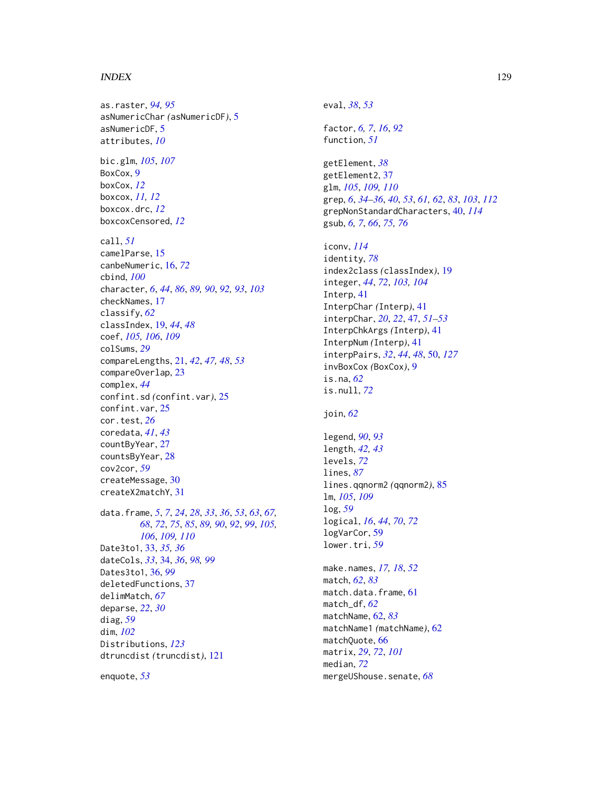#### INDEX 229

as.raster, *[94,](#page-93-0) [95](#page-94-0)* asNumericChar *(*asNumericDF*)*, [5](#page-4-0) asNumericDF, [5](#page-4-0) attributes, *[10](#page-9-0)* bic.glm, *[105](#page-104-0)*, *[107](#page-106-0)* BoxCox, [9](#page-8-0) boxCox, *[12](#page-11-0)* boxcox, *[11,](#page-10-0) [12](#page-11-0)* boxcox.drc, *[12](#page-11-0)* boxcoxCensored, *[12](#page-11-0)* call, *[51](#page-50-0)* camelParse, [15](#page-14-0) canbeNumeric, [16,](#page-15-0) *[72](#page-71-0)* cbind, *[100](#page-99-0)* character, *[6](#page-5-0)*, *[44](#page-43-0)*, *[86](#page-85-0)*, *[89,](#page-88-0) [90](#page-89-0)*, *[92,](#page-91-0) [93](#page-92-0)*, *[103](#page-102-0)* checkNames, [17](#page-16-0) classify, *[62](#page-61-0)* classIndex, [19,](#page-18-0) *[44](#page-43-0)*, *[48](#page-47-0)* coef, *[105,](#page-104-0) [106](#page-105-0)*, *[109](#page-108-0)* colSums, *[29](#page-28-0)* compareLengths, [21,](#page-20-0) *[42](#page-41-0)*, *[47,](#page-46-0) [48](#page-47-0)*, *[53](#page-52-0)* compareOverlap, [23](#page-22-0) complex, *[44](#page-43-0)* confint.sd *(*confint.var*)*, [25](#page-24-0) confint.var, [25](#page-24-0) cor.test, *[26](#page-25-0)* coredata, *[41](#page-40-0)*, *[43](#page-42-0)* countByYear, [27](#page-26-0) countsByYear, [28](#page-27-0) cov2cor, *[59](#page-58-0)* createMessage, [30](#page-29-0) createX2matchY, [31](#page-30-0) data.frame, *[5](#page-4-0)*, *[7](#page-6-0)*, *[24](#page-23-0)*, *[28](#page-27-0)*, *[33](#page-32-0)*, *[36](#page-35-0)*, *[53](#page-52-0)*, *[63](#page-62-0)*, *[67,](#page-66-0) [68](#page-67-0)*, *[72](#page-71-0)*, *[75](#page-74-0)*, *[85](#page-84-0)*, *[89,](#page-88-0) [90](#page-89-0)*, *[92](#page-91-0)*, *[99](#page-98-0)*, *[105,](#page-104-0) [106](#page-105-0)*, *[109,](#page-108-0) [110](#page-109-0)* Date3to1, [33,](#page-32-0) *[35,](#page-34-0) [36](#page-35-0)* dateCols, *[33](#page-32-0)*, [34,](#page-33-0) *[36](#page-35-0)*, *[98,](#page-97-0) [99](#page-98-0)* Dates3to1, [36,](#page-35-0) *[99](#page-98-0)* deletedFunctions, [37](#page-36-0) delimMatch, *[67](#page-66-0)* deparse, *[22](#page-21-0)*, *[30](#page-29-0)* diag, *[59](#page-58-0)* dim, *[102](#page-101-0)* Distributions, *[123](#page-122-0)* dtruncdist *(*truncdist*)*, [121](#page-120-0) enquote, *[53](#page-52-0)*

eval, *[38](#page-37-0)*, *[53](#page-52-0)* factor, *[6,](#page-5-0) [7](#page-6-0)*, *[16](#page-15-0)*, *[92](#page-91-0)* function, *[51](#page-50-0)* getElement, *[38](#page-37-0)* getElement2, [37](#page-36-0) glm, *[105](#page-104-0)*, *[109,](#page-108-0) [110](#page-109-0)* grep, *[6](#page-5-0)*, *[34](#page-33-0)[–36](#page-35-0)*, *[40](#page-39-1)*, *[53](#page-52-0)*, *[61,](#page-60-0) [62](#page-61-0)*, *[83](#page-82-0)*, *[103](#page-102-0)*, *[112](#page-111-0)* grepNonStandardCharacters, [40,](#page-39-1) *[114](#page-113-0)* gsub, *[6,](#page-5-0) [7](#page-6-0)*, *[66](#page-65-0)*, *[75,](#page-74-0) [76](#page-75-0)* iconv, *[114](#page-113-0)* identity, *[78](#page-77-0)* index2class *(*classIndex*)*, [19](#page-18-0) integer, *[44](#page-43-0)*, *[72](#page-71-0)*, *[103,](#page-102-0) [104](#page-103-0)* Interp, [41](#page-40-0) InterpChar *(*Interp*)*, [41](#page-40-0) interpChar, *[20](#page-19-0)*, *[22](#page-21-0)*, [47,](#page-46-0) *[51](#page-50-0)[–53](#page-52-0)* InterpChkArgs *(*Interp*)*, [41](#page-40-0) InterpNum *(*Interp*)*, [41](#page-40-0) interpPairs, *[32](#page-31-0)*, *[44](#page-43-0)*, *[48](#page-47-0)*, [50,](#page-49-1) *[127](#page-126-0)* invBoxCox *(*BoxCox*)*, [9](#page-8-0) is.na, *[62](#page-61-0)* is.null, *[72](#page-71-0)* join, *[62](#page-61-0)* legend, *[90](#page-89-0)*, *[93](#page-92-0)* length, *[42,](#page-41-0) [43](#page-42-0)* levels, *[72](#page-71-0)* lines, *[87](#page-86-0)* lines.qqnorm2 *(*qqnorm2*)*, [85](#page-84-0) lm, *[105](#page-104-0)*, *[109](#page-108-0)* log, *[59](#page-58-0)* logical, *[16](#page-15-0)*, *[44](#page-43-0)*, *[70](#page-69-0)*, *[72](#page-71-0)* logVarCor, [59](#page-58-0) lower.tri, *[59](#page-58-0)* make.names, *[17,](#page-16-0) [18](#page-17-0)*, *[52](#page-51-0)* match, *[62](#page-61-0)*, *[83](#page-82-0)* match.data.frame, [61](#page-60-0)

match\_df, *[62](#page-61-0)* matchName, [62,](#page-61-0) *[83](#page-82-0)* matchName1 *(*matchName*)*, [62](#page-61-0) matchQuote, [66](#page-65-0) matrix, *[29](#page-28-0)*, *[72](#page-71-0)*, *[101](#page-100-0)* median, *[72](#page-71-0)* mergeUShouse.senate, *[68](#page-67-0)*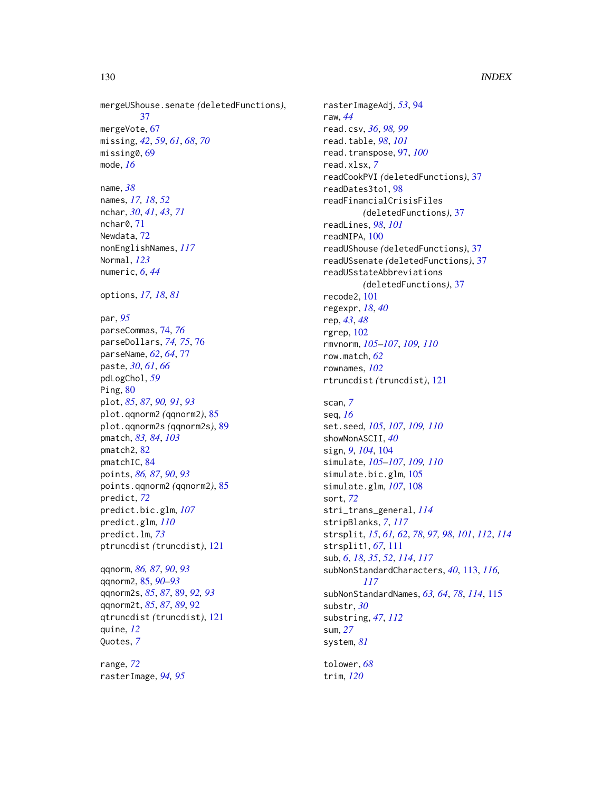mergeUShouse.senate *(*deletedFunctions*)*, [37](#page-36-0) mergeVote, [67](#page-66-0) missing, *[42](#page-41-0)*, *[59](#page-58-0)*, *[61](#page-60-0)*, *[68](#page-67-0)*, *[70](#page-69-0)* missing0, [69](#page-68-0) mode, *[16](#page-15-0)*

name, *[38](#page-37-0)* names, *[17,](#page-16-0) [18](#page-17-0)*, *[52](#page-51-0)* nchar, *[30](#page-29-0)*, *[41](#page-40-0)*, *[43](#page-42-0)*, *[71](#page-70-0)* nchar0, [71](#page-70-0) Newdata, [72](#page-71-0) nonEnglishNames, *[117](#page-116-0)* Normal, *[123](#page-122-0)* numeric, *[6](#page-5-0)*, *[44](#page-43-0)*

options, *[17,](#page-16-0) [18](#page-17-0)*, *[81](#page-80-0)*

par, *[95](#page-94-0)* parseCommas, [74,](#page-73-0) *[76](#page-75-0)* parseDollars, *[74,](#page-73-0) [75](#page-74-0)*, [76](#page-75-0) parseName, *[62](#page-61-0)*, *[64](#page-63-0)*, [77](#page-76-0) paste, *[30](#page-29-0)*, *[61](#page-60-0)*, *[66](#page-65-0)* pdLogChol, *[59](#page-58-0)* Ping, [80](#page-79-0) plot, *[85](#page-84-0)*, *[87](#page-86-0)*, *[90,](#page-89-0) [91](#page-90-0)*, *[93](#page-92-0)* plot.qqnorm2 *(*qqnorm2*)*, [85](#page-84-0) plot.qqnorm2s *(*qqnorm2s*)*, [89](#page-88-0) pmatch, *[83,](#page-82-0) [84](#page-83-0)*, *[103](#page-102-0)* pmatch2, [82](#page-81-0) pmatchIC, [84](#page-83-0) points, *[86,](#page-85-0) [87](#page-86-0)*, *[90](#page-89-0)*, *[93](#page-92-0)* points.qqnorm2 *(*qqnorm2*)*, [85](#page-84-0) predict, *[72](#page-71-0)* predict.bic.glm, *[107](#page-106-0)* predict.glm, *[110](#page-109-0)* predict.lm, *[73](#page-72-0)* ptruncdist *(*truncdist*)*, [121](#page-120-0)

qqnorm, *[86,](#page-85-0) [87](#page-86-0)*, *[90](#page-89-0)*, *[93](#page-92-0)* qqnorm2, [85,](#page-84-0) *[90](#page-89-0)[–93](#page-92-0)* qqnorm2s, *[85](#page-84-0)*, *[87](#page-86-0)*, [89,](#page-88-0) *[92,](#page-91-0) [93](#page-92-0)* qqnorm2t, *[85](#page-84-0)*, *[87](#page-86-0)*, *[89](#page-88-0)*, [92](#page-91-0) qtruncdist *(*truncdist*)*, [121](#page-120-0) quine, *[12](#page-11-0)* Quotes, *[7](#page-6-0)*

range, *[72](#page-71-0)* rasterImage, *[94,](#page-93-0) [95](#page-94-0)* rasterImageAdj, *[53](#page-52-0)*, [94](#page-93-0) raw, *[44](#page-43-0)* read.csv, *[36](#page-35-0)*, *[98,](#page-97-0) [99](#page-98-0)* read.table, *[98](#page-97-0)*, *[101](#page-100-0)* read.transpose, [97,](#page-96-0) *[100](#page-99-0)* read.xlsx, *[7](#page-6-0)* readCookPVI *(*deletedFunctions*)*, [37](#page-36-0) readDates3to1, [98](#page-97-0) readFinancialCrisisFiles *(*deletedFunctions*)*, [37](#page-36-0) readLines, *[98](#page-97-0)*, *[101](#page-100-0)* readNIPA, [100](#page-99-0) readUShouse *(*deletedFunctions*)*, [37](#page-36-0) readUSsenate *(*deletedFunctions*)*, [37](#page-36-0) readUSstateAbbreviations *(*deletedFunctions*)*, [37](#page-36-0) recode2, [101](#page-100-0) regexpr, *[18](#page-17-0)*, *[40](#page-39-1)* rep, *[43](#page-42-0)*, *[48](#page-47-0)* rgrep, [102](#page-101-0) rmvnorm, *[105](#page-104-0)[–107](#page-106-0)*, *[109,](#page-108-0) [110](#page-109-0)* row.match, *[62](#page-61-0)* rownames, *[102](#page-101-0)* rtruncdist *(*truncdist*)*, [121](#page-120-0)

scan, *[7](#page-6-0)* seq, *[16](#page-15-0)* set.seed, *[105](#page-104-0)*, *[107](#page-106-0)*, *[109,](#page-108-0) [110](#page-109-0)* showNonASCII, *[40](#page-39-1)* sign, *[9](#page-8-0)*, *[104](#page-103-0)*, [104](#page-103-0) simulate, *[105](#page-104-0)[–107](#page-106-0)*, *[109,](#page-108-0) [110](#page-109-0)* simulate.bic.glm, [105](#page-104-0) simulate.glm, *[107](#page-106-0)*, [108](#page-107-0) sort, *[72](#page-71-0)* stri\_trans\_general, *[114](#page-113-0)* stripBlanks, *[7](#page-6-0)*, *[117](#page-116-0)* strsplit, *[15](#page-14-0)*, *[61,](#page-60-0) [62](#page-61-0)*, *[78](#page-77-0)*, *[97,](#page-96-0) [98](#page-97-0)*, *[101](#page-100-0)*, *[112](#page-111-0)*, *[114](#page-113-0)* strsplit1, *[67](#page-66-0)*, [111](#page-110-0) sub, *[6](#page-5-0)*, *[18](#page-17-0)*, *[35](#page-34-0)*, *[52](#page-51-0)*, *[114](#page-113-0)*, *[117](#page-116-0)* subNonStandardCharacters, *[40](#page-39-1)*, [113,](#page-112-1) *[116,](#page-115-0) [117](#page-116-0)* subNonStandardNames, *[63,](#page-62-0) [64](#page-63-0)*, *[78](#page-77-0)*, *[114](#page-113-0)*, [115](#page-114-1) substr, *[30](#page-29-0)* substring, *[47](#page-46-0)*, *[112](#page-111-0)* sum, *[27](#page-26-0)* system, *[81](#page-80-0)*

tolower, *[68](#page-67-0)* trim, *[120](#page-119-0)*